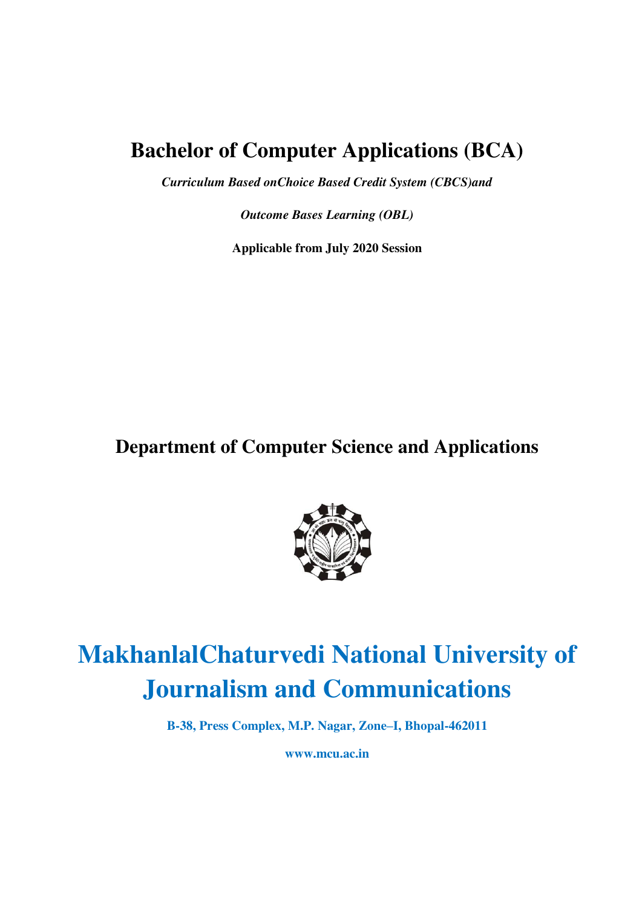# **Bachelor of Computer Applications (BCA)**

*Curriculum Based onChoice Based Credit System (CBCS)and* 

*Outcome Bases Learning (OBL)* 

**Applicable from July 2020 Session** 

**Department of Computer Science and Applications** 



# **MakhanlalChaturvedi National University of Journalism and Communications**

**B-38, Press Complex, M.P. Nagar, Zone–I, Bhopal-462011** 

**www.mcu.ac.in**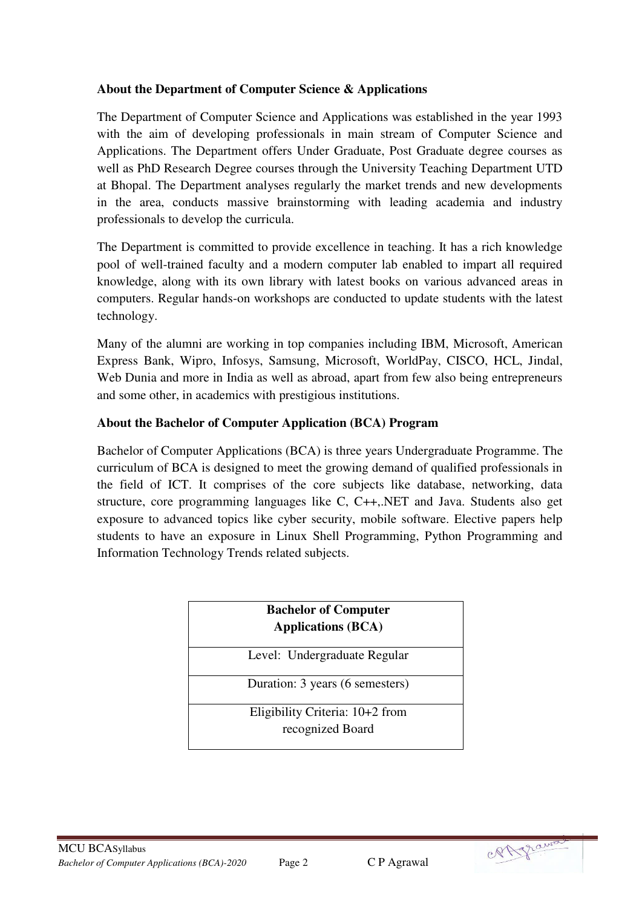## **About the Department of Computer Science & Applications**

The Department of Computer Science and Applications was established in the year 1993 with the aim of developing professionals in main stream of Computer Science and Applications. The Department offers Under Graduate, Post Graduate degree courses as well as PhD Research Degree courses through the University Teaching Department UTD at Bhopal. The Department analyses regularly the market trends and new developments in the area, conducts massive brainstorming with leading academia and industry professionals to develop the curricula.

The Department is committed to provide excellence in teaching. It has a rich knowledge pool of well-trained faculty and a modern computer lab enabled to impart all required knowledge, along with its own library with latest books on various advanced areas in computers. Regular hands-on workshops are conducted to update students with the latest technology.

Many of the alumni are working in top companies including IBM, Microsoft, American Express Bank, Wipro, Infosys, Samsung, Microsoft, WorldPay, CISCO, HCL, Jindal, Web Dunia and more in India as well as abroad, apart from few also being entrepreneurs and some other, in academics with prestigious institutions.

## **About the Bachelor of Computer Application (BCA) Program**

Bachelor of Computer Applications (BCA) is three years Undergraduate Programme. The curriculum of BCA is designed to meet the growing demand of qualified professionals in the field of ICT. It comprises of the core subjects like database, networking, data structure, core programming languages like C, C++,.NET and Java. Students also get exposure to advanced topics like cyber security, mobile software. Elective papers help students to have an exposure in Linux Shell Programming, Python Programming and Information Technology Trends related subjects.

| <b>Bachelor of Computer</b><br><b>Applications (BCA)</b> |
|----------------------------------------------------------|
| Level: Undergraduate Regular                             |
| Duration: 3 years (6 semesters)                          |
| Eligibility Criteria: $10+2$ from<br>recognized Board    |

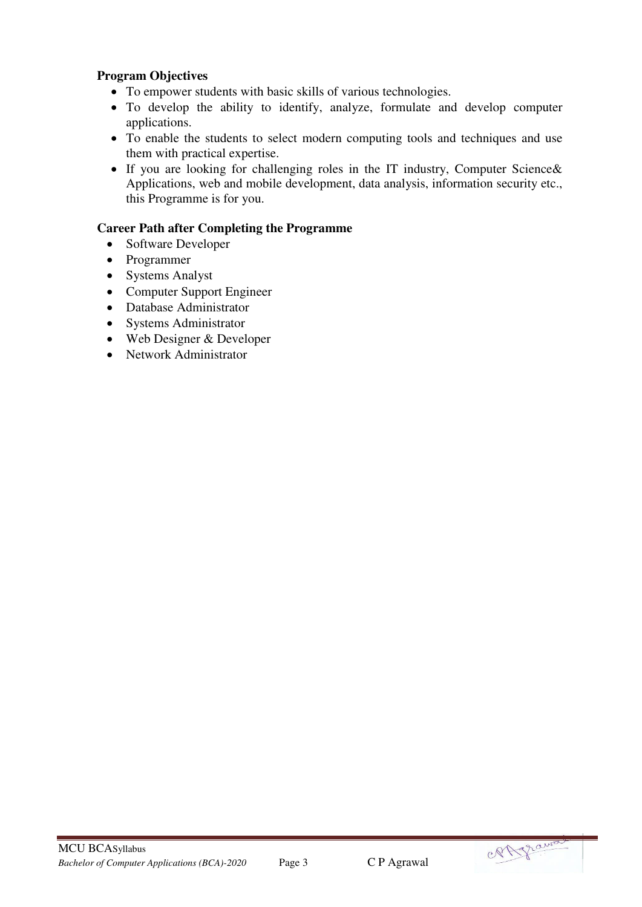## **Program Objectives**

- To empower students with basic skills of various technologies.
- To develop the ability to identify, analyze, formulate and develop computer applications.
- To enable the students to select modern computing tools and techniques and use them with practical expertise.
- If you are looking for challenging roles in the IT industry, Computer Science& Applications, web and mobile development, data analysis, information security etc., this Programme is for you.

## **Career Path after Completing the Programme**

- Software Developer
- Programmer
- Systems Analyst
- Computer Support Engineer
- Database Administrator
- Systems Administrator
- Web Designer & Developer
- Network Administrator

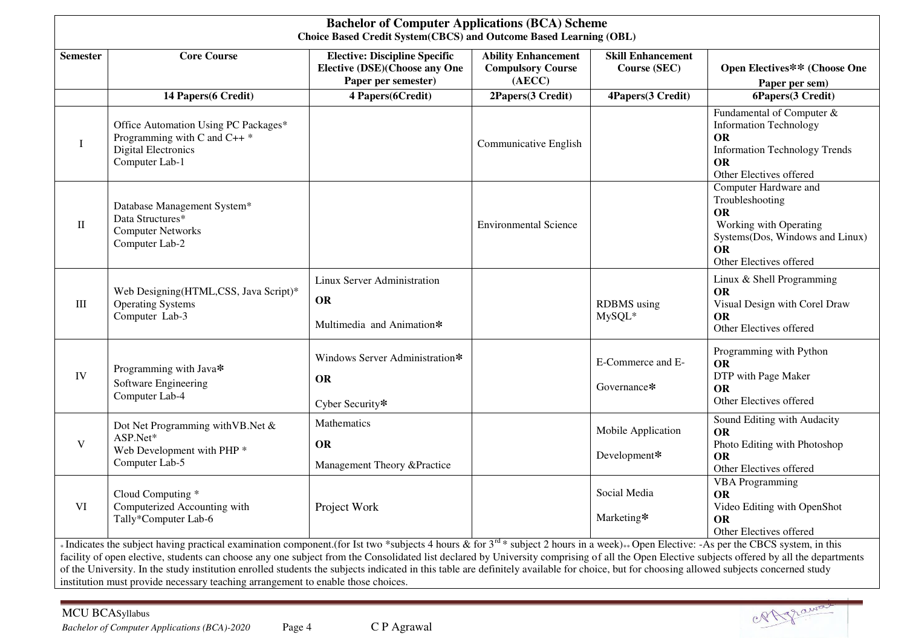|                 | <b>Bachelor of Computer Applications (BCA) Scheme</b><br>Choice Based Credit System(CBCS) and Outcome Based Learning (OBL)                                                                                                                                                                                                                                                                                                                                                                                                                                                                                                                                                 |                                                                                              |                                                                  |                                          |                                                                                                                                                            |  |  |  |  |  |
|-----------------|----------------------------------------------------------------------------------------------------------------------------------------------------------------------------------------------------------------------------------------------------------------------------------------------------------------------------------------------------------------------------------------------------------------------------------------------------------------------------------------------------------------------------------------------------------------------------------------------------------------------------------------------------------------------------|----------------------------------------------------------------------------------------------|------------------------------------------------------------------|------------------------------------------|------------------------------------------------------------------------------------------------------------------------------------------------------------|--|--|--|--|--|
| <b>Semester</b> | <b>Core Course</b>                                                                                                                                                                                                                                                                                                                                                                                                                                                                                                                                                                                                                                                         | <b>Elective: Discipline Specific</b><br>Elective (DSE)(Choose any One<br>Paper per semester) | <b>Ability Enhancement</b><br><b>Compulsory Course</b><br>(AECC) | <b>Skill Enhancement</b><br>Course (SEC) | Open Electives** (Choose One<br>Paper per sem)                                                                                                             |  |  |  |  |  |
|                 | 14 Papers(6 Credit)                                                                                                                                                                                                                                                                                                                                                                                                                                                                                                                                                                                                                                                        | 4 Papers(6Credit)                                                                            | 2Papers(3 Credit)                                                | 4Papers(3 Credit)                        | 6Papers(3 Credit)                                                                                                                                          |  |  |  |  |  |
| I               | Office Automation Using PC Packages*<br>Programming with C and C++ *<br><b>Digital Electronics</b><br>Computer Lab-1                                                                                                                                                                                                                                                                                                                                                                                                                                                                                                                                                       |                                                                                              | Communicative English                                            |                                          | Fundamental of Computer &<br><b>Information Technology</b><br><b>OR</b><br><b>Information Technology Trends</b><br><b>OR</b><br>Other Electives offered    |  |  |  |  |  |
| П               | Database Management System*<br>Data Structures*<br><b>Computer Networks</b><br>Computer Lab-2                                                                                                                                                                                                                                                                                                                                                                                                                                                                                                                                                                              |                                                                                              | <b>Environmental Science</b>                                     |                                          | Computer Hardware and<br>Troubleshooting<br><b>OR</b><br>Working with Operating<br>Systems(Dos, Windows and Linux)<br><b>OR</b><br>Other Electives offered |  |  |  |  |  |
| $\rm III$       | Web Designing(HTML,CSS, Java Script)*<br><b>Operating Systems</b><br>Computer Lab-3                                                                                                                                                                                                                                                                                                                                                                                                                                                                                                                                                                                        | Linux Server Administration<br><b>OR</b><br>Multimedia and Animation*                        |                                                                  | <b>RDBMS</b> using<br>MySQL*             | Linux & Shell Programming<br><b>OR</b><br>Visual Design with Corel Draw<br><b>OR</b><br>Other Electives offered                                            |  |  |  |  |  |
| IV              | Programming with Java*<br>Software Engineering<br>Computer Lab-4                                                                                                                                                                                                                                                                                                                                                                                                                                                                                                                                                                                                           | Windows Server Administration*<br><b>OR</b><br>Cyber Security*                               |                                                                  | E-Commerce and E-<br>Governance*         | Programming with Python<br><b>OR</b><br>DTP with Page Maker<br><b>OR</b><br>Other Electives offered                                                        |  |  |  |  |  |
| V               | Dot Net Programming with VB. Net &<br>ASP.Net*<br>Web Development with PHP <sup>*</sup><br>Computer Lab-5                                                                                                                                                                                                                                                                                                                                                                                                                                                                                                                                                                  | Mathematics<br><b>OR</b><br>Management Theory &Practice                                      |                                                                  | Mobile Application<br>Development*       | Sound Editing with Audacity<br><b>OR</b><br>Photo Editing with Photoshop<br><b>OR</b><br>Other Electives offered                                           |  |  |  |  |  |
| <b>VI</b>       | Cloud Computing *<br>Computerized Accounting with<br>Tally*Computer Lab-6                                                                                                                                                                                                                                                                                                                                                                                                                                                                                                                                                                                                  | Project Work                                                                                 |                                                                  | Social Media<br>Marketing*               | <b>VBA</b> Programming<br>OR<br>Video Editing with OpenShot<br><b>OR</b><br>Other Electives offered                                                        |  |  |  |  |  |
|                 | *Indicates the subject having practical examination component.(for Ist two *subjects 4 hours & for $3^{rd}$ * subject 2 hours in a week)**Open Elective: -As per the CBCS system, in this<br>facility of open elective, students can choose any one subject from the Consolidated list declared by University comprising of all the Open Elective subjects offered by all the departments<br>of the University. In the study institution enrolled students the subjects indicated in this table are definitely available for choice, but for choosing allowed subjects concerned study<br>institution must provide necessary teaching arrangement to enable those choices. |                                                                                              |                                                                  |                                          |                                                                                                                                                            |  |  |  |  |  |

RAgraway

MCU BCASyllabus

*Bachelor of Computer Applications (BCA)-2020* Page 4 C P Agrawal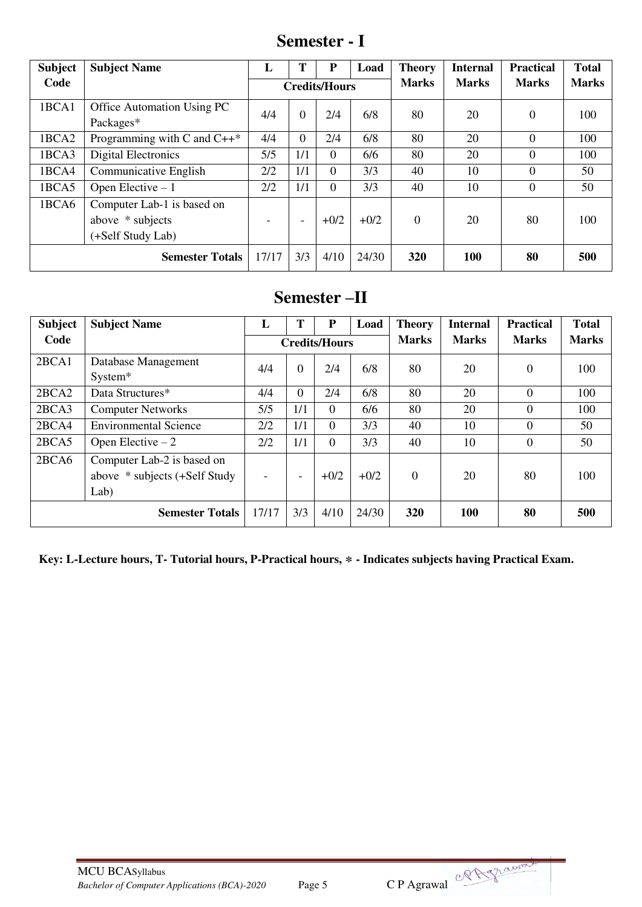**Semester - I** 

| <b>Subject</b>         | <b>Subject Name</b>            | L                    |                          | P        | Load         | <b>Theory</b>  | <b>Internal</b> | <b>Practical</b> | <b>Total</b> |
|------------------------|--------------------------------|----------------------|--------------------------|----------|--------------|----------------|-----------------|------------------|--------------|
| Code                   |                                | <b>Credits/Hours</b> |                          |          | <b>Marks</b> | <b>Marks</b>   | <b>Marks</b>    | <b>Marks</b>     |              |
| 1BCA1                  | Office Automation Using PC     | 4/4                  | $\Omega$                 | 2/4      | 6/8          | 80             | 20              | $\theta$         | 100          |
|                        | Packages*                      |                      |                          |          |              |                |                 |                  |              |
| 1BCA2                  | Programming with C and $C++^*$ | 4/4                  | $\Omega$                 | 2/4      | 6/8          | 80             | 20              | $\theta$         | 100          |
| 1BCA3                  | Digital Electronics            | 5/5                  | 1/1                      | $\Omega$ | 6/6          | 80             | 20              | $\Omega$         | 100          |
| 1BCA4                  | Communicative English          | 2/2                  | 1/1                      | $\Omega$ | 3/3          | 40             | 10              | $\theta$         | 50           |
| 1BCA5                  | Open Elective $-1$             | 2/2                  | 1/1                      | $\Omega$ | 3/3          | 40             | 10              | $\theta$         | 50           |
| 1BCA6                  | Computer Lab-1 is based on     |                      |                          |          |              |                |                 |                  |              |
|                        | above * subjects               |                      | $\overline{\phantom{0}}$ | $+0/2$   | $+0/2$       | $\overline{0}$ | 20              | 80               | 100          |
|                        | (+Self Study Lab)              |                      |                          |          |              |                |                 |                  |              |
| <b>Semester Totals</b> |                                | 17/17                | 3/3                      | 4/10     | 24/30        | 320            | <b>100</b>      | 80               | 500          |

# **Semester –II**

| <b>Subject</b> | <b>Subject Name</b>           | L                        | Т                        | P        | Load         | <b>Theory</b> | <b>Internal</b> | <b>Practical</b> | <b>Total</b> |
|----------------|-------------------------------|--------------------------|--------------------------|----------|--------------|---------------|-----------------|------------------|--------------|
| Code           |                               | <b>Credits/Hours</b>     |                          |          | <b>Marks</b> | <b>Marks</b>  | <b>Marks</b>    | <b>Marks</b>     |              |
| 2BCA1          | Database Management           | 4/4                      | $\theta$                 | 2/4      | 6/8          | 80            | 20              | $\boldsymbol{0}$ | 100          |
|                | System*                       |                          |                          |          |              |               |                 |                  |              |
| 2BCA2          | Data Structures*              | 4/4                      | $\overline{0}$           | 2/4      | 6/8          | 80            | 20              | $\overline{0}$   | 100          |
| 2BCA3          | <b>Computer Networks</b>      | 5/5                      | 1/1                      | $\Omega$ | 6/6          | 80            | 20              | $\Omega$         | 100          |
| 2BCA4          | <b>Environmental Science</b>  | 2/2                      | 1/1                      | $\Omega$ | 3/3          | 40            | 10              | 0                | 50           |
| 2BCA5          | Open Elective $-2$            | 2/2                      | 1/1                      | $\Omega$ | 3/3          | 40            | 10              | $\overline{0}$   | 50           |
| 2BCA6          | Computer Lab-2 is based on    |                          |                          |          |              |               |                 |                  |              |
|                | above * subjects (+Self Study | $\overline{\phantom{0}}$ | $\overline{\phantom{a}}$ | $+0/2$   | $+0/2$       | $\Omega$      | 20              | 80               | 100          |
| Lab)           |                               |                          |                          |          |              |               |                 |                  |              |
|                | 17/17                         | 3/3                      | 4/10                     | 24/30    | <b>320</b>   | <b>100</b>    | 80              | 500              |              |

**Key: L-Lecture hours, T- Tutorial hours, P-Practical hours, \* - Indicates subjects having Practical Exam.** 

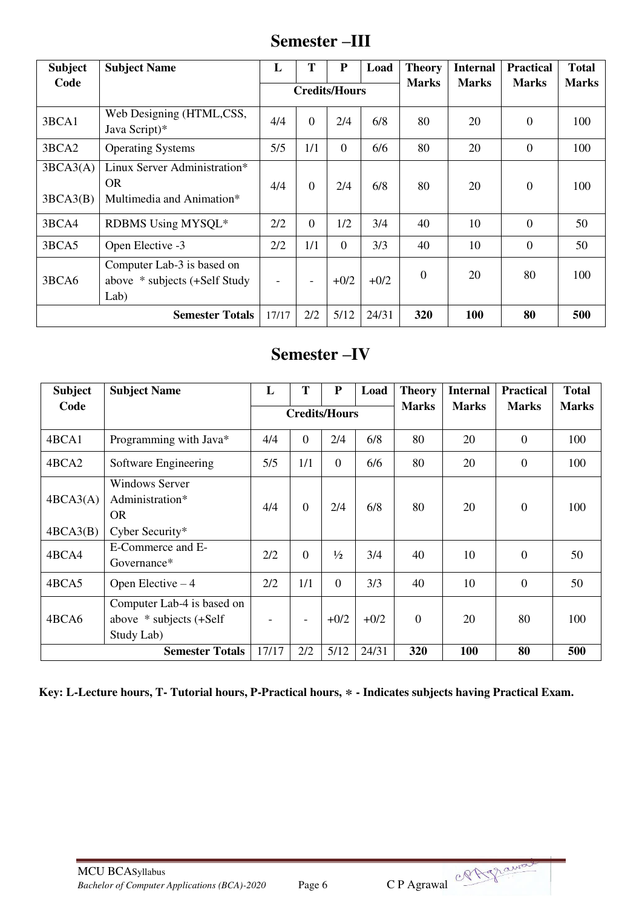## **Semester –III**

| <b>Subject</b>       | <b>Subject Name</b>                                                    | L                    | T                        | ${\bf P}$      | Load   | <b>Theory</b>    | <b>Internal</b> | <b>Practical</b> | <b>Total</b> |
|----------------------|------------------------------------------------------------------------|----------------------|--------------------------|----------------|--------|------------------|-----------------|------------------|--------------|
| Code                 |                                                                        | <b>Credits/Hours</b> |                          |                |        | <b>Marks</b>     | <b>Marks</b>    | <b>Marks</b>     | <b>Marks</b> |
| 3BCA1                | Web Designing (HTML,CSS,<br>Java Script)*                              | 4/4                  | $\overline{0}$           | 2/4            | 6/8    | 80               | 20              | $\overline{0}$   | 100          |
| 3BCA2                | <b>Operating Systems</b>                                               | 5/5                  | 1/1                      | $\overline{0}$ | 6/6    | 80               | 20              | $\theta$         | 100          |
| 3BCA3(A)<br>3BCA3(B) | Linux Server Administration*<br><b>OR</b><br>Multimedia and Animation* | 4/4                  | $\overline{0}$           | 2/4            | 6/8    | 80               | 20              | $\overline{0}$   | 100          |
| 3BCA4                | RDBMS Using MYSQL*                                                     | 2/2                  | $\overline{0}$           | 1/2            | 3/4    | 40               | 10              | $\Omega$         | 50           |
| 3BCA5                | Open Elective -3                                                       | 2/2                  | 1/1                      | $\theta$       | 3/3    | 40               | 10              | $\theta$         | 50           |
| 3BCA6                | Computer Lab-3 is based on<br>above * subjects (+Self Study<br>Lab)    | -                    | $\overline{\phantom{a}}$ | $+0/2$         | $+0/2$ | $\boldsymbol{0}$ | 20              | 80               | 100          |
|                      | <b>Semester Totals</b>                                                 | 17/17                | 2/2                      | 5/12           | 24/31  | 320              | 100             | 80               | 500          |

# **Semester –IV**

| <b>Subject</b>                                                               | <b>Subject Name</b>                                   | L                    | T        | P              | Load   | <b>Theory</b>  | <b>Internal</b> | <b>Practical</b> | <b>Total</b> |
|------------------------------------------------------------------------------|-------------------------------------------------------|----------------------|----------|----------------|--------|----------------|-----------------|------------------|--------------|
| Code                                                                         |                                                       | <b>Credits/Hours</b> |          |                |        | <b>Marks</b>   | <b>Marks</b>    | <b>Marks</b>     | <b>Marks</b> |
| 4BCA1                                                                        | Programming with Java*                                | 4/4                  | $\theta$ | 2/4            | 6/8    | 80             | 20              | $\overline{0}$   | 100          |
| 4BCA2                                                                        | Software Engineering                                  | 5/5                  | 1/1      | $\overline{0}$ | 6/6    | 80             | 20              | $\overline{0}$   | 100          |
| 4BCA3(A)                                                                     | <b>Windows Server</b><br>Administration*<br><b>OR</b> |                      | $\theta$ | 2/4            | 6/8    | 80             | 20              | $\overline{0}$   | 100          |
| 4BCA3(B)                                                                     | Cyber Security*                                       |                      |          |                |        |                |                 |                  |              |
| 4BCA4                                                                        | E-Commerce and E-<br>Governance*                      | 2/2                  | $\Omega$ | $\frac{1}{2}$  | 3/4    | 40             | 10              | $\overline{0}$   | 50           |
| 4BCA5                                                                        | Open Elective $-4$                                    | 2/2                  | 1/1      | $\Omega$       | 3/3    | 40             | 10              | $\overline{0}$   | 50           |
| Computer Lab-4 is based on<br>4BCA6<br>above * subjects (+Self<br>Study Lab) |                                                       |                      |          | $+0/2$         | $+0/2$ | $\overline{0}$ | 20              | 80               | 100          |
|                                                                              | <b>Semester Totals</b>                                | 17/17                | 2/2      | 5/12           | 24/31  | 320            | 100             | 80               | 500          |

**Key: L-Lecture hours, T- Tutorial hours, P-Practical hours, \* - Indicates subjects having Practical Exam.**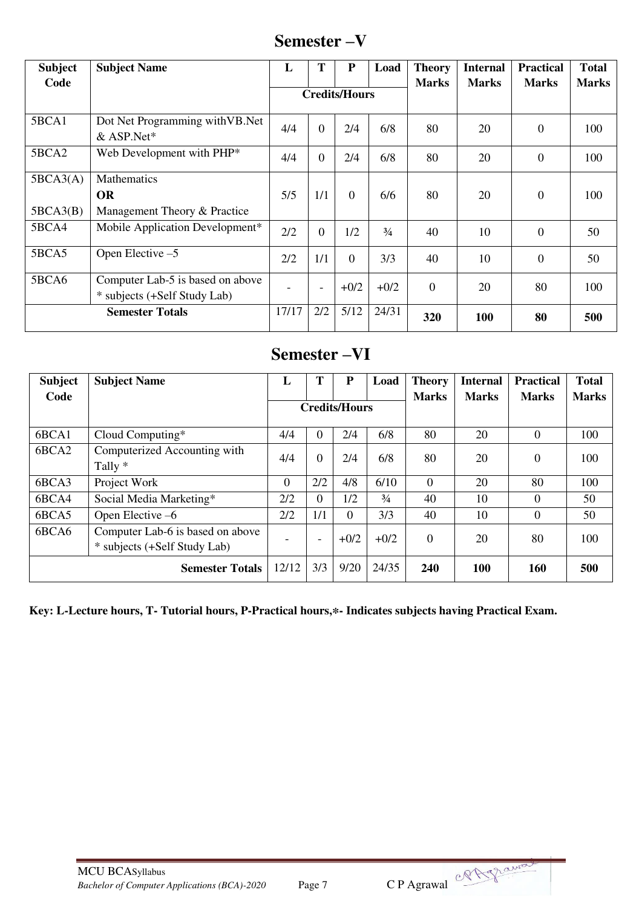# **Semester –V**

| <b>Subject</b>                                                            | <b>Subject Name</b>              | L     | T                        | ${\bf P}$            | Load          | <b>Theory</b> | <b>Internal</b> | <b>Practical</b> | <b>Total</b> |
|---------------------------------------------------------------------------|----------------------------------|-------|--------------------------|----------------------|---------------|---------------|-----------------|------------------|--------------|
| Code                                                                      |                                  |       |                          | <b>Credits/Hours</b> |               | <b>Marks</b>  | <b>Marks</b>    | <b>Marks</b>     | <b>Marks</b> |
| 5BCA1                                                                     | Dot Net Programming with VB. Net | 4/4   | $\theta$                 | 2/4                  | 6/8           | 80            | 20              | $\overline{0}$   | 100          |
|                                                                           | & ASP.Net*                       |       |                          |                      |               |               |                 |                  |              |
| 5BCA2                                                                     | Web Development with PHP*        |       | $\Omega$                 | 2/4                  | 6/8           | 80            | 20              | $\overline{0}$   | 100          |
| 5BCA3(A)                                                                  | Mathematics                      |       |                          |                      |               |               |                 |                  |              |
|                                                                           | <b>OR</b>                        | 5/5   | 1/1                      | $\Omega$             | 6/6           | 80            | 20              | $\theta$         | 100          |
| 5BCA3(B)                                                                  | Management Theory & Practice     |       |                          |                      |               |               |                 |                  |              |
| 5BCA4                                                                     | Mobile Application Development*  | 2/2   | $\Omega$                 | 1/2                  | $\frac{3}{4}$ | 40            | 10              | $\theta$         | 50           |
| 5BCA5                                                                     | Open Elective -5                 | 2/2   | 1/1                      | $\overline{0}$       | 3/3           | 40            | 10              | $\theta$         | 50           |
| 5BCA6<br>Computer Lab-5 is based on above<br>* subjects (+Self Study Lab) |                                  |       | $\overline{\phantom{a}}$ | $+0/2$               | $+0/2$        | $\theta$      | 20              | 80               | 100          |
| <b>Semester Totals</b>                                                    |                                  | 17/17 | 2/2                      | 5/12                 | 24/31         | 320           | 100             | 80               | 500          |

# **Semester –VI**

| <b>Subject</b>                                                            | <b>Subject Name</b>                     | L                    | т                        | P        | Load          | <b>Theory</b> | <b>Internal</b> | <b>Practical</b> | <b>Total</b> |
|---------------------------------------------------------------------------|-----------------------------------------|----------------------|--------------------------|----------|---------------|---------------|-----------------|------------------|--------------|
| Code                                                                      |                                         | <b>Credits/Hours</b> |                          |          | <b>Marks</b>  | <b>Marks</b>  | <b>Marks</b>    | <b>Marks</b>     |              |
| 6BCA1                                                                     | Cloud Computing*                        | 4/4                  | $\Omega$                 | 2/4      | 6/8           | 80            | 20              | $\Omega$         | 100          |
| 6BCA2                                                                     | Computerized Accounting with<br>Tally * | 4/4                  | $\Omega$                 | 2/4      | 6/8           | 80            | 20              | $\Omega$         | 100          |
| 6BCA3                                                                     | Project Work                            | $\overline{0}$       | 2/2                      | 4/8      | 6/10          | $\theta$      | 20              | 80               | 100          |
| 6BCA4                                                                     | Social Media Marketing*                 | 2/2                  | $\theta$                 | 1/2      | $\frac{3}{4}$ | 40            | 10              | $\Omega$         | 50           |
| 6BCA5                                                                     | Open Elective $-6$                      | 2/2                  | 1/1                      | $\Omega$ | 3/3           | 40            | 10              | $\theta$         | 50           |
| Computer Lab-6 is based on above<br>6BCA6<br>* subjects (+Self Study Lab) |                                         |                      | $\overline{\phantom{0}}$ | $+0/2$   | $+0/2$        | $\theta$      | 20              | 80               | 100          |
|                                                                           | <b>Semester Totals</b>                  | 12/12                | 3/3                      | 9/20     | 24/35         | 240           | <b>100</b>      | <b>160</b>       | 500          |

**Key: L-Lecture hours, T- Tutorial hours, P-Practical hours,\*- Indicates subjects having Practical Exam.** 

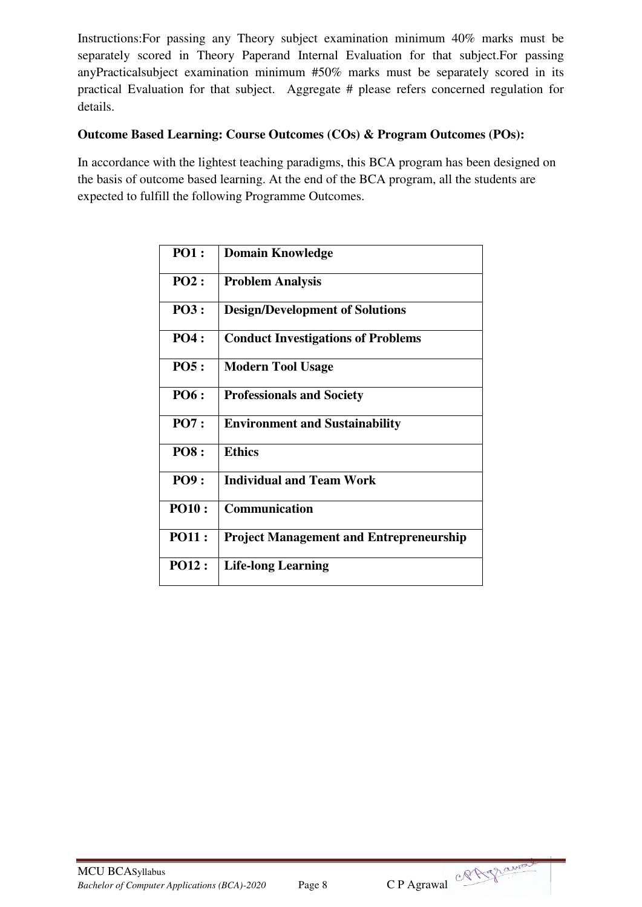Instructions:For passing any Theory subject examination minimum 40% marks must be separately scored in Theory Paperand Internal Evaluation for that subject.For passing anyPracticalsubject examination minimum #50% marks must be separately scored in its practical Evaluation for that subject. Aggregate # please refers concerned regulation for details.

## **Outcome Based Learning: Course Outcomes (COs) & Program Outcomes (POs):**

In accordance with the lightest teaching paradigms, this BCA program has been designed on the basis of outcome based learning. At the end of the BCA program, all the students are expected to fulfill the following Programme Outcomes.

| <b>PO1:</b>  | <b>Domain Knowledge</b>                        |
|--------------|------------------------------------------------|
| PO2:         | <b>Problem Analysis</b>                        |
| <b>PO3:</b>  | <b>Design/Development of Solutions</b>         |
| <b>PO4:</b>  | <b>Conduct Investigations of Problems</b>      |
| <b>PO5:</b>  | <b>Modern Tool Usage</b>                       |
| <b>PO6 :</b> | <b>Professionals and Society</b>               |
| <b>PO7:</b>  | <b>Environment and Sustainability</b>          |
| <b>PO8:</b>  | <b>Ethics</b>                                  |
| <b>PO9:</b>  | <b>Individual and Team Work</b>                |
| <b>PO10:</b> | <b>Communication</b>                           |
| <b>PO11:</b> | <b>Project Management and Entrepreneurship</b> |
| <b>PO12:</b> | <b>Life-long Learning</b>                      |

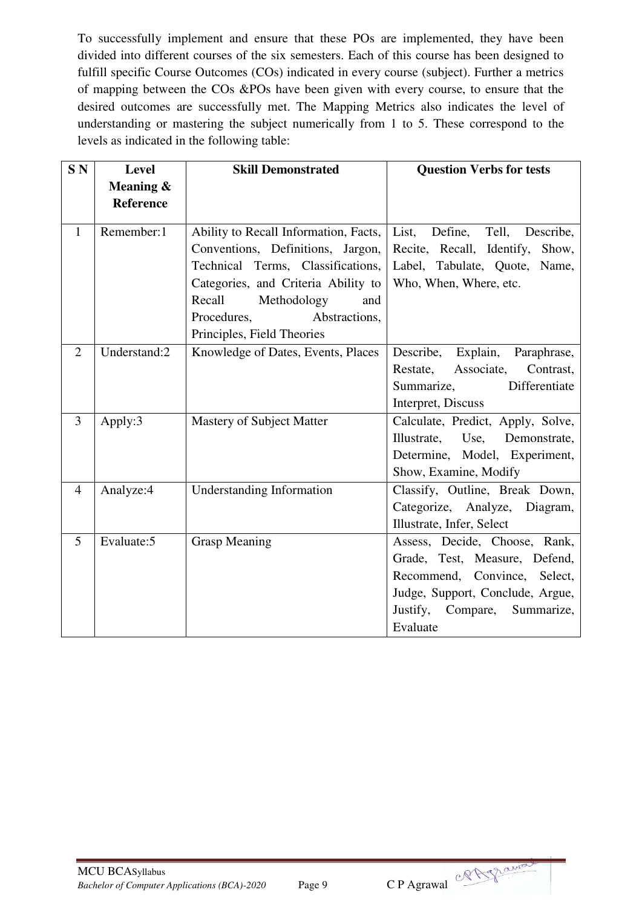To successfully implement and ensure that these POs are implemented, they have been divided into different courses of the six semesters. Each of this course has been designed to fulfill specific Course Outcomes (COs) indicated in every course (subject). Further a metrics of mapping between the COs &POs have been given with every course, to ensure that the desired outcomes are successfully met. The Mapping Metrics also indicates the level of understanding or mastering the subject numerically from 1 to 5. These correspond to the levels as indicated in the following table:

| SN <sub></sub> | Level                         | <b>Skill Demonstrated</b>                                                                                                                                                                                                                            | <b>Question Verbs for tests</b>                                                                                                                                                   |  |  |  |
|----------------|-------------------------------|------------------------------------------------------------------------------------------------------------------------------------------------------------------------------------------------------------------------------------------------------|-----------------------------------------------------------------------------------------------------------------------------------------------------------------------------------|--|--|--|
|                | Meaning &<br><b>Reference</b> |                                                                                                                                                                                                                                                      |                                                                                                                                                                                   |  |  |  |
| $\mathbf{1}$   | Remember:1                    | Ability to Recall Information, Facts,<br>Conventions, Definitions, Jargon,<br>Technical Terms, Classifications,<br>Categories, and Criteria Ability to<br>Recall<br>Methodology<br>and<br>Procedures,<br>Abstractions,<br>Principles, Field Theories | List,<br>Define, Tell, Describe,<br>Recite, Recall, Identify,<br>Show,<br>Label, Tabulate, Quote, Name,<br>Who, When, Where, etc.                                                 |  |  |  |
| $\overline{2}$ | Understand:2                  | Knowledge of Dates, Events, Places                                                                                                                                                                                                                   | Describe, Explain, Paraphrase,<br>Restate, Associate,<br>Contrast,<br>Differentiate<br>Summarize,<br>Interpret, Discuss                                                           |  |  |  |
| $\overline{3}$ | Apply:3                       | Mastery of Subject Matter                                                                                                                                                                                                                            | Calculate, Predict, Apply, Solve,<br>Illustrate, Use,<br>Demonstrate,<br>Determine, Model, Experiment,<br>Show, Examine, Modify                                                   |  |  |  |
| $\overline{4}$ | Analyze:4                     | <b>Understanding Information</b>                                                                                                                                                                                                                     | Classify, Outline, Break Down,<br>Categorize, Analyze, Diagram,<br>Illustrate, Infer, Select                                                                                      |  |  |  |
| 5              | Evaluate: 5                   | <b>Grasp Meaning</b>                                                                                                                                                                                                                                 | Assess, Decide, Choose, Rank,<br>Grade, Test, Measure, Defend,<br>Recommend, Convince, Select,<br>Judge, Support, Conclude, Argue,<br>Justify, Compare,<br>Summarize,<br>Evaluate |  |  |  |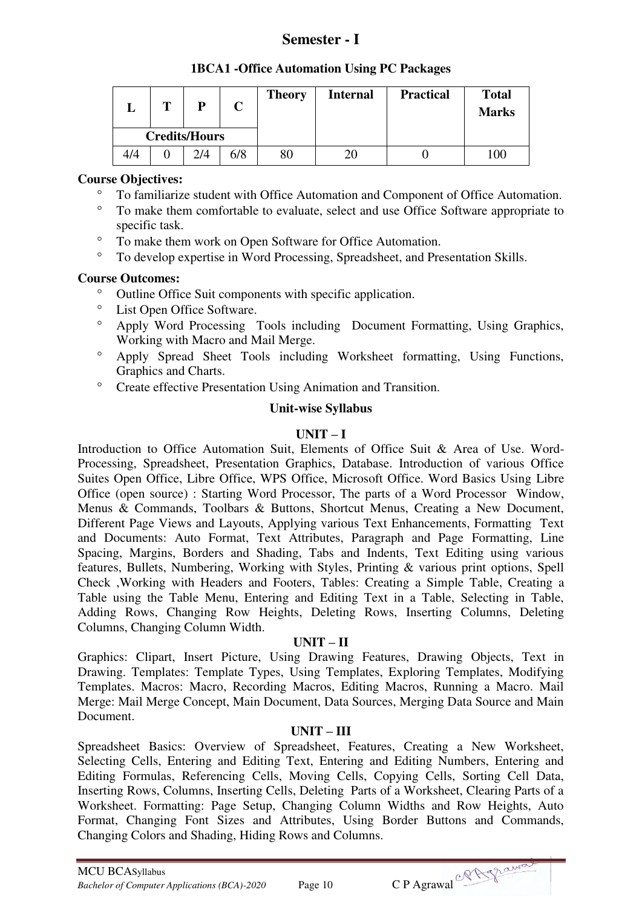## **Semester - I**

| ப   | m | D                    | <b>Theory</b> | <b>Internal</b> | <b>Practical</b> | <b>Total</b><br><b>Marks</b> |
|-----|---|----------------------|---------------|-----------------|------------------|------------------------------|
|     |   | <b>Credits/Hours</b> |               |                 |                  |                              |
| 4/4 |   | 2/4                  | 80            |                 |                  | 100                          |

#### **Course Objectives:**

- To familiarize student with Office Automation and Component of Office Automation.
- To make them comfortable to evaluate, select and use Office Software appropriate to specific task.
- To make them work on Open Software for Office Automation.
- To develop expertise in Word Processing, Spreadsheet, and Presentation Skills.

## **Course Outcomes:**

- <sup>o</sup> Outline Office Suit components with specific application.
- List Open Office Software.
- Apply Word Processing Tools including Document Formatting, Using Graphics, Working with Macro and Mail Merge.
- Apply Spread Sheet Tools including Worksheet formatting, Using Functions, Graphics and Charts.
- <sup>o</sup> Create effective Presentation Using Animation and Transition.

#### **Unit-wise Syllabus**

## $\mathbf{I} \cdot \mathbf{I} \cdot \mathbf{I} = \mathbf{I}$

Introduction to Office Automation Suit, Elements of Office Suit & Area of Use. Word-Processing, Spreadsheet, Presentation Graphics, Database. Introduction of various Office Suites Open Office, Libre Office, WPS Office, Microsoft Office. Word Basics Using Libre Office (open source) : Starting Word Processor, The parts of a Word Processor Window, Menus & Commands, Toolbars & Buttons, Shortcut Menus, Creating a New Document, Different Page Views and Layouts, Applying various Text Enhancements, Formatting Text and Documents: Auto Format, Text Attributes, Paragraph and Page Formatting, Line Spacing, Margins, Borders and Shading, Tabs and Indents, Text Editing using various features, Bullets, Numbering, Working with Styles, Printing & various print options, Spell Check ,Working with Headers and Footers, Tables: Creating a Simple Table, Creating a Table using the Table Menu, Entering and Editing Text in a Table, Selecting in Table, Adding Rows, Changing Row Heights, Deleting Rows, Inserting Columns, Deleting Columns, Changing Column Width.

## **UNIT – II**

Graphics: Clipart, Insert Picture, Using Drawing Features, Drawing Objects, Text in Drawing. Templates: Template Types, Using Templates, Exploring Templates, Modifying Templates. Macros: Macro, Recording Macros, Editing Macros, Running a Macro. Mail Merge: Mail Merge Concept, Main Document, Data Sources, Merging Data Source and Main Document.

## **UNIT – III**

Spreadsheet Basics: Overview of Spreadsheet, Features, Creating a New Worksheet, Selecting Cells, Entering and Editing Text, Entering and Editing Numbers, Entering and Editing Formulas, Referencing Cells, Moving Cells, Copying Cells, Sorting Cell Data, Inserting Rows, Columns, Inserting Cells, Deleting Parts of a Worksheet, Clearing Parts of a Worksheet. Formatting: Page Setup, Changing Column Widths and Row Heights, Auto Format, Changing Font Sizes and Attributes, Using Border Buttons and Commands, Changing Colors and Shading, Hiding Rows and Columns.

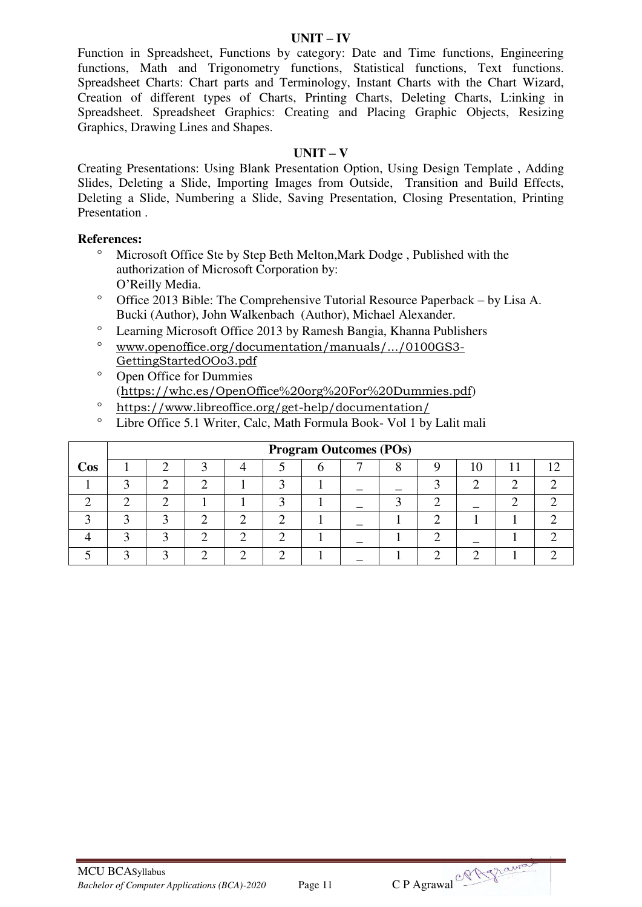Function in Spreadsheet, Functions by category: Date and Time functions, Engineering functions, Math and Trigonometry functions, Statistical functions, Text functions. Spreadsheet Charts: Chart parts and Terminology, Instant Charts with the Chart Wizard, Creation of different types of Charts, Printing Charts, Deleting Charts, L:inking in Spreadsheet. Spreadsheet Graphics: Creating and Placing Graphic Objects, Resizing Graphics, Drawing Lines and Shapes.

#### **UNIT – V**

Creating Presentations: Using Blank Presentation Option, Using Design Template , Adding Slides, Deleting a Slide, Importing Images from Outside, Transition and Build Effects, Deleting a Slide, Numbering a Slide, Saving Presentation, Closing Presentation, Printing Presentation .

#### **References:**

- Microsoft Office Ste by Step Beth Melton,Mark Dodge , Published with the authorization of Microsoft Corporation by: O'Reilly Media.
- $\degree$  Office 2013 Bible: The Comprehensive Tutorial Resource Paperback by Lisa A. Bucki (Author), John Walkenbach (Author), Michael Alexander.
- Learning Microsoft Office 2013 by Ramesh Bangia, Khanna Publishers
- [www.openoffice.org/documentation/manuals/.../0100GS3-](http://www.openoffice.org/documentation/manuals/.../0100GS3-GettingStartedOOo3.pdf) [GettingStartedOOo3.pdf](http://www.openoffice.org/documentation/manuals/.../0100GS3-GettingStartedOOo3.pdf)
- <sup>o</sup> Open Office for Dummies (<https://whc.es/OpenOffice%20org%20For%20Dummies.pdf>)
- <https://www.libreoffice.org/get-help/documentation/>
- Libre Office 5.1 Writer, Calc, Math Formula Book- Vol 1 by Lalit mali

|            | <b>Program Outcomes (POs)</b> |  |  |  |  |  |  |  |  |    |  |            |  |  |
|------------|-------------------------------|--|--|--|--|--|--|--|--|----|--|------------|--|--|
| <b>Cos</b> |                               |  |  |  |  |  |  |  |  | ТU |  | $1\bigcap$ |  |  |
|            |                               |  |  |  |  |  |  |  |  |    |  |            |  |  |
|            |                               |  |  |  |  |  |  |  |  |    |  |            |  |  |
|            |                               |  |  |  |  |  |  |  |  |    |  |            |  |  |
|            |                               |  |  |  |  |  |  |  |  |    |  |            |  |  |
|            |                               |  |  |  |  |  |  |  |  |    |  |            |  |  |



#### **UNIT – IV**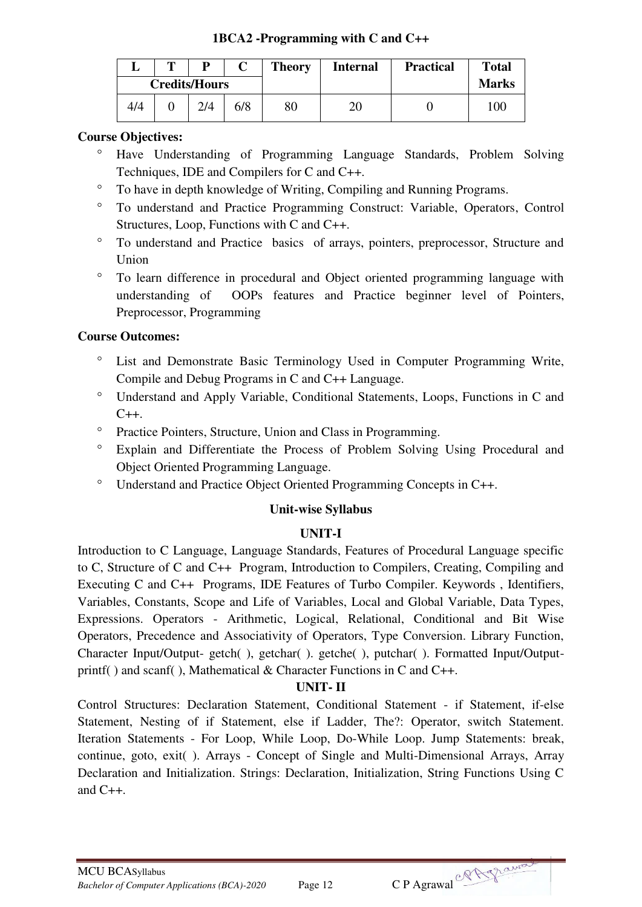## **1BCA2 -Programming with C and C++**

|     | m | p                    |     | <b>Theory</b> | <b>Internal</b> | <b>Practical</b> | <b>Total</b> |
|-----|---|----------------------|-----|---------------|-----------------|------------------|--------------|
|     |   | <b>Credits/Hours</b> |     |               |                 |                  | <b>Marks</b> |
| 4/4 |   |                      | 6/8 | 80            | 20              |                  | 100          |

## **Course Objectives:**

- Have Understanding of Programming Language Standards, Problem Solving Techniques, IDE and Compilers for C and C++.
- To have in depth knowledge of Writing, Compiling and Running Programs.
- To understand and Practice Programming Construct: Variable, Operators, Control Structures, Loop, Functions with C and C++.
- To understand and Practice basics of arrays, pointers, preprocessor, Structure and Union
- To learn difference in procedural and Object oriented programming language with understanding of OOPs features and Practice beginner level of Pointers, Preprocessor, Programming

## **Course Outcomes:**

- List and Demonstrate Basic Terminology Used in Computer Programming Write, Compile and Debug Programs in C and C++ Language.
- Understand and Apply Variable, Conditional Statements, Loops, Functions in C and  $C++$ .
- <sup>o</sup> Practice Pointers, Structure, Union and Class in Programming.
- Explain and Differentiate the Process of Problem Solving Using Procedural and Object Oriented Programming Language.
- Understand and Practice Object Oriented Programming Concepts in C++.

## **Unit-wise Syllabus**

## **UNIT-I**

Introduction to C Language, Language Standards, Features of Procedural Language specific to C, Structure of C and C++ Program, Introduction to Compilers, Creating, Compiling and Executing C and C++ Programs, IDE Features of Turbo Compiler. Keywords , Identifiers, Variables, Constants, Scope and Life of Variables, Local and Global Variable, Data Types, Expressions. Operators - Arithmetic, Logical, Relational, Conditional and Bit Wise Operators, Precedence and Associativity of Operators, Type Conversion. Library Function, Character Input/Output- getch( ), getchar( ). getche( ), putchar( ). Formatted Input/Outputprintf( ) and scanf( ), Mathematical & Character Functions in C and C++.

## **UNIT- II**

Control Structures: Declaration Statement, Conditional Statement - if Statement, if-else Statement, Nesting of if Statement, else if Ladder, The?: Operator, switch Statement. Iteration Statements - For Loop, While Loop, Do-While Loop. Jump Statements: break, continue, goto, exit( ). Arrays - Concept of Single and Multi-Dimensional Arrays, Array Declaration and Initialization. Strings: Declaration, Initialization, String Functions Using C and  $C_{++}$ .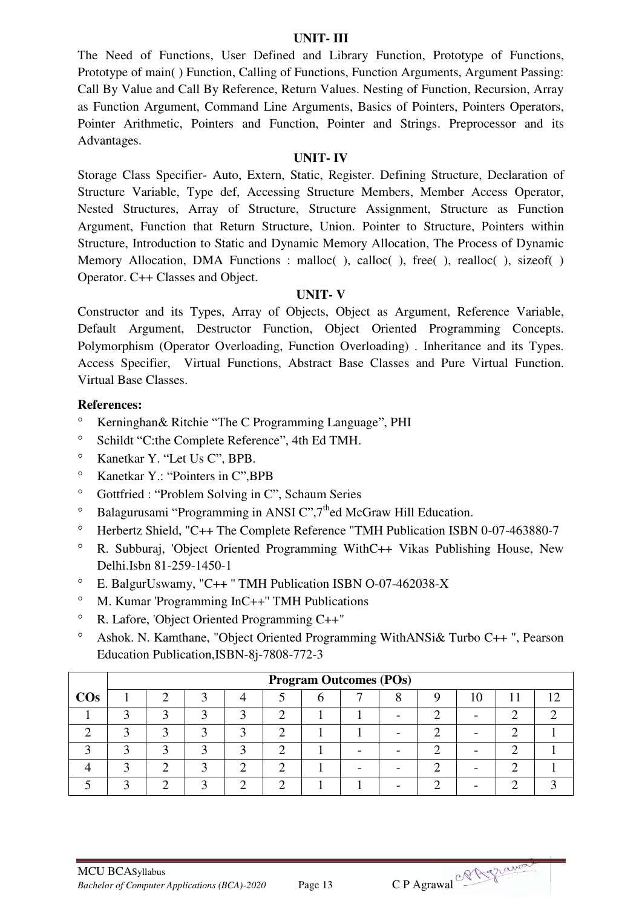#### **UNIT- III**

The Need of Functions, User Defined and Library Function, Prototype of Functions, Prototype of main( ) Function, Calling of Functions, Function Arguments, Argument Passing: Call By Value and Call By Reference, Return Values. Nesting of Function, Recursion, Array as Function Argument, Command Line Arguments, Basics of Pointers, Pointers Operators, Pointer Arithmetic, Pointers and Function, Pointer and Strings. Preprocessor and its Advantages.

#### **UNIT- IV**

Storage Class Specifier- Auto, Extern, Static, Register. Defining Structure, Declaration of Structure Variable, Type def, Accessing Structure Members, Member Access Operator, Nested Structures, Array of Structure, Structure Assignment, Structure as Function Argument, Function that Return Structure, Union. Pointer to Structure, Pointers within Structure, Introduction to Static and Dynamic Memory Allocation, The Process of Dynamic Memory Allocation, DMA Functions : malloc(), calloc(), free(), realloc(), sizeof() Operator. C++ Classes and Object.

#### **UNIT- V**

Constructor and its Types, Array of Objects, Object as Argument, Reference Variable, Default Argument, Destructor Function, Object Oriented Programming Concepts. Polymorphism (Operator Overloading, Function Overloading) . Inheritance and its Types. Access Specifier, Virtual Functions, Abstract Base Classes and Pure Virtual Function. Virtual Base Classes.

- <sup>o</sup> Kerninghan& Ritchie "The C Programming Language", PHI
- <sup>o</sup> Schildt "C:the Complete Reference", 4th Ed TMH.
- Kanetkar Y. "Let Us C", BPB.
- Kanetkar Y.: "Pointers in C",BPB
- <sup>o</sup> Gottfried : "Problem Solving in C", Schaum Series
- $\degree$  Balagurusami "Programming in ANSI C",  $7<sup>th</sup>$ ed McGraw Hill Education.
- <sup>o</sup> Herbertz Shield, "C++ The Complete Reference "TMH Publication ISBN 0-07-463880-7
- R. Subburaj, 'Object Oriented Programming WithC++ Vikas Publishing House, New Delhi.Isbn 81-259-1450-1
- E. BalgurUswamy, "C++ '' TMH Publication ISBN O-07-462038-X
- M. Kumar 'Programming InC++'' TMH Publications
- R. Lafore, 'Object Oriented Programming C++"
- Ashok. N. Kamthane, "Object Oriented Programming WithANSi& Turbo C++ ", Pearson Education Publication,ISBN-8j-7808-772-3

|        | <b>Program Outcomes (POs)</b> |  |  |  |  |  |  |  |     |  |  |  |  |  |
|--------|-------------------------------|--|--|--|--|--|--|--|-----|--|--|--|--|--|
| $\cos$ |                               |  |  |  |  |  |  |  | 1 O |  |  |  |  |  |
|        |                               |  |  |  |  |  |  |  |     |  |  |  |  |  |
|        |                               |  |  |  |  |  |  |  |     |  |  |  |  |  |
|        |                               |  |  |  |  |  |  |  |     |  |  |  |  |  |
|        |                               |  |  |  |  |  |  |  |     |  |  |  |  |  |
|        |                               |  |  |  |  |  |  |  |     |  |  |  |  |  |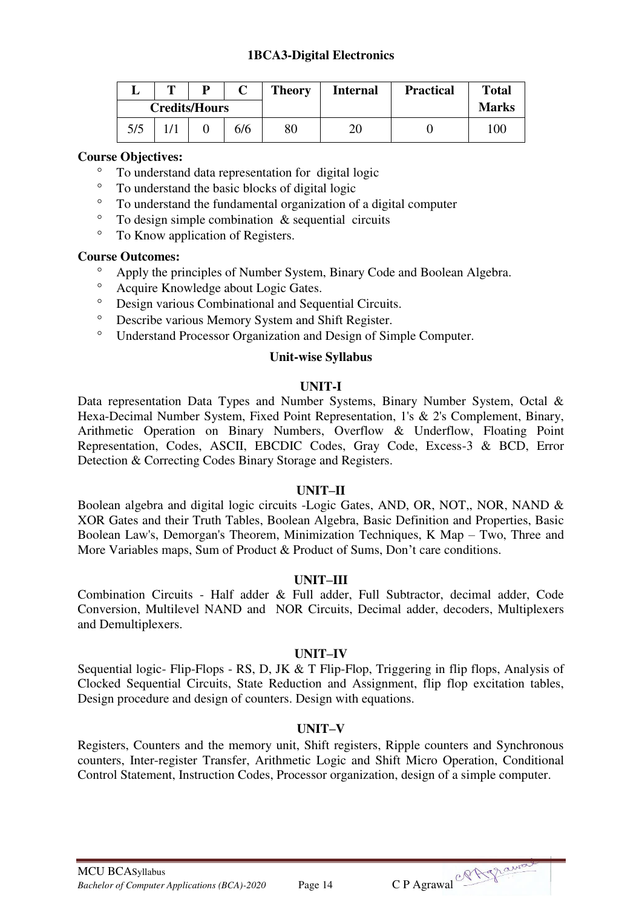## **1BCA3-Digital Electronics**

|     | m | D                    |     | <b>Theory</b> | <b>Internal</b> | <b>Practical</b> | <b>Total</b> |
|-----|---|----------------------|-----|---------------|-----------------|------------------|--------------|
|     |   | <b>Credits/Hours</b> |     |               |                 |                  | <b>Marks</b> |
| 5/5 |   |                      | 6/6 | 80            | 20              |                  | 100          |

#### **Course Objectives:**

- <sup>o</sup> To understand data representation for digital logic<br>
<sup>o</sup> To understand the basic blocks of digital logic
- To understand the basic blocks of digital logic
- To understand the fundamental organization of a digital computer
- $\degree$  To design simple combination & sequential circuits<br> $\degree$  To Know application of Pegisters
- To Know application of Registers.

#### **Course Outcomes:**

- Apply the principles of Number System, Binary Code and Boolean Algebra.
- Acquire Knowledge about Logic Gates.<br>• Design various Combinational and Sequ
- <sup>o</sup> Design various Combinational and Sequential Circuits.<br>
<sup>o</sup> Describe various Memory System and Shift Register
- Describe various Memory System and Shift Register.
- Understand Processor Organization and Design of Simple Computer.

#### **Unit-wise Syllabus**

#### **UNIT-I**

Data representation Data Types and Number Systems, Binary Number System, Octal & Hexa-Decimal Number System, Fixed Point Representation, 1's & 2's Complement, Binary, Arithmetic Operation on Binary Numbers, Overflow & Underflow, Floating Point Representation, Codes, ASCII, EBCDIC Codes, Gray Code, Excess-3 & BCD, Error Detection & Correcting Codes Binary Storage and Registers.

#### **UNIT–II**

Boolean algebra and digital logic circuits -Logic Gates, AND, OR, NOT,, NOR, NAND & XOR Gates and their Truth Tables, Boolean Algebra, Basic Definition and Properties, Basic Boolean Law's, Demorgan's Theorem, Minimization Techniques, K Map – Two, Three and More Variables maps, Sum of Product & Product of Sums, Don't care conditions.

#### **UNIT–III**

Combination Circuits - Half adder & Full adder, Full Subtractor, decimal adder, Code Conversion, Multilevel NAND and NOR Circuits, Decimal adder, decoders, Multiplexers and Demultiplexers.

#### **UNIT–IV**

Sequential logic- Flip-Flops - RS, D, JK & T Flip-Flop, Triggering in flip flops, Analysis of Clocked Sequential Circuits, State Reduction and Assignment, flip flop excitation tables, Design procedure and design of counters. Design with equations.

## **UNIT–V**

Registers, Counters and the memory unit, Shift registers, Ripple counters and Synchronous counters, Inter-register Transfer, Arithmetic Logic and Shift Micro Operation, Conditional Control Statement, Instruction Codes, Processor organization, design of a simple computer.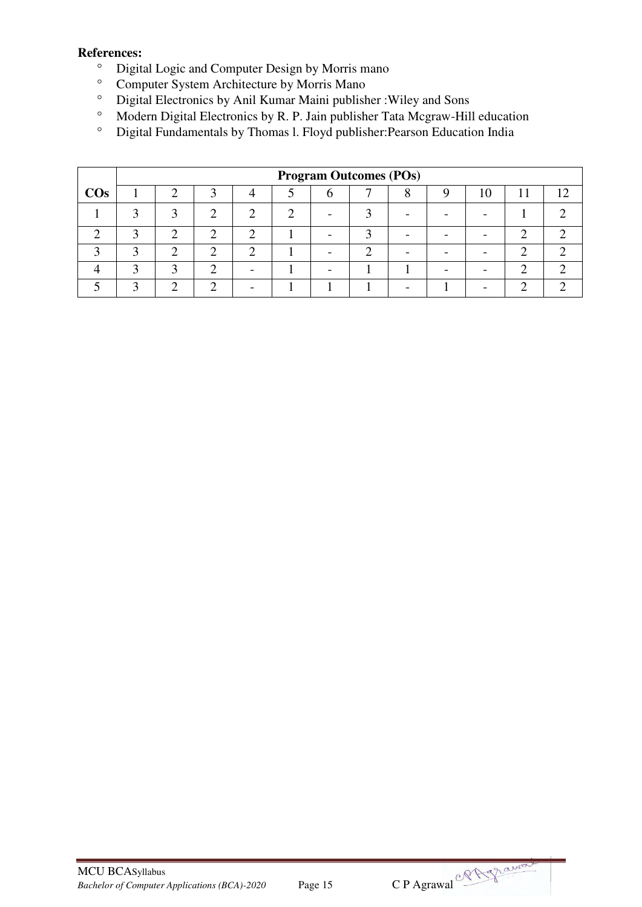- <sup>o</sup> Digital Logic and Computer Design by Morris mano<br>
<sup>o</sup> Computer System Architecture by Morris Mano
- <sup>o</sup> Computer System Architecture by Morris Mano<br><sup>o</sup> Digital Electronics by Anil Kumar Maini publish
- Digital Electronics by Anil Kumar Maini publisher : Wiley and Sons<br>• Modern Digital Electronics by R. P. Jain publisher Tata Mograw-Hil
- Modern Digital Electronics by R. P. Jain publisher Tata Mcgraw-Hill education  $\degree$  Digital Fundamentals by Thomas L Floyd publisher: Pearson Education India
- Digital Fundamentals by Thomas l. Floyd publisher:Pearson Education India

|        |   | <b>Program Outcomes (POs)</b> |  |  |  |  |  |  |  |  |  |  |  |  |
|--------|---|-------------------------------|--|--|--|--|--|--|--|--|--|--|--|--|
| $\cos$ |   |                               |  |  |  |  |  |  |  |  |  |  |  |  |
|        | ◠ |                               |  |  |  |  |  |  |  |  |  |  |  |  |
|        |   |                               |  |  |  |  |  |  |  |  |  |  |  |  |
|        |   |                               |  |  |  |  |  |  |  |  |  |  |  |  |
|        |   |                               |  |  |  |  |  |  |  |  |  |  |  |  |
|        |   |                               |  |  |  |  |  |  |  |  |  |  |  |  |

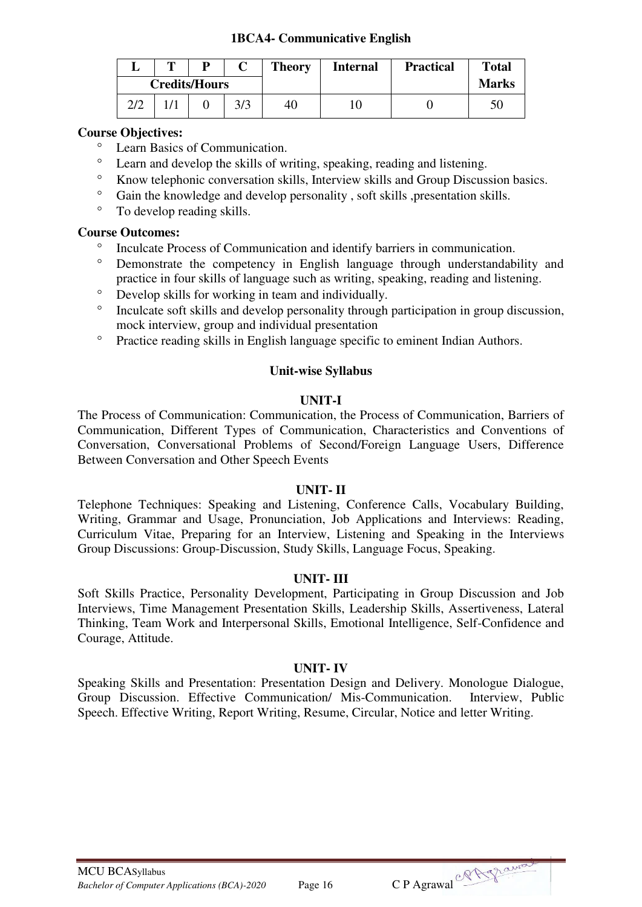## **1BCA4- Communicative English**

|     | m | D                    |     | <b>Theory</b> | <b>Internal</b> | <b>Practical</b> | <b>Total</b> |
|-----|---|----------------------|-----|---------------|-----------------|------------------|--------------|
|     |   | <b>Credits/Hours</b> |     |               |                 |                  | <b>Marks</b> |
| 2/2 |   |                      | 3/3 | 40            |                 |                  |              |

#### **Course Objectives:**

- Learn Basics of Communication.
- Learn and develop the skills of writing, speaking, reading and listening.
- Know telephonic conversation skills, Interview skills and Group Discussion basics.
- <sup>o</sup> Gain the knowledge and develop personality, soft skills ,presentation skills.<br>
<sup>o</sup> To develop reading skills
- To develop reading skills.

#### **Course Outcomes:**

- <sup>o</sup> Inculcate Process of Communication and identify barriers in communication.
- Demonstrate the competency in English language through understandability and practice in four skills of language such as writing, speaking, reading and listening.
- <sup>o</sup> Develop skills for working in team and individually.
- <sup>o</sup> Inculcate soft skills and develop personality through participation in group discussion, mock interview, group and individual presentation
- <sup>o</sup> Practice reading skills in English language specific to eminent Indian Authors.

#### **Unit-wise Syllabus**

#### **UNIT-I**

The Process of Communication: Communication, the Process of Communication, Barriers of Communication, Different Types of Communication, Characteristics and Conventions of Conversation, Conversational Problems of Second/Foreign Language Users, Difference Between Conversation and Other Speech Events

#### **UNIT- II**

Telephone Techniques: Speaking and Listening, Conference Calls, Vocabulary Building, Writing, Grammar and Usage, Pronunciation, Job Applications and Interviews: Reading, Curriculum Vitae, Preparing for an Interview, Listening and Speaking in the Interviews Group Discussions: Group-Discussion, Study Skills, Language Focus, Speaking.

## **UNIT- III**

Soft Skills Practice, Personality Development, Participating in Group Discussion and Job Interviews, Time Management Presentation Skills, Leadership Skills, Assertiveness, Lateral Thinking, Team Work and Interpersonal Skills, Emotional Intelligence, Self-Confidence and Courage, Attitude.

## **UNIT- IV**

Speaking Skills and Presentation: Presentation Design and Delivery. Monologue Dialogue, Group Discussion. Effective Communication/ Mis-Communication. Interview, Public Speech. Effective Writing, Report Writing, Resume, Circular, Notice and letter Writing.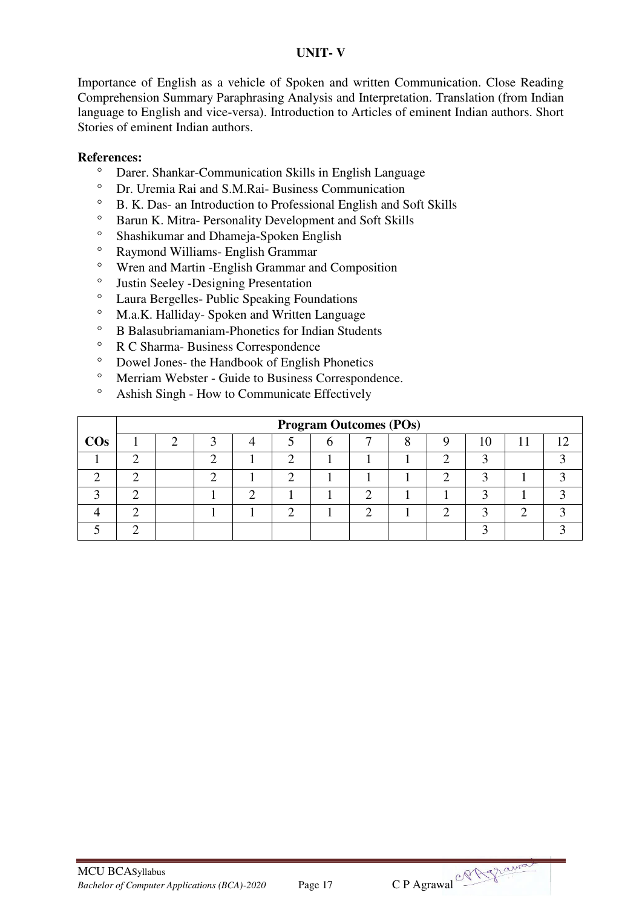## **UNIT- V**

Importance of English as a vehicle of Spoken and written Communication. Close Reading Comprehension Summary Paraphrasing Analysis and Interpretation. Translation (from Indian language to English and vice-versa). Introduction to Articles of eminent Indian authors. Short Stories of eminent Indian authors.

- <sup>o</sup> Darer. Shankar-Communication Skills in English Language<br><sup>o</sup> Dr. Uramia Bai and S.M. Bai, Business Communication
- Dr. Uremia Rai and S.M.Rai- Business Communication
- <sup>o</sup> B. K. Das- an Introduction to Professional English and Soft Skills<br>
<sup>o</sup> Barun K. Mitra, Personality Development and Soft Skills
- <sup>o</sup> Barun K. Mitra- Personality Development and Soft Skills<br><sup>8</sup> Shashilumor and Dhamaia Spaken English
- Shashikumar and Dhameja-Spoken English
- <sup>o</sup> Raymond Williams- English Grammar
- <sup>o</sup> Wren and Martin -English Grammar and Composition<br><sup>o</sup> Iustin Seeley, Designing Presentation
- Justin Seeley -Designing Presentation
- <sup>o</sup> Laura Bergelles- Public Speaking Foundations
- M.a.K. Halliday- Spoken and Written Language
- B Balasubriamaniam-Phonetics for Indian Students
- $\degree$  R C Sharma-Business Correspondence<br> $\degree$  Dowel Jones- the Handbook of English
- Dowel Jones- the Handbook of English Phonetics
- Merriam Webster Guide to Business Correspondence.
- Ashish Singh How to Communicate Effectively

|        | <b>Program Outcomes (POs)</b> |  |  |  |  |  |  |  |  |    |  |  |  |  |
|--------|-------------------------------|--|--|--|--|--|--|--|--|----|--|--|--|--|
| $\cos$ |                               |  |  |  |  |  |  |  |  | 10 |  |  |  |  |
|        |                               |  |  |  |  |  |  |  |  |    |  |  |  |  |
|        |                               |  |  |  |  |  |  |  |  |    |  |  |  |  |
|        |                               |  |  |  |  |  |  |  |  |    |  |  |  |  |
|        |                               |  |  |  |  |  |  |  |  |    |  |  |  |  |
|        |                               |  |  |  |  |  |  |  |  |    |  |  |  |  |

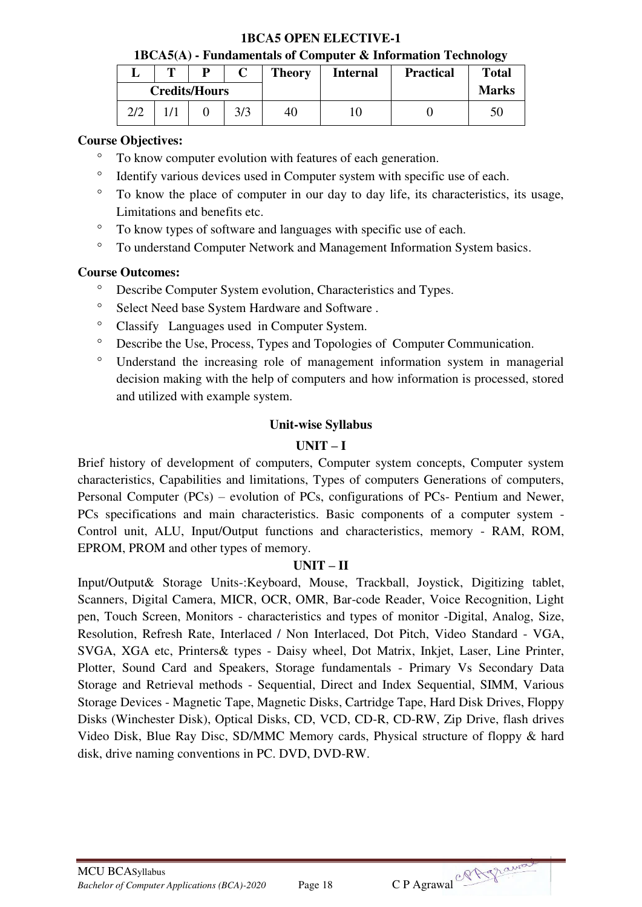## **1BCA5 OPEN ELECTIVE-1**

**1BCA5(A) - Fundamentals of Computer & Information Technology** 

|      | m | D                    |     | <b>Theory</b> | <b>Internal</b> | <b>Practical</b> | <b>Total</b> |
|------|---|----------------------|-----|---------------|-----------------|------------------|--------------|
|      |   | <b>Credits/Hours</b> |     |               |                 |                  | <b>Marks</b> |
| רו ר |   |                      | 3/3 | 40            |                 |                  | 50           |

## **Course Objectives:**

- To know computer evolution with features of each generation.
- <sup>o</sup> Identify various devices used in Computer system with specific use of each.
- To know the place of computer in our day to day life, its characteristics, its usage, Limitations and benefits etc.
- To know types of software and languages with specific use of each.
- To understand Computer Network and Management Information System basics.

## **Course Outcomes:**

- Describe Computer System evolution, Characteristics and Types.
- <sup>o</sup> Select Need base System Hardware and Software .
- Classify Languages used in Computer System.
- Describe the Use, Process, Types and Topologies of Computer Communication.
- Understand the increasing role of management information system in managerial decision making with the help of computers and how information is processed, stored and utilized with example system.

## **Unit-wise Syllabus**

## $\mathbf{I} \mathbf{I} \mathbf{N} \mathbf{I} \mathbf{T} - \mathbf{I}$

Brief history of development of computers, Computer system concepts, Computer system characteristics, Capabilities and limitations, Types of computers Generations of computers, Personal Computer (PCs) – evolution of PCs, configurations of PCs- Pentium and Newer, PCs specifications and main characteristics. Basic components of a computer system - Control unit, ALU, Input/Output functions and characteristics, memory - RAM, ROM, EPROM, PROM and other types of memory.

## **UNIT – II**

Input/Output& Storage Units-:Keyboard, Mouse, Trackball, Joystick, Digitizing tablet, Scanners, Digital Camera, MICR, OCR, OMR, Bar-code Reader, Voice Recognition, Light pen, Touch Screen, Monitors - characteristics and types of monitor -Digital, Analog, Size, Resolution, Refresh Rate, Interlaced / Non Interlaced, Dot Pitch, Video Standard - VGA, SVGA, XGA etc, Printers& types - Daisy wheel, Dot Matrix, Inkjet, Laser, Line Printer, Plotter, Sound Card and Speakers, Storage fundamentals - Primary Vs Secondary Data Storage and Retrieval methods - Sequential, Direct and Index Sequential, SIMM, Various Storage Devices - Magnetic Tape, Magnetic Disks, Cartridge Tape, Hard Disk Drives, Floppy Disks (Winchester Disk), Optical Disks, CD, VCD, CD-R, CD-RW, Zip Drive, flash drives Video Disk, Blue Ray Disc, SD/MMC Memory cards, Physical structure of floppy & hard disk, drive naming conventions in PC. DVD, DVD-RW.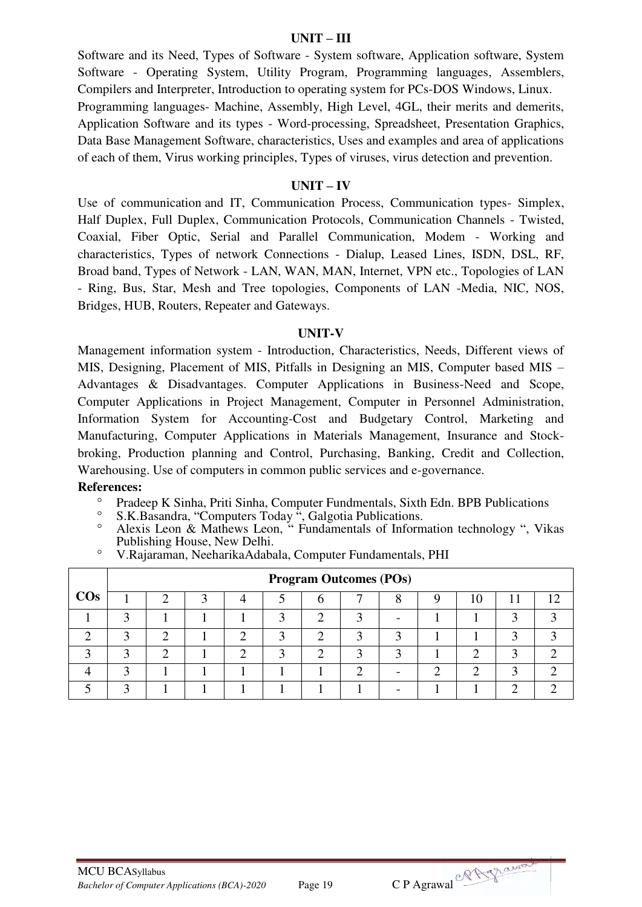#### **UNIT – III**

Software and its Need, Types of Software - System software, Application software, System Software - Operating System, Utility Program, Programming languages, Assemblers, Compilers and Interpreter, Introduction to operating system for PCs-DOS Windows, Linux. Programming languages- Machine, Assembly, High Level, 4GL, their merits and demerits, Application Software and its types - Word-processing, Spreadsheet, Presentation Graphics, Data Base Management Software, characteristics, Uses and examples and area of applications of each of them, Virus working principles, Types of viruses, virus detection and prevention.

#### $\mathbf{I} \mathbf{I} \mathbf{N} \mathbf{I} \mathbf{T} - \mathbf{I} \mathbf{V}$

Use of communication and IT, Communication Process, Communication types- Simplex, Half Duplex, Full Duplex, Communication Protocols, Communication Channels - Twisted, Coaxial, Fiber Optic, Serial and Parallel Communication, Modem - Working and characteristics, Types of network Connections - Dialup, Leased Lines, ISDN, DSL, RF, Broad band, Types of Network - LAN, WAN, MAN, Internet, VPN etc., Topologies of LAN - Ring, Bus, Star, Mesh and Tree topologies, Components of LAN -Media, NIC, NOS, Bridges, HUB, Routers, Repeater and Gateways.

#### **UNIT-V**

Management information system - Introduction, Characteristics, Needs, Different views of MIS, Designing, Placement of MIS, Pitfalls in Designing an MIS, Computer based MIS – Advantages & Disadvantages. Computer Applications in Business-Need and Scope, Computer Applications in Project Management, Computer in Personnel Administration, Information System for Accounting-Cost and Budgetary Control, Marketing and Manufacturing, Computer Applications in Materials Management, Insurance and Stockbroking, Production planning and Control, Purchasing, Banking, Credit and Collection, Warehousing. Use of computers in common public services and e-governance.

- <sup>o</sup> Pradeep K Sinha, Priti Sinha, Computer Fundmentals, Sixth Edn. BPB Publications
- <sup>o</sup> S.K.Basandra, "Computers Today ", Galgotia Publications.
- Alexis Leon & Mathews Leon, " Fundamentals of Information technology ", Vikas Publishing House, New Delhi.

|  | <sup>o</sup> V.Rajaraman, NeeharikaAdabala, Computer Fundamentals, PHI |  |  |
|--|------------------------------------------------------------------------|--|--|
|  |                                                                        |  |  |

|        |   | <b>Program Outcomes (POs)</b> |  |  |  |  |  |  |  |    |  |  |  |
|--------|---|-------------------------------|--|--|--|--|--|--|--|----|--|--|--|
| $\cos$ |   |                               |  |  |  |  |  |  |  | 10 |  |  |  |
|        |   |                               |  |  |  |  |  |  |  |    |  |  |  |
|        | ◠ | $\rightarrow$                 |  |  |  |  |  |  |  |    |  |  |  |
|        | ◠ |                               |  |  |  |  |  |  |  |    |  |  |  |
|        |   |                               |  |  |  |  |  |  |  |    |  |  |  |
|        |   |                               |  |  |  |  |  |  |  |    |  |  |  |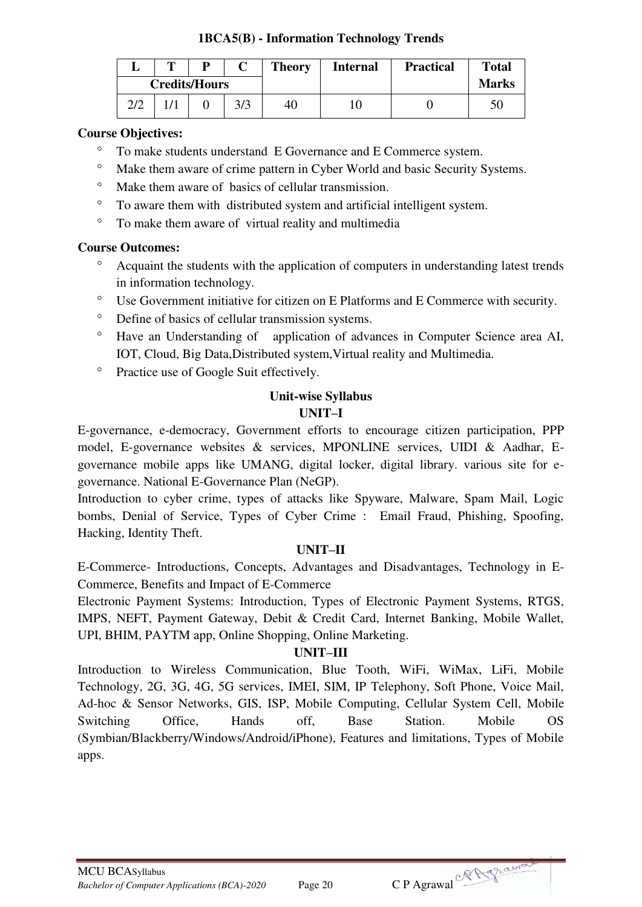## **1BCA5(B) - Information Technology Trends**

|     | m |                      |     | <b>Theory</b> | <b>Internal</b> | <b>Practical</b> | <b>Total</b> |
|-----|---|----------------------|-----|---------------|-----------------|------------------|--------------|
|     |   | <b>Credits/Hours</b> |     |               |                 |                  | <b>Marks</b> |
| 2/2 |   |                      | 3/3 | 40            |                 |                  |              |

## **Course Objectives:**

- To make students understand E Governance and E Commerce system.
- Make them aware of crime pattern in Cyber World and basic Security Systems.
- Make them aware of basics of cellular transmission.
- To aware them with distributed system and artificial intelligent system.
- To make them aware of virtual reality and multimedia

## **Course Outcomes:**

- Acquaint the students with the application of computers in understanding latest trends in information technology.
- Use Government initiative for citizen on E Platforms and E Commerce with security.
- Define of basics of cellular transmission systems.
- Have an Understanding of application of advances in Computer Science area AI, IOT, Cloud, Big Data,Distributed system,Virtual reality and Multimedia.
- <sup>o</sup> Practice use of Google Suit effectively.

#### **Unit-wise Syllabus UNIT–I**

E-governance, e-democracy, Government efforts to encourage citizen participation, PPP model, E-governance websites & services, MPONLINE services, UIDI & Aadhar, Egovernance mobile apps like UMANG, digital locker, digital library. various site for egovernance. National E-Governance Plan (NeGP).

Introduction to cyber crime, types of attacks like Spyware, Malware, Spam Mail, Logic bombs, Denial of Service, Types of Cyber Crime : Email Fraud, Phishing, Spoofing, Hacking, Identity Theft.

## **UNIT–II**

E-Commerce- Introductions, Concepts, Advantages and Disadvantages, Technology in E-Commerce, Benefits and Impact of E-Commerce

Electronic Payment Systems: Introduction, Types of Electronic Payment Systems, RTGS, IMPS, NEFT, Payment Gateway, Debit & Credit Card, Internet Banking, Mobile Wallet, UPI, BHIM, PAYTM app, Online Shopping, Online Marketing.

## **UNIT–III**

Introduction to Wireless Communication, Blue Tooth, WiFi, WiMax, LiFi, Mobile Technology, 2G, 3G, 4G, 5G services, IMEI, SIM, IP Telephony, Soft Phone, Voice Mail, Ad-hoc & Sensor Networks, GIS, ISP, Mobile Computing, Cellular System Cell, Mobile Switching Office, Hands off, Base Station. Mobile OS (Symbian/Blackberry/Windows/Android/iPhone), Features and limitations, Types of Mobile apps.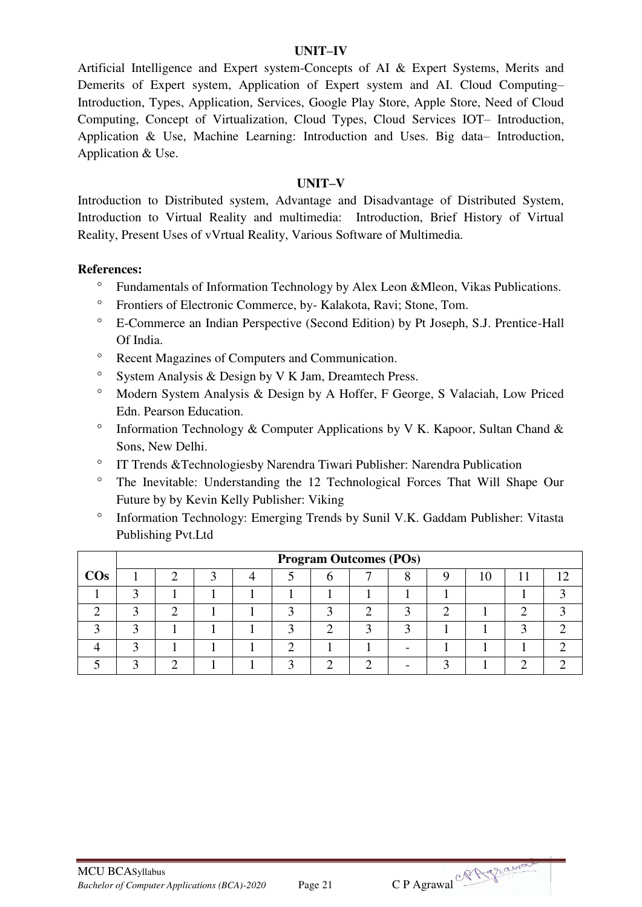#### **UNIT–IV**

Artificial Intelligence and Expert system-Concepts of AI & Expert Systems, Merits and Demerits of Expert system, Application of Expert system and AI. Cloud Computing– Introduction, Types, Application, Services, Google Play Store, Apple Store, Need of Cloud Computing, Concept of Virtualization, Cloud Types, Cloud Services IOT– Introduction, Application & Use, Machine Learning: Introduction and Uses. Big data– Introduction, Application & Use.

#### **UNIT–V**

Introduction to Distributed system, Advantage and Disadvantage of Distributed System, Introduction to Virtual Reality and multimedia: Introduction, Brief History of Virtual Reality, Present Uses of vVrtual Reality, Various Software of Multimedia.

- Fundamentals of Information Technology by Alex Leon &Mleon, Vikas Publications.
- Frontiers of Electronic Commerce, by- Kalakota, Ravi; Stone, Tom.
- E-Commerce an Indian Perspective (Second Edition) by Pt Joseph, S.J. Prentice-Hall Of India.
- Recent Magazines of Computers and Communication.
- $\degree$  System Analysis & Design by V K Jam, Dreamtech Press.
- Modern System Analysis & Design by A Hoffer, F George, S Valaciah, Low Priced Edn. Pearson Education.
- $\degree$  Information Technology & Computer Applications by V K. Kapoor, Sultan Chand & Sons, New Delhi.
- IT Trends &Technologiesby Narendra Tiwari Publisher: Narendra Publication
- The Inevitable: Understanding the 12 Technological Forces That Will Shape Our Future by by Kevin Kelly Publisher: Viking
- Information Technology: Emerging Trends by Sunil V.K. Gaddam Publisher: Vitasta Publishing Pvt.Ltd

|        | <b>Program Outcomes (POs)</b> |  |  |  |  |  |  |  |  |  |  |  |  |  |
|--------|-------------------------------|--|--|--|--|--|--|--|--|--|--|--|--|--|
| $\cos$ |                               |  |  |  |  |  |  |  |  |  |  |  |  |  |
|        |                               |  |  |  |  |  |  |  |  |  |  |  |  |  |
|        |                               |  |  |  |  |  |  |  |  |  |  |  |  |  |
|        |                               |  |  |  |  |  |  |  |  |  |  |  |  |  |
|        |                               |  |  |  |  |  |  |  |  |  |  |  |  |  |
|        |                               |  |  |  |  |  |  |  |  |  |  |  |  |  |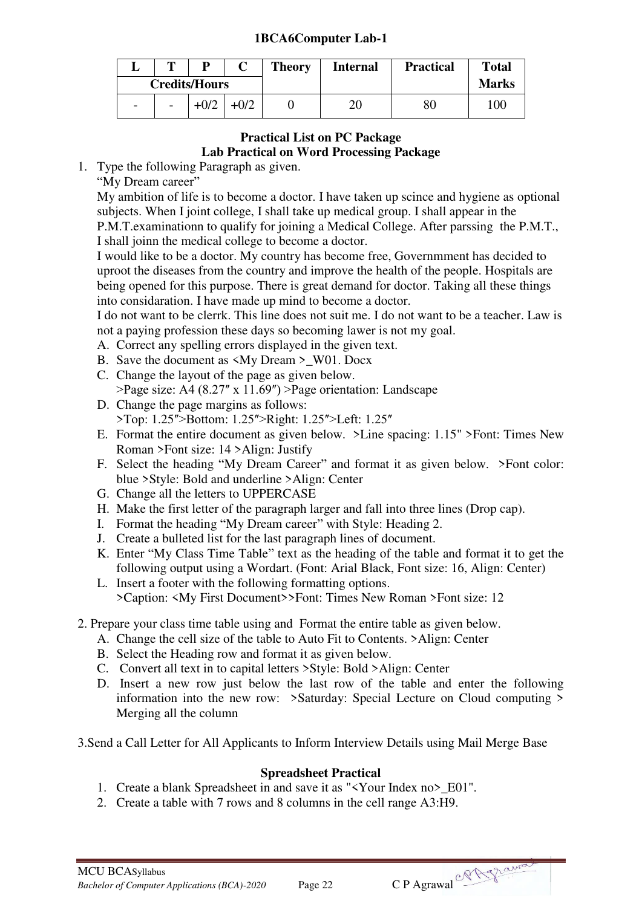## **1BCA6Computer Lab-1**

|                          | m                                            |                      |  | <b>Theory</b> | <b>Internal</b> | <b>Practical</b> | <b>Total</b> |
|--------------------------|----------------------------------------------|----------------------|--|---------------|-----------------|------------------|--------------|
|                          |                                              | <b>Credits/Hours</b> |  |               |                 |                  | <b>Marks</b> |
| $\overline{\phantom{0}}$ | $+0/2$<br>$-0/2$<br>$\overline{\phantom{a}}$ |                      |  |               | 20              | 80               | 100          |

## **Practical List on PC Package Lab Practical on Word Processing Package**

- 1. Type the following Paragraph as given.
	- "My Dream career"

My ambition of life is to become a doctor. I have taken up scince and hygiene as optional subjects. When I joint college, I shall take up medical group. I shall appear in the P.M.T.examinationn to qualify for joining a Medical College. After parssing the P.M.T., I shall joinn the medical college to become a doctor.

I would like to be a doctor. My country has become free, Governmment has decided to uproot the diseases from the country and improve the health of the people. Hospitals are being opened for this purpose. There is great demand for doctor. Taking all these things into considaration. I have made up mind to become a doctor.

I do not want to be clerrk. This line does not suit me. I do not want to be a teacher. Law is not a paying profession these days so becoming lawer is not my goal.

- A. Correct any spelling errors displayed in the given text.
- B. Save the document as  $\langle M_V \text{ Dream} \rangle$  W01. Docx
- C. Change the layout of the page as given below.  $\text{Page size: A4 (8.27" x 11.69")}$  > Page orientation: Landscape
- D. Change the page margins as follows: >Top: 1.25">Bottom: 1.25">Right: 1.25">Left: 1.25"
- E. Format the entire document as given below. >Line spacing: 1.15" >Font: Times New Roman >Font size: 14 >Align: Justify
- F. Select the heading "My Dream Career" and format it as given below. >Font color: blue >Style: Bold and underline >Align: Center
- G. Change all the letters to UPPERCASE
- H. Make the first letter of the paragraph larger and fall into three lines (Drop cap).
- I. Format the heading "My Dream career" with Style: Heading 2.
- J. Create a bulleted list for the last paragraph lines of document.
- K. Enter "My Class Time Table" text as the heading of the table and format it to get the following output using a Wordart. (Font: Arial Black, Font size: 16, Align: Center)
- L. Insert a footer with the following formatting options. >Caption: <My First Document>>Font: Times New Roman >Font size: 12
- 2. Prepare your class time table using and Format the entire table as given below.
	- A. Change the cell size of the table to Auto Fit to Contents. >Align: Center
	- B. Select the Heading row and format it as given below.
	- C. Convert all text in to capital letters >Style: Bold >Align: Center
	- D. Insert a new row just below the last row of the table and enter the following information into the new row: >Saturday: Special Lecture on Cloud computing > Merging all the column

3.Send a Call Letter for All Applicants to Inform Interview Details using Mail Merge Base

## **Spreadsheet Practical**

- 1. Create a blank Spreadsheet in and save it as "<Your Index no>\_E01".
- 2. Create a table with 7 rows and 8 columns in the cell range A3:H9.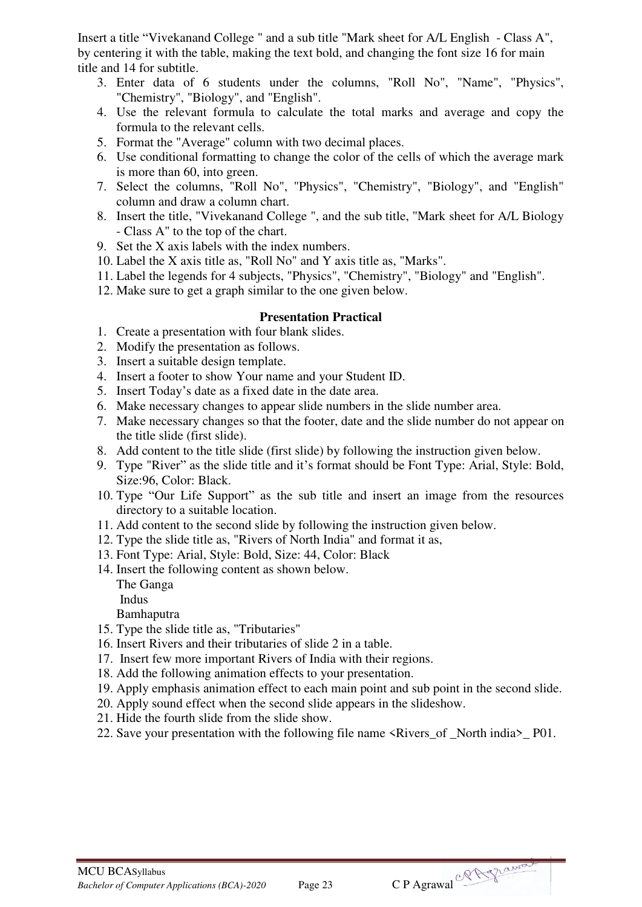Insert a title "Vivekanand College " and a sub title "Mark sheet for A/L English - Class A", by centering it with the table, making the text bold, and changing the font size 16 for main title and 14 for subtitle.

- 3. Enter data of 6 students under the columns, "Roll No", "Name", "Physics", "Chemistry", "Biology", and "English".
- 4. Use the relevant formula to calculate the total marks and average and copy the formula to the relevant cells.
- 5. Format the "Average" column with two decimal places.
- 6. Use conditional formatting to change the color of the cells of which the average mark is more than 60, into green.
- 7. Select the columns, "Roll No", "Physics", "Chemistry", "Biology", and "English" column and draw a column chart.
- 8. Insert the title, "Vivekanand College ", and the sub title, "Mark sheet for A/L Biology - Class A" to the top of the chart.
- 9. Set the X axis labels with the index numbers.
- 10. Label the X axis title as, "Roll No" and Y axis title as, "Marks".
- 11. Label the legends for 4 subjects, "Physics", "Chemistry", "Biology" and "English".
- 12. Make sure to get a graph similar to the one given below.

#### **Presentation Practical**

- 1. Create a presentation with four blank slides.
- 2. Modify the presentation as follows.
- 3. Insert a suitable design template.
- 4. Insert a footer to show Your name and your Student ID.
- 5. Insert Today's date as a fixed date in the date area.
- 6. Make necessary changes to appear slide numbers in the slide number area.
- 7. Make necessary changes so that the footer, date and the slide number do not appear on the title slide (first slide).
- 8. Add content to the title slide (first slide) by following the instruction given below.
- 9. Type "River" as the slide title and it's format should be Font Type: Arial, Style: Bold, Size:96, Color: Black.
- 10. Type "Our Life Support" as the sub title and insert an image from the resources directory to a suitable location.
- 11. Add content to the second slide by following the instruction given below.
- 12. Type the slide title as, "Rivers of North India" and format it as,
- 13. Font Type: Arial, Style: Bold, Size: 44, Color: Black
- 14. Insert the following content as shown below.

The Ganga Indus

Bamhaputra

- 15. Type the slide title as, "Tributaries"
- 16. Insert Rivers and their tributaries of slide 2 in a table.
- 17. Insert few more important Rivers of India with their regions.
- 18. Add the following animation effects to your presentation.
- 19. Apply emphasis animation effect to each main point and sub point in the second slide.
- 20. Apply sound effect when the second slide appears in the slideshow.
- 21. Hide the fourth slide from the slide show.
- 22. Save your presentation with the following file name <Rivers\_of \_North india>\_ P01.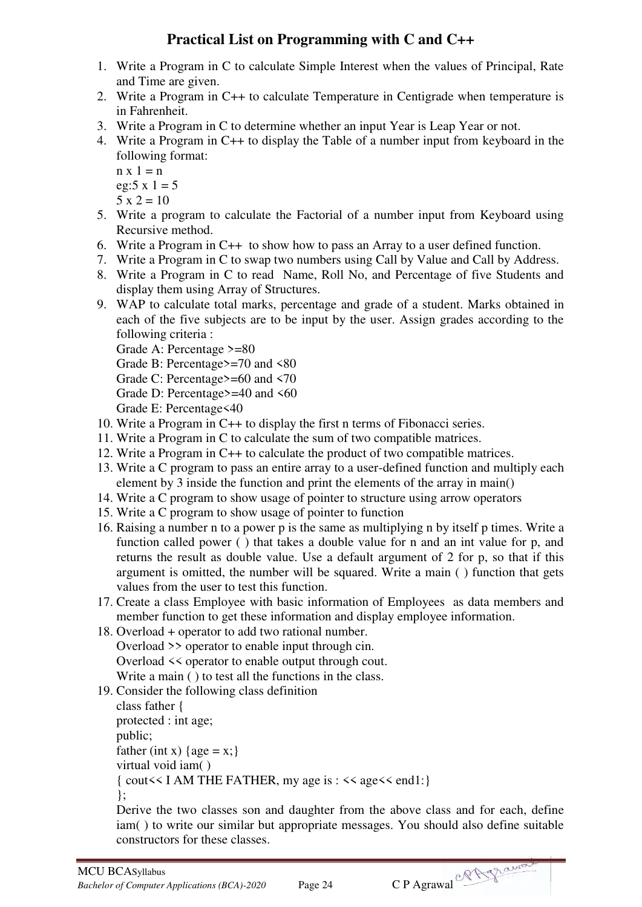## **Practical List on Programming with C and C++**

- 1. Write a Program in C to calculate Simple Interest when the values of Principal, Rate and Time are given.
- 2. Write a Program in C++ to calculate Temperature in Centigrade when temperature is in Fahrenheit.
- 3. Write a Program in C to determine whether an input Year is Leap Year or not.
- 4. Write a Program in C++ to display the Table of a number input from keyboard in the following format:

```
n \times 1 = neg:5 \times 1 = 55 x 2 = 10
```
- 5. Write a program to calculate the Factorial of a number input from Keyboard using Recursive method.
- 6. Write a Program in C++ to show how to pass an Array to a user defined function.
- 7. Write a Program in C to swap two numbers using Call by Value and Call by Address.
- 8. Write a Program in C to read Name, Roll No, and Percentage of five Students and display them using Array of Structures.
- 9. WAP to calculate total marks, percentage and grade of a student. Marks obtained in each of the five subjects are to be input by the user. Assign grades according to the following criteria :

```
Grade A: Percentage >=80
```
Grade B: Percentage>=70 and <80

- Grade C: Percentage>=60 and <70
- Grade D: Percentage>=40 and <60
- Grade E: Percentage<40
- 10. Write a Program in C++ to display the first n terms of Fibonacci series.
- 11. Write a Program in C to calculate the sum of two compatible matrices.
- 12. Write a Program in C++ to calculate the product of two compatible matrices.
- 13. Write a C program to pass an entire array to a user-defined function and multiply each element by 3 inside the function and print the elements of the array in main()
- 14. Write a C program to show usage of pointer to structure using arrow operators
- 15. Write a C program to show usage of pointer to function
- 16. Raising a number n to a power p is the same as multiplying n by itself p times. Write a function called power ( ) that takes a double value for n and an int value for p, and returns the result as double value. Use a default argument of 2 for p, so that if this argument is omitted, the number will be squared. Write a main ( ) function that gets values from the user to test this function.
- 17. Create a class Employee with basic information of Employees as data members and member function to get these information and display employee information.
- 18. Overload + operator to add two rational number. Overload >> operator to enable input through cin. Overload << operator to enable output through cout. Write a main ( ) to test all the functions in the class.
- 19. Consider the following class definition

class father { protected : int age; public; father (int x) { $age = x$ ;} virtual void iam( ) { cout<< I AM THE FATHER, my age is : << age<< end1:} };

Derive the two classes son and daughter from the above class and for each, define iam( ) to write our similar but appropriate messages. You should also define suitable constructors for these classes.

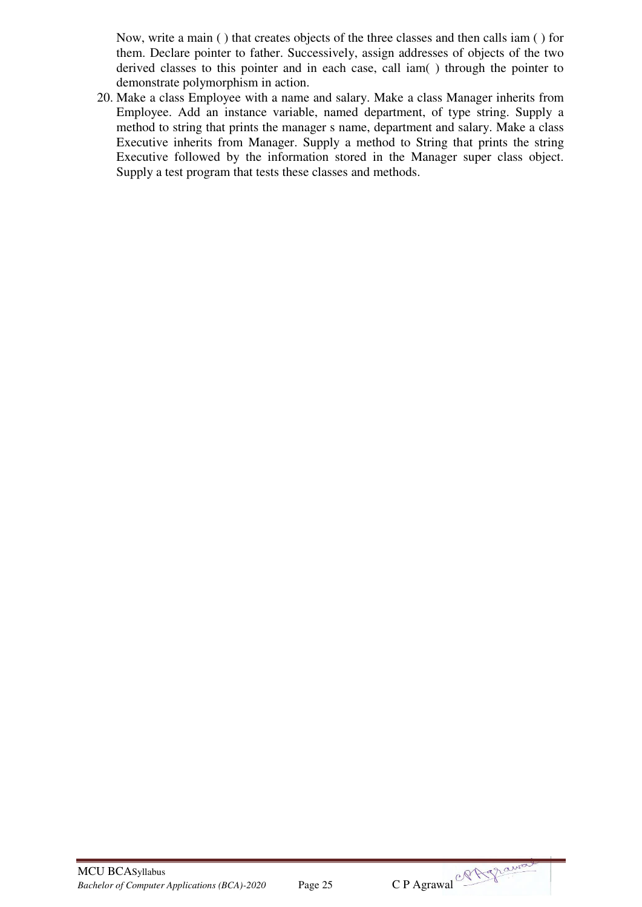Now, write a main ( ) that creates objects of the three classes and then calls iam ( ) for them. Declare pointer to father. Successively, assign addresses of objects of the two derived classes to this pointer and in each case, call iam( ) through the pointer to demonstrate polymorphism in action.

20. Make a class Employee with a name and salary. Make a class Manager inherits from Employee. Add an instance variable, named department, of type string. Supply a method to string that prints the manager s name, department and salary. Make a class Executive inherits from Manager. Supply a method to String that prints the string Executive followed by the information stored in the Manager super class object. Supply a test program that tests these classes and methods.



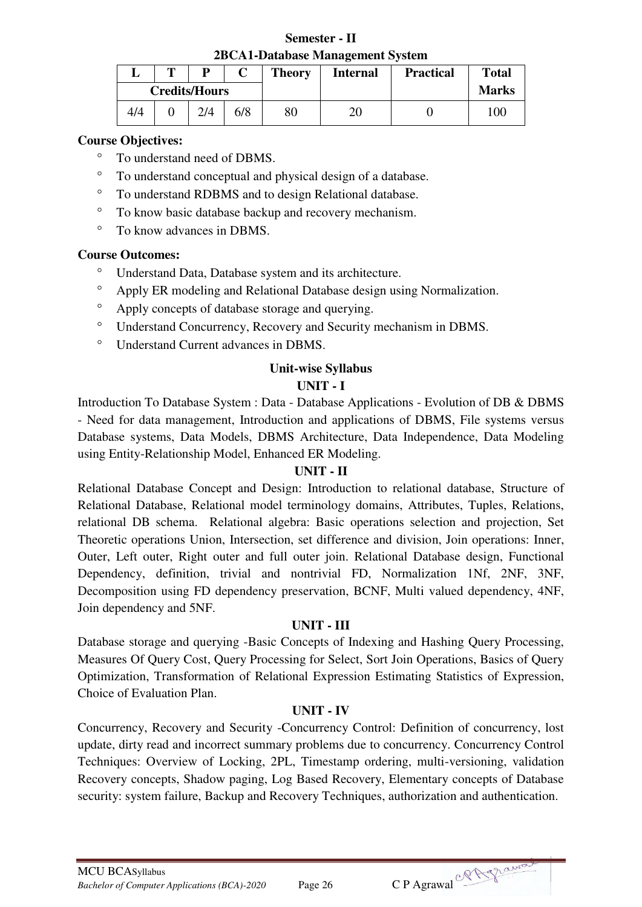**Semester - II 2BCA1-Database Management System** 

|     | m          | D                    |  | <b>Theory</b> | <b>Internal</b> | <b>Practical</b> | <b>Total</b> |
|-----|------------|----------------------|--|---------------|-----------------|------------------|--------------|
|     |            | <b>Credits/Hours</b> |  |               |                 |                  | <b>Marks</b> |
| 4/4 | 6/8<br>2/4 |                      |  | 80            | 20              |                  | $00^{\circ}$ |

## **Course Objectives:**

- To understand need of DBMS.
- To understand conceptual and physical design of a database.
- To understand RDBMS and to design Relational database.
- To know basic database backup and recovery mechanism.
- To know advances in DBMS.

## **Course Outcomes:**

- Understand Data, Database system and its architecture.
- Apply ER modeling and Relational Database design using Normalization.
- Apply concepts of database storage and querying.
- Understand Concurrency, Recovery and Security mechanism in DBMS.
- Understand Current advances in DBMS.

## **Unit-wise Syllabus**

## **UNIT - I**

Introduction To Database System : Data - Database Applications - Evolution of DB & DBMS - Need for data management, Introduction and applications of DBMS, File systems versus Database systems, Data Models, DBMS Architecture, Data Independence, Data Modeling using Entity-Relationship Model, Enhanced ER Modeling.

## **UNIT - II**

Relational Database Concept and Design: Introduction to relational database, Structure of Relational Database, Relational model terminology domains, Attributes, Tuples, Relations, relational DB schema. Relational algebra: Basic operations selection and projection, Set Theoretic operations Union, Intersection, set difference and division, Join operations: Inner, Outer, Left outer, Right outer and full outer join. Relational Database design, Functional Dependency, definition, trivial and nontrivial FD, Normalization 1Nf, 2NF, 3NF, Decomposition using FD dependency preservation, BCNF, Multi valued dependency, 4NF, Join dependency and 5NF.

## **UNIT - III**

Database storage and querying -Basic Concepts of Indexing and Hashing Query Processing, Measures Of Query Cost, Query Processing for Select, Sort Join Operations, Basics of Query Optimization, Transformation of Relational Expression Estimating Statistics of Expression, Choice of Evaluation Plan.

## **UNIT - IV**

Concurrency, Recovery and Security -Concurrency Control: Definition of concurrency, lost update, dirty read and incorrect summary problems due to concurrency. Concurrency Control Techniques: Overview of Locking, 2PL, Timestamp ordering, multi-versioning, validation Recovery concepts, Shadow paging, Log Based Recovery, Elementary concepts of Database security: system failure, Backup and Recovery Techniques, authorization and authentication.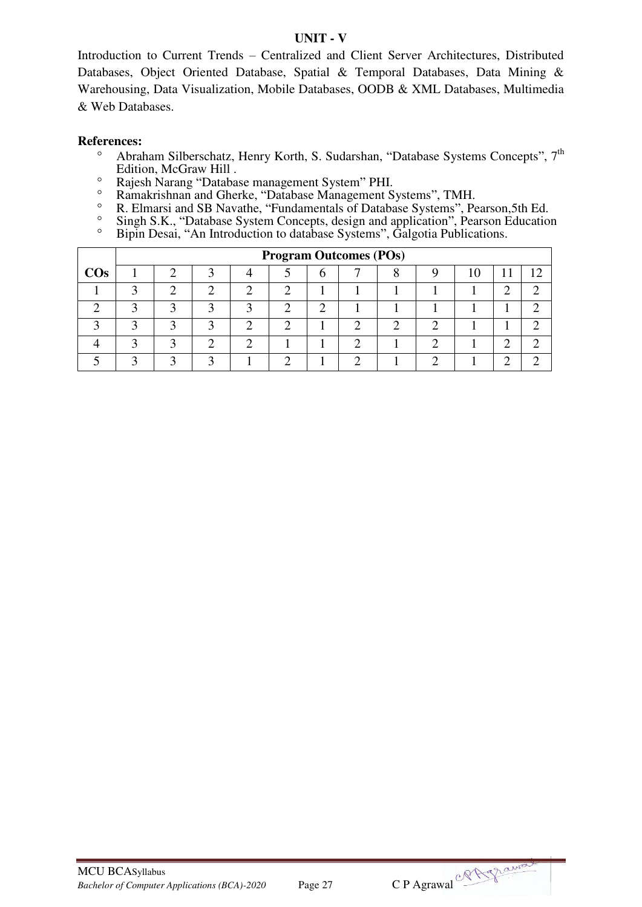#### **UNIT - V**

Introduction to Current Trends – Centralized and Client Server Architectures, Distributed Databases, Object Oriented Database, Spatial & Temporal Databases, Data Mining & Warehousing, Data Visualization, Mobile Databases, OODB & XML Databases, Multimedia & Web Databases.

- <sup>o</sup> Abraham Silberschatz, Henry Korth, S. Sudarshan, "Database Systems Concepts", 7<sup>th</sup> Edition, McGraw Hill .
- <sup>o</sup> Rajesh Narang "Database management System" PHI.<br><sup>o</sup> Ramakrishnan and Gherke "Database Management S
- <sup>o</sup> Ramakrishnan and Gherke, "Database Management Systems", TMH.<br>
<sup>o</sup> R Flmarsi and SB Navathe "Fundamentals of Database Systems" Pe
- R. Elmarsi and SB Navathe, "Fundamentals of Database Systems", Pearson,5th Ed.
- <sup>o</sup> Singh S.K., "Database System Concepts, design and application", Pearson Education
- <sup>o</sup> Bipin Desai, "An Introduction to database Systems", Galgotia Publications.

|        | <b>Program Outcomes (POs)</b> |   |   |  |   |  |        |   |  |     |   |  |
|--------|-------------------------------|---|---|--|---|--|--------|---|--|-----|---|--|
| $\cos$ |                               |   |   |  | b |  | О<br>Λ |   |  | . . |   |  |
|        |                               |   |   |  |   |  |        |   |  | ◠   |   |  |
|        | $\sqrt{2}$                    | ◠ |   |  | ി |  |        |   |  |     |   |  |
|        | ◠                             | ◠ | ◠ |  |   |  | ◠      | ി |  |     |   |  |
|        | ◠                             | ◠ | ◠ |  |   |  |        | ◠ |  | ◠   | ◠ |  |
|        |                               |   |   |  |   |  |        |   |  | ⌒   | ◠ |  |

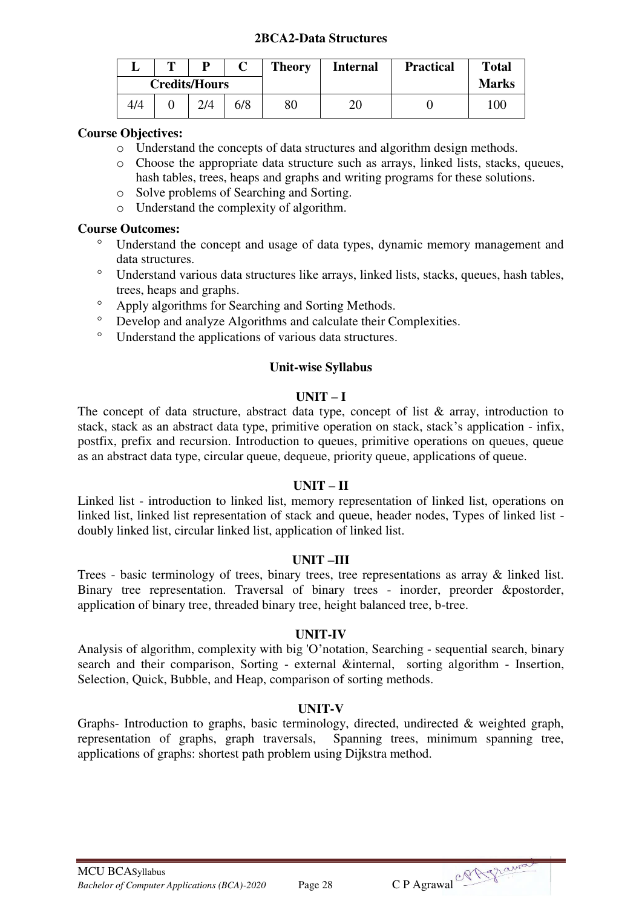#### **2BCA2-Data Structures**

|     | m          | D                    |  | <b>Theory</b> | <b>Internal</b> | <b>Practical</b> | <b>Total</b> |
|-----|------------|----------------------|--|---------------|-----------------|------------------|--------------|
|     |            | <b>Credits/Hours</b> |  |               |                 |                  | <b>Marks</b> |
| 4/4 | 6/8<br>2/4 |                      |  |               | 20              |                  | 100          |

#### **Course Objectives:**

- o Understand the concepts of data structures and algorithm design methods.
- o Choose the appropriate data structure such as arrays, linked lists, stacks, queues, hash tables, trees, heaps and graphs and writing programs for these solutions.
- o Solve problems of Searching and Sorting.
- o Understand the complexity of algorithm.

#### **Course Outcomes:**

- Understand the concept and usage of data types, dynamic memory management and data structures.
- Understand various data structures like arrays, linked lists, stacks, queues, hash tables, trees, heaps and graphs.
- Apply algorithms for Searching and Sorting Methods.
- Develop and analyze Algorithms and calculate their Complexities.
- Understand the applications of various data structures.

#### **Unit-wise Syllabus**

#### $\mathbf{I} \cdot \mathbf{I} \cdot \mathbf{N} \cdot \mathbf{I} = \mathbf{I}$

The concept of data structure, abstract data type, concept of list  $\&$  array, introduction to stack, stack as an abstract data type, primitive operation on stack, stack's application - infix, postfix, prefix and recursion. Introduction to queues, primitive operations on queues, queue as an abstract data type, circular queue, dequeue, priority queue, applications of queue.

#### **UNIT – II**

Linked list - introduction to linked list, memory representation of linked list, operations on linked list, linked list representation of stack and queue, header nodes, Types of linked list doubly linked list, circular linked list, application of linked list.

#### **UNIT –III**

Trees - basic terminology of trees, binary trees, tree representations as array & linked list. Binary tree representation. Traversal of binary trees - inorder, preorder &postorder, application of binary tree, threaded binary tree, height balanced tree, b-tree.

#### **UNIT-IV**

Analysis of algorithm, complexity with big 'O'notation, Searching - sequential search, binary search and their comparison, Sorting - external &internal, sorting algorithm - Insertion, Selection, Quick, Bubble, and Heap, comparison of sorting methods.

#### **UNIT-V**

Graphs- Introduction to graphs, basic terminology, directed, undirected & weighted graph, representation of graphs, graph traversals, Spanning trees, minimum spanning tree, applications of graphs: shortest path problem using Dijkstra method.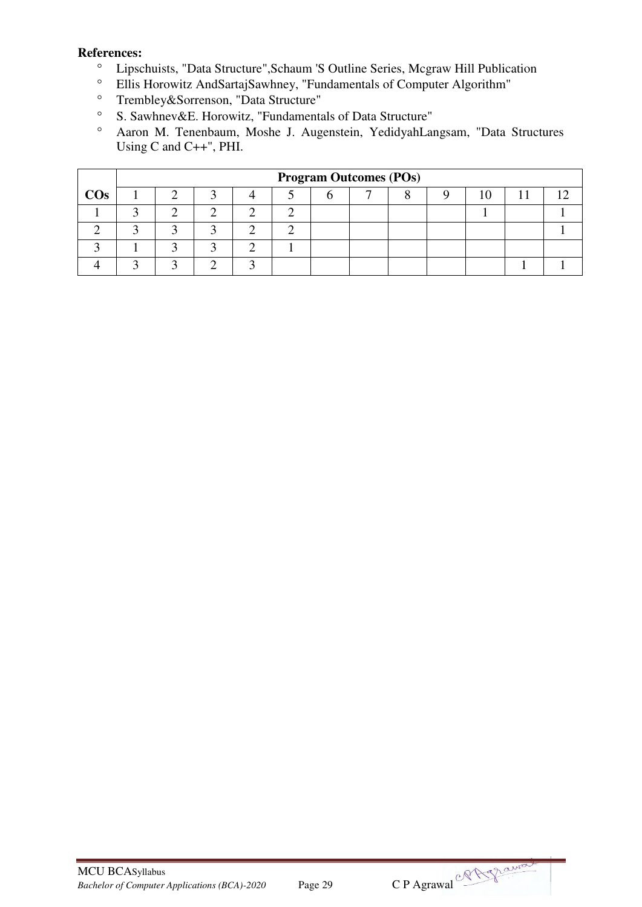- <sup>o</sup> Lipschuists, "Data Structure", Schaum 'S Outline Series, Mcgraw Hill Publication<br>
<sup>o</sup> Ellis Horowitz AndSartaiSawhney "Eundamentals of Computer Algorithm"
- Ellis Horowitz AndSartajSawhney, "Fundamentals of Computer Algorithm"
- Trembley&Sorrenson, "Data Structure"<br>
 S. Sawhney&E. Horowitz, "Eundaments
- S. Sawhnev&E. Horowitz, "Fundamentals of Data Structure"
- Aaron M. Tenenbaum, Moshe J. Augenstein, YedidyahLangsam, "Data Structures Using C and C++", PHI.

|        | <b>Program Outcomes (POs)</b> |  |  |  |  |  |  |  |  |  |  |
|--------|-------------------------------|--|--|--|--|--|--|--|--|--|--|
| $\cos$ |                               |  |  |  |  |  |  |  |  |  |  |
|        |                               |  |  |  |  |  |  |  |  |  |  |
|        |                               |  |  |  |  |  |  |  |  |  |  |
|        |                               |  |  |  |  |  |  |  |  |  |  |
|        |                               |  |  |  |  |  |  |  |  |  |  |

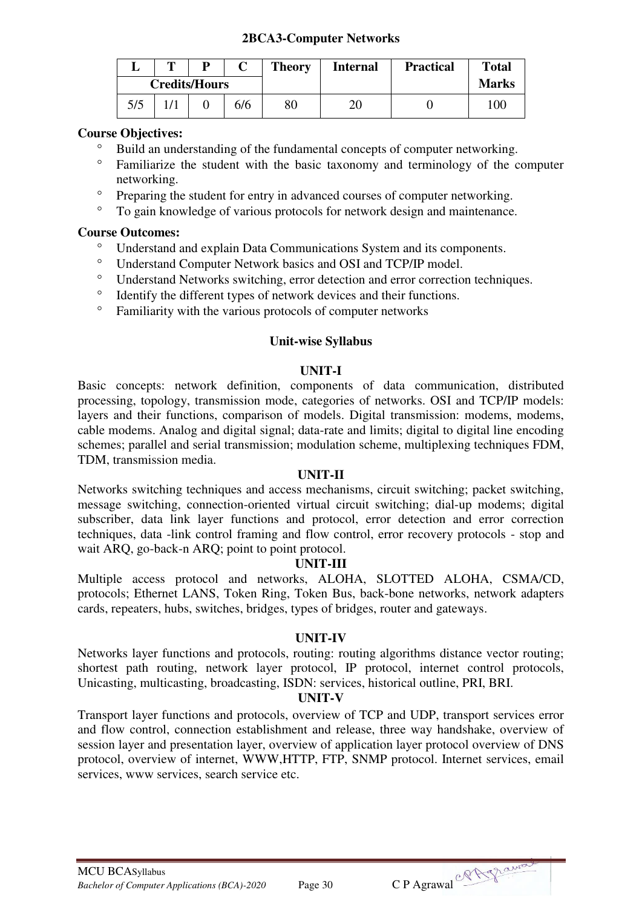#### **2BCA3-Computer Networks**

|     | œ   |                      |  | <b>Theory</b> | <b>Internal</b> | <b>Practical</b> | <b>Total</b> |
|-----|-----|----------------------|--|---------------|-----------------|------------------|--------------|
|     |     | <b>Credits/Hours</b> |  |               |                 |                  | <b>Marks</b> |
| 5/5 | 6/6 |                      |  | 80            | 20              |                  | 100          |

#### **Course Objectives:**

- <sup>o</sup> Build an understanding of the fundamental concepts of computer networking.
- Familiarize the student with the basic taxonomy and terminology of the computer networking.
- <sup>o</sup> Preparing the student for entry in advanced courses of computer networking.
- To gain knowledge of various protocols for network design and maintenance.

#### **Course Outcomes:**

- Understand and explain Data Communications System and its components.
- Understand Computer Network basics and OSI and TCP/IP model.
- <sup>o</sup> Understand Networks switching, error detection and error correction techniques.<br>
<sup>o</sup> Identify the different types of network devices and their functions
- Identify the different types of network devices and their functions.
- Familiarity with the various protocols of computer networks

#### **Unit-wise Syllabus**

#### **UNIT-I**

Basic concepts: network definition, components of data communication, distributed processing, topology, transmission mode, categories of networks. OSI and TCP/IP models: layers and their functions, comparison of models. Digital transmission: modems, modems, cable modems. Analog and digital signal; data-rate and limits; digital to digital line encoding schemes; parallel and serial transmission; modulation scheme, multiplexing techniques FDM, TDM, transmission media.

#### **UNIT-II**

Networks switching techniques and access mechanisms, circuit switching; packet switching, message switching, connection-oriented virtual circuit switching; dial-up modems; digital subscriber, data link layer functions and protocol, error detection and error correction techniques, data -link control framing and flow control, error recovery protocols - stop and wait ARO, go-back-n ARO; point to point protocol.

#### **UNIT-III**

Multiple access protocol and networks, ALOHA, SLOTTED ALOHA, CSMA/CD, protocols; Ethernet LANS, Token Ring, Token Bus, back-bone networks, network adapters cards, repeaters, hubs, switches, bridges, types of bridges, router and gateways.

#### **UNIT-IV**

Networks layer functions and protocols, routing: routing algorithms distance vector routing; shortest path routing, network layer protocol, IP protocol, internet control protocols, Unicasting, multicasting, broadcasting, ISDN: services, historical outline, PRI, BRI.

#### **UNIT-V**

Transport layer functions and protocols, overview of TCP and UDP, transport services error and flow control, connection establishment and release, three way handshake, overview of session layer and presentation layer, overview of application layer protocol overview of DNS protocol, overview of internet, WWW,HTTP, FTP, SNMP protocol. Internet services, email services, www services, search service etc.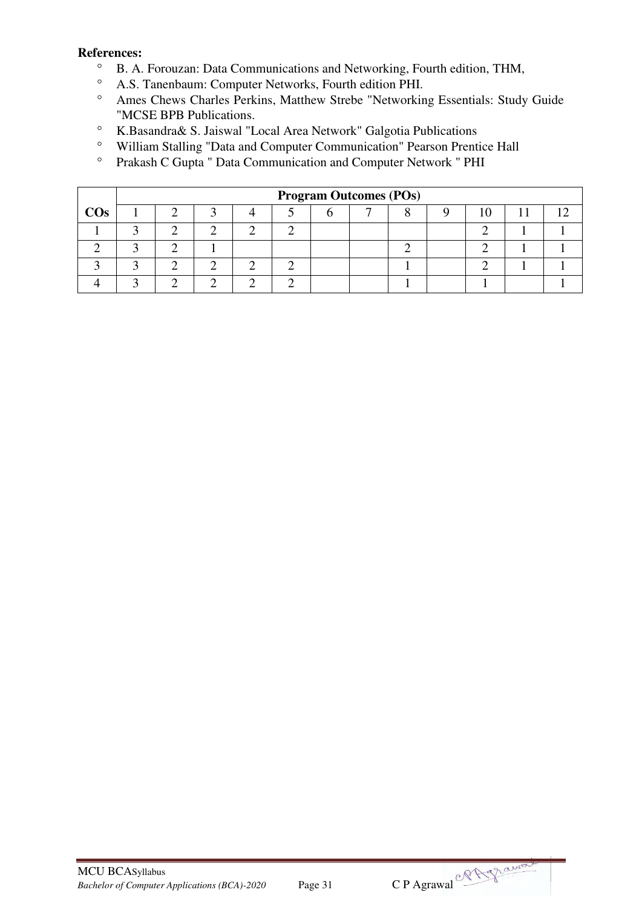- <sup>o</sup> B. A. Forouzan: Data Communications and Networking, Fourth edition, THM,<br>
<sup>o</sup> A. S. Tanenbaum: Computer Networks, Fourth edition PHI
- A.S. Tanenbaum: Computer Networks, Fourth edition PHI.
- Ames Chews Charles Perkins, Matthew Strebe "Networking Essentials: Study Guide "MCSE BPB Publications.
- K.Basandra& S. Jaiswal "Local Area Network" Galgotia Publications
- <sup>o</sup> William Stalling "Data and Computer Communication" Pearson Prentice Hall<br><sup>o</sup> Prakash C Gunta " Data Communication and Computer Network " PHI
- Prakash C Gupta " Data Communication and Computer Network " PHI

|        | <b>Program Outcomes (POs)</b> |  |  |  |  |  |  |  |  |  |  |
|--------|-------------------------------|--|--|--|--|--|--|--|--|--|--|
| $\cos$ |                               |  |  |  |  |  |  |  |  |  |  |
|        |                               |  |  |  |  |  |  |  |  |  |  |
|        |                               |  |  |  |  |  |  |  |  |  |  |
|        |                               |  |  |  |  |  |  |  |  |  |  |
|        |                               |  |  |  |  |  |  |  |  |  |  |

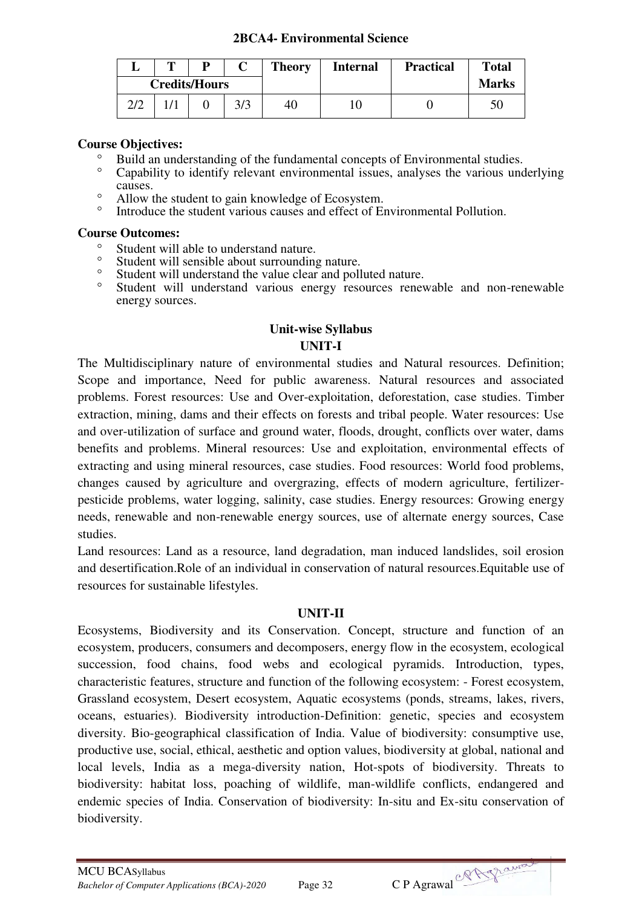#### **2BCA4- Environmental Science**

|     | m   | D                    |  | <b>Theory</b> | <b>Internal</b> | <b>Practical</b> | <b>Total</b> |
|-----|-----|----------------------|--|---------------|-----------------|------------------|--------------|
|     |     | <b>Credits/Hours</b> |  |               |                 |                  | <b>Marks</b> |
| 2/2 | 3/3 |                      |  |               | 10              |                  | 50           |

## **Course Objectives:**

- <sup>o</sup> Build an understanding of the fundamental concepts of Environmental studies.<br>Conshility to identify relevant environmental issues, analyses the various unc
- Capability to identify relevant environmental issues, analyses the various underlying causes.
- <sup>o</sup> Allow the student to gain knowledge of Ecosystem.
- Introduce the student various causes and effect of Environmental Pollution.

## **Course Outcomes:**

- <sup>o</sup> Student will able to understand nature.
- <sup>o</sup> Student will sensible about surrounding nature.<br>
<sup>o</sup> Student will understand the value clear and poll
- Student will understand the value clear and polluted nature.<br>• Student will understand various energy resources repey
- Student will understand various energy resources renewable and non-renewable energy sources.

## **Unit-wise Syllabus UNIT-I**

The Multidisciplinary nature of environmental studies and Natural resources. Definition; Scope and importance, Need for public awareness. Natural resources and associated problems. Forest resources: Use and Over-exploitation, deforestation, case studies. Timber extraction, mining, dams and their effects on forests and tribal people. Water resources: Use and over-utilization of surface and ground water, floods, drought, conflicts over water, dams benefits and problems. Mineral resources: Use and exploitation, environmental effects of extracting and using mineral resources, case studies. Food resources: World food problems, changes caused by agriculture and overgrazing, effects of modern agriculture, fertilizerpesticide problems, water logging, salinity, case studies. Energy resources: Growing energy needs, renewable and non-renewable energy sources, use of alternate energy sources, Case studies.

Land resources: Land as a resource, land degradation, man induced landslides, soil erosion and desertification.Role of an individual in conservation of natural resources.Equitable use of resources for sustainable lifestyles.

## **UNIT-II**

Ecosystems, Biodiversity and its Conservation. Concept, structure and function of an ecosystem, producers, consumers and decomposers, energy flow in the ecosystem, ecological succession, food chains, food webs and ecological pyramids. Introduction, types, characteristic features, structure and function of the following ecosystem: - Forest ecosystem, Grassland ecosystem, Desert ecosystem, Aquatic ecosystems (ponds, streams, lakes, rivers, oceans, estuaries). Biodiversity introduction-Definition: genetic, species and ecosystem diversity. Bio-geographical classification of India. Value of biodiversity: consumptive use, productive use, social, ethical, aesthetic and option values, biodiversity at global, national and local levels, India as a mega-diversity nation, Hot-spots of biodiversity. Threats to biodiversity: habitat loss, poaching of wildlife, man-wildlife conflicts, endangered and endemic species of India. Conservation of biodiversity: In-situ and Ex-situ conservation of biodiversity.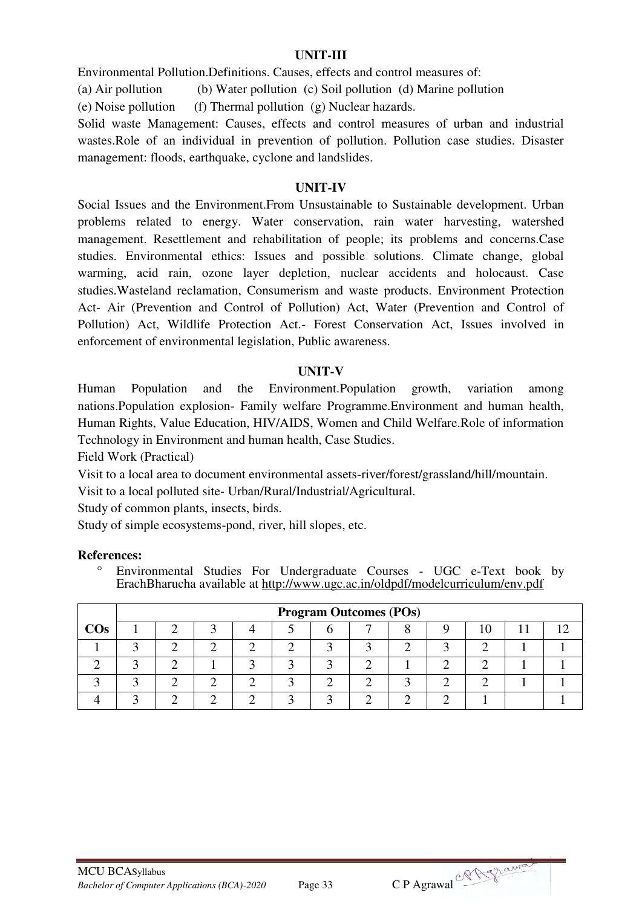#### **UNIT-III**

Environmental Pollution.Definitions. Causes, effects and control measures of:

(a) Air pollution (b) Water pollution (c) Soil pollution (d) Marine pollution

(e) Noise pollution (f) Thermal pollution (g) Nuclear hazards.

Solid waste Management: Causes, effects and control measures of urban and industrial wastes.Role of an individual in prevention of pollution. Pollution case studies. Disaster management: floods, earthquake, cyclone and landslides.

#### **UNIT-IV**

Social Issues and the Environment.From Unsustainable to Sustainable development. Urban problems related to energy. Water conservation, rain water harvesting, watershed management. Resettlement and rehabilitation of people; its problems and concerns.Case studies. Environmental ethics: Issues and possible solutions. Climate change, global warming, acid rain, ozone layer depletion, nuclear accidents and holocaust. Case studies.Wasteland reclamation, Consumerism and waste products. Environment Protection Act- Air (Prevention and Control of Pollution) Act, Water (Prevention and Control of Pollution) Act, Wildlife Protection Act.- Forest Conservation Act, Issues involved in enforcement of environmental legislation, Public awareness.

#### **UNIT-V**

Human Population and the Environment.Population growth, variation among nations.Population explosion- Family welfare Programme.Environment and human health, Human Rights, Value Education, HIV/AIDS, Women and Child Welfare.Role of information Technology in Environment and human health, Case Studies.

Field Work (Practical)

Visit to a local area to document environmental assets-river/forest/grassland/hill/mountain.

Visit to a local polluted site- Urban/Rural/Industrial/Agricultural.

Study of common plants, insects, birds.

Study of simple ecosystems-pond, river, hill slopes, etc.

#### **References:**

 Environmental Studies For Undergraduate Courses - UGC e-Text book by ErachBharucha available at<http://www.ugc.ac.in/oldpdf/modelcurriculum/env.pdf>

|        | <b>Program Outcomes (POs)</b> |  |  |  |  |  |  |  |  |  |  |  |  |
|--------|-------------------------------|--|--|--|--|--|--|--|--|--|--|--|--|
| $\cos$ |                               |  |  |  |  |  |  |  |  |  |  |  |  |
|        |                               |  |  |  |  |  |  |  |  |  |  |  |  |
|        |                               |  |  |  |  |  |  |  |  |  |  |  |  |
|        |                               |  |  |  |  |  |  |  |  |  |  |  |  |
|        |                               |  |  |  |  |  |  |  |  |  |  |  |  |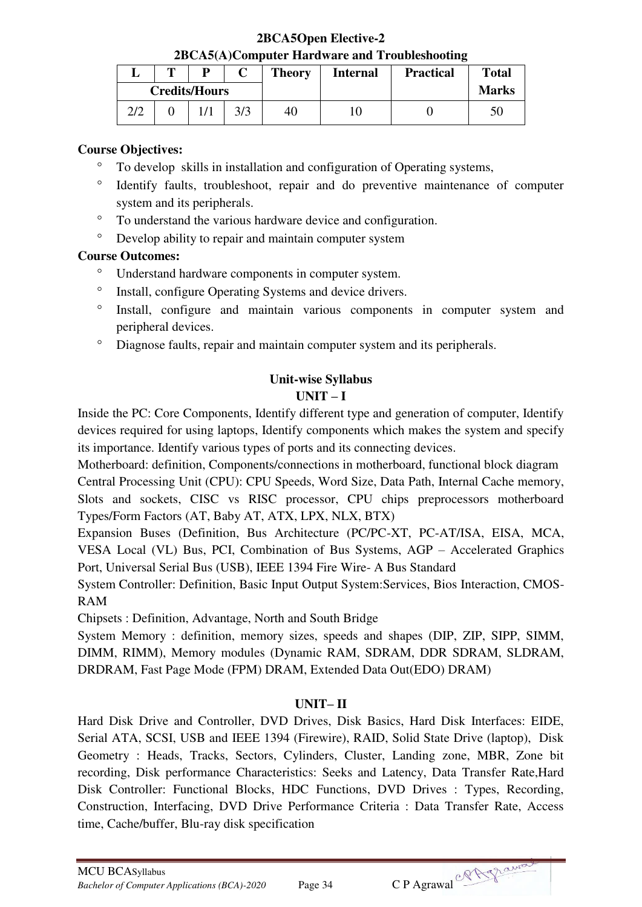**2BCA5Open Elective-2 2BCA5(A)Computer Hardware and Troubleshooting** 

|             | m | D                    |    | <b>Theory</b> | <b>Internal</b> | <b>Practical</b> | <b>Total</b> |
|-------------|---|----------------------|----|---------------|-----------------|------------------|--------------|
|             |   | <b>Credits/Hours</b> |    |               |                 |                  | <b>Marks</b> |
| 3/3<br>רו ר |   |                      | 40 |               |                 |                  |              |

## **Course Objectives:**

- <sup>o</sup> To develop skills in installation and configuration of Operating systems,
- Identify faults, troubleshoot, repair and do preventive maintenance of computer system and its peripherals.
- To understand the various hardware device and configuration.
- Develop ability to repair and maintain computer system

## **Course Outcomes:**

- Understand hardware components in computer system.
- <sup>o</sup> Install, configure Operating Systems and device drivers.
- <sup>o</sup> Install, configure and maintain various components in computer system and peripheral devices.
- Diagnose faults, repair and maintain computer system and its peripherals.

## **Unit-wise Syllabus**   $\mathbf{I} \mathbf{I} \mathbf{N} \mathbf{I} \mathbf{T} - \mathbf{I}$

Inside the PC: Core Components, Identify different type and generation of computer, Identify devices required for using laptops, Identify components which makes the system and specify its importance. Identify various types of ports and its connecting devices.

Motherboard: definition, Components/connections in motherboard, functional block diagram Central Processing Unit (CPU): CPU Speeds, Word Size, Data Path, Internal Cache memory, Slots and sockets, CISC vs RISC processor, CPU chips preprocessors motherboard Types/Form Factors (AT, Baby AT, ATX, LPX, NLX, BTX)

Expansion Buses (Definition, Bus Architecture (PC/PC-XT, PC-AT/ISA, EISA, MCA, VESA Local (VL) Bus, PCI, Combination of Bus Systems, AGP – Accelerated Graphics Port, Universal Serial Bus (USB), IEEE 1394 Fire Wire- A Bus Standard

System Controller: Definition, Basic Input Output System:Services, Bios Interaction, CMOS-RAM

Chipsets : Definition, Advantage, North and South Bridge

System Memory : definition, memory sizes, speeds and shapes (DIP, ZIP, SIPP, SIMM, DIMM, RIMM), Memory modules (Dynamic RAM, SDRAM, DDR SDRAM, SLDRAM, DRDRAM, Fast Page Mode (FPM) DRAM, Extended Data Out(EDO) DRAM)

## **UNIT– II**

Hard Disk Drive and Controller, DVD Drives, Disk Basics, Hard Disk Interfaces: EIDE, Serial ATA, SCSI, USB and IEEE 1394 (Firewire), RAID, Solid State Drive (laptop), Disk Geometry : Heads, Tracks, Sectors, Cylinders, Cluster, Landing zone, MBR, Zone bit recording, Disk performance Characteristics: Seeks and Latency, Data Transfer Rate,Hard Disk Controller: Functional Blocks, HDC Functions, DVD Drives : Types, Recording, Construction, Interfacing, DVD Drive Performance Criteria : Data Transfer Rate, Access time, Cache/buffer, Blu-ray disk specification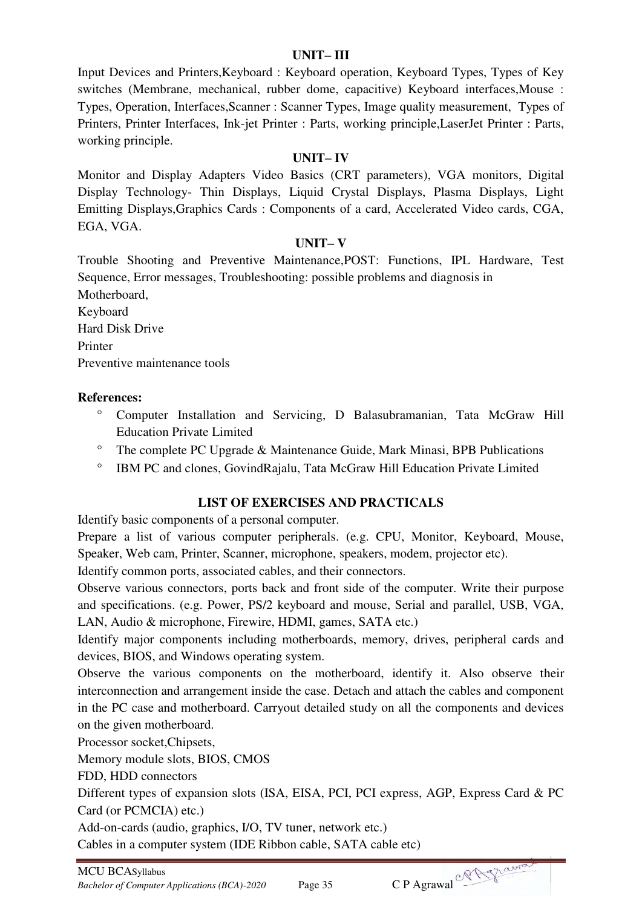## **UNIT– III**

Input Devices and Printers,Keyboard : Keyboard operation, Keyboard Types, Types of Key switches (Membrane, mechanical, rubber dome, capacitive) Keyboard interfaces,Mouse : Types, Operation, Interfaces,Scanner : Scanner Types, Image quality measurement, Types of Printers, Printer Interfaces, Ink-jet Printer : Parts, working principle,LaserJet Printer : Parts, working principle.

## **UNIT– IV**

Monitor and Display Adapters Video Basics (CRT parameters), VGA monitors, Digital Display Technology- Thin Displays, Liquid Crystal Displays, Plasma Displays, Light Emitting Displays,Graphics Cards : Components of a card, Accelerated Video cards, CGA, EGA, VGA.

## **UNIT– V**

Trouble Shooting and Preventive Maintenance,POST: Functions, IPL Hardware, Test Sequence, Error messages, Troubleshooting: possible problems and diagnosis in Motherboard, Keyboard

Hard Disk Drive Printer Preventive maintenance tools

## **References:**

- Computer Installation and Servicing, D Balasubramanian, Tata McGraw Hill Education Private Limited
- $^{\circ}$  The complete PC Upgrade & Maintenance Guide, Mark Minasi, BPB Publications
- <sup>o</sup> IBM PC and clones, GovindRajalu, Tata McGraw Hill Education Private Limited

## **LIST OF EXERCISES AND PRACTICALS**

Identify basic components of a personal computer.

Prepare a list of various computer peripherals. (e.g. CPU, Monitor, Keyboard, Mouse, Speaker, Web cam, Printer, Scanner, microphone, speakers, modem, projector etc).

Identify common ports, associated cables, and their connectors.

Observe various connectors, ports back and front side of the computer. Write their purpose and specifications. (e.g. Power, PS/2 keyboard and mouse, Serial and parallel, USB, VGA, LAN, Audio & microphone, Firewire, HDMI, games, SATA etc.)

Identify major components including motherboards, memory, drives, peripheral cards and devices, BIOS, and Windows operating system.

Observe the various components on the motherboard, identify it. Also observe their interconnection and arrangement inside the case. Detach and attach the cables and component in the PC case and motherboard. Carryout detailed study on all the components and devices on the given motherboard.

Processor socket,Chipsets,

Memory module slots, BIOS, CMOS

FDD, HDD connectors

Different types of expansion slots (ISA, EISA, PCI, PCI express, AGP, Express Card & PC Card (or PCMCIA) etc.)

Add-on-cards (audio, graphics, I/O, TV tuner, network etc.)

Cables in a computer system (IDE Ribbon cable, SATA cable etc)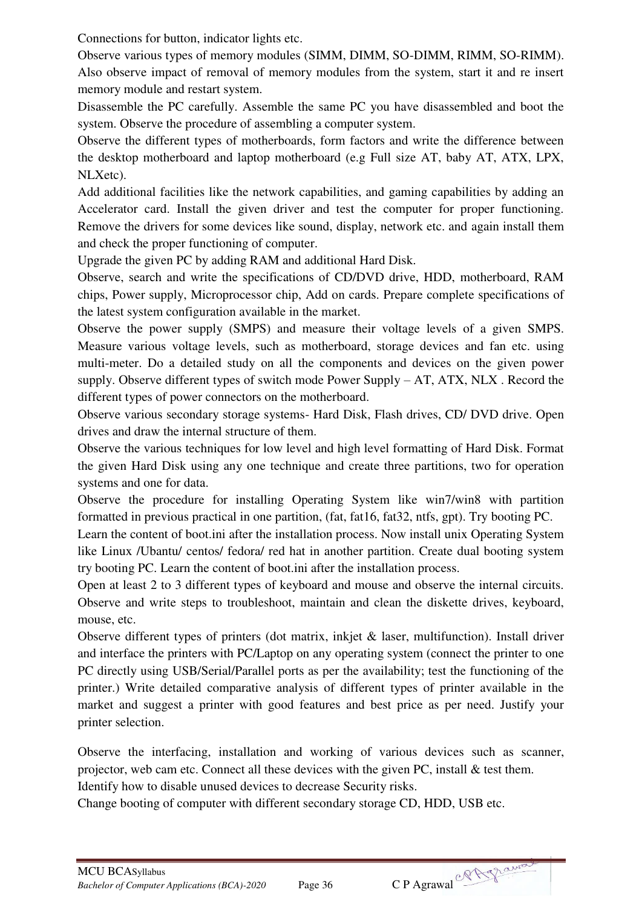Connections for button, indicator lights etc.

Observe various types of memory modules (SIMM, DIMM, SO-DIMM, RIMM, SO-RIMM). Also observe impact of removal of memory modules from the system, start it and re insert memory module and restart system.

Disassemble the PC carefully. Assemble the same PC you have disassembled and boot the system. Observe the procedure of assembling a computer system.

Observe the different types of motherboards, form factors and write the difference between the desktop motherboard and laptop motherboard (e.g Full size AT, baby AT, ATX, LPX, NLXetc).

Add additional facilities like the network capabilities, and gaming capabilities by adding an Accelerator card. Install the given driver and test the computer for proper functioning. Remove the drivers for some devices like sound, display, network etc. and again install them and check the proper functioning of computer.

Upgrade the given PC by adding RAM and additional Hard Disk.

Observe, search and write the specifications of CD/DVD drive, HDD, motherboard, RAM chips, Power supply, Microprocessor chip, Add on cards. Prepare complete specifications of the latest system configuration available in the market.

Observe the power supply (SMPS) and measure their voltage levels of a given SMPS. Measure various voltage levels, such as motherboard, storage devices and fan etc. using multi-meter. Do a detailed study on all the components and devices on the given power supply. Observe different types of switch mode Power Supply  $- AT$ , ATX, NLX. Record the different types of power connectors on the motherboard.

Observe various secondary storage systems- Hard Disk, Flash drives, CD/ DVD drive. Open drives and draw the internal structure of them.

Observe the various techniques for low level and high level formatting of Hard Disk. Format the given Hard Disk using any one technique and create three partitions, two for operation systems and one for data.

Observe the procedure for installing Operating System like win7/win8 with partition formatted in previous practical in one partition, (fat, fat16, fat32, ntfs, gpt). Try booting PC.

Learn the content of boot.ini after the installation process. Now install unix Operating System like Linux /Ubantu/ centos/ fedora/ red hat in another partition. Create dual booting system try booting PC. Learn the content of boot.ini after the installation process.

Open at least 2 to 3 different types of keyboard and mouse and observe the internal circuits. Observe and write steps to troubleshoot, maintain and clean the diskette drives, keyboard, mouse, etc.

Observe different types of printers (dot matrix, inkjet & laser, multifunction). Install driver and interface the printers with PC/Laptop on any operating system (connect the printer to one PC directly using USB/Serial/Parallel ports as per the availability; test the functioning of the printer.) Write detailed comparative analysis of different types of printer available in the market and suggest a printer with good features and best price as per need. Justify your printer selection.

Observe the interfacing, installation and working of various devices such as scanner, projector, web cam etc. Connect all these devices with the given PC, install  $\&$  test them.

Identify how to disable unused devices to decrease Security risks.

Change booting of computer with different secondary storage CD, HDD, USB etc.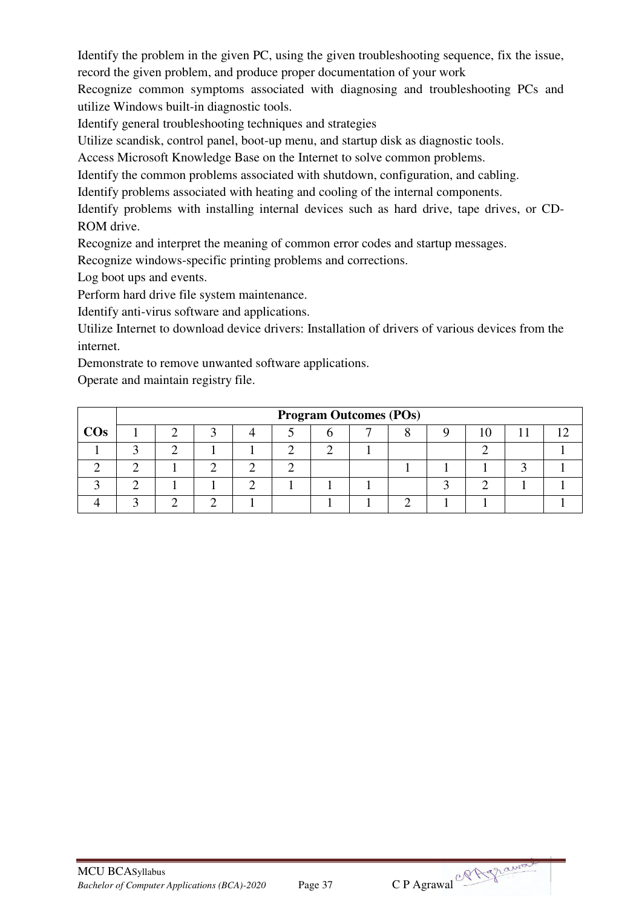Identify the problem in the given PC, using the given troubleshooting sequence, fix the issue, record the given problem, and produce proper documentation of your work

Recognize common symptoms associated with diagnosing and troubleshooting PCs and utilize Windows built-in diagnostic tools.

Identify general troubleshooting techniques and strategies

Utilize scandisk, control panel, boot-up menu, and startup disk as diagnostic tools.

Access Microsoft Knowledge Base on the Internet to solve common problems.

Identify the common problems associated with shutdown, configuration, and cabling.

Identify problems associated with heating and cooling of the internal components.

Identify problems with installing internal devices such as hard drive, tape drives, or CD-ROM drive.

Recognize and interpret the meaning of common error codes and startup messages.

Recognize windows-specific printing problems and corrections.

Log boot ups and events.

Perform hard drive file system maintenance.

Identify anti-virus software and applications.

Utilize Internet to download device drivers: Installation of drivers of various devices from the internet.

Demonstrate to remove unwanted software applications.

Operate and maintain registry file.

|        | <b>Program Outcomes (POs)</b> |  |  |  |  |  |  |  |  |  |  |  |  |
|--------|-------------------------------|--|--|--|--|--|--|--|--|--|--|--|--|
| $\cos$ |                               |  |  |  |  |  |  |  |  |  |  |  |  |
|        |                               |  |  |  |  |  |  |  |  |  |  |  |  |
|        |                               |  |  |  |  |  |  |  |  |  |  |  |  |
|        |                               |  |  |  |  |  |  |  |  |  |  |  |  |
|        |                               |  |  |  |  |  |  |  |  |  |  |  |  |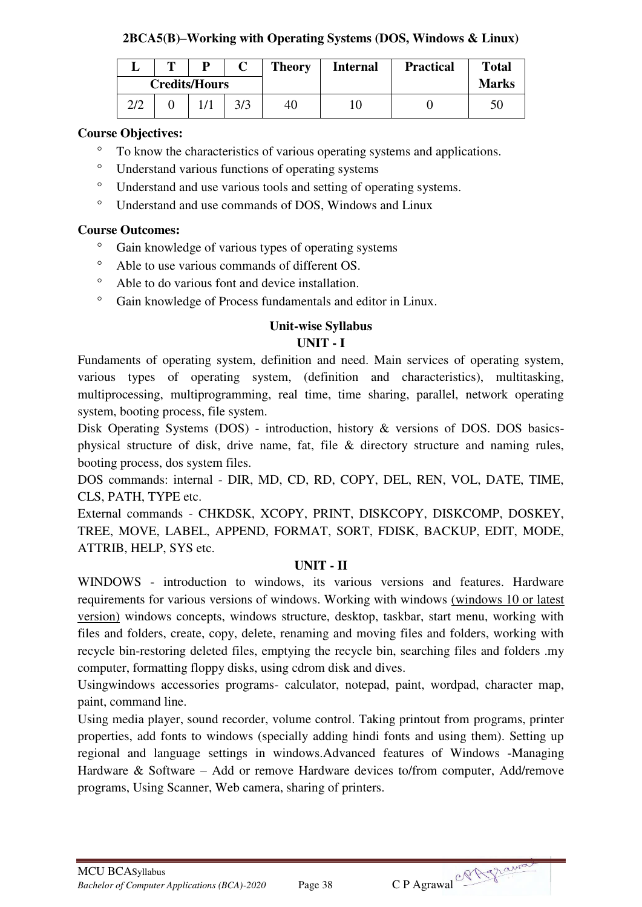## **2BCA5(B)–Working with Operating Systems (DOS, Windows & Linux)**

|     | m                    | D |     | <b>Theory</b> | <b>Internal</b> | <b>Practical</b> | <b>Total</b> |
|-----|----------------------|---|-----|---------------|-----------------|------------------|--------------|
|     | <b>Credits/Hours</b> |   |     |               |                 |                  | <b>Marks</b> |
| 2/2 |                      |   | 3/3 | 40            | 10              |                  |              |

## **Course Objectives:**

- <sup>o</sup> To know the characteristics of various operating systems and applications.
- Understand various functions of operating systems
- Understand and use various tools and setting of operating systems.
- Understand and use commands of DOS, Windows and Linux

#### **Course Outcomes:**

- <sup>o</sup> Gain knowledge of various types of operating systems
- Able to use various commands of different OS.
- Able to do various font and device installation.
- <sup>o</sup> Gain knowledge of Process fundamentals and editor in Linux.

#### **Unit-wise Syllabus UNIT - I**

Fundaments of operating system, definition and need. Main services of operating system, various types of operating system, (definition and characteristics), multitasking, multiprocessing, multiprogramming, real time, time sharing, parallel, network operating system, booting process, file system.

Disk Operating Systems (DOS) - introduction, history & versions of DOS. DOS basicsphysical structure of disk, drive name, fat, file & directory structure and naming rules, booting process, dos system files.

DOS commands: internal - DIR, MD, CD, RD, COPY, DEL, REN, VOL, DATE, TIME, CLS, PATH, TYPE etc.

External commands - CHKDSK, XCOPY, PRINT, DISKCOPY, DISKCOMP, DOSKEY, TREE, MOVE, LABEL, APPEND, FORMAT, SORT, FDISK, BACKUP, EDIT, MODE, ATTRIB, HELP, SYS etc.

#### **UNIT - II**

WINDOWS - introduction to windows, its various versions and features. Hardware requirements for various versions of windows. Working with windows (windows 10 or latest version) windows concepts, windows structure, desktop, taskbar, start menu, working with files and folders, create, copy, delete, renaming and moving files and folders, working with recycle bin-restoring deleted files, emptying the recycle bin, searching files and folders .my computer, formatting floppy disks, using cdrom disk and dives.

Usingwindows accessories programs- calculator, notepad, paint, wordpad, character map, paint, command line.

Using media player, sound recorder, volume control. Taking printout from programs, printer properties, add fonts to windows (specially adding hindi fonts and using them). Setting up regional and language settings in windows.Advanced features of Windows -Managing Hardware & Software – Add or remove Hardware devices to/from computer, Add/remove programs, Using Scanner, Web camera, sharing of printers.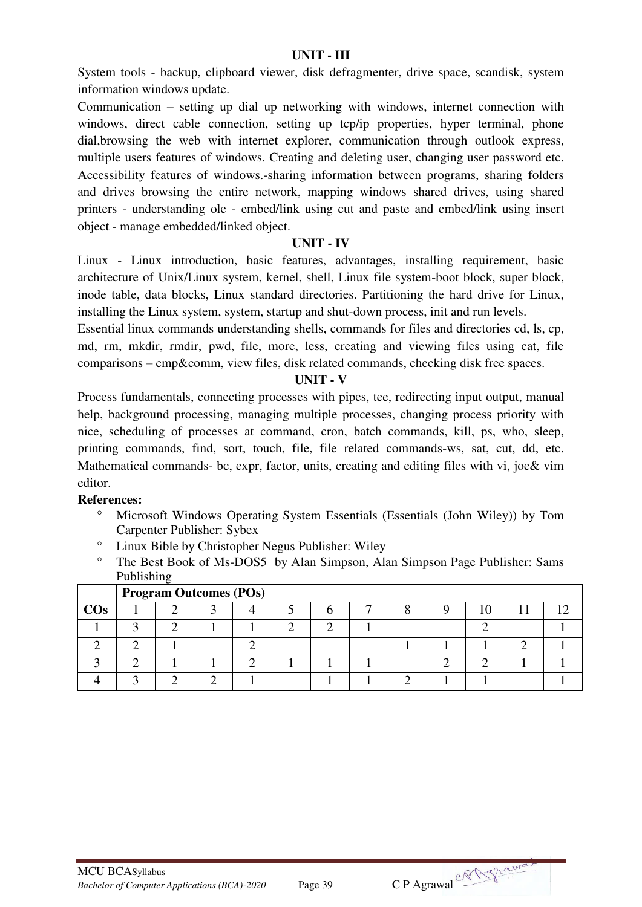#### **UNIT - III**

System tools - backup, clipboard viewer, disk defragmenter, drive space, scandisk, system information windows update.

Communication – setting up dial up networking with windows, internet connection with windows, direct cable connection, setting up tcp/ip properties, hyper terminal, phone dial,browsing the web with internet explorer, communication through outlook express, multiple users features of windows. Creating and deleting user, changing user password etc. Accessibility features of windows.-sharing information between programs, sharing folders and drives browsing the entire network, mapping windows shared drives, using shared printers - understanding ole - embed/link using cut and paste and embed/link using insert object - manage embedded/linked object.

#### **UNIT - IV**

Linux - Linux introduction, basic features, advantages, installing requirement, basic architecture of Unix/Linux system, kernel, shell, Linux file system-boot block, super block, inode table, data blocks, Linux standard directories. Partitioning the hard drive for Linux, installing the Linux system, system, startup and shut-down process, init and run levels.

Essential linux commands understanding shells, commands for files and directories cd, ls, cp, md, rm, mkdir, rmdir, pwd, file, more, less, creating and viewing files using cat, file comparisons – cmp&comm, view files, disk related commands, checking disk free spaces.

#### **UNIT - V**

Process fundamentals, connecting processes with pipes, tee, redirecting input output, manual help, background processing, managing multiple processes, changing process priority with nice, scheduling of processes at command, cron, batch commands, kill, ps, who, sleep, printing commands, find, sort, touch, file, file related commands-ws, sat, cut, dd, etc. Mathematical commands- bc, expr, factor, units, creating and editing files with vi, joe& vim editor.

- Microsoft Windows Operating System Essentials (Essentials (John Wiley)) by Tom Carpenter Publisher: Sybex
- Linux Bible by Christopher Negus Publisher: Wiley
- The Best Book of Ms-DOS5 by Alan Simpson, Alan Simpson Page Publisher: Sams Publishing

|        |  | <b>Program Outcomes (POs)</b> |  |  |  |  |  |  |  |  |  |  |  |  |  |
|--------|--|-------------------------------|--|--|--|--|--|--|--|--|--|--|--|--|--|
| $\cos$ |  |                               |  |  |  |  |  |  |  |  |  |  |  |  |  |
|        |  |                               |  |  |  |  |  |  |  |  |  |  |  |  |  |
|        |  |                               |  |  |  |  |  |  |  |  |  |  |  |  |  |
|        |  |                               |  |  |  |  |  |  |  |  |  |  |  |  |  |
|        |  |                               |  |  |  |  |  |  |  |  |  |  |  |  |  |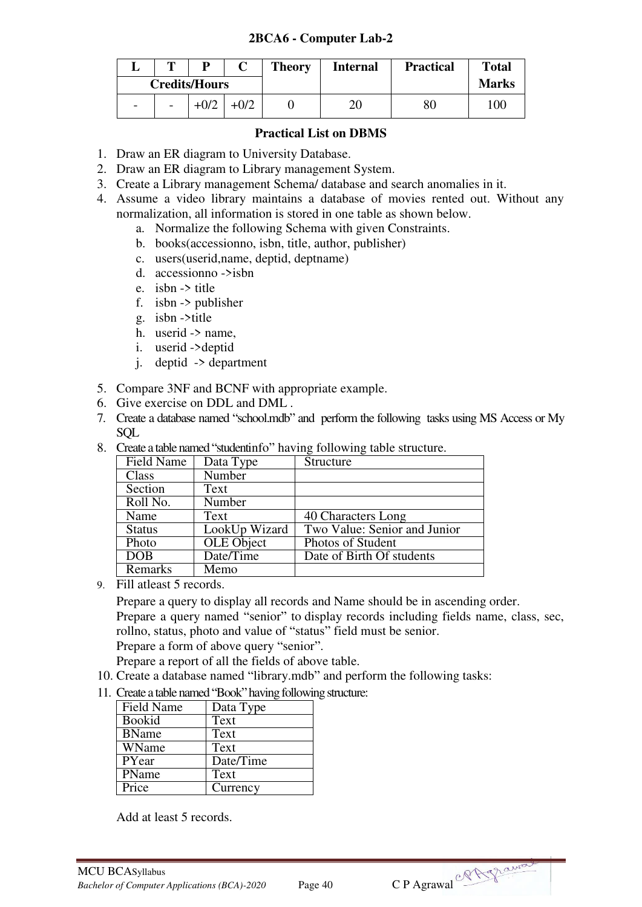#### **2BCA6 - Computer Lab-2**

| m | D                    | <b>Theory</b> | <b>Internal</b> | <b>Practical</b> | <b>Total</b> |
|---|----------------------|---------------|-----------------|------------------|--------------|
|   | <b>Credits/Hours</b> |               |                 |                  | <b>Marks</b> |
| - |                      |               | 20              |                  | 100          |

#### **Practical List on DBMS**

- 1. Draw an ER diagram to University Database.
- 2. Draw an ER diagram to Library management System.
- 3. Create a Library management Schema/ database and search anomalies in it.
- 4. Assume a video library maintains a database of movies rented out. Without any normalization, all information is stored in one table as shown below.
	- a. Normalize the following Schema with given Constraints.
	- b. books(accessionno, isbn, title, author, publisher)
	- c. users(userid,name, deptid, deptname)
	- d. accessionno ->isbn
	- e. isbn -> title
	- f. isbn -> publisher
	- g. isbn ->title
	- h. userid  $\rightarrow$  name,
	- i. userid ->deptid
	- j. deptid -> department
- 5. Compare 3NF and BCNF with appropriate example.
- 6. Give exercise on DDL and DML .
- 7. Create a database named "school.mdb" and perform the following tasks using MS Access or My SQL
- 8. Create a table named "studentinfo" having following table structure.

| Field Name    | Data Type         | Structure                    |
|---------------|-------------------|------------------------------|
| Class         | Number            |                              |
| Section       | Text              |                              |
| Roll No.      | Number            |                              |
| Name          | Text              | 40 Characters Long           |
| <b>Status</b> | LookUp Wizard     | Two Value: Senior and Junior |
| Photo         | <b>OLE</b> Object | Photos of Student            |
| <b>DOB</b>    | Date/Time         | Date of Birth Of students    |
| Remarks       | Memo              |                              |

9. Fill atleast 5 records.

Prepare a query to display all records and Name should be in ascending order. Prepare a query named "senior" to display records including fields name, class, sec, rollno, status, photo and value of "status" field must be senior. Prepare a form of above query "senior".

Prepare a report of all the fields of above table.

- 10. Create a database named "library.mdb" and perform the following tasks:
- 11. Create a table named "Book" having following structure:

| Field Name    | Data Type |
|---------------|-----------|
| <b>Bookid</b> | Text      |
| <b>BName</b>  | Text      |
| WName         | Text      |
| PYear         | Date/Time |
| <b>PName</b>  | Text      |
| Price         | Currency  |

Add at least 5 records.

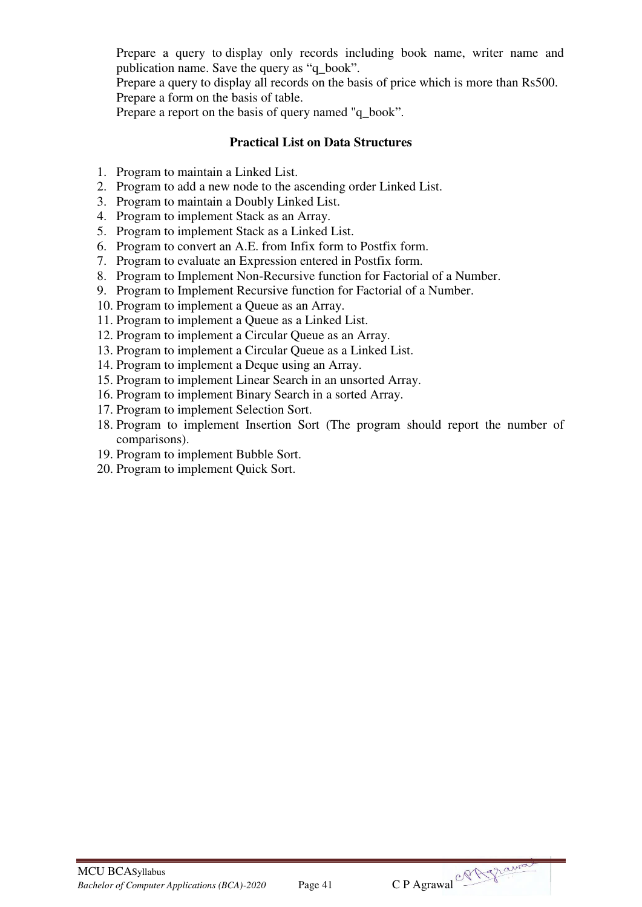Prepare a query to display only records including book name, writer name and publication name. Save the query as "q\_book".

Prepare a query to display all records on the basis of price which is more than Rs500. Prepare a form on the basis of table.

Prepare a report on the basis of query named "q\_book".

#### **Practical List on Data Structures**

- 1. Program to maintain a Linked List.
- 2. Program to add a new node to the ascending order Linked List.
- 3. Program to maintain a Doubly Linked List.
- 4. Program to implement Stack as an Array.
- 5. Program to implement Stack as a Linked List.
- 6. Program to convert an A.E. from Infix form to Postfix form.
- 7. Program to evaluate an Expression entered in Postfix form.
- 8. Program to Implement Non-Recursive function for Factorial of a Number.
- 9. Program to Implement Recursive function for Factorial of a Number.
- 10. Program to implement a Queue as an Array.
- 11. Program to implement a Queue as a Linked List.
- 12. Program to implement a Circular Queue as an Array.
- 13. Program to implement a Circular Queue as a Linked List.
- 14. Program to implement a Deque using an Array.
- 15. Program to implement Linear Search in an unsorted Array.
- 16. Program to implement Binary Search in a sorted Array.
- 17. Program to implement Selection Sort.
- 18. Program to implement Insertion Sort (The program should report the number of comparisons).
- 19. Program to implement Bubble Sort.
- 20. Program to implement Quick Sort.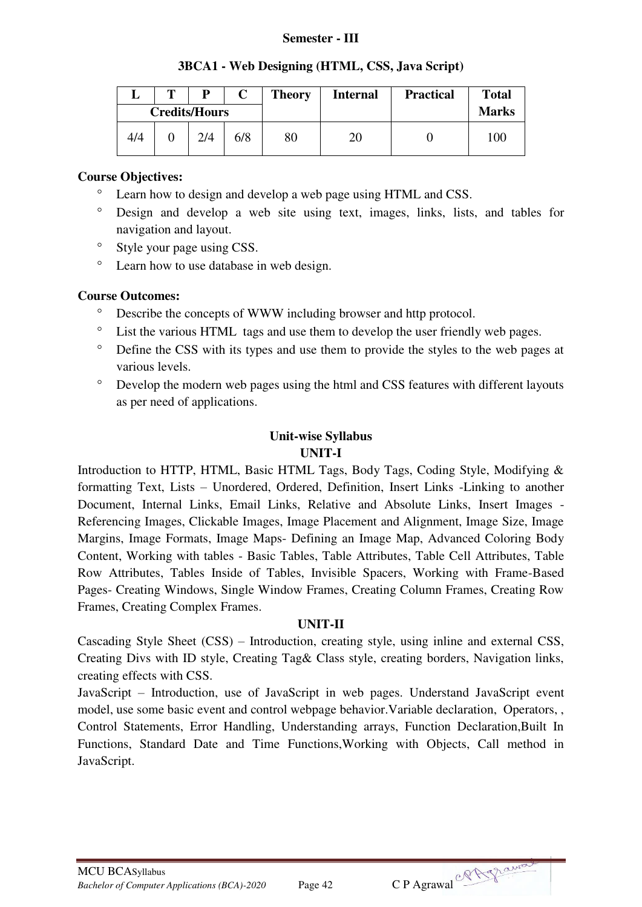#### **Semester - III**

|  |  | 3BCA1 - Web Designing (HTML, CSS, Java Script) |  |  |  |  |
|--|--|------------------------------------------------|--|--|--|--|
|--|--|------------------------------------------------|--|--|--|--|

|     | m |                      |     |    | <b>Theory</b><br><b>Internal</b> |  | <b>Practical</b> | <b>Total</b> |
|-----|---|----------------------|-----|----|----------------------------------|--|------------------|--------------|
|     |   | <b>Credits/Hours</b> |     |    |                                  |  | <b>Marks</b>     |              |
| 4/4 |   | 714                  | 6/8 | 80 |                                  |  | 100              |              |

#### **Course Objectives:**

- Learn how to design and develop a web page using HTML and CSS.
- Design and develop a web site using text, images, links, lists, and tables for navigation and layout.
- <sup>o</sup> Style your page using CSS.
- Learn how to use database in web design.

#### **Course Outcomes:**

- <sup>o</sup> Describe the concepts of WWW including browser and http protocol.
- List the various HTML tags and use them to develop the user friendly web pages.
- Define the CSS with its types and use them to provide the styles to the web pages at various levels.
- Develop the modern web pages using the html and CSS features with different layouts as per need of applications.

# **Unit-wise Syllabus**

## **UNIT-I**

Introduction to HTTP, HTML, Basic HTML Tags, Body Tags, Coding Style, Modifying & formatting Text, Lists – Unordered, Ordered, Definition, Insert Links -Linking to another Document, Internal Links, Email Links, Relative and Absolute Links, Insert Images - Referencing Images, Clickable Images, Image Placement and Alignment, Image Size, Image Margins, Image Formats, Image Maps- Defining an Image Map, Advanced Coloring Body Content, Working with tables - Basic Tables, Table Attributes, Table Cell Attributes, Table Row Attributes, Tables Inside of Tables, Invisible Spacers, Working with Frame-Based Pages- Creating Windows, Single Window Frames, Creating Column Frames, Creating Row Frames, Creating Complex Frames.

#### **UNIT-II**

Cascading Style Sheet (CSS) – Introduction, creating style, using inline and external CSS, Creating Divs with ID style, Creating Tag& Class style, creating borders, Navigation links, creating effects with CSS.

JavaScript – Introduction, use of JavaScript in web pages. Understand JavaScript event model, use some basic event and control webpage behavior.Variable declaration, Operators, , Control Statements, Error Handling, Understanding arrays, Function Declaration,Built In Functions, Standard Date and Time Functions,Working with Objects, Call method in JavaScript.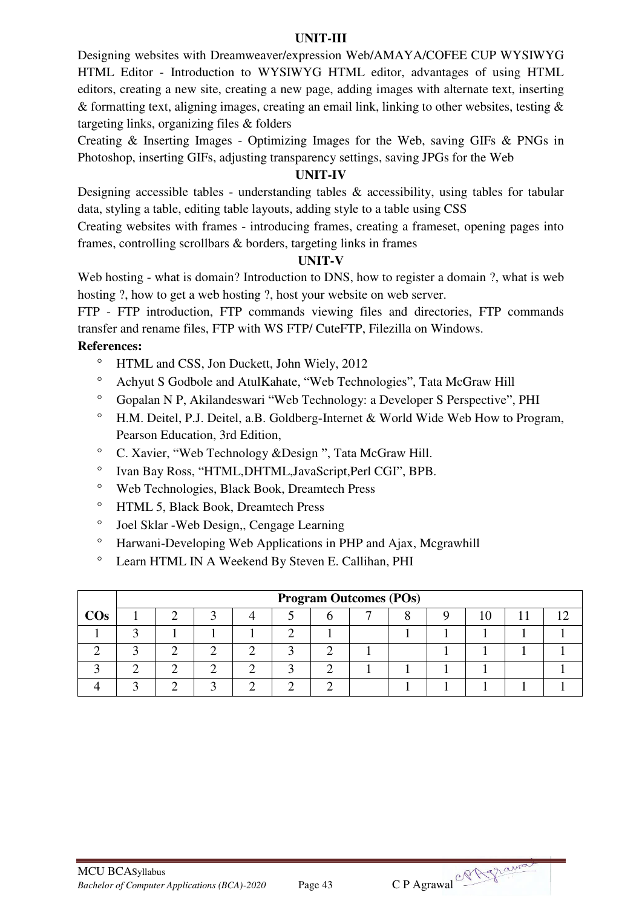#### **UNIT-III**

Designing websites with Dreamweaver/expression Web/AMAYA/COFEE CUP WYSIWYG HTML Editor - Introduction to WYSIWYG HTML editor, advantages of using HTML editors, creating a new site, creating a new page, adding images with alternate text, inserting & formatting text, aligning images, creating an email link, linking to other websites, testing & targeting links, organizing files & folders

Creating & Inserting Images - Optimizing Images for the Web, saving GIFs & PNGs in Photoshop, inserting GIFs, adjusting transparency settings, saving JPGs for the Web

# **UNIT-IV**

Designing accessible tables - understanding tables & accessibility, using tables for tabular data, styling a table, editing table layouts, adding style to a table using CSS

Creating websites with frames - introducing frames, creating a frameset, opening pages into frames, controlling scrollbars & borders, targeting links in frames

#### **UNIT-V**

Web hosting - what is domain? Introduction to DNS, how to register a domain ?, what is web hosting ?, how to get a web hosting ?, host your website on web server.

FTP - FTP introduction, FTP commands viewing files and directories, FTP commands transfer and rename files, FTP with WS FTP/ CuteFTP, Filezilla on Windows.

- <sup>o</sup> HTML and CSS, Jon Duckett, John Wiely, 2012
- Achyut S Godbole and AtulKahate, "Web Technologies", Tata McGraw Hill
- Gopalan N P, Akilandeswari "Web Technology: a Developer S Perspective", PHI
- H.M. Deitel, P.J. Deitel, a.B. Goldberg-Internet & World Wide Web How to Program, Pearson Education, 3rd Edition,
- C. Xavier, "Web Technology &Design ", Tata McGraw Hill.
- Ivan Bay Ross, "HTML,DHTML,JavaScript,Perl CGI", BPB.
- Web Technologies, Black Book, Dreamtech Press
- HTML 5, Black Book, Dreamtech Press
- Joel Sklar -Web Design,, Cengage Learning
- <sup>o</sup> Harwani-Developing Web Applications in PHP and Ajax, Mcgrawhill
- Learn HTML IN A Weekend By Steven E. Callihan, PHI

|        | <b>Program Outcomes (POs)</b> |  |  |  |  |  |  |  |  |  |  |  |  |
|--------|-------------------------------|--|--|--|--|--|--|--|--|--|--|--|--|
| $\cos$ |                               |  |  |  |  |  |  |  |  |  |  |  |  |
|        |                               |  |  |  |  |  |  |  |  |  |  |  |  |
|        |                               |  |  |  |  |  |  |  |  |  |  |  |  |
|        |                               |  |  |  |  |  |  |  |  |  |  |  |  |
|        |                               |  |  |  |  |  |  |  |  |  |  |  |  |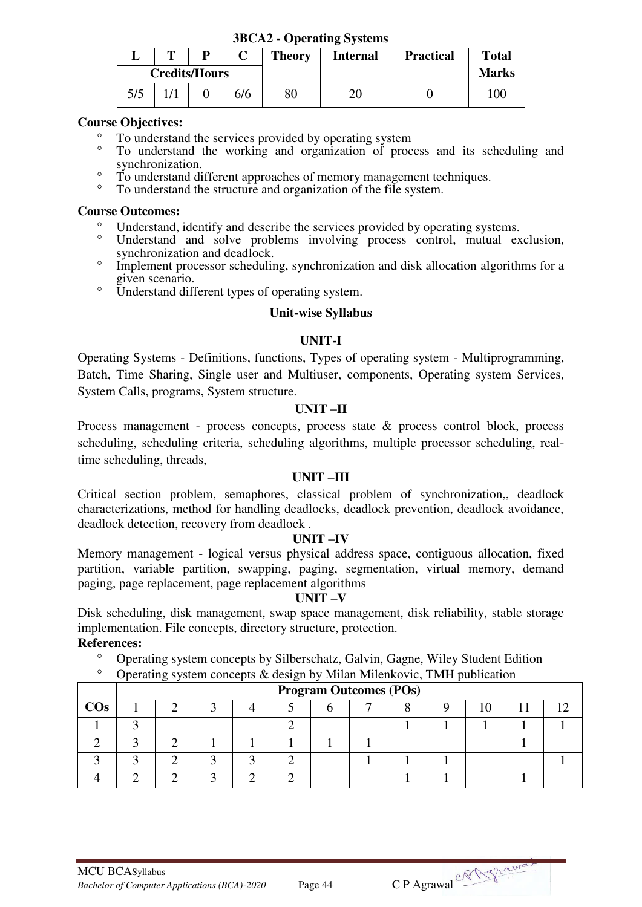|     | $JDCA2$ - $ODCI$ atting $OYSICIIIS$ |                      |     |                                                                      |    |  |              |  |  |  |  |
|-----|-------------------------------------|----------------------|-----|----------------------------------------------------------------------|----|--|--------------|--|--|--|--|
|     | m                                   | D                    |     | <b>Theory</b><br><b>Total</b><br><b>Practical</b><br><b>Internal</b> |    |  |              |  |  |  |  |
|     |                                     | <b>Credits/Hours</b> |     |                                                                      |    |  | <b>Marks</b> |  |  |  |  |
| 5/5 |                                     |                      | 6/6 | 80                                                                   | 20 |  | 100          |  |  |  |  |

**3BCA2 - Operating Systems** 

#### **Course Objectives:**

- <sup>o</sup> To understand the services provided by operating system<br>
<sup>o</sup> To understand the working and argumention of process
- To understand the working and organization of process and its scheduling and synchronization.
- <sup>o</sup> To understand different approaches of memory management techniques.
- To understand the structure and organization of the file system.

#### **Course Outcomes:**

- Understand, identify and describe the services provided by operating systems.
- Understand and solve problems involving process control, mutual exclusion, synchronization and deadlock.
- <sup>o</sup> Implement processor scheduling, synchronization and disk allocation algorithms for a given scenario.
- <sup>o</sup> Understand different types of operating system.

#### **Unit-wise Syllabus**

#### **UNIT-I**

Operating Systems - Definitions, functions, Types of operating system - Multiprogramming, Batch, Time Sharing, Single user and Multiuser, components, Operating system Services, System Calls, programs, System structure.

#### **UNIT –II**

Process management - process concepts, process state & process control block, process scheduling, scheduling criteria, scheduling algorithms, multiple processor scheduling, realtime scheduling, threads,

#### **UNIT –III**

Critical section problem, semaphores, classical problem of synchronization,, deadlock characterizations, method for handling deadlocks, deadlock prevention, deadlock avoidance, deadlock detection, recovery from deadlock .

#### **UNIT –IV**

Memory management - logical versus physical address space, contiguous allocation, fixed partition, variable partition, swapping, paging, segmentation, virtual memory, demand paging, page replacement, page replacement algorithms

#### **UNIT –V**

Disk scheduling, disk management, swap space management, disk reliability, stable storage implementation. File concepts, directory structure, protection. **References:** 

- Operating system concepts by Silberschatz, Galvin, Gagne, Wiley Student Edition
- $\degree$  Operating system concepts & design by Milan Milenkovic, TMH publication

|        | <b>Program Outcomes (POs)</b> |  |  |  |  |  |  |  |  |  |  |  |  |  |
|--------|-------------------------------|--|--|--|--|--|--|--|--|--|--|--|--|--|
| $\cos$ |                               |  |  |  |  |  |  |  |  |  |  |  |  |  |
|        |                               |  |  |  |  |  |  |  |  |  |  |  |  |  |
|        |                               |  |  |  |  |  |  |  |  |  |  |  |  |  |
|        |                               |  |  |  |  |  |  |  |  |  |  |  |  |  |
|        |                               |  |  |  |  |  |  |  |  |  |  |  |  |  |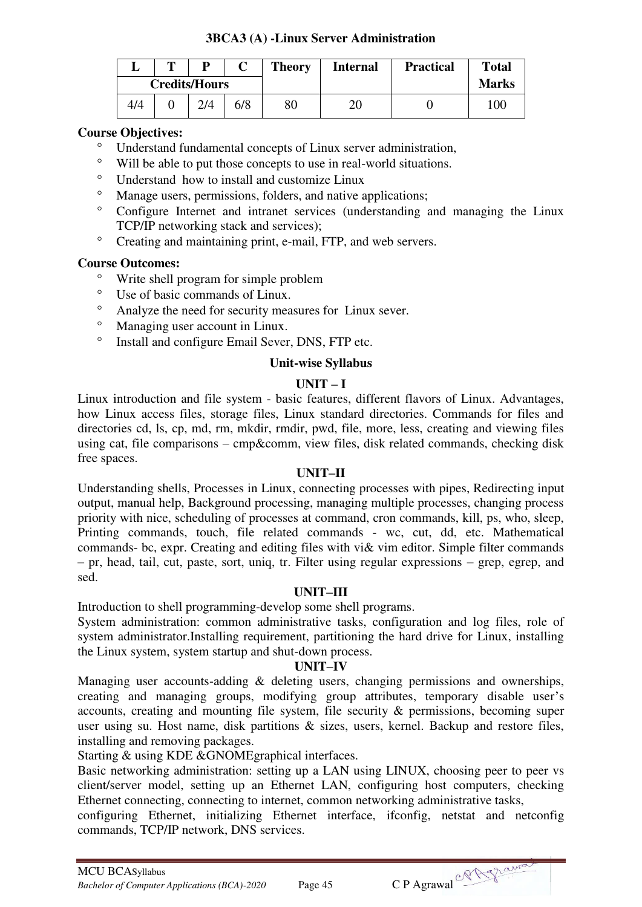## **3BCA3 (A) -Linux Server Administration**

|     | m | D                    |     | <b>Theory</b> | <b>Internal</b> | <b>Practical</b> | <b>Total</b> |
|-----|---|----------------------|-----|---------------|-----------------|------------------|--------------|
|     |   | <b>Credits/Hours</b> |     |               |                 |                  | <b>Marks</b> |
| 4/4 |   | 2/4                  | 6/8 | 80            | 20              |                  | 100          |

## **Course Objectives:**

- Understand fundamental concepts of Linux server administration,<br>• Will be able to put those concepts to use in real world situations
- Will be able to put those concepts to use in real-world situations.
- Understand how to install and customize Linux
- Manage users, permissions, folders, and native applications;<br>• Configure Internet and intronst services (understanding a
- Configure Internet and intranet services (understanding and managing the Linux TCP/IP networking stack and services);
- <sup>o</sup> Creating and maintaining print, e-mail, FTP, and web servers.

#### **Course Outcomes:**

- $\degree$  Write shell program for simple problem<br> $\degree$  Hea of basic commands of Linux
- $\degree$  Use of basic commands of Linux.<br> $\degree$  Analyze the need for security mea
- Analyze the need for security measures for Linux sever.
- <sup>o</sup> Managing user account in Linux.
- Install and configure Email Sever, DNS, FTP etc.

#### **Unit-wise Syllabus**

#### $UNIT - I$

Linux introduction and file system - basic features, different flavors of Linux. Advantages, how Linux access files, storage files, Linux standard directories. Commands for files and directories cd, ls, cp, md, rm, mkdir, rmdir, pwd, file, more, less, creating and viewing files using cat, file comparisons – cmp&comm, view files, disk related commands, checking disk free spaces.

#### **UNIT–II**

Understanding shells, Processes in Linux, connecting processes with pipes, Redirecting input output, manual help, Background processing, managing multiple processes, changing process priority with nice, scheduling of processes at command, cron commands, kill, ps, who, sleep, Printing commands, touch, file related commands - wc, cut, dd, etc. Mathematical commands- bc, expr. Creating and editing files with vi& vim editor. Simple filter commands – pr, head, tail, cut, paste, sort, uniq, tr. Filter using regular expressions – grep, egrep, and sed.

#### **UNIT–III**

Introduction to shell programming-develop some shell programs.

System administration: common administrative tasks, configuration and log files, role of system administrator.Installing requirement, partitioning the hard drive for Linux, installing the Linux system, system startup and shut-down process.

#### **UNIT–IV**

Managing user accounts-adding & deleting users, changing permissions and ownerships, creating and managing groups, modifying group attributes, temporary disable user's accounts, creating and mounting file system, file security & permissions, becoming super user using su. Host name, disk partitions & sizes, users, kernel. Backup and restore files, installing and removing packages.

Starting & using KDE &GNOMEgraphical interfaces.

Basic networking administration: setting up a LAN using LINUX, choosing peer to peer vs client/server model, setting up an Ethernet LAN, configuring host computers, checking Ethernet connecting, connecting to internet, common networking administrative tasks,

configuring Ethernet, initializing Ethernet interface, ifconfig, netstat and netconfig commands, TCP/IP network, DNS services.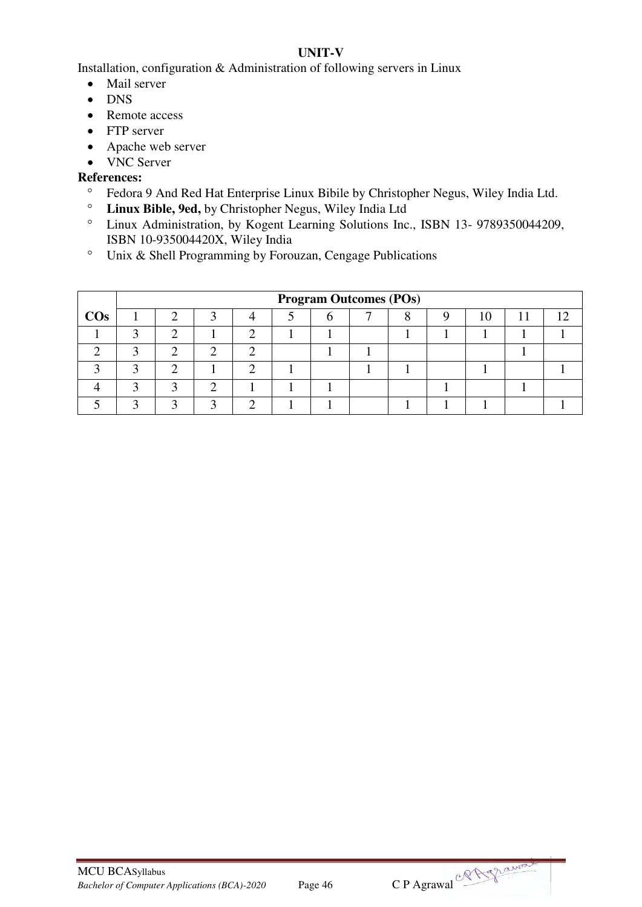# **UNIT-V**

Installation, configuration & Administration of following servers in Linux

- Mail server
- DNS
- Remote access
- FTP server
- Apache web server
- VNC Server

- Fedora 9 And Red Hat Enterprise Linux Bibile by Christopher Negus, Wiley India Ltd.<br>• Linux Bible, 9ed, by Christopher Negus, Wiley India Ltd.
- **Linux Bible, 9ed,** by Christopher Negus, Wiley India Ltd
- Linux Administration, by Kogent Learning Solutions Inc., ISBN 13- 9789350044209, ISBN 10-935004420X, Wiley India
- Unix & Shell Programming by Forouzan, Cengage Publications

|        |   | <b>Program Outcomes (POs)</b> |  |  |  |  |  |  |  |   |  |     |  |  |
|--------|---|-------------------------------|--|--|--|--|--|--|--|---|--|-----|--|--|
| $\cos$ |   |                               |  |  |  |  |  |  |  | U |  | 1 ^ |  |  |
|        | ◠ |                               |  |  |  |  |  |  |  |   |  |     |  |  |
|        |   |                               |  |  |  |  |  |  |  |   |  |     |  |  |
|        |   |                               |  |  |  |  |  |  |  |   |  |     |  |  |
|        |   |                               |  |  |  |  |  |  |  |   |  |     |  |  |
|        |   |                               |  |  |  |  |  |  |  |   |  |     |  |  |

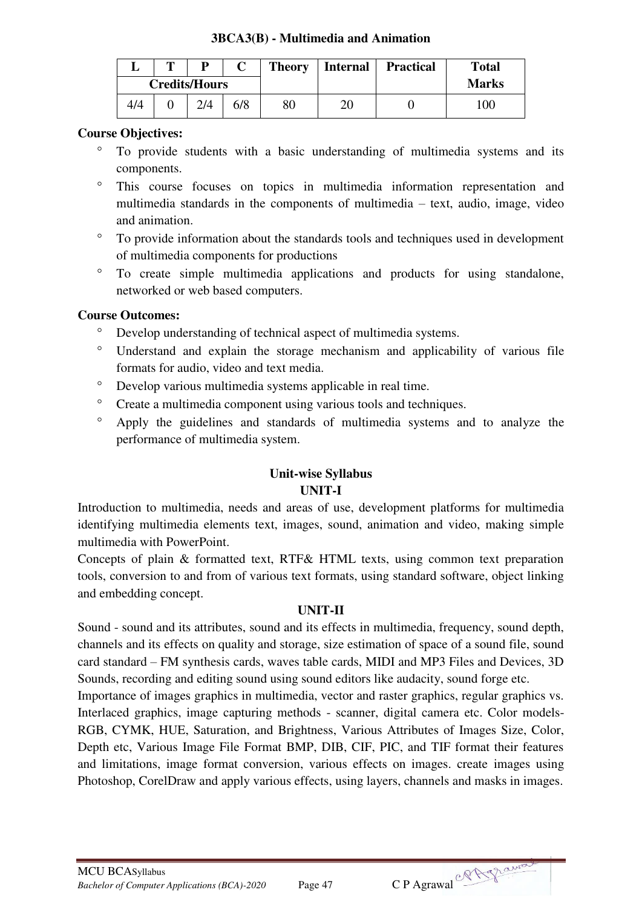#### **3BCA3(B) - Multimedia and Animation**

|     | m | D                    |     | <b>Theory</b> | <b>Internal</b> | <b>Practical</b> | <b>Total</b> |
|-----|---|----------------------|-----|---------------|-----------------|------------------|--------------|
|     |   | <b>Credits/Hours</b> |     |               |                 |                  | <b>Marks</b> |
| 4/4 |   |                      | 6/8 | 80            | 20              |                  | 100          |

#### **Course Objectives:**

- To provide students with a basic understanding of multimedia systems and its components.
- This course focuses on topics in multimedia information representation and multimedia standards in the components of multimedia – text, audio, image, video and animation.
- To provide information about the standards tools and techniques used in development of multimedia components for productions
- To create simple multimedia applications and products for using standalone, networked or web based computers.

#### **Course Outcomes:**

- Develop understanding of technical aspect of multimedia systems.
- Understand and explain the storage mechanism and applicability of various file formats for audio, video and text media.
- Develop various multimedia systems applicable in real time.
- <sup>o</sup> Create a multimedia component using various tools and techniques.
- Apply the guidelines and standards of multimedia systems and to analyze the performance of multimedia system.

## **Unit-wise Syllabus UNIT-I**

Introduction to multimedia, needs and areas of use, development platforms for multimedia identifying multimedia elements text, images, sound, animation and video, making simple multimedia with PowerPoint.

Concepts of plain & formatted text, RTF& HTML texts, using common text preparation tools, conversion to and from of various text formats, using standard software, object linking and embedding concept.

#### **UNIT-II**

Sound - sound and its attributes, sound and its effects in multimedia, frequency, sound depth, channels and its effects on quality and storage, size estimation of space of a sound file, sound card standard – FM synthesis cards, waves table cards, MIDI and MP3 Files and Devices, 3D Sounds, recording and editing sound using sound editors like audacity, sound forge etc.

Importance of images graphics in multimedia, vector and raster graphics, regular graphics vs. Interlaced graphics, image capturing methods - scanner, digital camera etc. Color models-RGB, CYMK, HUE, Saturation, and Brightness, Various Attributes of Images Size, Color, Depth etc, Various Image File Format BMP, DIB, CIF, PIC, and TIF format their features and limitations, image format conversion, various effects on images. create images using Photoshop, CorelDraw and apply various effects, using layers, channels and masks in images.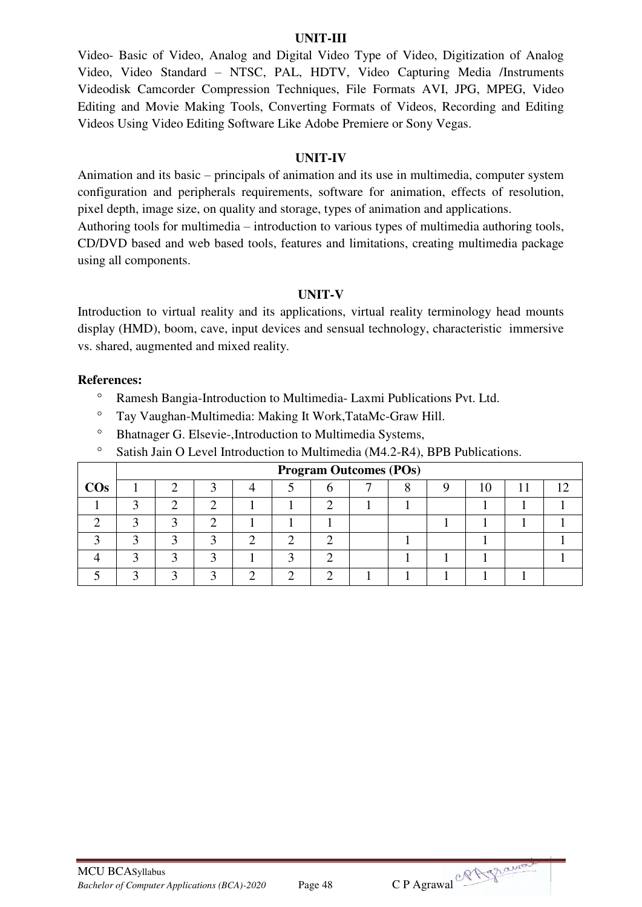#### **UNIT-III**

Video- Basic of Video, Analog and Digital Video Type of Video, Digitization of Analog Video, Video Standard – NTSC, PAL, HDTV, Video Capturing Media /Instruments Videodisk Camcorder Compression Techniques, File Formats AVI, JPG, MPEG, Video Editing and Movie Making Tools, Converting Formats of Videos, Recording and Editing Videos Using Video Editing Software Like Adobe Premiere or Sony Vegas.

#### **UNIT-IV**

Animation and its basic – principals of animation and its use in multimedia, computer system configuration and peripherals requirements, software for animation, effects of resolution, pixel depth, image size, on quality and storage, types of animation and applications.

Authoring tools for multimedia – introduction to various types of multimedia authoring tools, CD/DVD based and web based tools, features and limitations, creating multimedia package using all components.

#### **UNIT-V**

Introduction to virtual reality and its applications, virtual reality terminology head mounts display (HMD), boom, cave, input devices and sensual technology, characteristic immersive vs. shared, augmented and mixed reality.

- Ramesh Bangia-Introduction to Multimedia- Laxmi Publications Pvt. Ltd.
- Tay Vaughan-Multimedia: Making It Work,TataMc-Graw Hill.
- <sup>o</sup> Bhatnager G. Elsevie-, Introduction to Multimedia Systems,
- <sup>o</sup> Satish Jain O Level Introduction to Multimedia (M4.2-R4), BPB Publications.

|        |  |  |  | <b>Program Outcomes (POs)</b> |  |  |  |
|--------|--|--|--|-------------------------------|--|--|--|
| $\cos$ |  |  |  |                               |  |  |  |
|        |  |  |  |                               |  |  |  |
|        |  |  |  |                               |  |  |  |
|        |  |  |  |                               |  |  |  |
|        |  |  |  |                               |  |  |  |
|        |  |  |  |                               |  |  |  |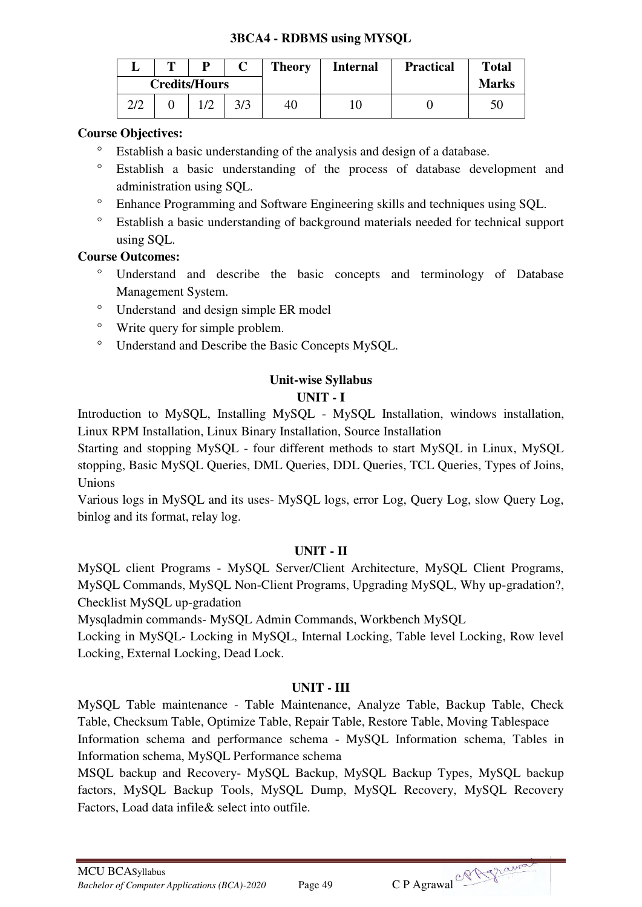## **3BCA4 - RDBMS using MYSQL**

|     | m |                      |     | <b>Theory</b> | <b>Internal</b> | <b>Practical</b> | <b>Total</b> |
|-----|---|----------------------|-----|---------------|-----------------|------------------|--------------|
|     |   | <b>Credits/Hours</b> |     |               |                 |                  | <b>Marks</b> |
| 2/2 |   |                      | 3/3 | 40            | 10              |                  |              |

## **Course Objectives:**

- Establish a basic understanding of the analysis and design of a database.
- Establish a basic understanding of the process of database development and administration using SQL.
- Enhance Programming and Software Engineering skills and techniques using SQL.
- Establish a basic understanding of background materials needed for technical support using SQL.

## **Course Outcomes:**

- Understand and describe the basic concepts and terminology of Database Management System.
- Understand and design simple ER model
- Write query for simple problem.
- Understand and Describe the Basic Concepts MySQL.

# **Unit-wise Syllabus UNIT - I**

Introduction to MySQL, Installing MySQL - MySQL Installation, windows installation, Linux RPM Installation, Linux Binary Installation, Source Installation

Starting and stopping MySQL - four different methods to start MySQL in Linux, MySQL stopping, Basic MySQL Queries, DML Queries, DDL Queries, TCL Queries, Types of Joins, Unions

Various logs in MySQL and its uses- MySQL logs, error Log, Query Log, slow Query Log, binlog and its format, relay log.

#### **UNIT - II**

MySQL client Programs - MySQL Server/Client Architecture, MySQL Client Programs, MySQL Commands, MySQL Non-Client Programs, Upgrading MySQL, Why up-gradation?, Checklist MySQL up-gradation

Mysqladmin commands- MySQL Admin Commands, Workbench MySQL

Locking in MySQL- Locking in MySQL, Internal Locking, Table level Locking, Row level Locking, External Locking, Dead Lock.

#### **UNIT - III**

MySQL Table maintenance - Table Maintenance, Analyze Table, Backup Table, Check Table, Checksum Table, Optimize Table, Repair Table, Restore Table, Moving Tablespace Information schema and performance schema - MySQL Information schema, Tables in Information schema, MySQL Performance schema

MSQL backup and Recovery- MySQL Backup, MySQL Backup Types, MySQL backup factors, MySQL Backup Tools, MySQL Dump, MySQL Recovery, MySQL Recovery Factors, Load data infile& select into outfile.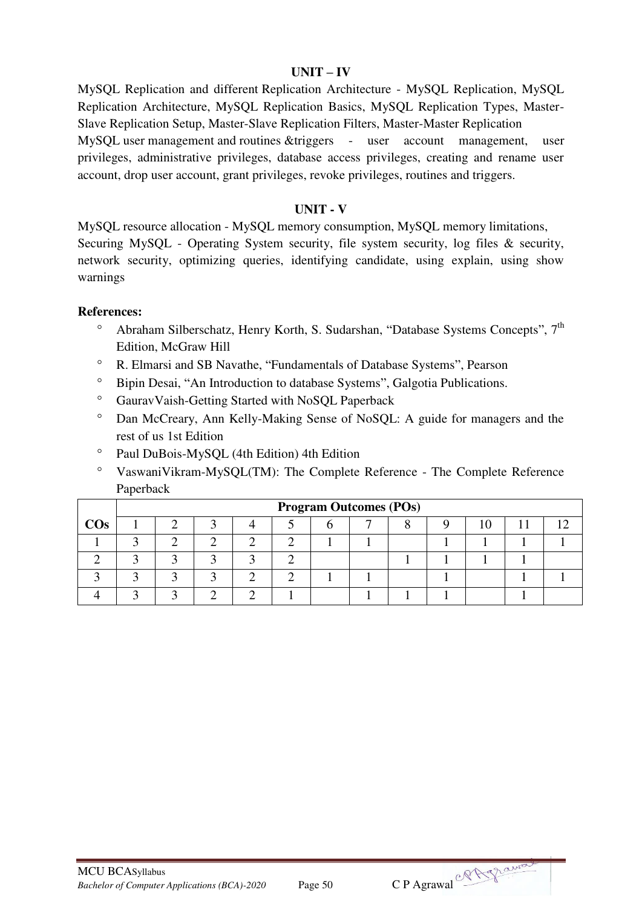#### **UNIT – IV**

MySQL Replication and different Replication Architecture - MySQL Replication, MySQL Replication Architecture, MySQL Replication Basics, MySQL Replication Types, Master-Slave Replication Setup, Master-Slave Replication Filters, Master-Master Replication

MySQL user management and routines &triggers - user account management, user privileges, administrative privileges, database access privileges, creating and rename user account, drop user account, grant privileges, revoke privileges, routines and triggers.

#### **UNIT - V**

MySQL resource allocation - MySQL memory consumption, MySQL memory limitations, Securing MySQL - Operating System security, file system security, log files & security, network security, optimizing queries, identifying candidate, using explain, using show warnings

- Abraham Silberschatz, Henry Korth, S. Sudarshan, "Database Systems Concepts", 7<sup>th</sup> Edition, McGraw Hill
- R. Elmarsi and SB Navathe, "Fundamentals of Database Systems", Pearson
- <sup>o</sup> Bipin Desai, "An Introduction to database Systems", Galgotia Publications.
- <sup>o</sup> GauravVaish-Getting Started with NoSQL Paperback
- Dan McCreary, Ann Kelly-Making Sense of NoSQL: A guide for managers and the rest of us 1st Edition
- Paul DuBois-MySQL (4th Edition) 4th Edition
- VaswaniVikram-MySQL(TM): The Complete Reference The Complete Reference Paperback

|        | <b>Program Outcomes (POs)</b> |  |  |  |  |  |  |  |  |  |  |  |  |
|--------|-------------------------------|--|--|--|--|--|--|--|--|--|--|--|--|
| $\cos$ |                               |  |  |  |  |  |  |  |  |  |  |  |  |
|        |                               |  |  |  |  |  |  |  |  |  |  |  |  |
|        |                               |  |  |  |  |  |  |  |  |  |  |  |  |
|        |                               |  |  |  |  |  |  |  |  |  |  |  |  |
|        |                               |  |  |  |  |  |  |  |  |  |  |  |  |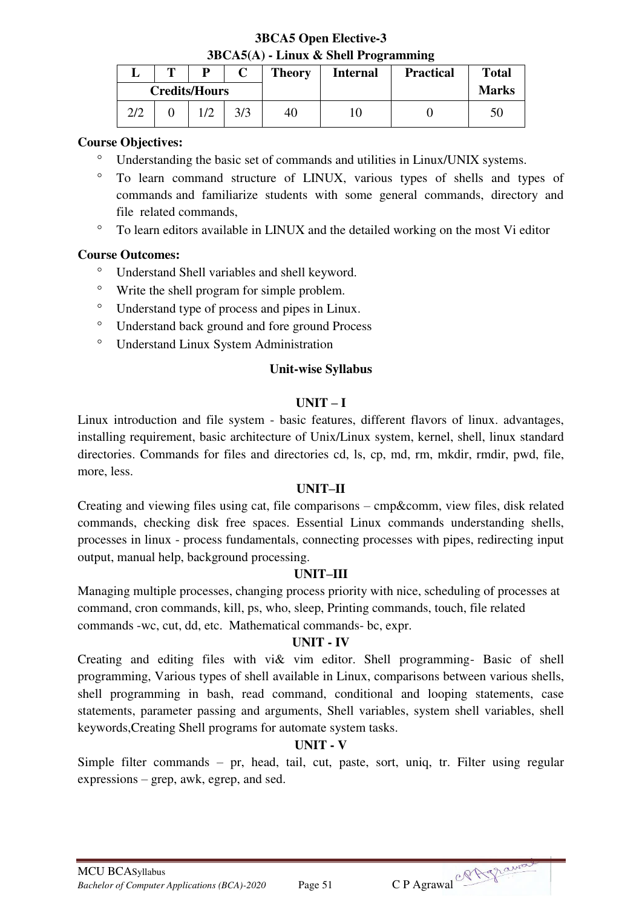## **3BCA5 Open Elective-3 3BCA5(A) - Linux & Shell Programming**

|     | m | D                    |     | <b>Theory</b> | <b>Internal</b> | <b>Practical</b> | <b>Total</b> |
|-----|---|----------------------|-----|---------------|-----------------|------------------|--------------|
|     |   | <b>Credits/Hours</b> |     |               |                 |                  | <b>Marks</b> |
| 2/2 |   |                      | 3/3 | 40            |                 |                  | 50           |

## **Course Objectives:**

- Understanding the basic set of commands and utilities in Linux/UNIX systems.
- To learn command structure of LINUX, various types of shells and types of commands and familiarize students with some general commands, directory and file related commands,
- To learn editors available in LINUX and the detailed working on the most Vi editor

## **Course Outcomes:**

- Understand Shell variables and shell keyword.
- <sup>o</sup> Write the shell program for simple problem.
- Understand type of process and pipes in Linux.
- Understand back ground and fore ground Process
- Understand Linux System Administration

#### **Unit-wise Syllabus**

## $UNIT - I$

Linux introduction and file system - basic features, different flavors of linux. advantages, installing requirement, basic architecture of Unix/Linux system, kernel, shell, linux standard directories. Commands for files and directories cd, ls, cp, md, rm, mkdir, rmdir, pwd, file, more, less.

#### **UNIT–II**

Creating and viewing files using cat, file comparisons – cmp&comm, view files, disk related commands, checking disk free spaces. Essential Linux commands understanding shells, processes in linux - process fundamentals, connecting processes with pipes, redirecting input output, manual help, background processing.

#### **UNIT–III**

Managing multiple processes, changing process priority with nice, scheduling of processes at command, cron commands, kill, ps, who, sleep, Printing commands, touch, file related commands -wc, cut, dd, etc. Mathematical commands- bc, expr.

#### **UNIT - IV**

Creating and editing files with vi& vim editor. Shell programming- Basic of shell programming, Various types of shell available in Linux, comparisons between various shells, shell programming in bash, read command, conditional and looping statements, case statements, parameter passing and arguments, Shell variables, system shell variables, shell keywords,Creating Shell programs for automate system tasks.

#### **UNIT - V**

Simple filter commands – pr, head, tail, cut, paste, sort, uniq, tr. Filter using regular expressions – grep, awk, egrep, and sed.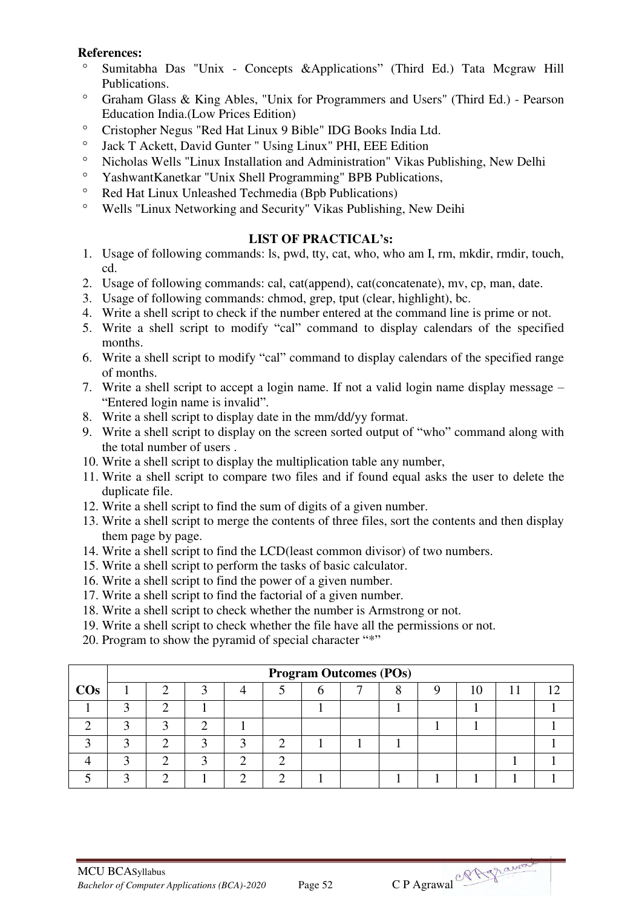## **References:**

- Sumitabha Das "Unix Concepts &Applications" (Third Ed.) Tata Mcgraw Hill Publications.
- Graham Glass & King Ables, "Unix for Programmers and Users" (Third Ed.) Pearson Education India.(Low Prices Edition)
- Cristopher Negus "Red Hat Linux 9 Bible" IDG Books India Ltd.
- <sup>o</sup> Jack T Ackett, David Gunter " Using Linux" PHI, EEE Edition <sup>o</sup> Nicholas Walls "I inux Installation and Administration" Vikes I
- Nicholas Wells "Linux Installation and Administration" Vikas Publishing, New Delhi
- YashwantKanetkar "Unix Shell Programming" BPB Publications,
- Red Hat Linux Unleashed Techmedia (Bpb Publications)<br>• Wells "I inux Networking and Security" Vikas Publishing
- Wells "Linux Networking and Security" Vikas Publishing, New Deihi

# **LIST OF PRACTICAL's:**

- 1. Usage of following commands: ls, pwd, tty, cat, who, who am I, rm, mkdir, rmdir, touch, cd.
- 2. Usage of following commands: cal, cat(append), cat(concatenate), mv, cp, man, date.
- 3. Usage of following commands: chmod, grep, tput (clear, highlight), bc.
- 4. Write a shell script to check if the number entered at the command line is prime or not.
- 5. Write a shell script to modify "cal" command to display calendars of the specified months.
- 6. Write a shell script to modify "cal" command to display calendars of the specified range of months.
- 7. Write a shell script to accept a login name. If not a valid login name display message "Entered login name is invalid".
- 8. Write a shell script to display date in the mm/dd/yy format.
- 9. Write a shell script to display on the screen sorted output of "who" command along with the total number of users .
- 10. Write a shell script to display the multiplication table any number,
- 11. Write a shell script to compare two files and if found equal asks the user to delete the duplicate file.
- 12. Write a shell script to find the sum of digits of a given number.
- 13. Write a shell script to merge the contents of three files, sort the contents and then display them page by page.
- 14. Write a shell script to find the LCD(least common divisor) of two numbers.
- 15. Write a shell script to perform the tasks of basic calculator.
- 16. Write a shell script to find the power of a given number.
- 17. Write a shell script to find the factorial of a given number.
- 18. Write a shell script to check whether the number is Armstrong or not.
- 19. Write a shell script to check whether the file have all the permissions or not.
- 20. Program to show the pyramid of special character "\*"

|        |           | <b>Program Outcomes (POs)</b> |   |  |  |   |  |  |  |    |  |  |  |  |
|--------|-----------|-------------------------------|---|--|--|---|--|--|--|----|--|--|--|--|
| $\cos$ |           |                               |   |  |  | n |  |  |  | 10 |  |  |  |  |
|        | ◠         | n                             |   |  |  |   |  |  |  |    |  |  |  |  |
|        | $\bigcap$ |                               | n |  |  |   |  |  |  |    |  |  |  |  |
|        | ◠         |                               |   |  |  |   |  |  |  |    |  |  |  |  |
|        |           |                               |   |  |  |   |  |  |  |    |  |  |  |  |
|        | ◠         |                               |   |  |  |   |  |  |  |    |  |  |  |  |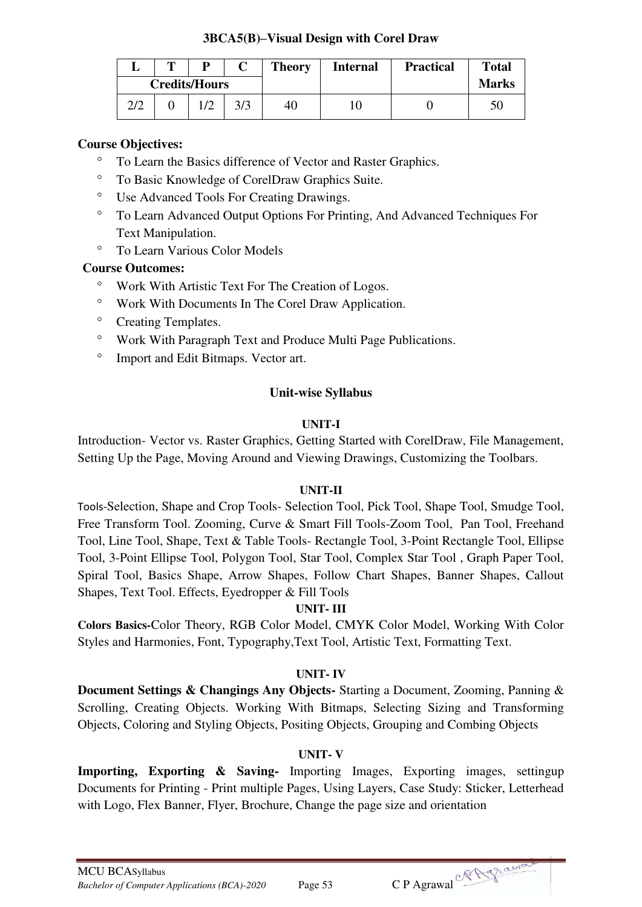## **3BCA5(B)–Visual Design with Corel Draw**

|     | m                    | D |     | <b>Theory</b> | <b>Internal</b> | <b>Practical</b> | <b>Total</b> |
|-----|----------------------|---|-----|---------------|-----------------|------------------|--------------|
|     | <b>Credits/Hours</b> |   |     |               |                 |                  | <b>Marks</b> |
| 2/2 |                      |   | 3/3 | 40            |                 |                  | 50           |

## **Course Objectives:**

- To Learn the Basics difference of Vector and Raster Graphics.
- To Basic Knowledge of CorelDraw Graphics Suite.
- Use Advanced Tools For Creating Drawings.
- To Learn Advanced Output Options For Printing, And Advanced Techniques For Text Manipulation.
- To Learn Various Color Models

# **Course Outcomes:**

- Work With Artistic Text For The Creation of Logos.
- Work With Documents In The Corel Draw Application.
- <sup>o</sup> Creating Templates.
- Work With Paragraph Text and Produce Multi Page Publications.
- <sup>o</sup> Import and Edit Bitmaps. Vector art.

# **Unit-wise Syllabus**

# **UNIT-I**

Introduction- Vector vs. Raster Graphics, Getting Started with CorelDraw, File Management, Setting Up the Page, Moving Around and Viewing Drawings, Customizing the Toolbars.

# **UNIT-II**

Tools-Selection, Shape and Crop Tools- Selection Tool, Pick Tool, Shape Tool, Smudge Tool, Free Transform Tool. Zooming, Curve & Smart Fill Tools-Zoom Tool, Pan Tool, Freehand Tool, Line Tool, Shape, Text & Table Tools- Rectangle Tool, 3-Point Rectangle Tool, Ellipse Tool, 3-Point Ellipse Tool, Polygon Tool, Star Tool, Complex Star Tool , Graph Paper Tool, Spiral Tool, Basics Shape, Arrow Shapes, Follow Chart Shapes, Banner Shapes, Callout Shapes, Text Tool. Effects, Eyedropper & Fill Tools

# **UNIT- III**

**Colors Basics-**Color Theory, RGB Color Model, CMYK Color Model, Working With Color Styles and Harmonies, Font, Typography,Text Tool, Artistic Text, Formatting Text.

# **UNIT- IV**

**Document Settings & Changings Any Objects-** Starting a Document, Zooming, Panning & Scrolling, Creating Objects. Working With Bitmaps, Selecting Sizing and Transforming Objects, Coloring and Styling Objects, Positing Objects, Grouping and Combing Objects

# **UNIT- V**

**Importing, Exporting & Saving-** Importing Images, Exporting images, settingup Documents for Printing - Print multiple Pages, Using Layers, Case Study: Sticker, Letterhead with Logo, Flex Banner, Flyer, Brochure, Change the page size and orientation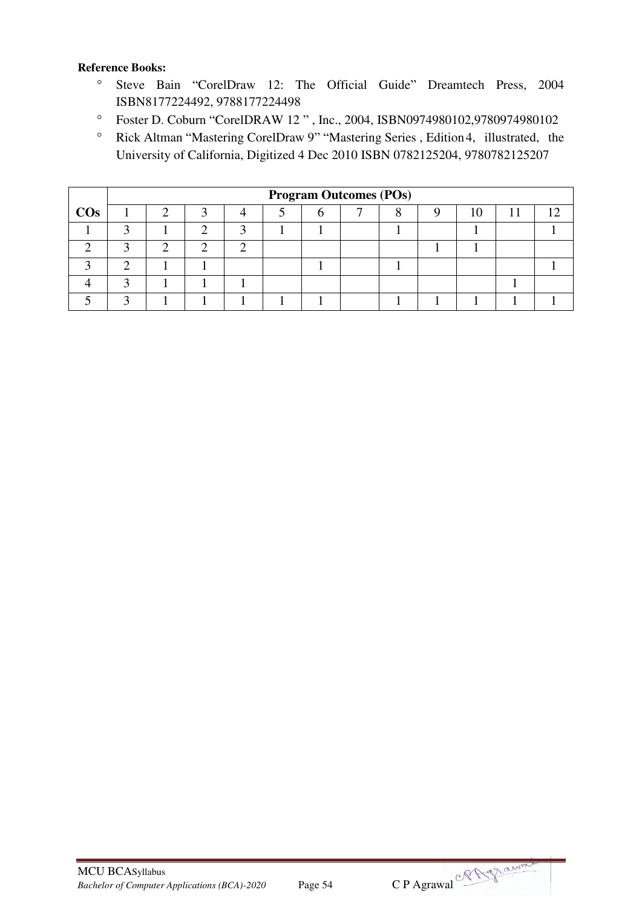#### **Reference Books:**

- Steve Bain "CorelDraw 12: The Official Guide" Dreamtech Press, 2004 ISBN8177224492, 9788177224498
- Foster D. Coburn "CorelDRAW 12 " , Inc., 2004, ISBN0974980102,9780974980102
- Rick Altman "Mastering CorelDraw 9" "Mastering Series , Edition 4, illustrated, the University of California, Digitized 4 Dec 2010 ISBN 0782125204, 9780782125207

|        |   |  |  | <b>Program Outcomes (POs)</b> |  |  |  |
|--------|---|--|--|-------------------------------|--|--|--|
| $\cos$ | ി |  |  |                               |  |  |  |
|        |   |  |  |                               |  |  |  |
|        |   |  |  |                               |  |  |  |
|        |   |  |  |                               |  |  |  |
|        |   |  |  |                               |  |  |  |
|        |   |  |  |                               |  |  |  |

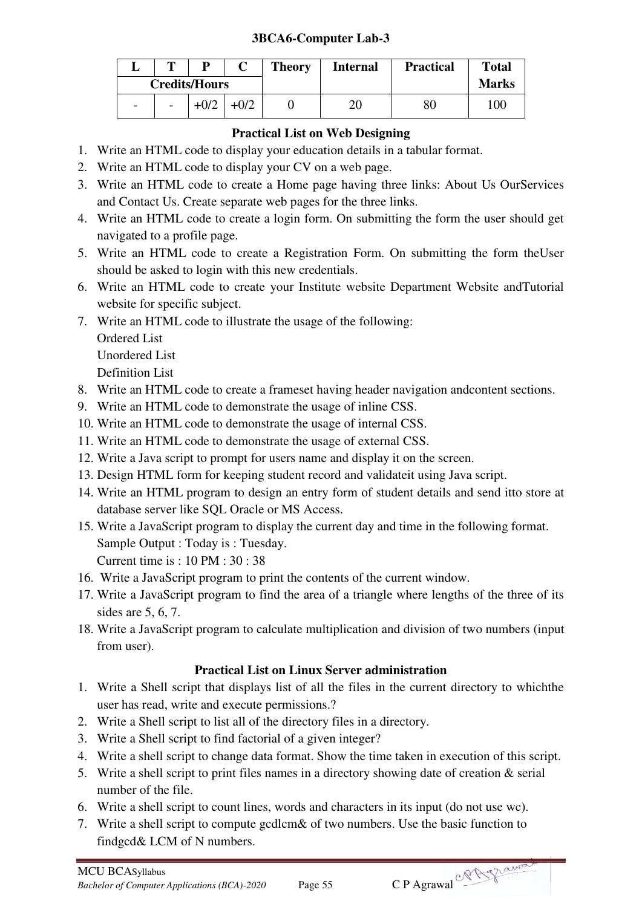# **3BCA6-Computer Lab-3**

|                          | m                        | D                    |        | <b>Theory</b> | <b>Internal</b> | <b>Practical</b> | <b>Total</b> |
|--------------------------|--------------------------|----------------------|--------|---------------|-----------------|------------------|--------------|
|                          |                          | <b>Credits/Hours</b> |        |               |                 |                  | <b>Marks</b> |
| $\overline{\phantom{0}}$ | $\overline{\phantom{a}}$ | $+0/2$               | $+0/2$ |               | 20              | 80               | 100          |

# **Practical List on Web Designing**

- 1. Write an HTML code to display your education details in a tabular format.
- 2. Write an HTML code to display your CV on a web page.
- 3. Write an HTML code to create a Home page having three links: About Us OurServices and Contact Us. Create separate web pages for the three links.
- 4. Write an HTML code to create a login form. On submitting the form the user should get navigated to a profile page.
- 5. Write an HTML code to create a Registration Form. On submitting the form theUser should be asked to login with this new credentials.
- 6. Write an HTML code to create your Institute website Department Website andTutorial website for specific subject.
- 7. Write an HTML code to illustrate the usage of the following: Ordered List Unordered List Definition List
- 8. Write an HTML code to create a frameset having header navigation andcontent sections.
- 9. Write an HTML code to demonstrate the usage of inline CSS.
- 10. Write an HTML code to demonstrate the usage of internal CSS.
- 11. Write an HTML code to demonstrate the usage of external CSS.
- 12. Write a Java script to prompt for users name and display it on the screen.
- 13. Design HTML form for keeping student record and validateit using Java script.
- 14. Write an HTML program to design an entry form of student details and send itto store at database server like SQL Oracle or MS Access.
- 15. Write a JavaScript program to display the current day and time in the following format. Sample Output : Today is : Tuesday. Current time is : 10 PM : 30 : 38
- 16. Write a JavaScript program to print the contents of the current window.
- 17. Write a JavaScript program to find the area of a triangle where lengths of the three of its sides are 5, 6, 7.
- 18. Write a JavaScript program to calculate multiplication and division of two numbers (input from user).

# **Practical List on Linux Server administration**

- 1. Write a Shell script that displays list of all the files in the current directory to whichthe user has read, write and execute permissions.?
- 2. Write a Shell script to list all of the directory files in a directory.
- 3. Write a Shell script to find factorial of a given integer?
- 4. Write a shell script to change data format. Show the time taken in execution of this script.
- 5. Write a shell script to print files names in a directory showing date of creation & serial number of the file.
- 6. Write a shell script to count lines, words and characters in its input (do not use wc).
- 7. Write a shell script to compute gcdlcm& of two numbers. Use the basic function to findgcd& LCM of N numbers.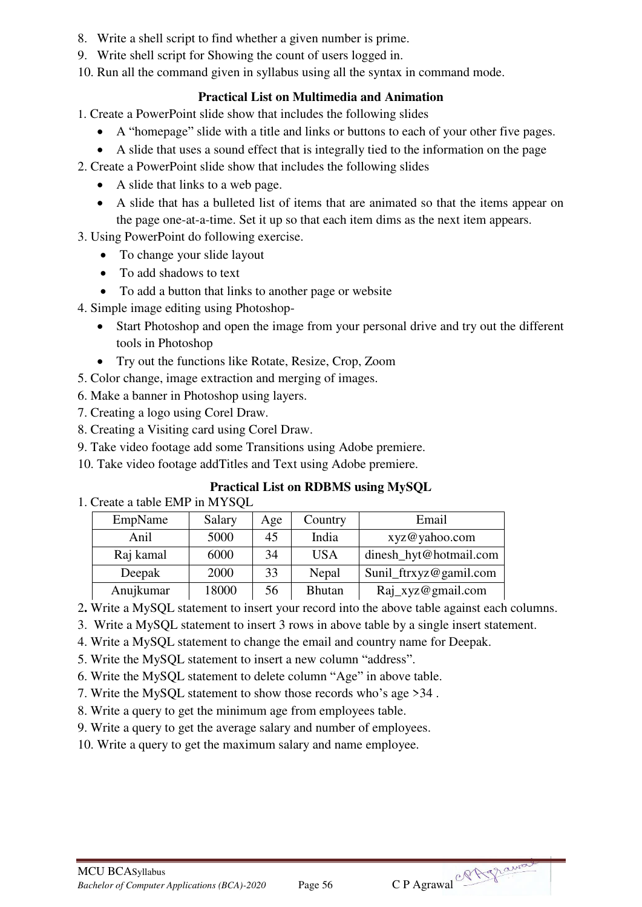- 8. Write a shell script to find whether a given number is prime.
- 9. Write shell script for Showing the count of users logged in.
- 10. Run all the command given in syllabus using all the syntax in command mode.

# **Practical List on Multimedia and Animation**

1. Create a PowerPoint slide show that includes the following slides

- A "homepage" slide with a title and links or buttons to each of your other five pages.
- A slide that uses a sound effect that is integrally tied to the information on the page

2. Create a PowerPoint slide show that includes the following slides

- A slide that links to a web page.
- A slide that has a bulleted list of items that are animated so that the items appear on the page one-at-a-time. Set it up so that each item dims as the next item appears.

3. Using PowerPoint do following exercise.

- To change your slide layout
- To add shadows to text
- To add a button that links to another page or website
- 4. Simple image editing using Photoshop-
	- Start Photoshop and open the image from your personal drive and try out the different tools in Photoshop
	- Try out the functions like Rotate, Resize, Crop, Zoom
- 5. Color change, image extraction and merging of images.
- 6. Make a banner in Photoshop using layers.
- 7. Creating a logo using Corel Draw.
- 8. Creating a Visiting card using Corel Draw.
- 9. Take video footage add some Transitions using Adobe premiere.
- 10. Take video footage addTitles and Text using Adobe premiere.

# **Practical List on RDBMS using MySQL**

1. Create a table EMP in MYSQL

| EmpName   | Salary | Age | Country       | Email                  |
|-----------|--------|-----|---------------|------------------------|
| Anil      | 5000   | 45  | India         | xyz@yahoo.com          |
| Raj kamal | 6000   | 34  | <b>USA</b>    | dinesh_hyt@hotmail.com |
| Deepak    | 2000   | 33  | Nepal         | Sunil_ftrxyz@gamil.com |
| Anujkumar | 18000  | 56  | <b>Bhutan</b> | Raj_xyz@gmail.com      |

- 2**.** Write a MySQL statement to insert your record into the above table against each columns.
- 3. Write a MySQL statement to insert 3 rows in above table by a single insert statement.
- 4. Write a MySQL statement to change the email and country name for Deepak.
- 5. Write the MySQL statement to insert a new column "address".
- 6. Write the MySQL statement to delete column "Age" in above table.
- 7. Write the MySQL statement to show those records who's age >34 .
- 8. Write a query to get the minimum age from employees table.
- 9. Write a query to get the average salary and number of employees.

10. Write a query to get the maximum salary and name employee.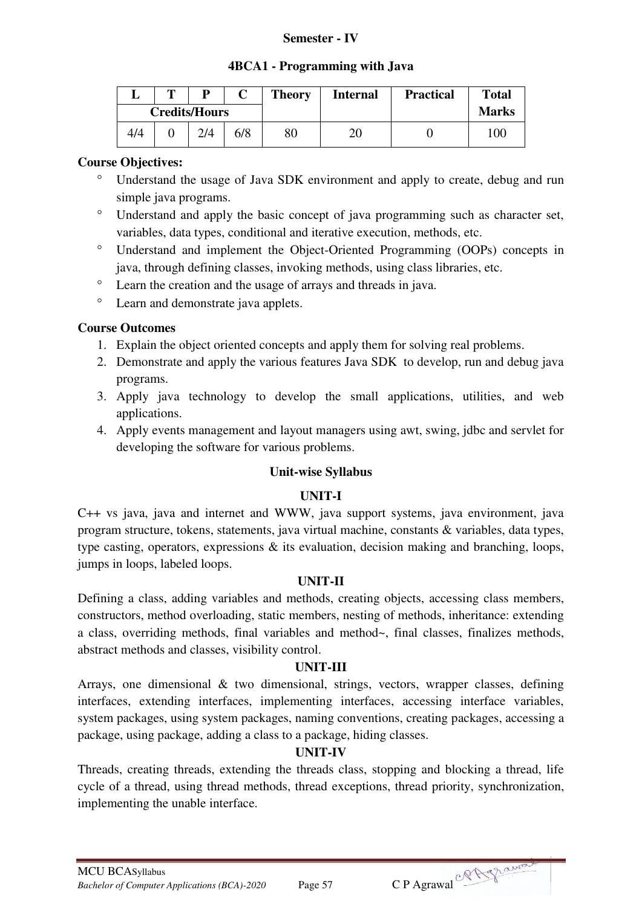#### **Semester - IV**

#### **4BCA1 - Programming with Java**

|     | m | D                    |     | <b>Theory</b> | <b>Internal</b> | <b>Practical</b> | <b>Total</b> |
|-----|---|----------------------|-----|---------------|-----------------|------------------|--------------|
|     |   | <b>Credits/Hours</b> |     |               |                 |                  | <b>Marks</b> |
| 4/4 |   | 2/4                  | 6/8 | 80            | 20              |                  | 100          |

## **Course Objectives:**

- Understand the usage of Java SDK environment and apply to create, debug and run simple java programs.
- Understand and apply the basic concept of java programming such as character set, variables, data types, conditional and iterative execution, methods, etc.
- Understand and implement the Object-Oriented Programming (OOPs) concepts in java, through defining classes, invoking methods, using class libraries, etc.
- Learn the creation and the usage of arrays and threads in java.
- Learn and demonstrate java applets.

## **Course Outcomes**

- 1. Explain the object oriented concepts and apply them for solving real problems.
- 2. Demonstrate and apply the various features Java SDK to develop, run and debug java programs.
- 3. Apply java technology to develop the small applications, utilities, and web applications.
- 4. Apply events management and layout managers using awt, swing, jdbc and servlet for developing the software for various problems.

#### **Unit-wise Syllabus**

# **UNIT-I**

C++ vs java, java and internet and WWW, java support systems, java environment, java program structure, tokens, statements, java virtual machine, constants & variables, data types, type casting, operators, expressions & its evaluation, decision making and branching, loops, jumps in loops, labeled loops.

#### **UNIT-II**

Defining a class, adding variables and methods, creating objects, accessing class members, constructors, method overloading, static members, nesting of methods, inheritance: extending a class, overriding methods, final variables and method~, final classes, finalizes methods, abstract methods and classes, visibility control.

## **UNIT-III**

Arrays, one dimensional & two dimensional, strings, vectors, wrapper classes, defining interfaces, extending interfaces, implementing interfaces, accessing interface variables, system packages, using system packages, naming conventions, creating packages, accessing a package, using package, adding a class to a package, hiding classes.

# **UNIT-IV**

Threads, creating threads, extending the threads class, stopping and blocking a thread, life cycle of a thread, using thread methods, thread exceptions, thread priority, synchronization, implementing the unable interface.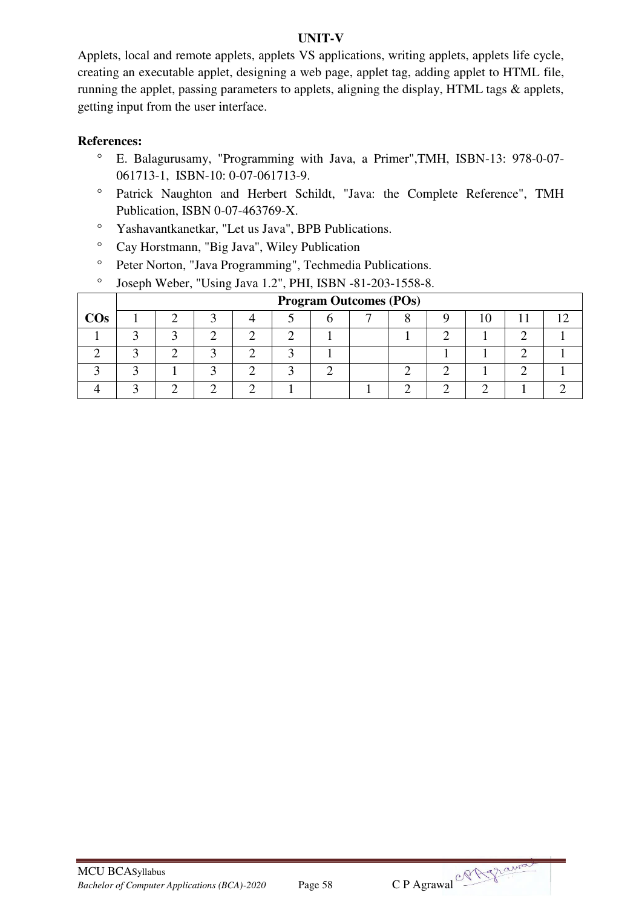#### **UNIT-V**

Applets, local and remote applets, applets VS applications, writing applets, applets life cycle, creating an executable applet, designing a web page, applet tag, adding applet to HTML file, running the applet, passing parameters to applets, aligning the display, HTML tags & applets, getting input from the user interface.

- E. Balagurusamy, "Programming with Java, a Primer",TMH, ISBN-13: 978-0-07- 061713-1, ISBN-10: 0-07-061713-9.
- Patrick Naughton and Herbert Schildt, "Java: the Complete Reference", TMH Publication, ISBN 0-07-463769-X.
- Yashavantkanetkar, "Let us Java", BPB Publications.
- Cay Horstmann, "Big Java", Wiley Publication
- <sup>o</sup> Peter Norton, "Java Programming", Techmedia Publications.
- Joseph Weber, "Using Java 1.2", PHI, ISBN -81-203-1558-8.

|        |  |  |  | <b>Program Outcomes (POs)</b> |  |  |  |
|--------|--|--|--|-------------------------------|--|--|--|
| $\cos$ |  |  |  |                               |  |  |  |
|        |  |  |  |                               |  |  |  |
|        |  |  |  |                               |  |  |  |
|        |  |  |  |                               |  |  |  |
|        |  |  |  |                               |  |  |  |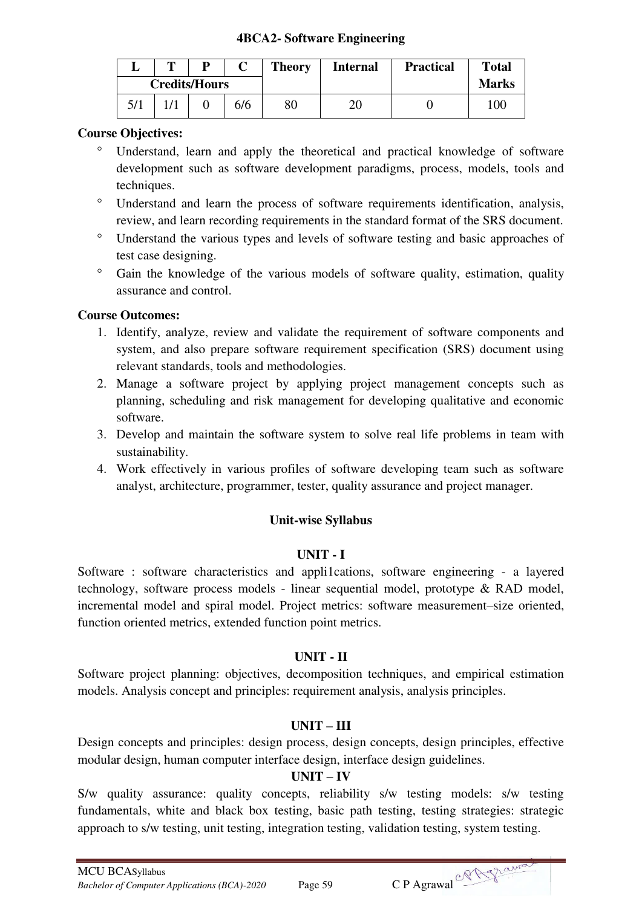#### **4BCA2- Software Engineering**

| m |                      |     | <b>Theory</b> | <b>Internal</b> | <b>Practical</b> | <b>Total</b> |
|---|----------------------|-----|---------------|-----------------|------------------|--------------|
|   | <b>Credits/Hours</b> |     |               |                 |                  | <b>Marks</b> |
|   |                      | 6/6 | 80            | 20              |                  | 100          |

#### **Course Objectives:**

- Understand, learn and apply the theoretical and practical knowledge of software development such as software development paradigms, process, models, tools and techniques.
- Understand and learn the process of software requirements identification, analysis, review, and learn recording requirements in the standard format of the SRS document.
- Understand the various types and levels of software testing and basic approaches of test case designing.
- <sup>o</sup> Gain the knowledge of the various models of software quality, estimation, quality assurance and control.

#### **Course Outcomes:**

- 1. Identify, analyze, review and validate the requirement of software components and system, and also prepare software requirement specification (SRS) document using relevant standards, tools and methodologies.
- 2. Manage a software project by applying project management concepts such as planning, scheduling and risk management for developing qualitative and economic software.
- 3. Develop and maintain the software system to solve real life problems in team with sustainability.
- 4. Work effectively in various profiles of software developing team such as software analyst, architecture, programmer, tester, quality assurance and project manager.

#### **Unit-wise Syllabus**

#### **UNIT - I**

Software : software characteristics and appli1cations, software engineering - a layered technology, software process models - linear sequential model, prototype & RAD model, incremental model and spiral model. Project metrics: software measurement–size oriented, function oriented metrics, extended function point metrics.

#### **UNIT - II**

Software project planning: objectives, decomposition techniques, and empirical estimation models. Analysis concept and principles: requirement analysis, analysis principles.

#### **UNIT – III**

Design concepts and principles: design process, design concepts, design principles, effective modular design, human computer interface design, interface design guidelines.

#### **UNIT – IV**

S/w quality assurance: quality concepts, reliability s/w testing models: s/w testing fundamentals, white and black box testing, basic path testing, testing strategies: strategic approach to s/w testing, unit testing, integration testing, validation testing, system testing.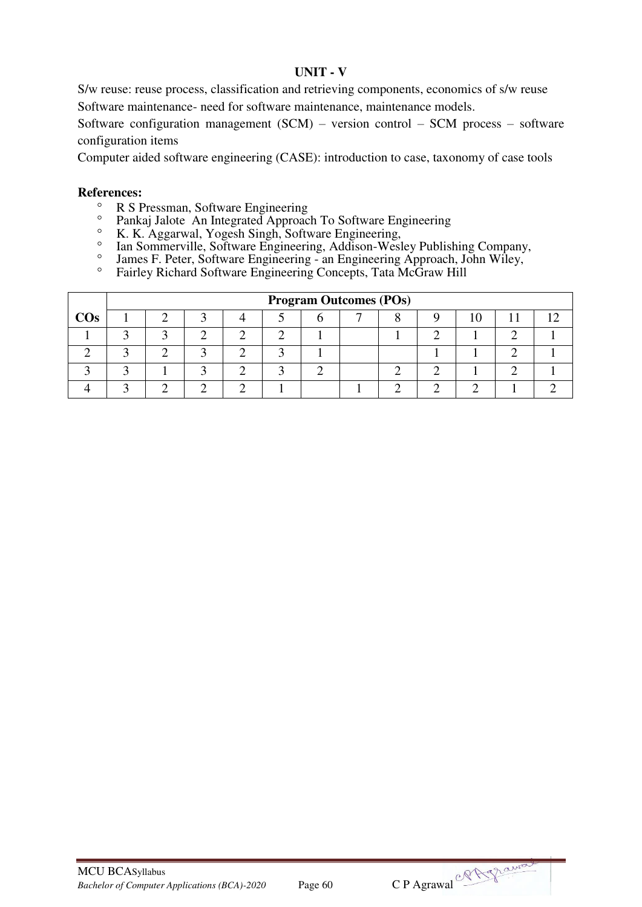#### **UNIT - V**

S/w reuse: reuse process, classification and retrieving components, economics of s/w reuse Software maintenance- need for software maintenance, maintenance models.

Software configuration management (SCM) – version control – SCM process – software configuration items

Computer aided software engineering (CASE): introduction to case, taxonomy of case tools

- $\degree$  R S Pressman, Software Engineering
- Pankaj Jalote An Integrated Approach To Software Engineering
- <sup>o</sup> K. K. Aggarwal, Yogesh Singh, Software Engineering,
- <sup>o</sup> Ian Sommerville, Software Engineering, Addison-Wesley Publishing Company,
- James F. Peter, Software Engineering an Engineering Approach, John Wiley,
- Fairley Richard Software Engineering Concepts, Tata McGraw Hill

|        |  |  |  | <b>Program Outcomes (POs)</b> |  |  |  |
|--------|--|--|--|-------------------------------|--|--|--|
| $\cos$ |  |  |  |                               |  |  |  |
|        |  |  |  |                               |  |  |  |
|        |  |  |  |                               |  |  |  |
|        |  |  |  |                               |  |  |  |
|        |  |  |  |                               |  |  |  |

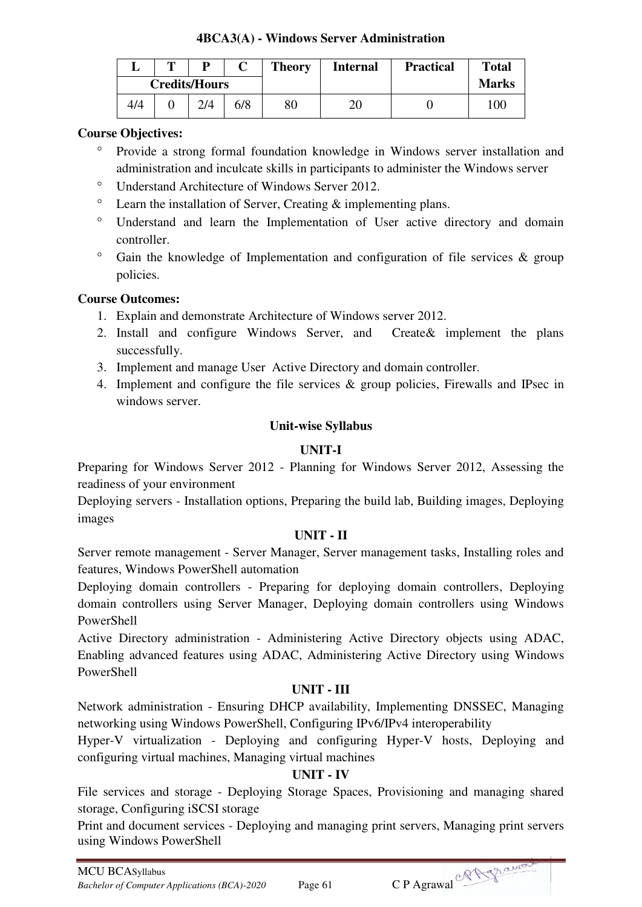## **4BCA3(A) - Windows Server Administration**

|     | m | D                    |     | <b>Theory</b> | <b>Internal</b> | <b>Practical</b> | <b>Total</b> |
|-----|---|----------------------|-----|---------------|-----------------|------------------|--------------|
|     |   | <b>Credits/Hours</b> |     |               |                 |                  | <b>Marks</b> |
| 4/4 |   | 2/4                  | 6/8 | 80            | 20              |                  | 100          |

## **Course Objectives:**

- Provide a strong formal foundation knowledge in Windows server installation and administration and inculcate skills in participants to administer the Windows server
- Understand Architecture of Windows Server 2012.
- $\degree$  Learn the installation of Server, Creating & implementing plans.
- Understand and learn the Implementation of User active directory and domain controller.
- $\degree$  Gain the knowledge of Implementation and configuration of file services & group policies.

# **Course Outcomes:**

- 1. Explain and demonstrate Architecture of Windows server 2012.
- 2. Install and configure Windows Server, and Create& implement the plans successfully.
- 3. Implement and manage User Active Directory and domain controller.
- 4. Implement and configure the file services & group policies, Firewalls and IPsec in windows server.

# **Unit-wise Syllabus**

# **UNIT-I**

Preparing for Windows Server 2012 - Planning for Windows Server 2012, Assessing the readiness of your environment

Deploying servers - Installation options, Preparing the build lab, Building images, Deploying images

# **UNIT - II**

Server remote management - Server Manager, Server management tasks, Installing roles and features, Windows PowerShell automation

Deploying domain controllers - Preparing for deploying domain controllers, Deploying domain controllers using Server Manager, Deploying domain controllers using Windows PowerShell

Active Directory administration - Administering Active Directory objects using ADAC, Enabling advanced features using ADAC, Administering Active Directory using Windows PowerShell

# **UNIT - III**

Network administration - Ensuring DHCP availability, Implementing DNSSEC, Managing networking using Windows PowerShell, Configuring IPv6/IPv4 interoperability

Hyper-V virtualization - Deploying and configuring Hyper-V hosts, Deploying and configuring virtual machines, Managing virtual machines

# **UNIT - IV**

File services and storage - Deploying Storage Spaces, Provisioning and managing shared storage, Configuring iSCSI storage

Print and document services - Deploying and managing print servers, Managing print servers using Windows PowerShell

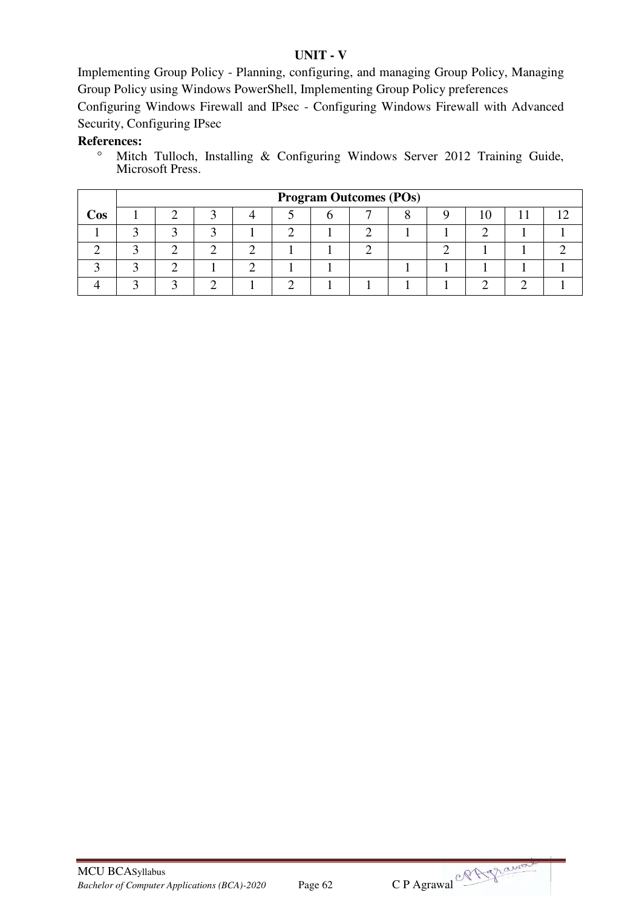#### **UNIT - V**

Implementing Group Policy - Planning, configuring, and managing Group Policy, Managing Group Policy using Windows PowerShell, Implementing Group Policy preferences

Configuring Windows Firewall and IPsec - Configuring Windows Firewall with Advanced Security, Configuring IPsec

# **References:**

<sup>o</sup> Mitch Tulloch, Installing & Configuring Windows Server 2012 Training Guide, Microsoft Press.

|     | <b>Program Outcomes (POs)</b> |  |  |  |  |  |  |  |  |  |  |  |  |
|-----|-------------------------------|--|--|--|--|--|--|--|--|--|--|--|--|
| Cos |                               |  |  |  |  |  |  |  |  |  |  |  |  |
|     |                               |  |  |  |  |  |  |  |  |  |  |  |  |
|     |                               |  |  |  |  |  |  |  |  |  |  |  |  |
|     |                               |  |  |  |  |  |  |  |  |  |  |  |  |
|     |                               |  |  |  |  |  |  |  |  |  |  |  |  |

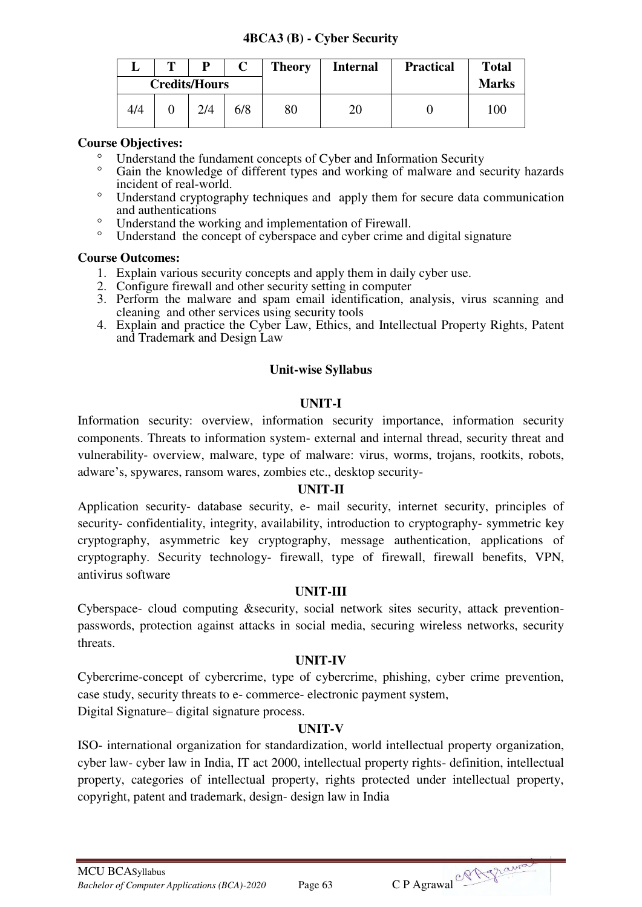## **4BCA3 (B) - Cyber Security**

|     | m | D                    |     | <b>Theory</b> | <b>Internal</b> | <b>Practical</b> | <b>Total</b> |
|-----|---|----------------------|-----|---------------|-----------------|------------------|--------------|
|     |   | <b>Credits/Hours</b> |     |               |                 |                  | <b>Marks</b> |
| 4/4 |   | 2/4                  | 6/8 | 80            | 20              |                  | 100          |

## **Course Objectives:**

- Understand the fundament concepts of Cyber and Information Security
- Gain the knowledge of different types and working of malware and security hazards incident of real-world.
- Understand cryptography techniques and apply them for secure data communication and authentications
- Understand the working and implementation of Firewall.
- Understand the concept of cyberspace and cyber crime and digital signature

#### **Course Outcomes:**

- 1. Explain various security concepts and apply them in daily cyber use.
- 2. Configure firewall and other security setting in computer
- 3. Perform the malware and spam email identification, analysis, virus scanning and cleaning and other services using security tools
- 4. Explain and practice the Cyber Law, Ethics, and Intellectual Property Rights, Patent and Trademark and Design Law

## **Unit-wise Syllabus**

## **UNIT-I**

Information security: overview, information security importance, information security components. Threats to information system- external and internal thread, security threat and vulnerability- overview, malware, type of malware: virus, worms, trojans, rootkits, robots, adware's, spywares, ransom wares, zombies etc., desktop security-

#### **UNIT-II**

Application security- database security, e- mail security, internet security, principles of security- confidentiality, integrity, availability, introduction to cryptography- symmetric key cryptography, asymmetric key cryptography, message authentication, applications of cryptography. Security technology- firewall, type of firewall, firewall benefits, VPN, antivirus software

#### **UNIT-III**

Cyberspace- cloud computing &security, social network sites security, attack preventionpasswords, protection against attacks in social media, securing wireless networks, security threats.

#### **UNIT-IV**

Cybercrime-concept of cybercrime, type of cybercrime, phishing, cyber crime prevention, case study, security threats to e- commerce- electronic payment system,

Digital Signature– digital signature process.

# **UNIT-V**

ISO- international organization for standardization, world intellectual property organization, cyber law- cyber law in India, IT act 2000, intellectual property rights- definition, intellectual property, categories of intellectual property, rights protected under intellectual property, copyright, patent and trademark, design- design law in India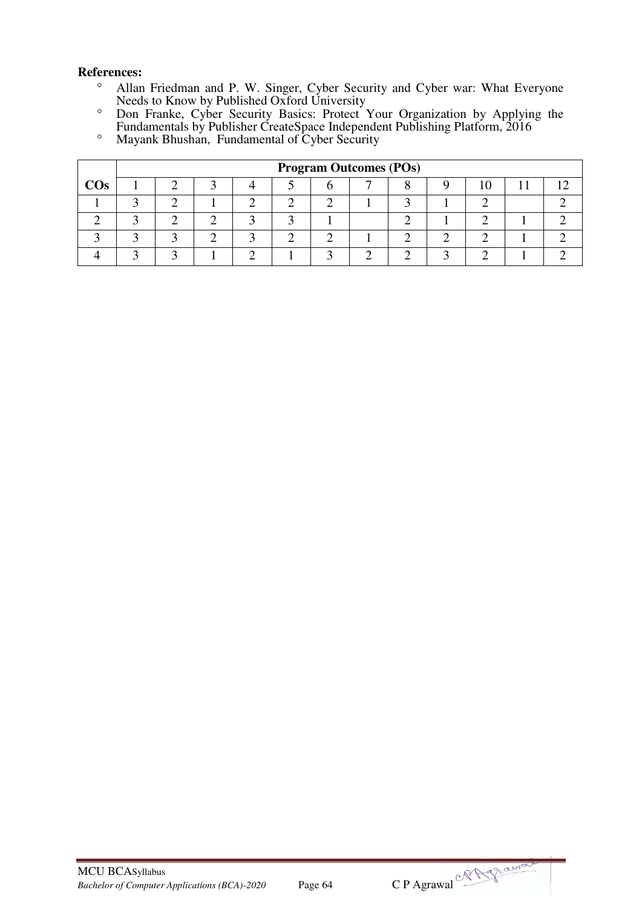- Allan Friedman and P. W. Singer, Cyber Security and Cyber war: What Everyone Needs to Know by Published Oxford University
- Don Franke, Cyber Security Basics: Protect Your Organization by Applying the Fundamentals by Publisher CreateSpace Independent Publishing Platform, 2016
- Mayank Bhushan, Fundamental of Cyber Security

|        |  |  |  | <b>Program Outcomes (POs)</b> |  |  |  |
|--------|--|--|--|-------------------------------|--|--|--|
| $\cos$ |  |  |  |                               |  |  |  |
|        |  |  |  |                               |  |  |  |
|        |  |  |  |                               |  |  |  |
|        |  |  |  |                               |  |  |  |
|        |  |  |  |                               |  |  |  |



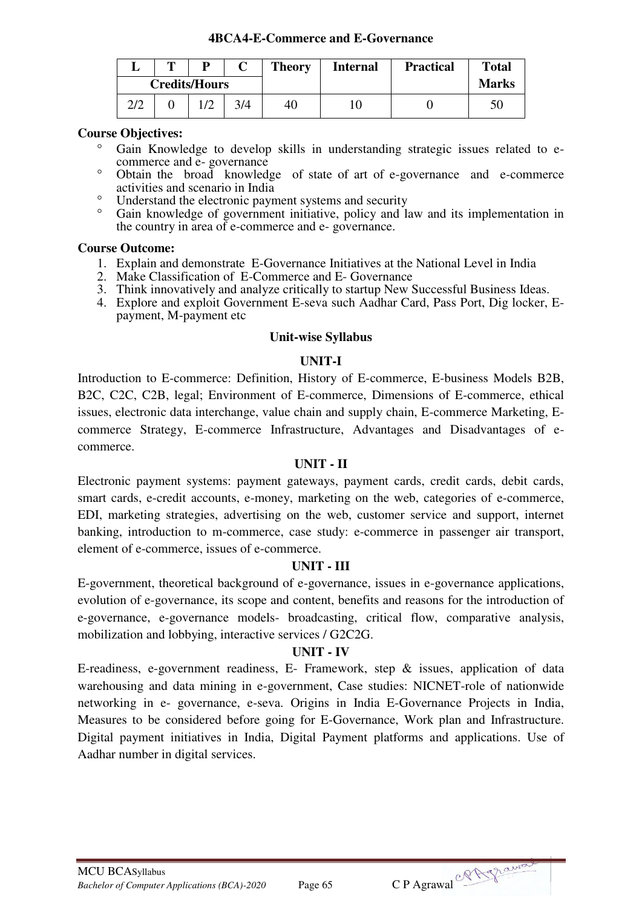#### **4BCA4-E-Commerce and E-Governance**

|     | m |                      |     | <b>Theory</b> | <b>Internal</b> | <b>Practical</b> | <b>Total</b> |
|-----|---|----------------------|-----|---------------|-----------------|------------------|--------------|
|     |   | <b>Credits/Hours</b> |     |               |                 |                  | <b>Marks</b> |
| 2/2 |   |                      | 3/4 | 40            |                 |                  |              |

#### **Course Objectives:**

- Gain Knowledge to develop skills in understanding strategic issues related to ecommerce and e- governance
- Obtain the broad knowledge of state of art of e-governance and e-commerce activities and scenario in India
- <sup>o</sup> Understand the electronic payment systems and security
- Gain knowledge of government initiative, policy and law and its implementation in the country in area of e-commerce and e- governance.

#### **Course Outcome:**

- 1. Explain and demonstrate E-Governance Initiatives at the National Level in India
- 2. Make Classification of E-Commerce and E- Governance
- 3. Think innovatively and analyze critically to startup New Successful Business Ideas.
- 4. Explore and exploit Government E-seva such Aadhar Card, Pass Port, Dig locker, Epayment, M-payment etc

#### **Unit-wise Syllabus**

## **UNIT-I**

Introduction to E-commerce: Definition, History of E-commerce, E-business Models B2B, B2C, C2C, C2B, legal; Environment of E-commerce, Dimensions of E-commerce, ethical issues, electronic data interchange, value chain and supply chain, E-commerce Marketing, Ecommerce Strategy, E-commerce Infrastructure, Advantages and Disadvantages of ecommerce.

#### **UNIT - II**

Electronic payment systems: payment gateways, payment cards, credit cards, debit cards, smart cards, e-credit accounts, e-money, marketing on the web, categories of e-commerce, EDI, marketing strategies, advertising on the web, customer service and support, internet banking, introduction to m-commerce, case study: e-commerce in passenger air transport, element of e-commerce, issues of e-commerce.

#### **UNIT - III**

E-government, theoretical background of e-governance, issues in e-governance applications, evolution of e-governance, its scope and content, benefits and reasons for the introduction of e-governance, e-governance models- broadcasting, critical flow, comparative analysis, mobilization and lobbying, interactive services / G2C2G.

#### **UNIT - IV**

E-readiness, e-government readiness, E- Framework, step & issues, application of data warehousing and data mining in e-government, Case studies: NICNET-role of nationwide networking in e- governance, e-seva. Origins in India E-Governance Projects in India, Measures to be considered before going for E-Governance, Work plan and Infrastructure. Digital payment initiatives in India, Digital Payment platforms and applications. Use of Aadhar number in digital services.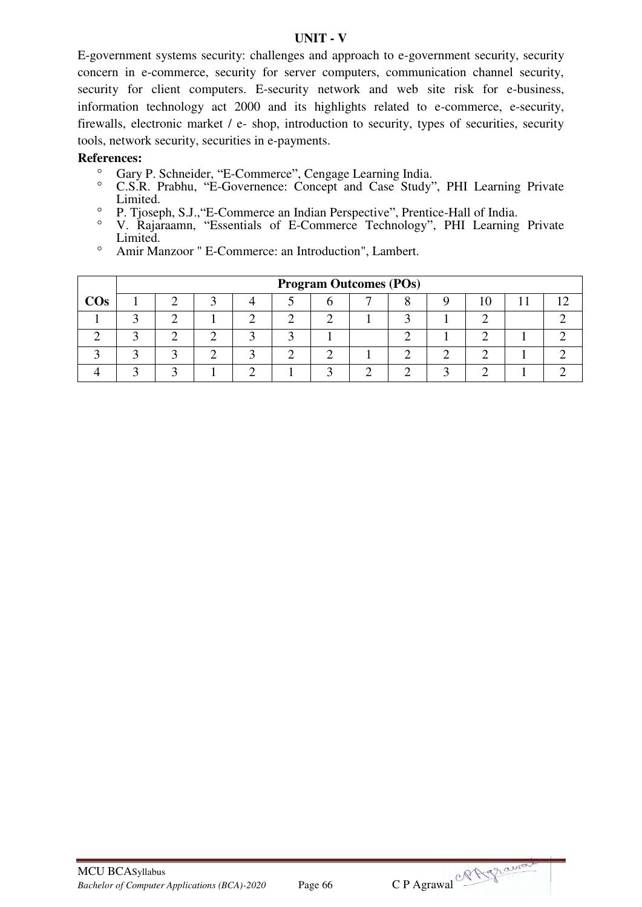#### **UNIT - V**

E-government systems security: challenges and approach to e-government security, security concern in e-commerce, security for server computers, communication channel security, security for client computers. E-security network and web site risk for e-business, information technology act 2000 and its highlights related to e-commerce, e-security, firewalls, electronic market / e- shop, introduction to security, types of securities, security tools, network security, securities in e-payments.

- <sup>o</sup> Gary P. Schneider, "E-Commerce", Cengage Learning India.<br>
C. S. R. Prabby, "E-Governence: Concent and Case Study"
- C.S.R. Prabhu, "E-Governence: Concept and Case Study", PHI Learning Private Limited.
- P. Tjoseph, S.J.,"E-Commerce an Indian Perspective", Prentice-Hall of India.
- <sup>o</sup> V. Rajaraamn, "Essentials of E-Commerce Technology", PHI Learning Private Limited.
- Amir Manzoor " E-Commerce: an Introduction", Lambert.

|        | <b>Program Outcomes (POs)</b> |  |  |  |  |  |  |  |  |  |  |  |  |
|--------|-------------------------------|--|--|--|--|--|--|--|--|--|--|--|--|
| $\cos$ |                               |  |  |  |  |  |  |  |  |  |  |  |  |
|        |                               |  |  |  |  |  |  |  |  |  |  |  |  |
|        |                               |  |  |  |  |  |  |  |  |  |  |  |  |
|        |                               |  |  |  |  |  |  |  |  |  |  |  |  |
|        |                               |  |  |  |  |  |  |  |  |  |  |  |  |

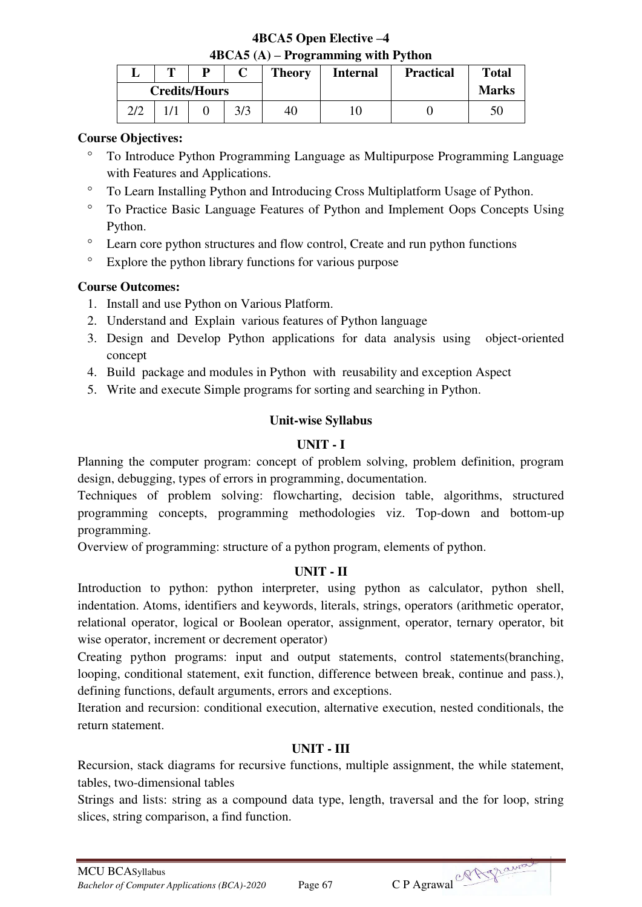## **4BCA5 Open Elective –4 4BCA5 (A) – Programming with Python**

|      | m | ח                    |     | <b>Theory</b> | <b>Internal</b> | <b>Practical</b> | <b>Total</b> |
|------|---|----------------------|-----|---------------|-----------------|------------------|--------------|
|      |   | <b>Credits/Hours</b> |     |               |                 |                  | <b>Marks</b> |
| רו ר |   |                      | 3/3 | 40            |                 |                  | 50           |

## **Course Objectives:**

- To Introduce Python Programming Language as Multipurpose Programming Language with Features and Applications.
- To Learn Installing Python and Introducing Cross Multiplatform Usage of Python.
- To Practice Basic Language Features of Python and Implement Oops Concepts Using Python.
- Learn core python structures and flow control, Create and run python functions
- <sup>o</sup> Explore the python library functions for various purpose

# **Course Outcomes:**

- 1. Install and use Python on Various Platform.
- 2. Understand and Explain various features of Python language
- 3. Design and Develop Python applications for data analysis using object‐oriented concept
- 4. Build package and modules in Python with reusability and exception Aspect
- 5. Write and execute Simple programs for sorting and searching in Python.

# **Unit-wise Syllabus**

# **UNIT - I**

Planning the computer program: concept of problem solving, problem definition, program design, debugging, types of errors in programming, documentation.

Techniques of problem solving: flowcharting, decision table, algorithms, structured programming concepts, programming methodologies viz. Top-down and bottom-up programming.

Overview of programming: structure of a python program, elements of python.

# **UNIT - II**

Introduction to python: python interpreter, using python as calculator, python shell, indentation. Atoms, identifiers and keywords, literals, strings, operators (arithmetic operator, relational operator, logical or Boolean operator, assignment, operator, ternary operator, bit wise operator, increment or decrement operator)

Creating python programs: input and output statements, control statements(branching, looping, conditional statement, exit function, difference between break, continue and pass.), defining functions, default arguments, errors and exceptions.

Iteration and recursion: conditional execution, alternative execution, nested conditionals, the return statement.

# **UNIT - III**

Recursion, stack diagrams for recursive functions, multiple assignment, the while statement, tables, two-dimensional tables

Strings and lists: string as a compound data type, length, traversal and the for loop, string slices, string comparison, a find function.

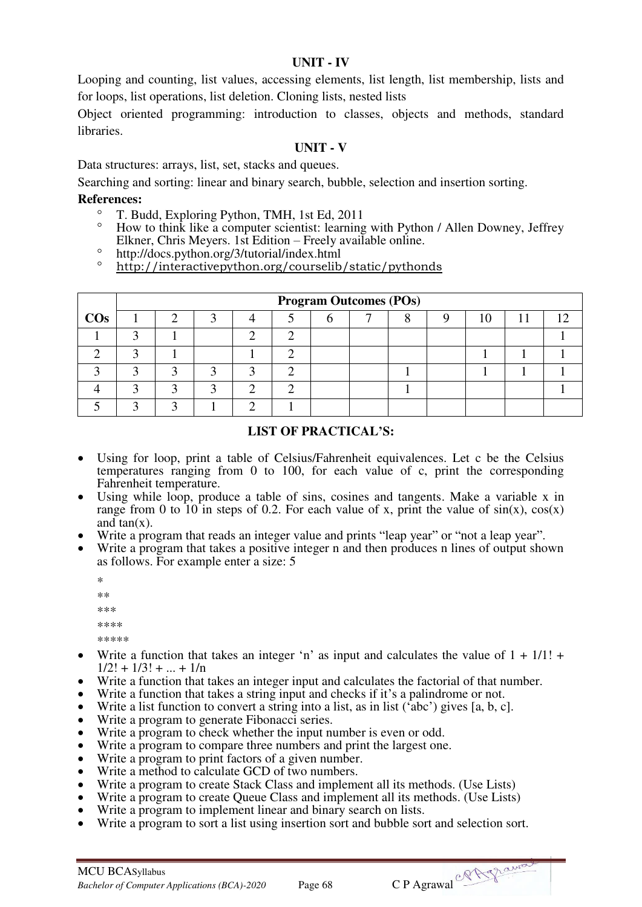## **UNIT - IV**

Looping and counting, list values, accessing elements, list length, list membership, lists and for loops, list operations, list deletion. Cloning lists, nested lists

Object oriented programming: introduction to classes, objects and methods, standard libraries.

## **UNIT - V**

Data structures: arrays, list, set, stacks and queues.

Searching and sorting: linear and binary search, bubble, selection and insertion sorting.

# **References:**

- T. Budd, Exploring Python, TMH, 1st Ed, 2011
- How to think like a computer scientist: learning with Python / Allen Downey, Jeffrey Elkner, Chris Meyers. 1st Edition – Freely available online.
- <sup>o</sup> http://docs.python.org/3/tutorial/index.html
- <http://interactivepython.org/courselib/static/pythonds>

|        |  |   |  | <b>Program Outcomes (POs)</b> |  |  |  |
|--------|--|---|--|-------------------------------|--|--|--|
| $\cos$ |  |   |  |                               |  |  |  |
|        |  |   |  |                               |  |  |  |
|        |  |   |  |                               |  |  |  |
|        |  |   |  |                               |  |  |  |
|        |  | n |  |                               |  |  |  |
|        |  |   |  |                               |  |  |  |

## **LIST OF PRACTICAL'S:**

- Using for loop, print a table of Celsius/Fahrenheit equivalences. Let c be the Celsius temperatures ranging from 0 to 100, for each value of c, print the corresponding Fahrenheit temperature.
- Using while loop, produce a table of sins, cosines and tangents. Make a variable x in range from 0 to 10 in steps of 0.2. For each value of x, print the value of  $sin(x)$ ,  $cos(x)$ and  $tan(x)$ .
- Write a program that reads an integer value and prints "leap year" or "not a leap year".
- Write a program that takes a positive integer n and then produces n lines of output shown as follows. For example enter a size: 5
	- \* \*\* \*\*\* \*\*\*\* \*\*\*\*\*
- Write a function that takes an integer 'n' as input and calculates the value of  $1 + 1/1!$  +  $1/2! + 1/3! + ... + 1/n$
- Write a function that takes an integer input and calculates the factorial of that number.
- Write a function that takes a string input and checks if it's a palindrome or not.
- Write a list function to convert a string into a list, as in list ('abc') gives [a, b, c].
- Write a program to generate Fibonacci series.
- Write a program to check whether the input number is even or odd.
- Write a program to compare three numbers and print the largest one.
- Write a program to print factors of a given number.
- Write a method to calculate GCD of two numbers.
- Write a program to create Stack Class and implement all its methods. (Use Lists)
- Write a program to create Queue Class and implement all its methods. (Use Lists)
- Write a program to implement linear and binary search on lists.
- Write a program to sort a list using insertion sort and bubble sort and selection sort.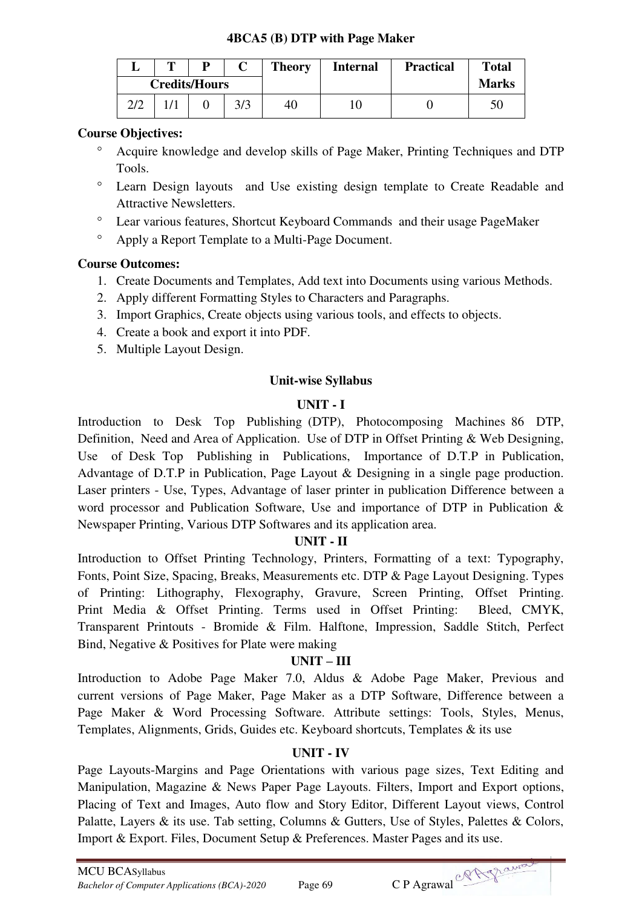#### **4BCA5 (B) DTP with Page Maker**

|     | m | D                    | <b>Theory</b> | <b>Internal</b> | <b>Practical</b> | <b>Total</b> |
|-----|---|----------------------|---------------|-----------------|------------------|--------------|
|     |   | <b>Credits/Hours</b> |               |                 |                  | <b>Marks</b> |
| 2/2 |   |                      | 40            | 10              |                  | 50           |

## **Course Objectives:**

- Acquire knowledge and develop skills of Page Maker, Printing Techniques and DTP Tools.
- Learn Design layouts and Use existing design template to Create Readable and Attractive Newsletters.
- Lear various features, Shortcut Keyboard Commands and their usage PageMaker
- Apply a Report Template to a Multi-Page Document.

## **Course Outcomes:**

- 1. Create Documents and Templates, Add text into Documents using various Methods.
- 2. Apply different Formatting Styles to Characters and Paragraphs.
- 3. Import Graphics, Create objects using various tools, and effects to objects.
- 4. Create a book and export it into PDF.
- 5. Multiple Layout Design.

## **Unit-wise Syllabus**

#### **UNIT - I**

Introduction to Desk Top Publishing (DTP), Photocomposing Machines 86 DTP, Definition, Need and Area of Application. Use of DTP in Offset Printing & Web Designing, Use of Desk Top Publishing in Publications, Importance of D.T.P in Publication, Advantage of D.T.P in Publication, Page Layout & Designing in a single page production. Laser printers - Use, Types, Advantage of laser printer in publication Difference between a word processor and Publication Software, Use and importance of DTP in Publication & Newspaper Printing, Various DTP Softwares and its application area.

#### **UNIT - II**

Introduction to Offset Printing Technology, Printers, Formatting of a text: Typography, Fonts, Point Size, Spacing, Breaks, Measurements etc. DTP & Page Layout Designing. Types of Printing: Lithography, Flexography, Gravure, Screen Printing, Offset Printing. Print Media & Offset Printing. Terms used in Offset Printing: Bleed, CMYK, Transparent Printouts - Bromide & Film. Halftone, Impression, Saddle Stitch, Perfect Bind, Negative & Positives for Plate were making

#### **UNIT – III**

Introduction to Adobe Page Maker 7.0, Aldus & Adobe Page Maker, Previous and current versions of Page Maker, Page Maker as a DTP Software, Difference between a Page Maker & Word Processing Software. Attribute settings: Tools, Styles, Menus, Templates, Alignments, Grids, Guides etc. Keyboard shortcuts, Templates & its use

#### **UNIT - IV**

Page Layouts-Margins and Page Orientations with various page sizes, Text Editing and Manipulation, Magazine & News Paper Page Layouts. Filters, Import and Export options, Placing of Text and Images, Auto flow and Story Editor, Different Layout views, Control Palatte, Layers & its use. Tab setting, Columns & Gutters, Use of Styles, Palettes & Colors, Import & Export. Files, Document Setup & Preferences. Master Pages and its use.

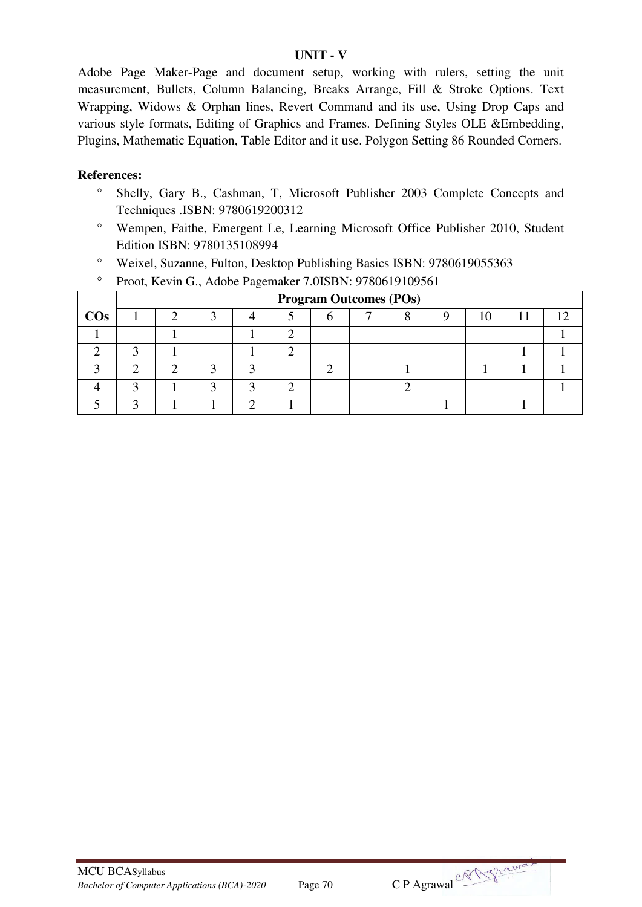#### **UNIT - V**

Adobe Page Maker-Page and document setup, working with rulers, setting the unit measurement, Bullets, Column Balancing, Breaks Arrange, Fill & Stroke Options. Text Wrapping, Widows & Orphan lines, Revert Command and its use, Using Drop Caps and various style formats, Editing of Graphics and Frames. Defining Styles OLE &Embedding, Plugins, Mathematic Equation, Table Editor and it use. Polygon Setting 86 Rounded Corners.

- Shelly, Gary B., Cashman, T, Microsoft Publisher 2003 Complete Concepts and Techniques .ISBN: 9780619200312
- Wempen, Faithe, Emergent Le, Learning Microsoft Office Publisher 2010, Student Edition ISBN: 9780135108994
- Weixel, Suzanne, Fulton, Desktop Publishing Basics ISBN: 9780619055363
- <sup>o</sup> Proot, Kevin G., [Adobe Pagemaker 7.0I](https://www.valorebooks.com/textbooks/adobe-pagemaker-70/9780619109561)SBN: 9780619109561

|        | <b>Program Outcomes (POs)</b> |  |  |  |  |  |  |  |  |  |  |  |
|--------|-------------------------------|--|--|--|--|--|--|--|--|--|--|--|
| $\cos$ |                               |  |  |  |  |  |  |  |  |  |  |  |
|        |                               |  |  |  |  |  |  |  |  |  |  |  |
|        |                               |  |  |  |  |  |  |  |  |  |  |  |
|        |                               |  |  |  |  |  |  |  |  |  |  |  |
|        |                               |  |  |  |  |  |  |  |  |  |  |  |
|        |                               |  |  |  |  |  |  |  |  |  |  |  |

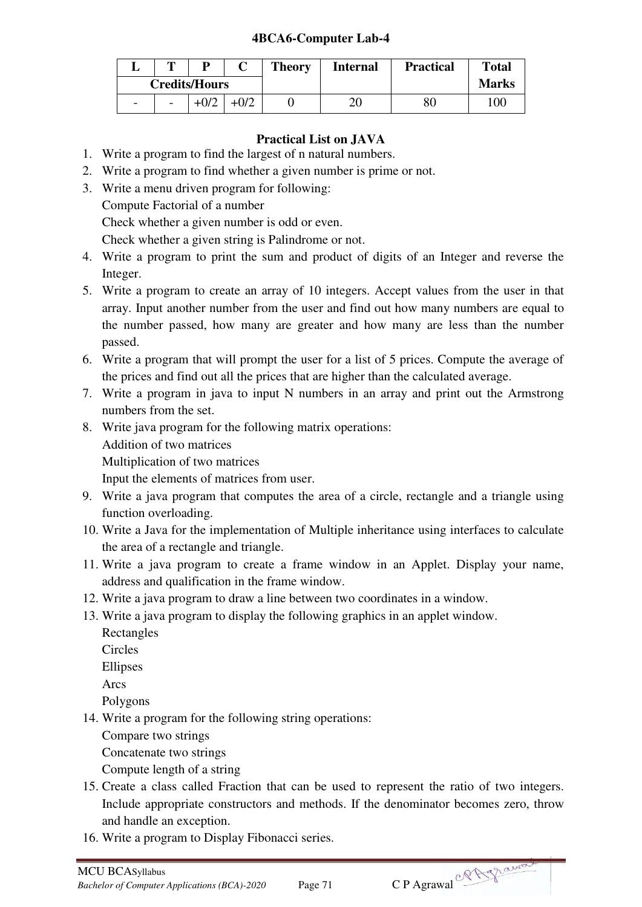## **4BCA6-Computer Lab-4**

|                          | m                        | D      |  | <b>Theory</b> | <b>Internal</b> | <b>Practical</b> | <b>Total</b> |
|--------------------------|--------------------------|--------|--|---------------|-----------------|------------------|--------------|
| <b>Credits/Hours</b>     |                          |        |  |               |                 |                  | <b>Marks</b> |
| $\overline{\phantom{0}}$ | $\overline{\phantom{a}}$ | $+0/2$ |  |               | 20              | 80               | 100          |

# **Practical List on JAVA**

- 1. Write a program to find the largest of n natural numbers.
- 2. Write a program to find whether a given number is prime or not.
- 3. Write a menu driven program for following:
	- Compute Factorial of a number

Check whether a given number is odd or even.

Check whether a given string is Palindrome or not.

- 4. Write a program to print the sum and product of digits of an Integer and reverse the Integer.
- 5. Write a program to create an array of 10 integers. Accept values from the user in that array. Input another number from the user and find out how many numbers are equal to the number passed, how many are greater and how many are less than the number passed.
- 6. Write a program that will prompt the user for a list of 5 prices. Compute the average of the prices and find out all the prices that are higher than the calculated average.
- 7. Write a program in java to input N numbers in an array and print out the Armstrong numbers from the set.
- 8. Write java program for the following matrix operations: Addition of two matrices Multiplication of two matrices

Input the elements of matrices from user.

- 9. Write a java program that computes the area of a circle, rectangle and a triangle using function overloading.
- 10. Write a Java for the implementation of Multiple inheritance using interfaces to calculate the area of a rectangle and triangle.
- 11. Write a java program to create a frame window in an Applet. Display your name, address and qualification in the frame window.
- 12. Write a java program to draw a line between two coordinates in a window.
- 13. Write a java program to display the following graphics in an applet window.
	- Rectangles
	- Circles

Ellipses

Arcs

Polygons

14. Write a program for the following string operations:

Compare two strings

Concatenate two strings

Compute length of a string

- 15. Create a class called Fraction that can be used to represent the ratio of two integers. Include appropriate constructors and methods. If the denominator becomes zero, throw and handle an exception.
- 16. Write a program to Display Fibonacci series.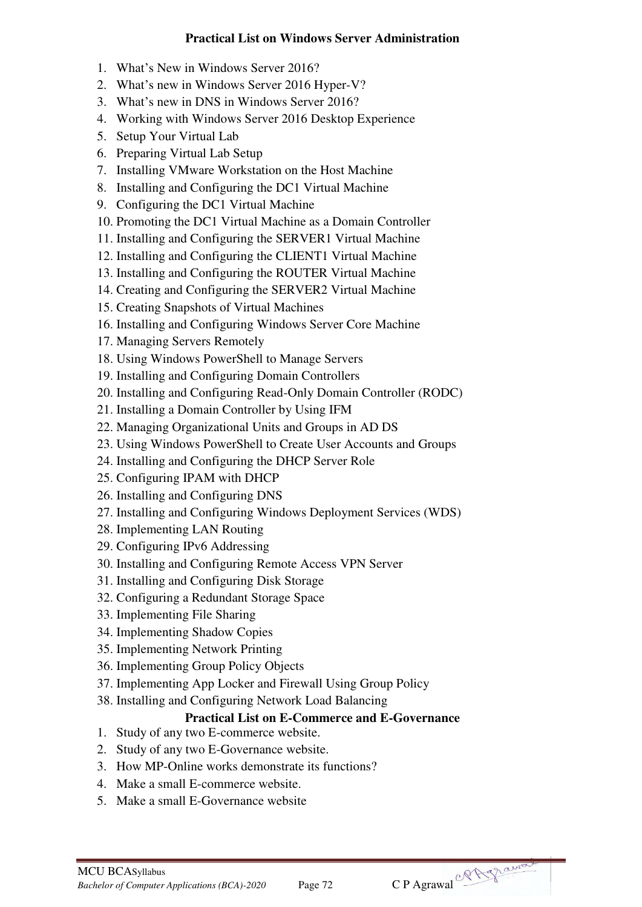## **Practical List on Windows Server Administration**

- 1. What's New in Windows Server 2016?
- 2. What's new in Windows Server 2016 Hyper-V?
- 3. What's new in DNS in Windows Server 2016?
- 4. Working with Windows Server 2016 Desktop Experience
- 5. Setup Your Virtual Lab
- 6. Preparing Virtual Lab Setup
- 7. Installing VMware Workstation on the Host Machine
- 8. Installing and Configuring the DC1 Virtual Machine
- 9. Configuring the DC1 Virtual Machine
- 10. Promoting the DC1 Virtual Machine as a Domain Controller
- 11. Installing and Configuring the SERVER1 Virtual Machine
- 12. Installing and Configuring the CLIENT1 Virtual Machine
- 13. Installing and Configuring the ROUTER Virtual Machine
- 14. Creating and Configuring the SERVER2 Virtual Machine
- 15. Creating Snapshots of Virtual Machines
- 16. Installing and Configuring Windows Server Core Machine
- 17. Managing Servers Remotely
- 18. Using Windows PowerShell to Manage Servers
- 19. Installing and Configuring Domain Controllers
- 20. Installing and Configuring Read-Only Domain Controller (RODC)
- 21. Installing a Domain Controller by Using IFM
- 22. Managing Organizational Units and Groups in AD DS
- 23. Using Windows PowerShell to Create User Accounts and Groups
- 24. Installing and Configuring the DHCP Server Role
- 25. Configuring IPAM with DHCP
- 26. Installing and Configuring DNS
- 27. Installing and Configuring Windows Deployment Services (WDS)
- 28. Implementing LAN Routing
- 29. Configuring IPv6 Addressing
- 30. Installing and Configuring Remote Access VPN Server
- 31. Installing and Configuring Disk Storage
- 32. Configuring a Redundant Storage Space
- 33. Implementing File Sharing
- 34. Implementing Shadow Copies
- 35. Implementing Network Printing
- 36. Implementing Group Policy Objects
- 37. Implementing App Locker and Firewall Using Group Policy
- 38. Installing and Configuring Network Load Balancing

# **Practical List on E-Commerce and E-Governance**

- 1. Study of any two E-commerce website.
- 2. Study of any two E-Governance website.
- 3. How MP-Online works demonstrate its functions?
- 4. Make a small E-commerce website.
- 5. Make a small E-Governance website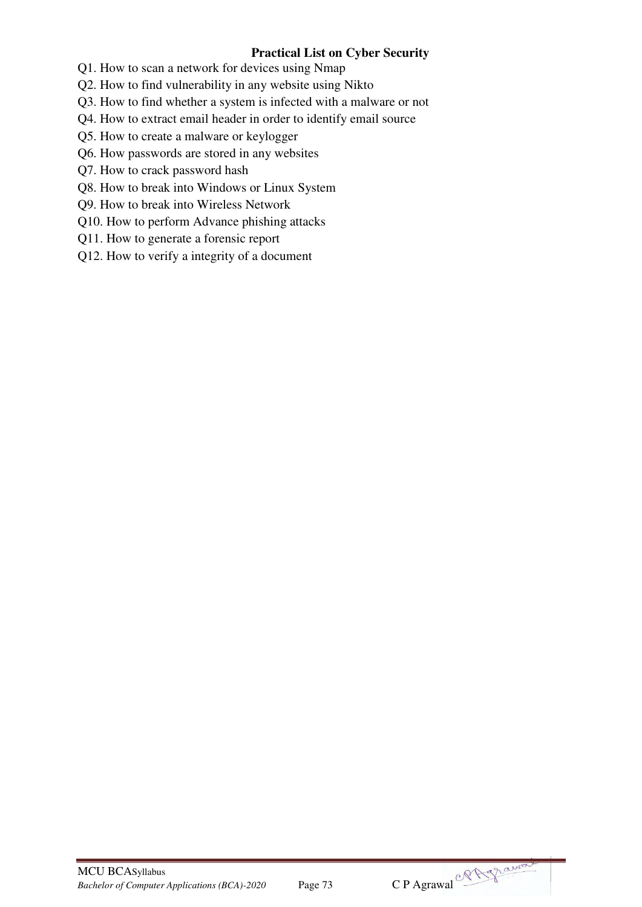## **Practical List on Cyber Security**

Q1. How to scan a network for devices using Nmap

Q2. How to find vulnerability in any website using Nikto

Q3. How to find whether a system is infected with a malware or not

Q4. How to extract email header in order to identify email source

Q5. How to create a malware or keylogger

Q6. How passwords are stored in any websites

Q7. How to crack password hash

Q8. How to break into Windows or Linux System

Q9. How to break into Wireless Network

Q10. How to perform Advance phishing attacks

Q11. How to generate a forensic report

Q12. How to verify a integrity of a document



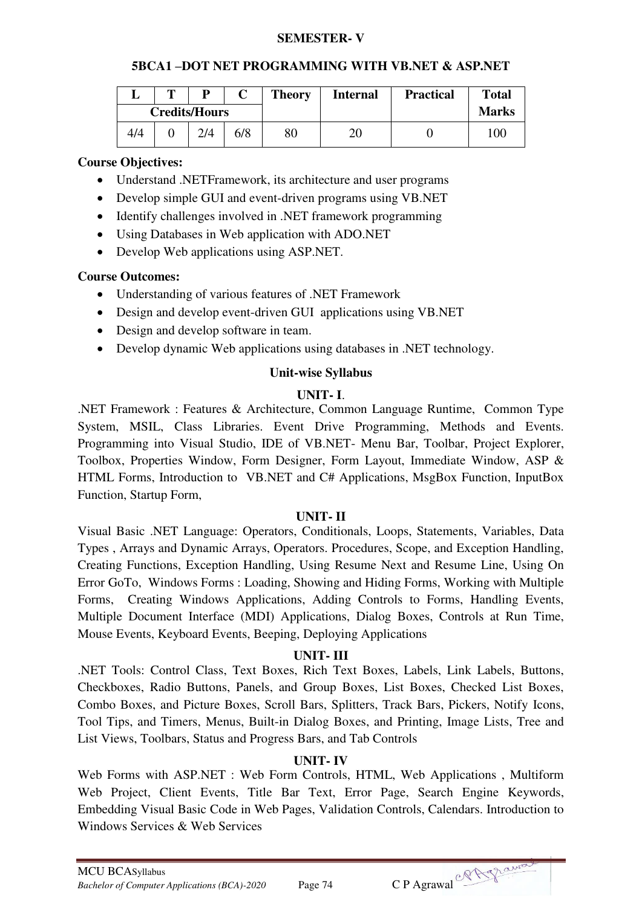#### **SEMESTER- V**

#### **5BCA1 –DOT NET PROGRAMMING WITH VB.NET & ASP.NET**

|     | m | D                    |     | <b>Theory</b> | <b>Internal</b> | <b>Practical</b> | <b>Total</b> |
|-----|---|----------------------|-----|---------------|-----------------|------------------|--------------|
|     |   | <b>Credits/Hours</b> |     |               |                 |                  | <b>Marks</b> |
| 4/4 |   | 2/4                  | 6/8 | 80            | 20              |                  | 100          |

### **Course Objectives:**

- Understand .NETFramework, its architecture and user programs
- Develop simple GUI and event-driven programs using VB.NET
- Identify challenges involved in .NET framework programming
- Using Databases in Web application with ADO.NET
- Develop Web applications using ASP.NET.

## **Course Outcomes:**

- Understanding of various features of .NET Framework
- Design and develop event-driven GUI applications using VB.NET
- Design and develop software in team.
- Develop dynamic Web applications using databases in .NET technology.

#### **Unit-wise Syllabus**

## **UNIT- I**.

.NET Framework : Features & Architecture, Common Language Runtime, Common Type System, MSIL, Class Libraries. Event Drive Programming, Methods and Events. Programming into Visual Studio, IDE of VB.NET- Menu Bar, Toolbar, Project Explorer, Toolbox, Properties Window, Form Designer, Form Layout, Immediate Window, ASP & HTML Forms, Introduction to VB.NET and C# Applications, MsgBox Function, InputBox Function, Startup Form,

#### **UNIT- II**

Visual Basic .NET Language: Operators, Conditionals, Loops, Statements, Variables, Data Types , Arrays and Dynamic Arrays, Operators. Procedures, Scope, and Exception Handling, Creating Functions, Exception Handling, Using Resume Next and Resume Line, Using On Error GoTo, Windows Forms : Loading, Showing and Hiding Forms, Working with Multiple Forms, Creating Windows Applications, Adding Controls to Forms, Handling Events, Multiple Document Interface (MDI) Applications, Dialog Boxes, Controls at Run Time, Mouse Events, Keyboard Events, Beeping, Deploying Applications

## **UNIT- III**

.NET Tools: Control Class, Text Boxes, Rich Text Boxes, Labels, Link Labels, Buttons, Checkboxes, Radio Buttons, Panels, and Group Boxes, List Boxes, Checked List Boxes, Combo Boxes, and Picture Boxes, Scroll Bars, Splitters, Track Bars, Pickers, Notify Icons, Tool Tips, and Timers, Menus, Built-in Dialog Boxes, and Printing, Image Lists, Tree and List Views, Toolbars, Status and Progress Bars, and Tab Controls

## **UNIT- IV**

Web Forms with ASP.NET : Web Form Controls, HTML, Web Applications , Multiform Web Project, Client Events, Title Bar Text, Error Page, Search Engine Keywords, Embedding Visual Basic Code in Web Pages, Validation Controls, Calendars. Introduction to Windows Services & Web Services

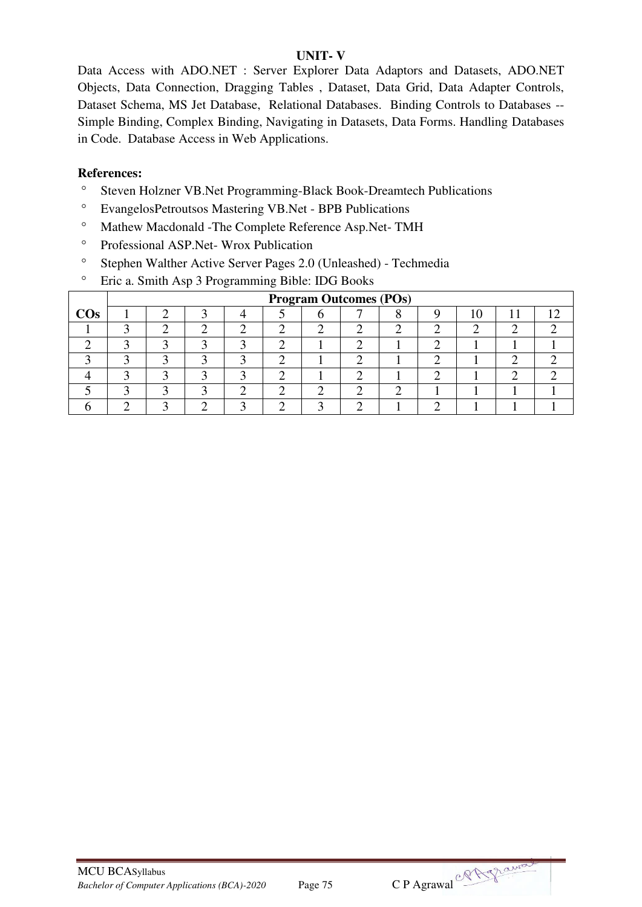## **UNIT- V**

Data Access with ADO.NET : Server Explorer Data Adaptors and Datasets, ADO.NET Objects, Data Connection, Dragging Tables , Dataset, Data Grid, Data Adapter Controls, Dataset Schema, MS Jet Database, Relational Databases. Binding Controls to Databases -- Simple Binding, Complex Binding, Navigating in Datasets, Data Forms. Handling Databases in Code. Database Access in Web Applications.

- <sup>o</sup> Steven Holzner VB.Net Programming-Black Book-Dreamtech Publications
- EvangelosPetroutsos Mastering VB.Net BPB Publications
- Mathew Macdonald -The Complete Reference Asp.Net- TMH
- <sup>o</sup> Professional ASP.Net- Wrox Publication
- Stephen Walther Active Server Pages 2.0 (Unleashed) Techmedia
- <sup>o</sup> Eric a. Smith Asp 3 Programming Bible: IDG Books

|        |  |  |  | <b>Program Outcomes (POs)</b> |  |    |     |  |
|--------|--|--|--|-------------------------------|--|----|-----|--|
| $\cos$ |  |  |  |                               |  | Iθ | 1 T |  |
|        |  |  |  |                               |  |    |     |  |
|        |  |  |  |                               |  |    |     |  |
|        |  |  |  |                               |  |    |     |  |
|        |  |  |  |                               |  |    |     |  |
|        |  |  |  |                               |  |    |     |  |
|        |  |  |  |                               |  |    |     |  |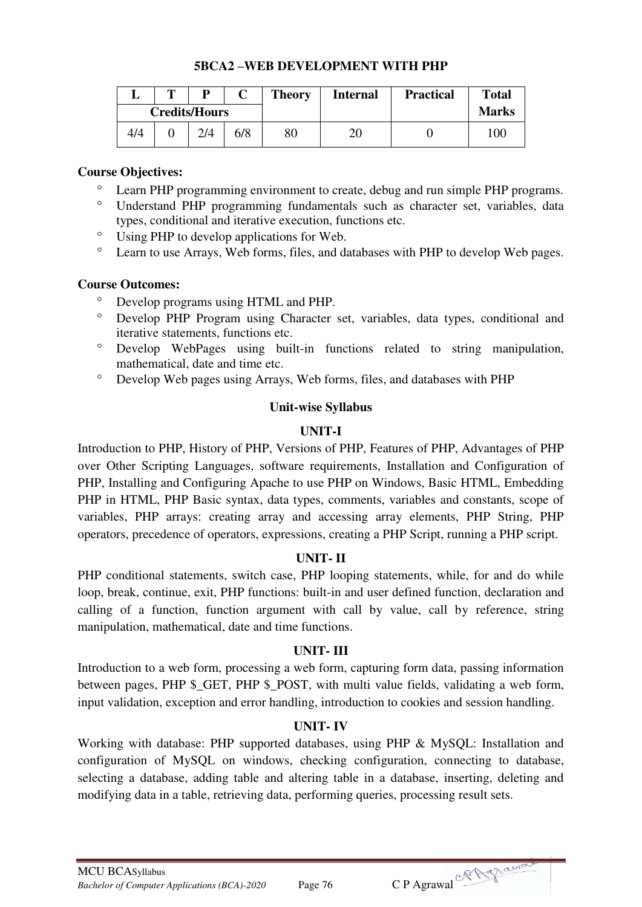|     | m | D                    |     | <b>Theory</b> | <b>Internal</b> | <b>Practical</b> | <b>Total</b> |
|-----|---|----------------------|-----|---------------|-----------------|------------------|--------------|
|     |   | <b>Credits/Hours</b> |     |               |                 |                  | <b>Marks</b> |
| 4/4 |   | 2/4                  | 6/8 | 80            | 20              |                  | 100          |

#### **5BCA2 –WEB DEVELOPMENT WITH PHP**

#### **Course Objectives:**

- Learn PHP programming environment to create, debug and run simple PHP programs.
- Understand PHP programming fundamentals such as character set, variables, data types, conditional and iterative execution, functions etc.
- Using PHP to develop applications for Web.
- Learn to use Arrays, Web forms, files, and databases with PHP to develop Web pages.

#### **Course Outcomes:**

- O Develop programs using HTML and PHP.<br>  $\overline{D}$  Develop PHP Program using Character
- Develop PHP Program using Character set, variables, data types, conditional and iterative statements, functions etc.
- Develop WebPages using built-in functions related to string manipulation, mathematical, date and time etc.
- Develop Web pages using Arrays, Web forms, files, and databases with PHP

#### **Unit-wise Syllabus**

#### **UNIT-I**

Introduction to PHP, History of PHP, Versions of PHP, Features of PHP, Advantages of PHP over Other Scripting Languages, software requirements, Installation and Configuration of PHP, Installing and Configuring Apache to use PHP on Windows, Basic HTML, Embedding PHP in HTML, PHP Basic syntax, data types, comments, variables and constants, scope of variables, PHP arrays: creating array and accessing array elements, PHP String, PHP operators, precedence of operators, expressions, creating a PHP Script, running a PHP script.

## **UNIT- II**

PHP conditional statements, switch case, PHP looping statements, while, for and do while loop, break, continue, exit, PHP functions: built-in and user defined function, declaration and calling of a function, function argument with call by value, call by reference, string manipulation, mathematical, date and time functions.

## **UNIT- III**

Introduction to a web form, processing a web form, capturing form data, passing information between pages, PHP \$\_GET, PHP \$\_POST, with multi value fields, validating a web form, input validation, exception and error handling, introduction to cookies and session handling.

## **UNIT- IV**

Working with database: PHP supported databases, using PHP & MySQL: Installation and configuration of MySQL on windows, checking configuration, connecting to database, selecting a database, adding table and altering table in a database, inserting, deleting and modifying data in a table, retrieving data, performing queries, processing result sets.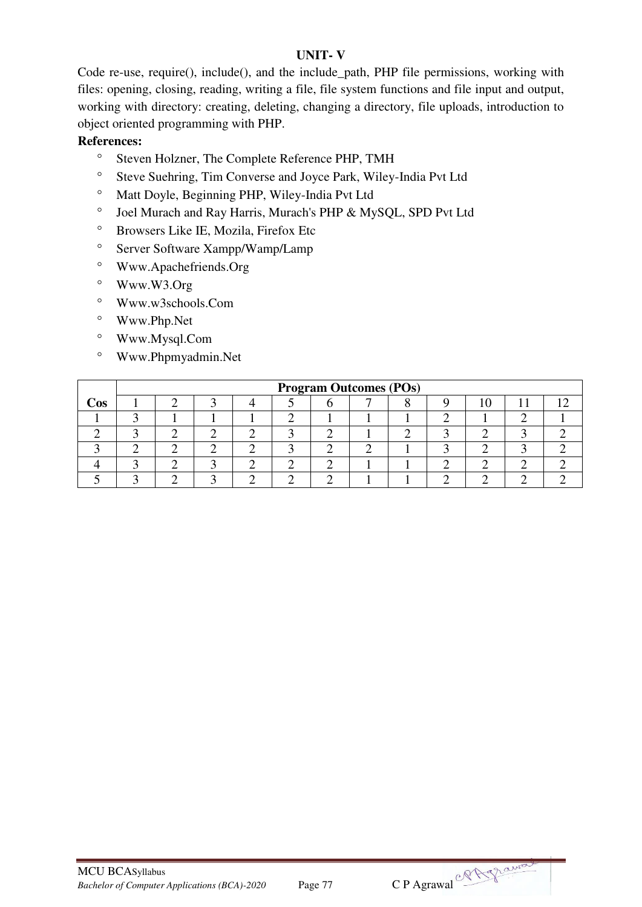## **UNIT- V**

Code re-use, require(), include(), and the include\_path, PHP file permissions, working with files: opening, closing, reading, writing a file, file system functions and file input and output, working with directory: creating, deleting, changing a directory, file uploads, introduction to object oriented programming with PHP.

- <sup>o</sup> Steven Holzner, The Complete Reference PHP, TMH
- <sup>o</sup> Steve Suehring, Tim Converse and Joyce Park, Wiley-India Pvt Ltd
- <sup>o</sup> Matt Doyle, Beginning PHP, Wiley-India Pvt Ltd
- <sup>o</sup> Joel Murach and Ray Harris, Murach's PHP & MySQL, SPD Pvt Ltd
- Browsers Like IE, Mozila, Firefox Etc
- <sup>o</sup> Server Software Xampp/Wamp/Lamp
- Www.Apachefriends.Org
- Www.W3.Org
- Www.w3schools.Com
- Www.Php.Net
- Www.Mysql.Com
- Www.Phpmyadmin.Net

|     |  |  |  | <b>Program Outcomes (POs)</b> |  |  |  |
|-----|--|--|--|-------------------------------|--|--|--|
| Cos |  |  |  |                               |  |  |  |
|     |  |  |  |                               |  |  |  |
|     |  |  |  |                               |  |  |  |
|     |  |  |  |                               |  |  |  |
|     |  |  |  |                               |  |  |  |
|     |  |  |  |                               |  |  |  |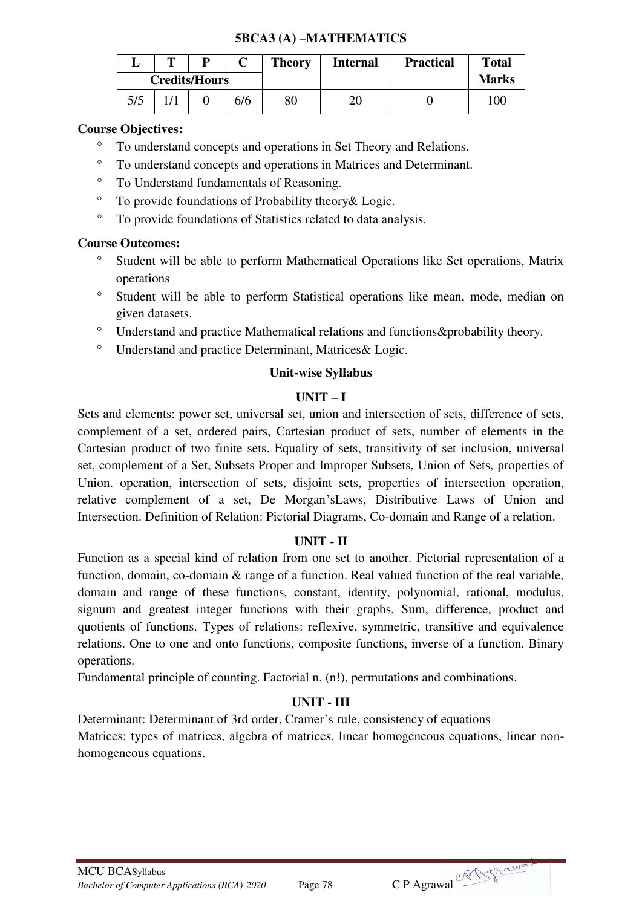## **5BCA3 (A) –MATHEMATICS**

|     | m | D                    |     | <b>Theory</b> | <b>Internal</b> | <b>Practical</b> | <b>Total</b> |
|-----|---|----------------------|-----|---------------|-----------------|------------------|--------------|
|     |   | <b>Credits/Hours</b> |     |               |                 |                  | <b>Marks</b> |
| 5/5 |   |                      | 6/6 | 80            |                 |                  | 100          |

## **Course Objectives:**

- To understand concepts and operations in Set Theory and Relations.
- To understand concepts and operations in Matrices and Determinant.
- To Understand fundamentals of Reasoning.
- To provide foundations of Probability theory& Logic.
- To provide foundations of Statistics related to data analysis.

## **Course Outcomes:**

- <sup>o</sup> Student will be able to perform Mathematical Operations like Set operations, Matrix operations
- <sup>o</sup> Student will be able to perform Statistical operations like mean, mode, median on given datasets.
- <sup>o</sup> Understand and practice Mathematical relations and functions & probability theory.
- Understand and practice Determinant, Matrices& Logic.

#### **Unit-wise Syllabus**

## $\mathbf{I} \mathbf{I} \mathbf{N} \mathbf{I} \mathbf{T} - \mathbf{I}$

Sets and elements: power set, universal set, union and intersection of sets, difference of sets, complement of a set, ordered pairs, Cartesian product of sets, number of elements in the Cartesian product of two finite sets. Equality of sets, transitivity of set inclusion, universal set, complement of a Set, Subsets Proper and Improper Subsets, Union of Sets, properties of Union. operation, intersection of sets, disjoint sets, properties of intersection operation, relative complement of a set, De Morgan'sLaws, Distributive Laws of Union and Intersection. Definition of Relation: Pictorial Diagrams, Co-domain and Range of a relation.

## **UNIT - II**

Function as a special kind of relation from one set to another. Pictorial representation of a function, domain, co-domain & range of a function. Real valued function of the real variable, domain and range of these functions, constant, identity, polynomial, rational, modulus, signum and greatest integer functions with their graphs. Sum, difference, product and quotients of functions. Types of relations: reflexive, symmetric, transitive and equivalence relations. One to one and onto functions, composite functions, inverse of a function. Binary operations.

Fundamental principle of counting. Factorial n. (n!), permutations and combinations.

## **UNIT - III**

Determinant: Determinant of 3rd order, Cramer's rule, consistency of equations Matrices: types of matrices, algebra of matrices, linear homogeneous equations, linear nonhomogeneous equations.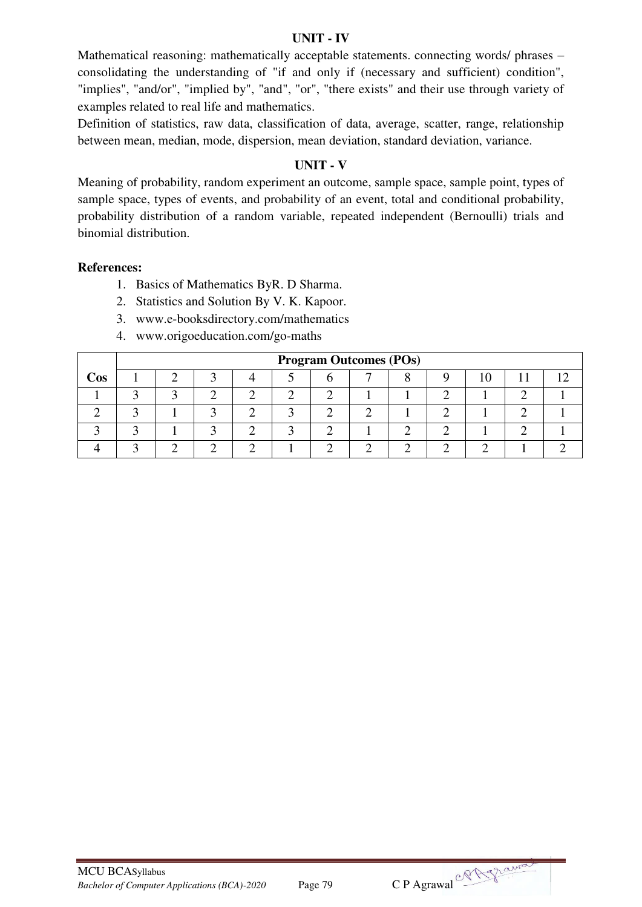#### **UNIT - IV**

Mathematical reasoning: mathematically acceptable statements. connecting words/ phrases – consolidating the understanding of "if and only if (necessary and sufficient) condition", "implies", "and/or", "implied by", "and", "or", "there exists" and their use through variety of examples related to real life and mathematics.

Definition of statistics, raw data, classification of data, average, scatter, range, relationship between mean, median, mode, dispersion, mean deviation, standard deviation, variance.

## **UNIT - V**

Meaning of probability, random experiment an outcome, sample space, sample point, types of sample space, types of events, and probability of an event, total and conditional probability, probability distribution of a random variable, repeated independent (Bernoulli) trials and binomial distribution.

- 1. Basics of Mathematics ByR. D Sharma.
- 2. Statistics and Solution By V. K. Kapoor.
- 3. www.e-booksdirectory.com/mathematics
- 4. www.origoeducation.com/go-maths

|     |  |  | <b>Program Outcomes (POs)</b> |  |  |  |
|-----|--|--|-------------------------------|--|--|--|
| Cos |  |  |                               |  |  |  |
|     |  |  |                               |  |  |  |
|     |  |  |                               |  |  |  |
|     |  |  |                               |  |  |  |
|     |  |  |                               |  |  |  |

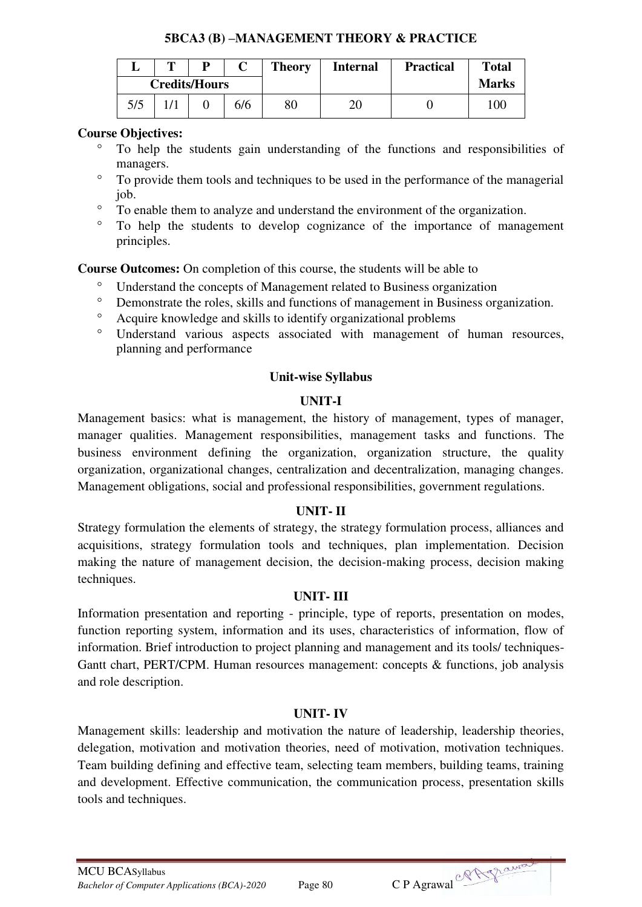## **5BCA3 (B) –MANAGEMENT THEORY & PRACTICE**

|     | m                           |  |  | <b>Theory</b> | <b>Internal</b> | <b>Practical</b> | <b>Total</b> |
|-----|-----------------------------|--|--|---------------|-----------------|------------------|--------------|
|     |                             |  |  |               |                 |                  | <b>Marks</b> |
| 5/5 | <b>Credits/Hours</b><br>6/6 |  |  |               |                 |                  | 100          |

## **Course Objectives:**

- To help the students gain understanding of the functions and responsibilities of managers.
- To provide them tools and techniques to be used in the performance of the managerial job.
- To enable them to analyze and understand the environment of the organization.
- To help the students to develop cognizance of the importance of management principles.

**Course Outcomes:** On completion of this course, the students will be able to

- <sup>o</sup> Understand the concepts of Management related to Business organization<br><sup>o</sup> Demonstrate the roles, skills and functions of management in Business organization
- <sup>o</sup> Demonstrate the roles, skills and functions of management in Business organization.<br>  $\frac{1}{2}$  A contra knowledge and skills to identify organizational problems
- Acquire knowledge and skills to identify organizational problems
- Understand various aspects associated with management of human resources, planning and performance

## **Unit-wise Syllabus**

## **UNIT-I**

Management basics: what is management, the history of management, types of manager, manager qualities. Management responsibilities, management tasks and functions. The business environment defining the organization, organization structure, the quality organization, organizational changes, centralization and decentralization, managing changes. Management obligations, social and professional responsibilities, government regulations.

## **UNIT- II**

Strategy formulation the elements of strategy, the strategy formulation process, alliances and acquisitions, strategy formulation tools and techniques, plan implementation. Decision making the nature of management decision, the decision-making process, decision making techniques.

## **UNIT- III**

Information presentation and reporting - principle, type of reports, presentation on modes, function reporting system, information and its uses, characteristics of information, flow of information. Brief introduction to project planning and management and its tools/ techniques-Gantt chart, PERT/CPM. Human resources management: concepts & functions, job analysis and role description.

## **UNIT- IV**

Management skills: leadership and motivation the nature of leadership, leadership theories, delegation, motivation and motivation theories, need of motivation, motivation techniques. Team building defining and effective team, selecting team members, building teams, training and development. Effective communication, the communication process, presentation skills tools and techniques.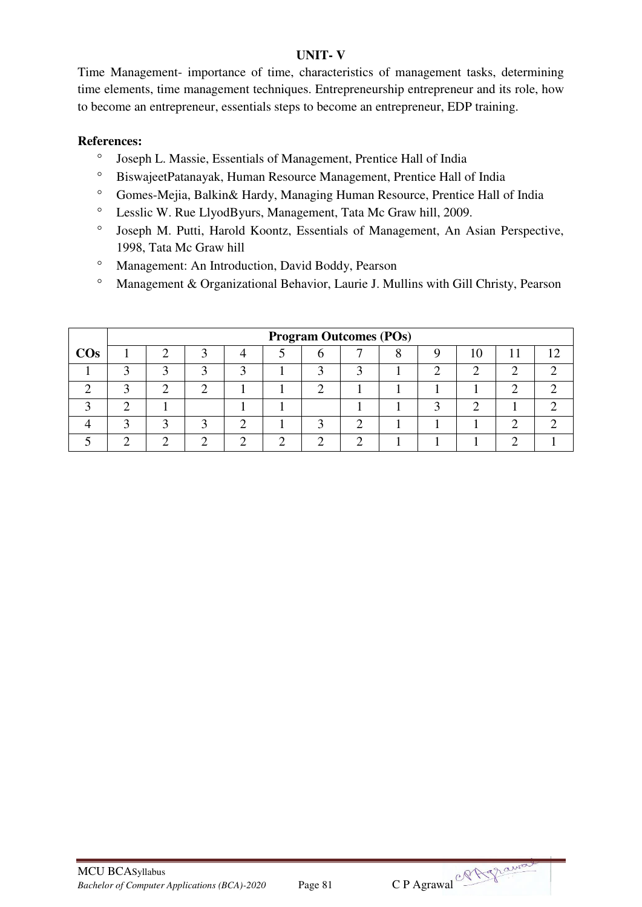## **UNIT- V**

Time Management- importance of time, characteristics of management tasks, determining time elements, time management techniques. Entrepreneurship entrepreneur and its role, how to become an entrepreneur, essentials steps to become an entrepreneur, EDP training.

- Joseph L. Massie, Essentials of Management, Prentice Hall of India
- BiswajeetPatanayak, Human Resource Management, Prentice Hall of India
- Gomes-Mejia, Balkin& Hardy, Managing Human Resource, Prentice Hall of India
- Lesslic W. Rue LlyodByurs, Management, Tata Mc Graw hill, 2009.
- Joseph M. Putti, Harold Koontz, Essentials of Management, An Asian Perspective, 1998, Tata Mc Graw hill
- Management: An Introduction, David Boddy, Pearson
- Management & Organizational Behavior, Laurie J. Mullins with Gill Christy, Pearson

|        |  |  |  | <b>Program Outcomes (POs)</b> |  |    |  |
|--------|--|--|--|-------------------------------|--|----|--|
| $\cos$ |  |  |  |                               |  | 10 |  |
|        |  |  |  |                               |  |    |  |
|        |  |  |  |                               |  |    |  |
|        |  |  |  |                               |  |    |  |
|        |  |  |  |                               |  |    |  |
|        |  |  |  |                               |  |    |  |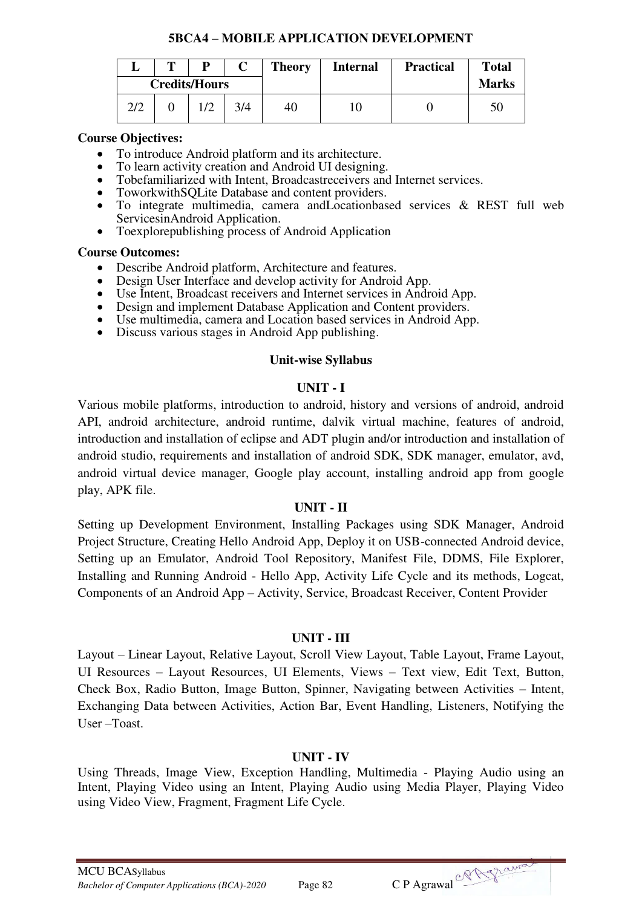#### **5BCA4 – MOBILE APPLICATION DEVELOPMENT**

|     | m | D                    |     | <b>Theory</b> | <b>Internal</b> | <b>Practical</b> | <b>Total</b> |
|-----|---|----------------------|-----|---------------|-----------------|------------------|--------------|
|     |   | <b>Credits/Hours</b> |     |               |                 |                  | <b>Marks</b> |
| 2/2 |   |                      | 3/4 | 40            |                 |                  | 50           |

#### **Course Objectives:**

- To introduce Android platform and its architecture.
- To learn activity creation and Android UI designing.
- Tobefamiliarized with Intent, Broadcastreceivers and Internet services.
- ToworkwithSQLite Database and content providers.
- To integrate multimedia, camera andLocationbased services & REST full web ServicesinAndroid Application.
- Toexplorepublishing process of Android Application

#### **Course Outcomes:**

- Describe Android platform, Architecture and features.
- Design User Interface and develop activity for Android App.
- Use Intent, Broadcast receivers and Internet services in Android App.
- Design and implement Database Application and Content providers.
- Use multimedia, camera and Location based services in Android App.
- Discuss various stages in Android App publishing.

## **Unit-wise Syllabus**

## **UNIT - I**

Various mobile platforms, introduction to android, history and versions of android, android API, android architecture, android runtime, dalvik virtual machine, features of android, introduction and installation of eclipse and ADT plugin and/or introduction and installation of android studio, requirements and installation of android SDK, SDK manager, emulator, avd, android virtual device manager, Google play account, installing android app from google play, APK file.

## **UNIT - II**

Setting up Development Environment, Installing Packages using SDK Manager, Android Project Structure, Creating Hello Android App, Deploy it on USB-connected Android device, Setting up an Emulator, Android Tool Repository, Manifest File, DDMS, File Explorer, Installing and Running Android - Hello App, Activity Life Cycle and its methods, Logcat, Components of an Android App – Activity, Service, Broadcast Receiver, Content Provider

## **UNIT - III**

Layout – Linear Layout, Relative Layout, Scroll View Layout, Table Layout, Frame Layout, UI Resources – Layout Resources, UI Elements, Views – Text view, Edit Text, Button, Check Box, Radio Button, Image Button, Spinner, Navigating between Activities – Intent, Exchanging Data between Activities, Action Bar, Event Handling, Listeners, Notifying the User –Toast.

## **UNIT - IV**

Using Threads, Image View, Exception Handling, Multimedia - Playing Audio using an Intent, Playing Video using an Intent, Playing Audio using Media Player, Playing Video using Video View, Fragment, Fragment Life Cycle.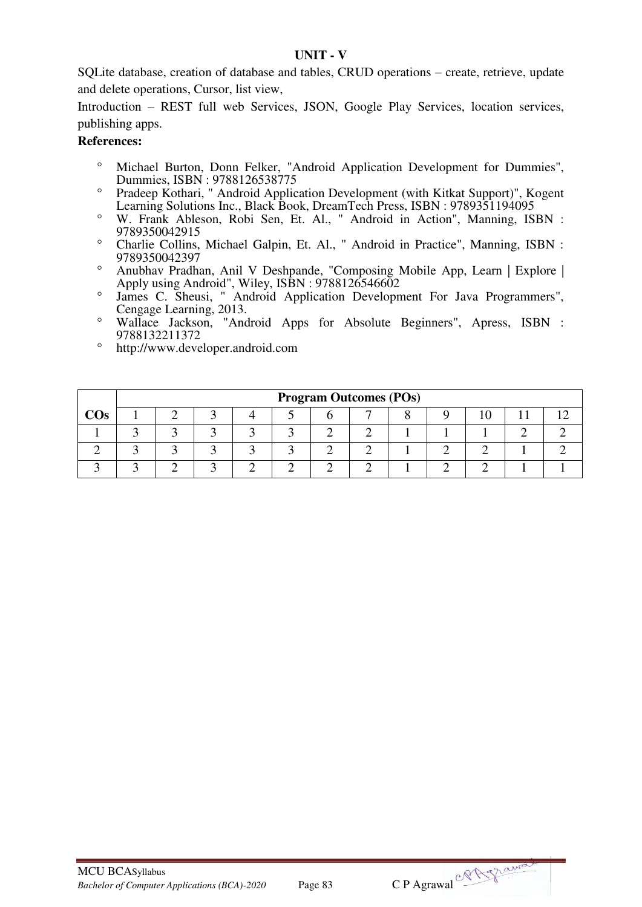#### **UNIT - V**

SQLite database, creation of database and tables, CRUD operations – create, retrieve, update and delete operations, Cursor, list view,

Introduction – REST full web Services, JSON, Google Play Services, location services, publishing apps.

- <sup>o</sup> Michael Burton, Donn Felker, "Android Application Development for Dummies", Dummies, ISBN : 9788126538775
- <sup>o</sup> Pradeep Kothari, " Android Application Development (with Kitkat Support)", Kogent Learning Solutions Inc., Black Book, DreamTech Press, ISBN : 9789351194095
- W. Frank Ableson, Robi Sen, Et. Al., " Android in Action", Manning, ISBN : 9789350042915
- Charlie Collins, Michael Galpin, Et. Al., " Android in Practice", Manning, ISBN : 9789350042397
- Anubhav Pradhan, Anil V Deshpande, "Composing Mobile App, Learn | Explore | Apply using Android", Wiley, ISBN : 9788126546602
- James C. Sheusi, " Android Application Development For Java Programmers", Cengage Learning, 2013.
- Wallace Jackson, "Android Apps for Absolute Beginners", Apress, ISBN : 9788132211372
- http://www.developer.android.com

|        |  |  |  | <b>Program Outcomes (POs)</b> |  |  |  |
|--------|--|--|--|-------------------------------|--|--|--|
| $\cos$ |  |  |  |                               |  |  |  |
|        |  |  |  |                               |  |  |  |
|        |  |  |  |                               |  |  |  |
|        |  |  |  |                               |  |  |  |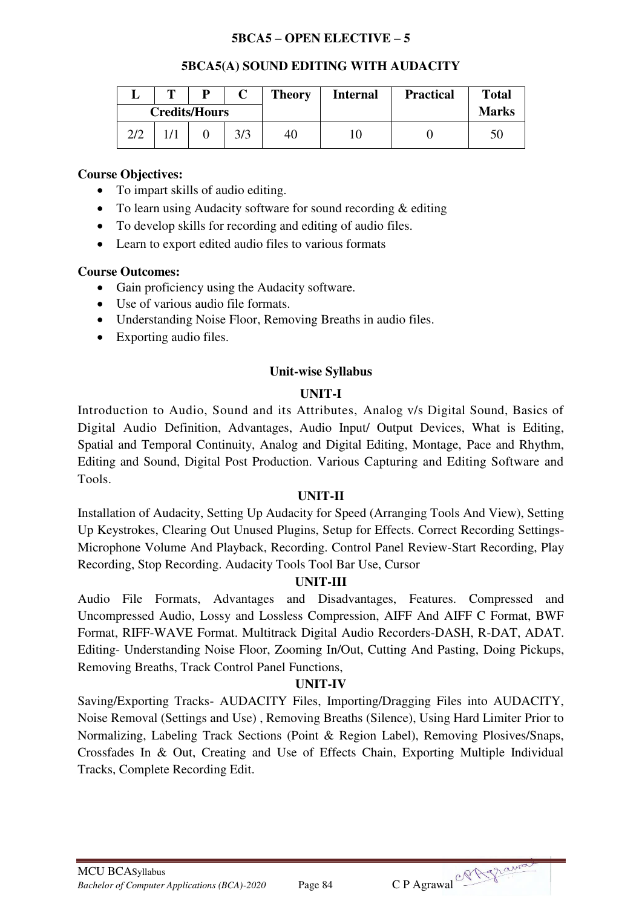## **5BCA5 – OPEN ELECTIVE – 5**

#### **5BCA5(A) SOUND EDITING WITH AUDACITY**

|     | m |                      |     | <b>Theory</b> | <b>Internal</b> | <b>Practical</b> | <b>Total</b> |
|-----|---|----------------------|-----|---------------|-----------------|------------------|--------------|
|     |   | <b>Credits/Hours</b> |     |               |                 |                  | <b>Marks</b> |
| 2/2 |   |                      | 3/3 | 40            |                 |                  |              |

#### **Course Objectives:**

- To impart skills of audio editing.
- To learn using Audacity software for sound recording & editing
- To develop skills for recording and editing of audio files.
- Learn to export edited audio files to various formats

#### **Course Outcomes:**

- Gain proficiency using the Audacity software.
- Use of various audio file formats.
- Understanding Noise Floor, Removing Breaths in audio files.
- Exporting audio files.

#### **Unit-wise Syllabus**

#### **UNIT-I**

Introduction to Audio, Sound and its Attributes, Analog v/s Digital Sound, Basics of Digital Audio Definition, Advantages, Audio Input/ Output Devices, What is Editing, Spatial and Temporal Continuity, Analog and Digital Editing, Montage, Pace and Rhythm, Editing and Sound, Digital Post Production. Various Capturing and Editing Software and Tools.

#### **UNIT-II**

Installation of Audacity, Setting Up Audacity for Speed (Arranging Tools And View), Setting Up Keystrokes, Clearing Out Unused Plugins, Setup for Effects. Correct Recording Settings-Microphone Volume And Playback, Recording. Control Panel Review-Start Recording, Play Recording, Stop Recording. Audacity Tools Tool Bar Use, Cursor

#### **UNIT-III**

Audio File Formats, Advantages and Disadvantages, Features. Compressed and Uncompressed Audio, Lossy and Lossless Compression, AIFF And AIFF C Format, BWF Format, RIFF-WAVE Format. Multitrack Digital Audio Recorders-DASH, R-DAT, ADAT. Editing- Understanding Noise Floor, Zooming In/Out, Cutting And Pasting, Doing Pickups, Removing Breaths, Track Control Panel Functions,

#### **UNIT-IV**

Saving/Exporting Tracks- AUDACITY Files, Importing/Dragging Files into AUDACITY, Noise Removal (Settings and Use) , Removing Breaths (Silence), Using Hard Limiter Prior to Normalizing, Labeling Track Sections (Point & Region Label), Removing Plosives/Snaps, Crossfades In & Out, Creating and Use of Effects Chain, Exporting Multiple Individual Tracks, Complete Recording Edit.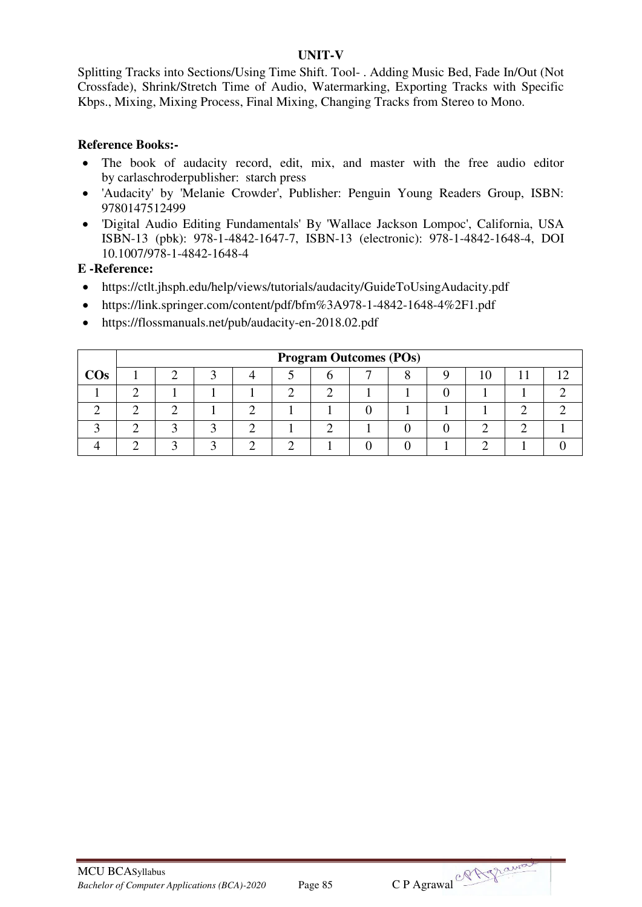#### **UNIT-V**

Splitting Tracks into Sections/Using Time Shift. Tool- . Adding Music Bed, Fade In/Out (Not Crossfade), Shrink/Stretch Time of Audio, Watermarking, Exporting Tracks with Specific Kbps., Mixing, Mixing Process, Final Mixing, Changing Tracks from Stereo to Mono.

#### **Reference Books:-**

- The book of audacity record, edit, mix, and master with the free audio editor by carlaschroderpublisher: starch press
- 'Audacity' by 'Melanie Crowder', Publisher: Penguin Young Readers Group, ISBN: 9780147512499
- 'Digital Audio Editing Fundamentals' By 'Wallace Jackson Lompoc', California, USA ISBN-13 (pbk): 978-1-4842-1647-7, ISBN-13 (electronic): 978-1-4842-1648-4, DOI 10.1007/978-1-4842-1648-4

#### **E -Reference:**

- https://ctlt.jhsph.edu/help/views/tutorials/audacity/GuideToUsingAudacity.pdf
- https://link.springer.com/content/pdf/bfm%3A978-1-4842-1648-4%2F1.pdf
- https://flossmanuals.net/pub/audacity-en-2018.02.pdf

|        |  |  |  |  |  | <b>Program Outcomes (POs)</b> |  |  |  |  |  |  |  |  |
|--------|--|--|--|--|--|-------------------------------|--|--|--|--|--|--|--|--|
| $\cos$ |  |  |  |  |  |                               |  |  |  |  |  |  |  |  |
|        |  |  |  |  |  |                               |  |  |  |  |  |  |  |  |
|        |  |  |  |  |  |                               |  |  |  |  |  |  |  |  |
|        |  |  |  |  |  |                               |  |  |  |  |  |  |  |  |
|        |  |  |  |  |  |                               |  |  |  |  |  |  |  |  |

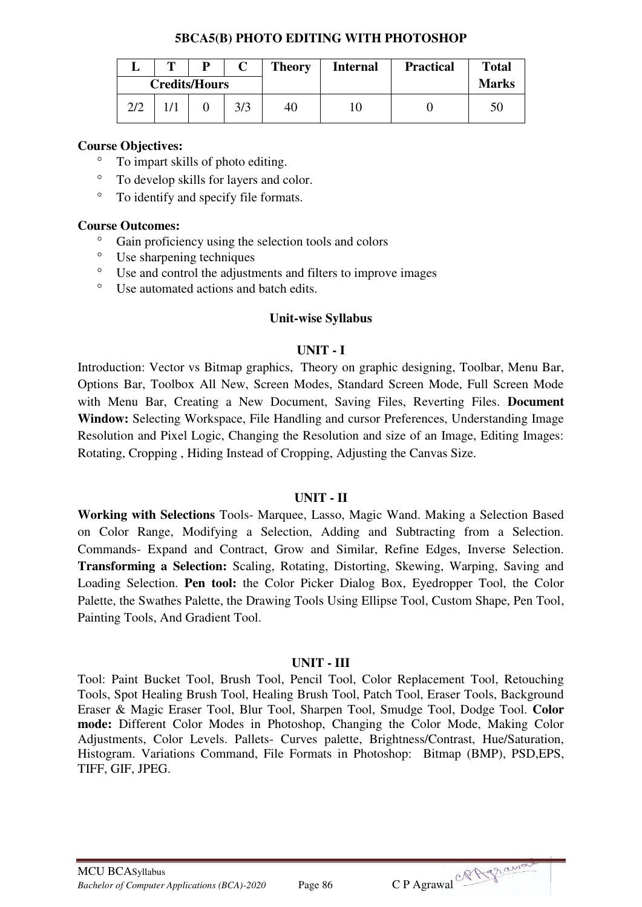#### **5BCA5(B) PHOTO EDITING WITH PHOTOSHOP**

|     | m | D                    | $\mathsf{\Gamma}$ | <b>Theory</b> | <b>Internal</b> | <b>Practical</b> | <b>Total</b> |
|-----|---|----------------------|-------------------|---------------|-----------------|------------------|--------------|
|     |   | <b>Credits/Hours</b> |                   |               |                 |                  | <b>Marks</b> |
| 2/2 |   |                      | 3/3               | 40            |                 |                  | 50           |

### **Course Objectives:**

- To impart skills of photo editing.
- To develop skills for layers and color.
- To identify and specify file formats.

#### **Course Outcomes:**

- $\frac{\infty}{\infty}$  Gain proficiency using the selection tools and colors
- Use sharpening techniques
- Use and control the adjustments and filters to improve images
- Use automated actions and batch edits.

#### **Unit-wise Syllabus**

## **UNIT - I**

Introduction: Vector vs Bitmap graphics, Theory on graphic designing, Toolbar, Menu Bar, Options Bar, Toolbox All New, Screen Modes, Standard Screen Mode, Full Screen Mode with Menu Bar, Creating a New Document, Saving Files, Reverting Files. **Document Window:** Selecting Workspace, File Handling and cursor Preferences, Understanding Image Resolution and Pixel Logic, Changing the Resolution and size of an Image, Editing Images: Rotating, Cropping , Hiding Instead of Cropping, Adjusting the Canvas Size.

#### **UNIT - II**

**Working with Selections** Tools- Marquee, Lasso, Magic Wand. Making a Selection Based on Color Range, Modifying a Selection, Adding and Subtracting from a Selection. Commands- Expand and Contract, Grow and Similar, Refine Edges, Inverse Selection. **Transforming a Selection:** Scaling, Rotating, Distorting, Skewing, Warping, Saving and Loading Selection. **Pen tool:** the Color Picker Dialog Box, Eyedropper Tool, the Color Palette, the Swathes Palette, the Drawing Tools Using Ellipse Tool, Custom Shape, Pen Tool, Painting Tools, And Gradient Tool.

## **UNIT - III**

Tool: Paint Bucket Tool, Brush Tool, Pencil Tool, Color Replacement Tool, Retouching Tools, Spot Healing Brush Tool, Healing Brush Tool, Patch Tool, Eraser Tools, Background Eraser & Magic Eraser Tool, Blur Tool, Sharpen Tool, Smudge Tool, Dodge Tool. **Color mode:** Different Color Modes in Photoshop, Changing the Color Mode, Making Color Adjustments, Color Levels. Pallets- Curves palette, Brightness/Contrast, Hue/Saturation, Histogram. Variations Command, File Formats in Photoshop: Bitmap (BMP), PSD,EPS, TIFF, GIF, JPEG.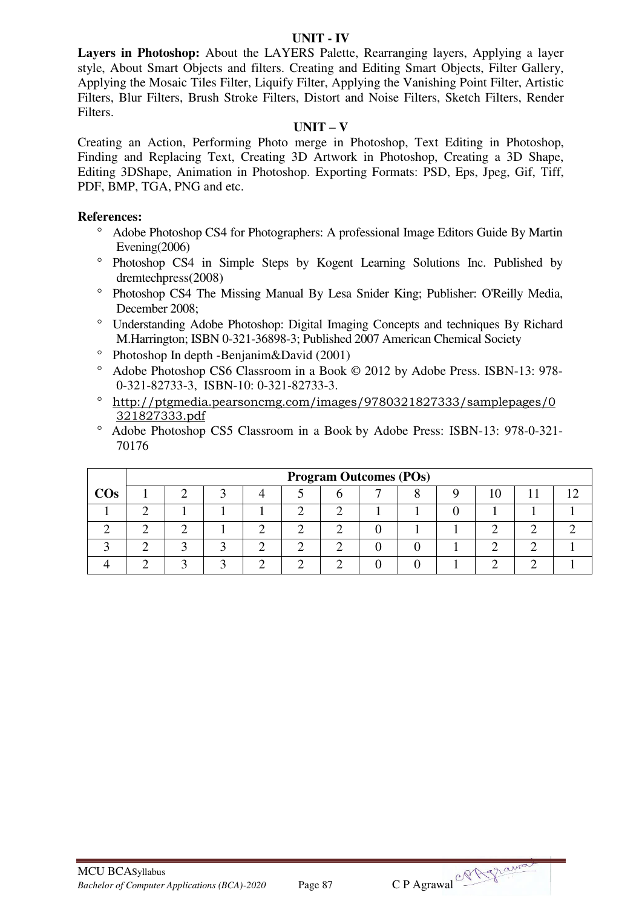#### **UNIT - IV**

**Layers in Photoshop:** About the LAYERS Palette, Rearranging layers, Applying a layer style, About Smart Objects and filters. Creating and Editing Smart Objects, Filter Gallery, Applying the Mosaic Tiles Filter, Liquify Filter, Applying the Vanishing Point Filter, Artistic Filters, Blur Filters, Brush Stroke Filters, Distort and Noise Filters, Sketch Filters, Render Filters.

#### **UNIT – V**

Creating an Action, Performing Photo merge in Photoshop, Text Editing in Photoshop, Finding and Replacing Text, Creating 3D Artwork in Photoshop, Creating a 3D Shape, Editing 3DShape, Animation in Photoshop. Exporting Formats: PSD, Eps, Jpeg, Gif, Tiff, PDF, BMP, TGA, PNG and etc.

- Adobe Photoshop CS4 for Photographers: A professional Image Editors Guide By Martin Evening(2006)
- <sup>o</sup> Photoshop CS4 in Simple Steps by Kogent Learning Solutions Inc. Published by dremtechpress(2008)
- <sup>o</sup> Photoshop CS4 The Missing Manual By Lesa Snider King; Publisher: O'Reilly Media, December 2008;
- Understanding Adobe Photoshop: Digital Imaging Concepts and techniques By Richard M.Harrington; ISBN 0-321-36898-3; Published 2007 American Chemical Society
- $\degree$  Photoshop In depth -Benjanim&David (2001)
- Adobe Photoshop CS6 Classroom in a Book © 2012 by Adobe Press. ISBN-13: 978- 0-321-82733-3, ISBN-10: 0-321-82733-3.
- [http://ptgmedia.pearsoncmg.com/images/9780321827333/samplepages/0](http://ptgmedia.pearsoncmg.com/images/9780321827333/samplepages/0321827333.pdf) [321827333.pdf](http://ptgmedia.pearsoncmg.com/images/9780321827333/samplepages/0321827333.pdf)
- Adobe Photoshop CS5 Classroom in a Book by Adobe Press: ISBN-13: 978-0-321- 70176

|        | <b>Program Outcomes (POs)</b> |  |  |  |  |  |  |  |  |  |  |  |  |
|--------|-------------------------------|--|--|--|--|--|--|--|--|--|--|--|--|
| $\cos$ |                               |  |  |  |  |  |  |  |  |  |  |  |  |
|        |                               |  |  |  |  |  |  |  |  |  |  |  |  |
|        |                               |  |  |  |  |  |  |  |  |  |  |  |  |
|        |                               |  |  |  |  |  |  |  |  |  |  |  |  |
|        |                               |  |  |  |  |  |  |  |  |  |  |  |  |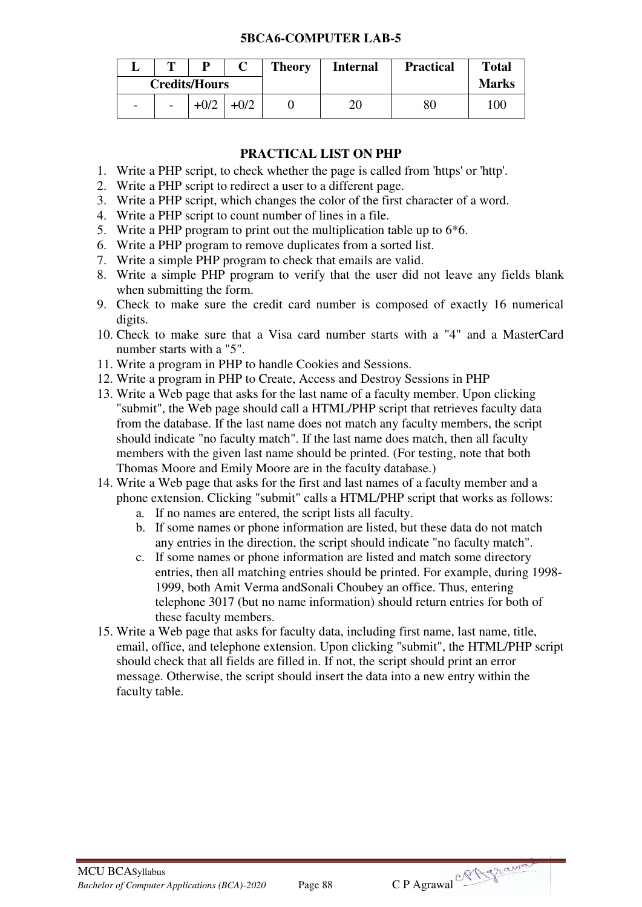#### **5BCA6-COMPUTER LAB-5**

|                          | m                        |                      |        | <b>Theory</b> | <b>Internal</b> | <b>Practical</b> | <b>Total</b> |
|--------------------------|--------------------------|----------------------|--------|---------------|-----------------|------------------|--------------|
|                          |                          | <b>Credits/Hours</b> |        |               |                 |                  | <b>Marks</b> |
| $\overline{\phantom{0}}$ | $\overline{\phantom{a}}$ | $+0/2$               | $+0/2$ |               | 20              | 80               | 100          |

## **PRACTICAL LIST ON PHP**

- 1. Write a PHP script, to check whether the page is called from 'https' or 'http'.
- 2. Write a PHP script to redirect a user to a different page.
- 3. Write a PHP script, which changes the color of the first character of a word.
- 4. Write a PHP script to count number of lines in a file.
- 5. Write a PHP program to print out the multiplication table up to 6\*6.
- 6. Write a PHP program to remove duplicates from a sorted list.
- 7. Write a simple PHP program to check that emails are valid.
- 8. Write a simple PHP program to verify that the user did not leave any fields blank when submitting the form.
- 9. Check to make sure the credit card number is composed of exactly 16 numerical digits.
- 10. Check to make sure that a Visa card number starts with a "4" and a MasterCard number starts with a "5".
- 11. Write a program in PHP to handle Cookies and Sessions.
- 12. Write a program in PHP to Create, Access and Destroy Sessions in PHP
- 13. Write a Web page that asks for the last name of a faculty member. Upon clicking "submit", the Web page should call a HTML/PHP script that retrieves faculty data from the database. If the last name does not match any faculty members, the script should indicate "no faculty match". If the last name does match, then all faculty members with the given last name should be printed. (For testing, note that both Thomas Moore and Emily Moore are in the faculty database.)
- 14. Write a Web page that asks for the first and last names of a faculty member and a phone extension. Clicking "submit" calls a HTML/PHP script that works as follows:
	- a. If no names are entered, the script lists all faculty.
	- b. If some names or phone information are listed, but these data do not match any entries in the direction, the script should indicate "no faculty match".
	- c. If some names or phone information are listed and match some directory entries, then all matching entries should be printed. For example, during 1998- 1999, both Amit Verma andSonali Choubey an office. Thus, entering telephone 3017 (but no name information) should return entries for both of these faculty members.
- 15. Write a Web page that asks for faculty data, including first name, last name, title, email, office, and telephone extension. Upon clicking "submit", the HTML/PHP script should check that all fields are filled in. If not, the script should print an error message. Otherwise, the script should insert the data into a new entry within the faculty table.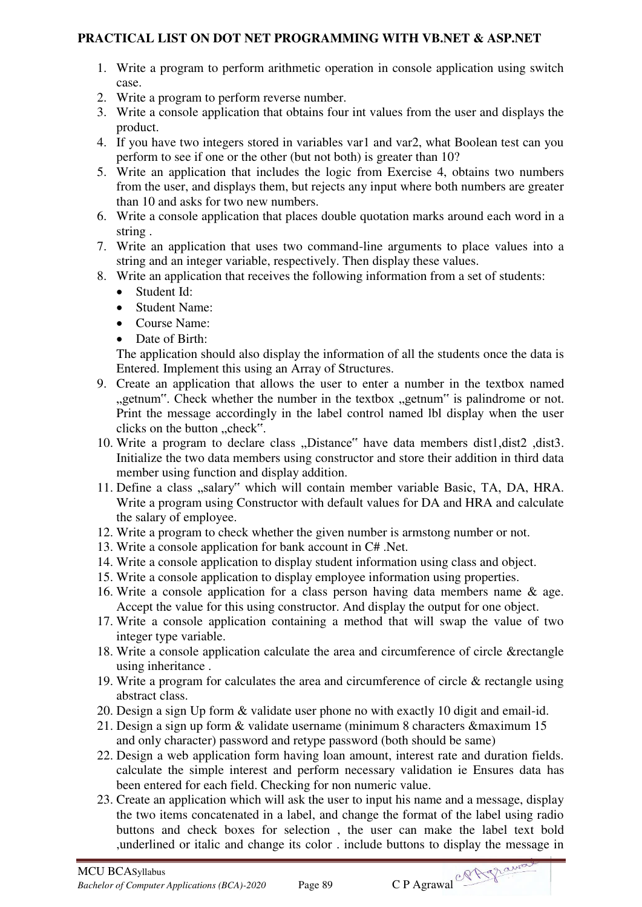## **PRACTICAL LIST ON DOT NET PROGRAMMING WITH VB.NET & ASP.NET**

- 1. Write a program to perform arithmetic operation in console application using switch case.
- 2. Write a program to perform reverse number.
- 3. Write a console application that obtains four int values from the user and displays the product.
- 4. If you have two integers stored in variables var1 and var2, what Boolean test can you perform to see if one or the other (but not both) is greater than 10?
- 5. Write an application that includes the logic from Exercise 4, obtains two numbers from the user, and displays them, but rejects any input where both numbers are greater than 10 and asks for two new numbers.
- 6. Write a console application that places double quotation marks around each word in a string .
- 7. Write an application that uses two command-line arguments to place values into a string and an integer variable, respectively. Then display these values.
- 8. Write an application that receives the following information from a set of students:
	- Student Id:
	- Student Name:
	- Course Name:
	- Date of Birth:

The application should also display the information of all the students once the data is Entered. Implement this using an Array of Structures.

- 9. Create an application that allows the user to enter a number in the textbox named ..getnum". Check whether the number in the textbox "getnum" is palindrome or not. Print the message accordingly in the label control named lbl display when the user clicks on the button "check".
- 10. Write a program to declare class "Distance" have data members dist1,dist2 ,dist3. Initialize the two data members using constructor and store their addition in third data member using function and display addition.
- 11. Define a class "salary" which will contain member variable Basic, TA, DA, HRA. Write a program using Constructor with default values for DA and HRA and calculate the salary of employee.
- 12. Write a program to check whether the given number is armstong number or not.
- 13. Write a console application for bank account in C# .Net.
- 14. Write a console application to display student information using class and object.
- 15. Write a console application to display employee information using properties.
- 16. Write a console application for a class person having data members name & age. Accept the value for this using constructor. And display the output for one object.
- 17. Write a console application containing a method that will swap the value of two integer type variable.
- 18. Write a console application calculate the area and circumference of circle &rectangle using inheritance .
- 19. Write a program for calculates the area and circumference of circle & rectangle using abstract class.
- 20. Design a sign Up form & validate user phone no with exactly 10 digit and email-id.
- 21. Design a sign up form & validate username (minimum 8 characters &maximum 15 and only character) password and retype password (both should be same)
- 22. Design a web application form having loan amount, interest rate and duration fields. calculate the simple interest and perform necessary validation ie Ensures data has been entered for each field. Checking for non numeric value.
- 23. Create an application which will ask the user to input his name and a message, display the two items concatenated in a label, and change the format of the label using radio buttons and check boxes for selection , the user can make the label text bold ,underlined or italic and change its color . include buttons to display the message in

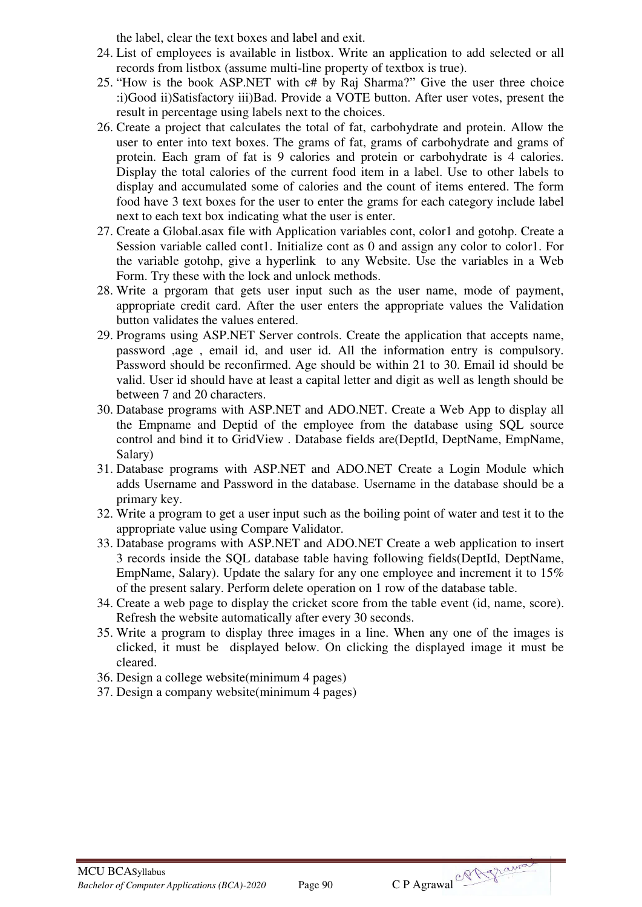the label, clear the text boxes and label and exit.

- 24. List of employees is available in listbox. Write an application to add selected or all records from listbox (assume multi-line property of textbox is true).
- 25. "How is the book ASP.NET with c# by Raj Sharma?" Give the user three choice :i)Good ii)Satisfactory iii)Bad. Provide a VOTE button. After user votes, present the result in percentage using labels next to the choices.
- 26. Create a project that calculates the total of fat, carbohydrate and protein. Allow the user to enter into text boxes. The grams of fat, grams of carbohydrate and grams of protein. Each gram of fat is 9 calories and protein or carbohydrate is 4 calories. Display the total calories of the current food item in a label. Use to other labels to display and accumulated some of calories and the count of items entered. The form food have 3 text boxes for the user to enter the grams for each category include label next to each text box indicating what the user is enter.
- 27. Create a Global.asax file with Application variables cont, color1 and gotohp. Create a Session variable called cont1. Initialize cont as 0 and assign any color to color1. For the variable gotohp, give a hyperlink to any Website. Use the variables in a Web Form. Try these with the lock and unlock methods.
- 28. Write a prgoram that gets user input such as the user name, mode of payment, appropriate credit card. After the user enters the appropriate values the Validation button validates the values entered.
- 29. Programs using ASP.NET Server controls. Create the application that accepts name, password ,age , email id, and user id. All the information entry is compulsory. Password should be reconfirmed. Age should be within 21 to 30. Email id should be valid. User id should have at least a capital letter and digit as well as length should be between 7 and 20 characters.
- 30. Database programs with ASP.NET and ADO.NET. Create a Web App to display all the Empname and Deptid of the employee from the database using SQL source control and bind it to GridView . Database fields are(DeptId, DeptName, EmpName, Salary)
- 31. Database programs with ASP.NET and ADO.NET Create a Login Module which adds Username and Password in the database. Username in the database should be a primary key.
- 32. Write a program to get a user input such as the boiling point of water and test it to the appropriate value using Compare Validator.
- 33. Database programs with ASP.NET and ADO.NET Create a web application to insert 3 records inside the SQL database table having following fields(DeptId, DeptName, EmpName, Salary). Update the salary for any one employee and increment it to 15% of the present salary. Perform delete operation on 1 row of the database table.
- 34. Create a web page to display the cricket score from the table event (id, name, score). Refresh the website automatically after every 30 seconds.
- 35. Write a program to display three images in a line. When any one of the images is clicked, it must be displayed below. On clicking the displayed image it must be cleared.
- 36. Design a college website(minimum 4 pages)
- 37. Design a company website(minimum 4 pages)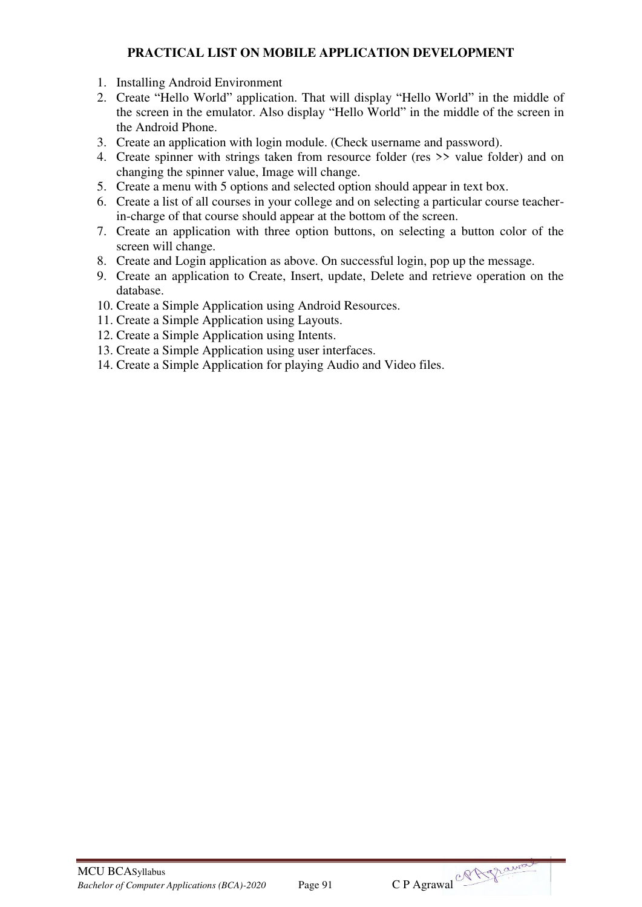## **PRACTICAL LIST ON MOBILE APPLICATION DEVELOPMENT**

- 1. Installing Android Environment
- 2. Create "Hello World" application. That will display "Hello World" in the middle of the screen in the emulator. Also display "Hello World" in the middle of the screen in the Android Phone.
- 3. Create an application with login module. (Check username and password).
- 4. Create spinner with strings taken from resource folder (res >> value folder) and on changing the spinner value, Image will change.
- 5. Create a menu with 5 options and selected option should appear in text box.
- 6. Create a list of all courses in your college and on selecting a particular course teacherin-charge of that course should appear at the bottom of the screen.
- 7. Create an application with three option buttons, on selecting a button color of the screen will change.
- 8. Create and Login application as above. On successful login, pop up the message.
- 9. Create an application to Create, Insert, update, Delete and retrieve operation on the database.
- 10. Create a Simple Application using Android Resources.
- 11. Create a Simple Application using Layouts.
- 12. Create a Simple Application using Intents.
- 13. Create a Simple Application using user interfaces.
- 14. Create a Simple Application for playing Audio and Video files.

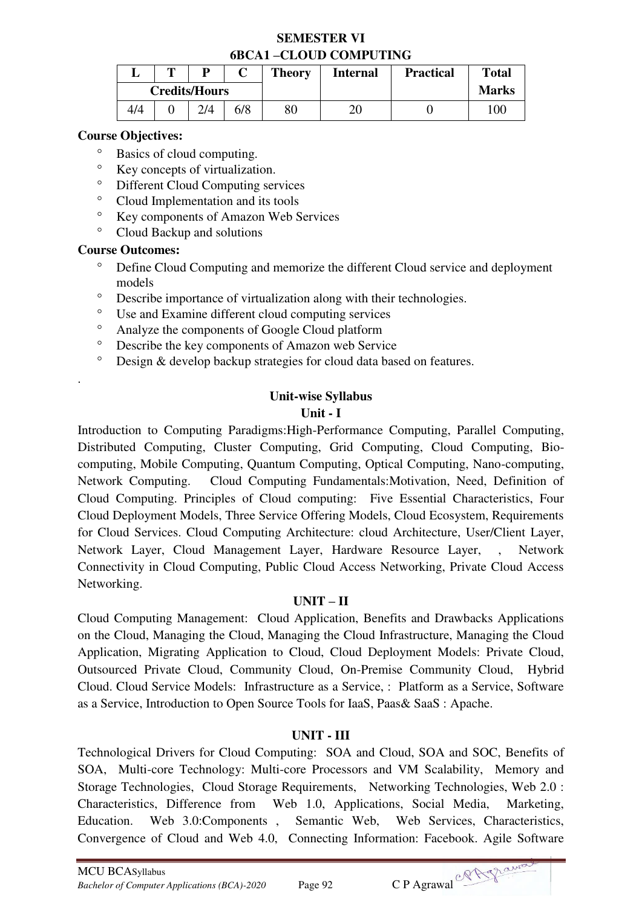## **SEMESTER VI 6BCA1 –CLOUD COMPUTING**

|     | m | D                    |     | <b>Theory</b> | <b>Internal</b> | <b>Practical</b> | <b>Total</b> |
|-----|---|----------------------|-----|---------------|-----------------|------------------|--------------|
|     |   | <b>Credits/Hours</b> |     |               |                 |                  | <b>Marks</b> |
| 4/4 |   | 2/4                  | 6/8 | $80\,$        | 20              |                  | 100          |

### **Course Objectives:**

- Basics of cloud computing.
- Ey concepts of virtualization.<br>  $\sum_{i=1}^{n}$  Different Cloud Computing ser
- Different Cloud Computing services
- <sup>o</sup> Cloud Implementation and its tools
- <sup>o</sup> Key components of Amazon Web Services
- Cloud Backup and solutions

#### **Course Outcomes:**

.

- Define Cloud Computing and memorize the different Cloud service and deployment models
- Describe importance of virtualization along with their technologies.
- Use and Examine different cloud computing services
- Analyze the components of Google Cloud platform
- Describe the key components of Amazon web Service
- Design & develop backup strategies for cloud data based on features.

## **Unit-wise Syllabus**

#### **Unit - I**

Introduction to Computing Paradigms:High-Performance Computing, Parallel Computing, Distributed Computing, Cluster Computing, Grid Computing, Cloud Computing, Biocomputing, Mobile Computing, Quantum Computing, Optical Computing, Nano-computing, Network Computing. Cloud Computing Fundamentals:Motivation, Need, Definition of Cloud Computing. Principles of Cloud computing: Five Essential Characteristics, Four Cloud Deployment Models, Three Service Offering Models, Cloud Ecosystem, Requirements for Cloud Services. Cloud Computing Architecture: cloud Architecture, User/Client Layer, Network Layer, Cloud Management Layer, Hardware Resource Layer, , Network Connectivity in Cloud Computing, Public Cloud Access Networking, Private Cloud Access Networking.

## **UNIT – II**

Cloud Computing Management: Cloud Application, Benefits and Drawbacks Applications on the Cloud, Managing the Cloud, Managing the Cloud Infrastructure, Managing the Cloud Application, Migrating Application to Cloud, Cloud Deployment Models: Private Cloud, Outsourced Private Cloud, Community Cloud, On-Premise Community Cloud, Hybrid Cloud. Cloud Service Models: Infrastructure as a Service, : Platform as a Service, Software as a Service, Introduction to Open Source Tools for IaaS, Paas& SaaS : Apache.

## **UNIT - III**

Technological Drivers for Cloud Computing: SOA and Cloud, SOA and SOC, Benefits of SOA, Multi-core Technology: Multi-core Processors and VM Scalability, Memory and Storage Technologies, Cloud Storage Requirements, Networking Technologies, Web 2.0 : Characteristics, Difference from Web 1.0, Applications, Social Media, Marketing, Education. Web 3.0:Components , Semantic Web, Web Services, Characteristics, Convergence of Cloud and Web 4.0, Connecting Information: Facebook. Agile Software

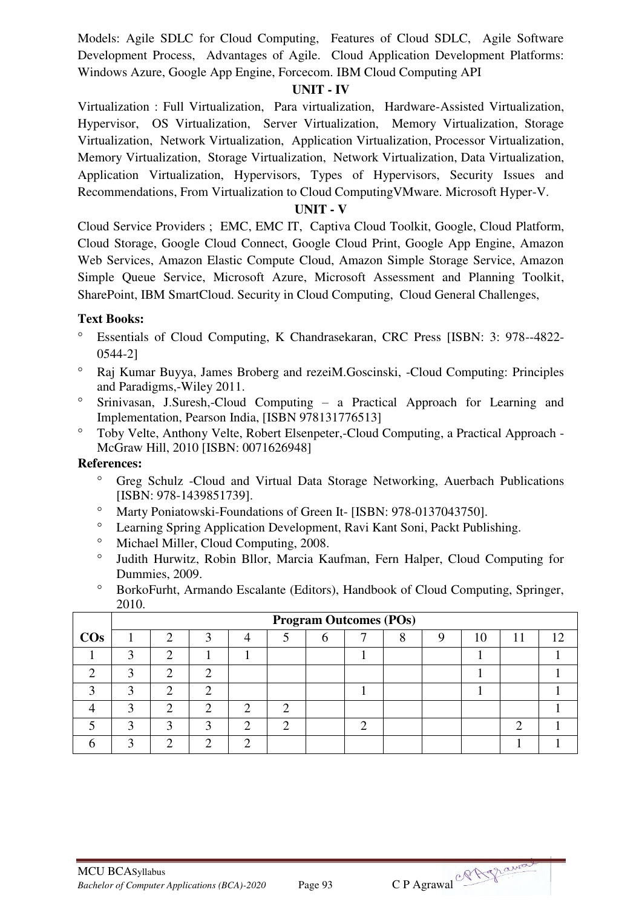Models: Agile SDLC for Cloud Computing, Features of Cloud SDLC, Agile Software Development Process, Advantages of Agile. Cloud Application Development Platforms: Windows Azure, Google App Engine, Forcecom. IBM Cloud Computing API

### **UNIT - IV**

Virtualization : Full Virtualization, Para virtualization, Hardware-Assisted Virtualization, Hypervisor, OS Virtualization, Server Virtualization, Memory Virtualization, Storage Virtualization, Network Virtualization, Application Virtualization, Processor Virtualization, Memory Virtualization, Storage Virtualization, Network Virtualization, Data Virtualization, Application Virtualization, Hypervisors, Types of Hypervisors, Security Issues and Recommendations, From Virtualization to Cloud ComputingVMware. Microsoft Hyper-V.

#### **UNIT - V**

Cloud Service Providers ; EMC, EMC IT, Captiva Cloud Toolkit, Google, Cloud Platform, Cloud Storage, Google Cloud Connect, Google Cloud Print, Google App Engine, Amazon Web Services, Amazon Elastic Compute Cloud, Amazon Simple Storage Service, Amazon Simple Queue Service, Microsoft Azure, Microsoft Assessment and Planning Toolkit, SharePoint, IBM SmartCloud. Security in Cloud Computing, Cloud General Challenges,

## **Text Books:**

- Essentials of Cloud Computing, K Chandrasekaran, CRC Press [ISBN: 3: 978--4822- 0544-2]
- Raj Kumar Buyya, James Broberg and rezeiM.Goscinski, -Cloud Computing: Principles and Paradigms,-Wiley 2011.
- Srinivasan, J.Suresh,-Cloud Computing a Practical Approach for Learning and Implementation, Pearson India, [ISBN 978131776513]
- Toby Velte, Anthony Velte, Robert Elsenpeter,-Cloud Computing, a Practical Approach McGraw Hill, 2010 [ISBN: 0071626948]

- Greg Schulz -Cloud and Virtual Data Storage Networking, Auerbach Publications [ISBN: 978-1439851739].
- <sup>o</sup> Marty Poniatowski-Foundations of Green It- [ISBN: 978-0137043750].
- Learning Spring Application Development, Ravi Kant Soni, Packt Publishing.
- <sup>o</sup> Michael Miller, Cloud Computing, 2008.
- Judith Hurwitz, Robin Bllor, Marcia Kaufman, Fern Halper, Cloud Computing for Dummies, 2009.
- BorkoFurht, Armando Escalante (Editors), Handbook of Cloud Computing, Springer, 2010.

|        |   |   |  | <b>Program Outcomes (POs)</b> |  |    |     |
|--------|---|---|--|-------------------------------|--|----|-----|
| $\cos$ |   |   |  |                               |  | 10 | 1 າ |
|        | ◠ |   |  |                               |  |    |     |
|        | ◠ |   |  |                               |  |    |     |
|        | ◠ | ◠ |  |                               |  |    |     |
|        | ◠ |   |  |                               |  |    |     |
|        |   | ◠ |  |                               |  |    |     |
|        |   |   |  |                               |  |    |     |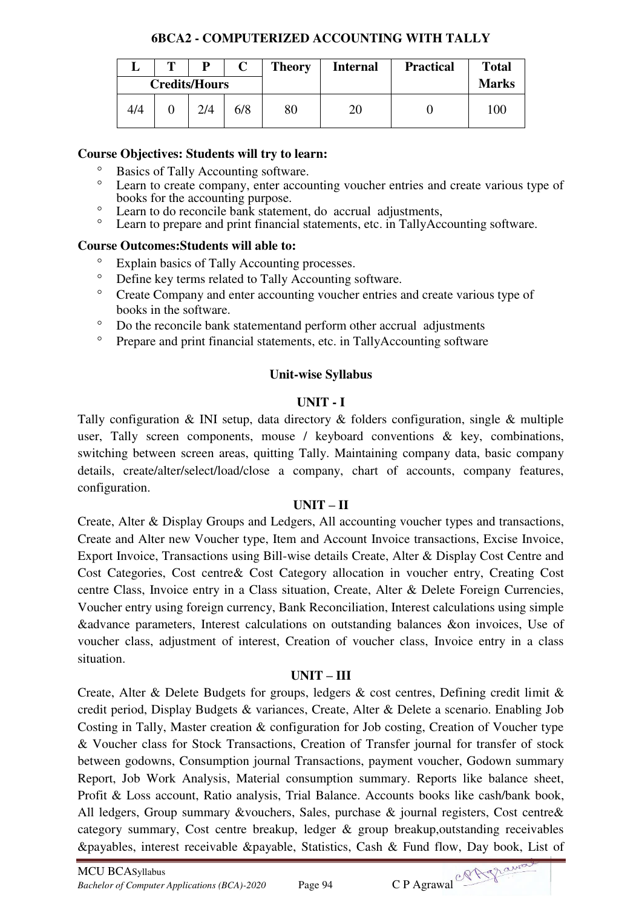## **6BCA2 - COMPUTERIZED ACCOUNTING WITH TALLY**

|     | D                    | $\mathbf C$ | <b>Theory</b> | <b>Internal</b> | <b>Practical</b> | <b>Total</b> |
|-----|----------------------|-------------|---------------|-----------------|------------------|--------------|
|     | <b>Credits/Hours</b> |             |               |                 |                  | <b>Marks</b> |
| 4/4 | 2/4                  | 6/8         | 80            | 20              |                  | 100          |

## **Course Objectives: Students will try to learn:**

- <sup>o</sup> Basics of Tally Accounting software.
- Learn to create company, enter accounting voucher entries and create various type of books for the accounting purpose.
- Exam to do reconcile bank statement, do accrual adjustments,
- Learn to prepare and print financial statements, etc. in TallyAccounting software.

## **Course Outcomes:Students will able to:**

- Explain basics of Tally Accounting processes.
- Define key terms related to Tally Accounting software.
- Create Company and enter accounting voucher entries and create various type of books in the software.
- Do the reconcile bank statementand perform other accrual adjustments
- <sup>o</sup> Prepare and print financial statements, etc. in TallyAccounting software

## **Unit-wise Syllabus**

## **UNIT - I**

Tally configuration  $\&$  INI setup, data directory  $\&$  folders configuration, single  $\&$  multiple user, Tally screen components, mouse / keyboard conventions & key, combinations, switching between screen areas, quitting Tally. Maintaining company data, basic company details, create/alter/select/load/close a company, chart of accounts, company features, configuration.

## **UNIT – II**

Create, Alter & Display Groups and Ledgers, All accounting voucher types and transactions, Create and Alter new Voucher type, Item and Account Invoice transactions, Excise Invoice, Export Invoice, Transactions using Bill-wise details Create, Alter & Display Cost Centre and Cost Categories, Cost centre& Cost Category allocation in voucher entry, Creating Cost centre Class, Invoice entry in a Class situation, Create, Alter & Delete Foreign Currencies, Voucher entry using foreign currency, Bank Reconciliation, Interest calculations using simple &advance parameters, Interest calculations on outstanding balances &on invoices, Use of voucher class, adjustment of interest, Creation of voucher class, Invoice entry in a class situation.

## **UNIT – III**

Create, Alter & Delete Budgets for groups, ledgers & cost centres, Defining credit limit & credit period, Display Budgets & variances, Create, Alter & Delete a scenario. Enabling Job Costing in Tally, Master creation & configuration for Job costing, Creation of Voucher type & Voucher class for Stock Transactions, Creation of Transfer journal for transfer of stock between godowns, Consumption journal Transactions, payment voucher, Godown summary Report, Job Work Analysis, Material consumption summary. Reports like balance sheet, Profit & Loss account, Ratio analysis, Trial Balance. Accounts books like cash/bank book, All ledgers, Group summary &vouchers, Sales, purchase & journal registers, Cost centre& category summary, Cost centre breakup, ledger & group breakup,outstanding receivables &payables, interest receivable &payable, Statistics, Cash & Fund flow, Day book, List of

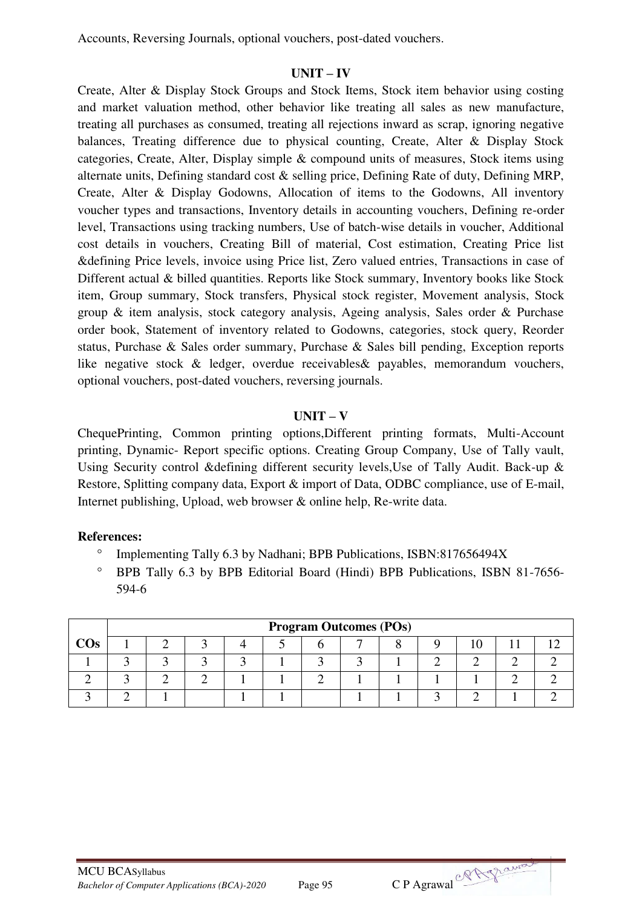Accounts, Reversing Journals, optional vouchers, post-dated vouchers.

#### **UNIT – IV**

Create, Alter & Display Stock Groups and Stock Items, Stock item behavior using costing and market valuation method, other behavior like treating all sales as new manufacture, treating all purchases as consumed, treating all rejections inward as scrap, ignoring negative balances, Treating difference due to physical counting, Create, Alter & Display Stock categories, Create, Alter, Display simple & compound units of measures, Stock items using alternate units, Defining standard cost & selling price, Defining Rate of duty, Defining MRP, Create, Alter & Display Godowns, Allocation of items to the Godowns, All inventory voucher types and transactions, Inventory details in accounting vouchers, Defining re-order level, Transactions using tracking numbers, Use of batch-wise details in voucher, Additional cost details in vouchers, Creating Bill of material, Cost estimation, Creating Price list &defining Price levels, invoice using Price list, Zero valued entries, Transactions in case of Different actual & billed quantities. Reports like Stock summary, Inventory books like Stock item, Group summary, Stock transfers, Physical stock register, Movement analysis, Stock group & item analysis, stock category analysis, Ageing analysis, Sales order & Purchase order book, Statement of inventory related to Godowns, categories, stock query, Reorder status, Purchase & Sales order summary, Purchase & Sales bill pending, Exception reports like negative stock & ledger, overdue receivables& payables, memorandum vouchers, optional vouchers, post-dated vouchers, reversing journals.

## **UNIT – V**

ChequePrinting, Common printing options,Different printing formats, Multi-Account printing, Dynamic- Report specific options. Creating Group Company, Use of Tally vault, Using Security control &defining different security levels,Use of Tally Audit. Back-up & Restore, Splitting company data, Export & import of Data, ODBC compliance, use of E-mail, Internet publishing, Upload, web browser & online help, Re-write data.

- <sup>o</sup> Implementing Tally 6.3 by Nadhani; BPB Publications, ISBN:817656494X
- <sup>o</sup> BPB Tally 6.3 by BPB Editorial Board (Hindi) BPB Publications, ISBN 81-7656-594-6

|     | <b>Program Outcomes (POs)</b> |  |  |  |  |  |  |  |  |  |  |  |  |
|-----|-------------------------------|--|--|--|--|--|--|--|--|--|--|--|--|
| COs |                               |  |  |  |  |  |  |  |  |  |  |  |  |
|     |                               |  |  |  |  |  |  |  |  |  |  |  |  |
|     |                               |  |  |  |  |  |  |  |  |  |  |  |  |
|     |                               |  |  |  |  |  |  |  |  |  |  |  |  |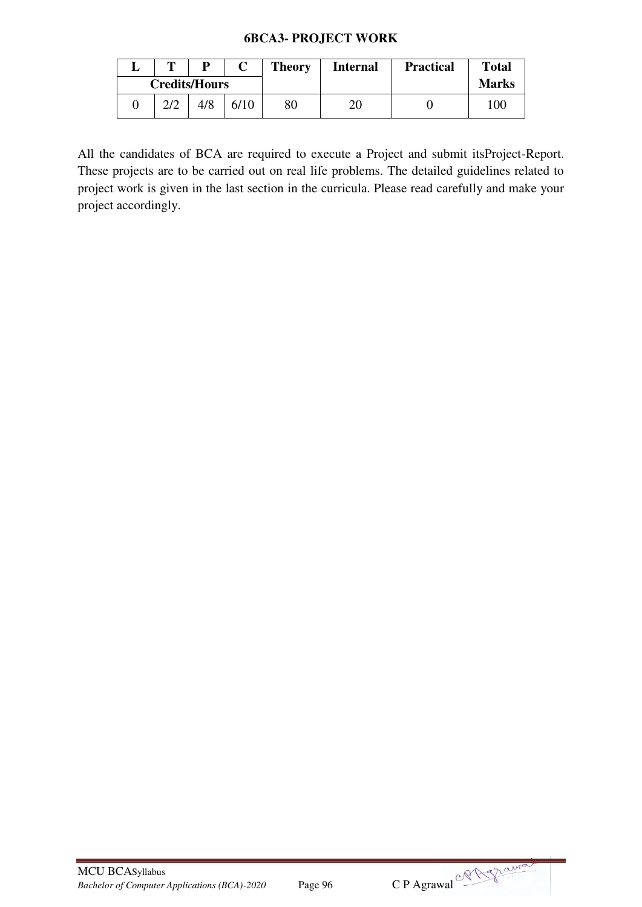#### **6BCA3- PROJECT WORK**

| m        | D                    |      | <b>Theory</b> | <b>Internal</b> | <b>Practical</b> | <b>Total</b> |
|----------|----------------------|------|---------------|-----------------|------------------|--------------|
|          | <b>Credits/Hours</b> |      |               |                 |                  | <b>Marks</b> |
| $\gamma$ | 4/8                  | 6/10 | 80            | 20              |                  | 100          |

All the candidates of BCA are required to execute a Project and submit itsProject-Report. These projects are to be carried out on real life problems. The detailed guidelines related to project work is given in the last section in the curricula. Please read carefully and make your project accordingly.

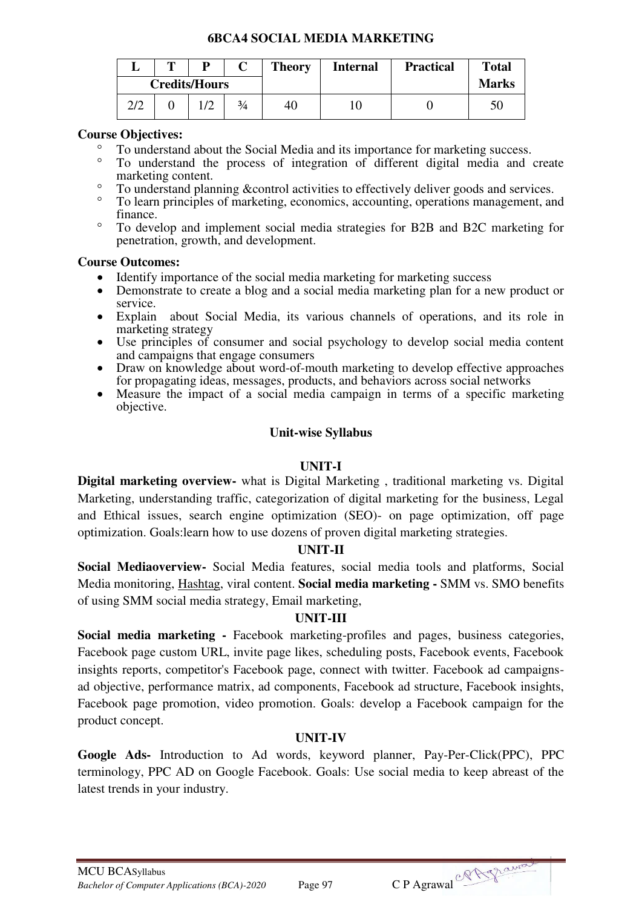## **6BCA4 SOCIAL MEDIA MARKETING**

|     | m |                      |               | <b>Theory</b> | <b>Internal</b> | <b>Practical</b> | <b>Total</b> |
|-----|---|----------------------|---------------|---------------|-----------------|------------------|--------------|
|     |   | <b>Credits/Hours</b> |               |               |                 |                  | <b>Marks</b> |
| 2/2 |   |                      | $\frac{3}{4}$ | 40            | 1C              |                  |              |

### **Course Objectives:**

- <sup>o</sup> To understand about the Social Media and its importance for marketing success.
- To understand the process of integration of different digital media and create marketing content.
- <sup>o</sup> To understand planning &control activities to effectively deliver goods and services.
- <sup>o</sup> To learn principles of marketing, economics, accounting, operations management, and finance.
- To develop and implement social media strategies for B2B and B2C marketing for penetration, growth, and development.

#### **Course Outcomes:**

- Identify importance of the social media marketing for marketing success
- Demonstrate to create a blog and a social media marketing plan for a new product or service.
- Explain about Social Media, its various channels of operations, and its role in marketing strategy
- Use principles of consumer and social psychology to develop social media content and campaigns that engage consumers
- Draw on knowledge about word-of-mouth marketing to develop effective approaches for propagating ideas, messages, products, and behaviors across social networks
- Measure the impact of a social media campaign in terms of a specific marketing objective.

## **Unit-wise Syllabus**

## **UNIT-I**

**Digital marketing overview-** what is Digital Marketing , traditional marketing vs. Digital Marketing, understanding traffic, categorization of digital marketing for the business, Legal and Ethical issues, search engine optimization (SEO)- on page optimization, off page optimization. Goals:learn how to use dozens of proven digital marketing strategies.

#### **UNIT-II**

**Social Mediaoverview-** Social Media features, social media tools and platforms, Social Media monitoring, [Hashtag,](http://en.wikipedia.org/wiki/Twitter) viral content. **Social media marketing -** SMM vs. SMO benefits of using SMM social media strategy, Email marketing,

## **UNIT-III**

**Social media marketing -** Facebook marketing-profiles and pages, business categories, Facebook page custom URL, invite page likes, scheduling posts, Facebook events, Facebook insights reports, competitor's Facebook page, connect with twitter. Facebook ad campaignsad objective, performance matrix, ad components, Facebook ad structure, Facebook insights, Facebook page promotion, video promotion. Goals: develop a Facebook campaign for the product concept.

## **UNIT-IV**

**Google Ads-** Introduction to Ad words, keyword planner, Pay-Per-Click(PPC), PPC terminology, PPC AD on Google Facebook. Goals: Use social media to keep abreast of the latest trends in your industry.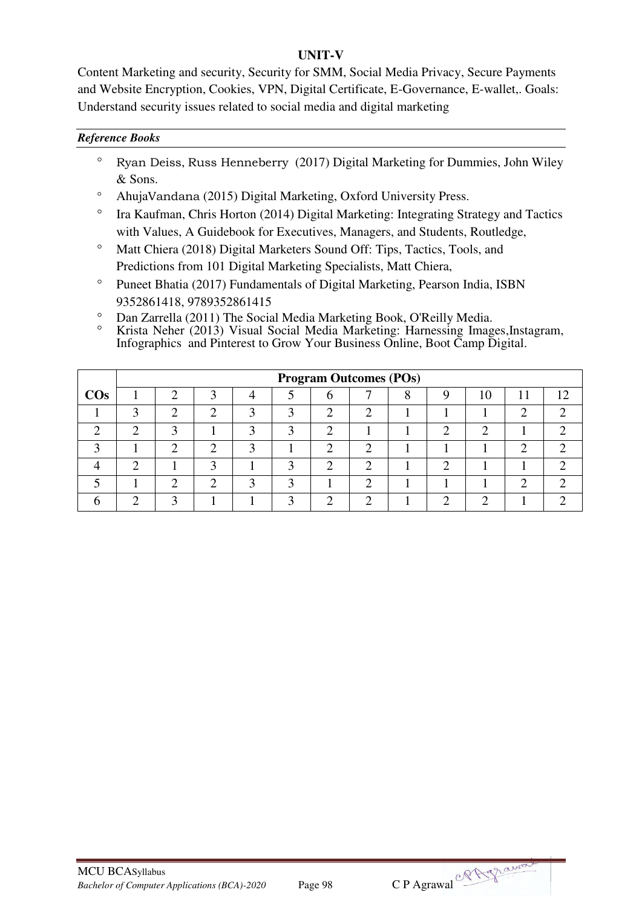## **UNIT-V**

Content Marketing and security, Security for SMM, Social Media Privacy, Secure Payments and Website Encryption, Cookies, VPN, Digital Certificate, E-Governance, E-wallet,. Goals: Understand security issues related to social media and digital marketing

#### *Reference Books*

- $\degree$  Ryan Deiss, Russ Henneberry (2017) Digital Marketing for Dummies, John Wiley & Sons.
- AhujaVandana (2015) Digital Marketing, Oxford University Press.
- <sup>o</sup> Ira Kaufman, Chris Horton (2014) Digital Marketing: Integrating Strategy and Tactics with Values, A Guidebook for Executives, Managers, and Students, Routledge,
- <sup>o</sup> Matt Chiera (2018) Digital Marketers Sound Off: Tips, Tactics, Tools, and Predictions from 101 Digital Marketing Specialists, Matt Chiera,
- <sup>o</sup> Puneet Bhatia (2017) Fundamentals of Digital Marketing, Pearson India, ISBN 9352861418, 9789352861415
- Dan Zarrella (2011) The Social Media Marketing Book, O'Reilly Media.
- Krista Neher (2013) Visual Social Media Marketing: Harnessing Images,Instagram, Infographics and Pinterest to Grow Your Business Online, Boot Camp Digital.

|        |   |   |   |   |            | <b>Program Outcomes (POs)</b> |   |    |    |
|--------|---|---|---|---|------------|-------------------------------|---|----|----|
| $\cos$ |   |   |   |   |            |                               |   | 10 | 12 |
|        | ⌒ | ി | ി |   | n          | ി                             |   |    |    |
|        | ◠ | ◠ |   | ◠ | $\sqrt{2}$ |                               | ◠ |    |    |
|        |   | ◠ | ⌒ |   |            | ◠                             |   |    |    |
|        |   |   |   |   | ⌒          | ◠                             | ◠ |    |    |
|        |   | ◠ | ◠ |   |            | ◠                             |   |    |    |
|        |   |   |   |   |            | C                             |   |    |    |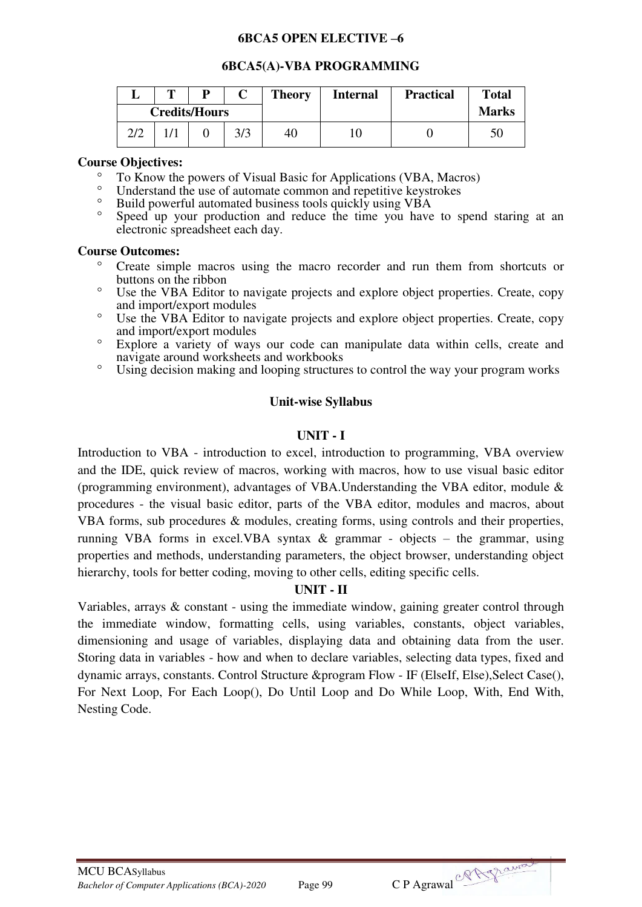#### **6BCA5 OPEN ELECTIVE –6**

#### **6BCA5(A)-VBA PROGRAMMING**

|     | m | D                    |     | <b>Theory</b> | <b>Internal</b> | <b>Practical</b> | <b>Total</b> |
|-----|---|----------------------|-----|---------------|-----------------|------------------|--------------|
|     |   | <b>Credits/Hours</b> |     |               |                 |                  | <b>Marks</b> |
| 2/2 |   |                      | 3/3 | 40            | 10              |                  |              |

#### **Course Objectives:**

- $^{\circ}$  To Know the powers of Visual Basic for Applications (VBA, Macros)
- <sup>o</sup> Understand the use of automate common and repetitive keystrokes<br><sup>o</sup> Puild nowarful automated business tools quickly using VRA
- Build powerful automated business tools quickly using VBA
- Speed up your production and reduce the time you have to spend staring at an electronic spreadsheet each day.

#### **Course Outcomes:**

- Create simple macros using the macro recorder and run them from shortcuts or buttons on the ribbon
- Use the VBA Editor to navigate projects and explore object properties. Create, copy and import/export modules
- <sup>o</sup> Use the VBA Editor to navigate projects and explore object properties. Create, copy and import/export modules
- Explore a variety of ways our code can manipulate data within cells, create and navigate around worksheets and workbooks
- Using decision making and looping structures to control the way your program works

## **Unit-wise Syllabus**

## **UNIT - I**

Introduction to VBA - introduction to excel, introduction to programming, VBA overview and the IDE, quick review of macros, working with macros, how to use visual basic editor (programming environment), advantages of VBA.Understanding the VBA editor, module & procedures - the visual basic editor, parts of the VBA editor, modules and macros, about VBA forms, sub procedures & modules, creating forms, using controls and their properties, running VBA forms in excel.VBA syntax & grammar - objects – the grammar, using properties and methods, understanding parameters, the object browser, understanding object hierarchy, tools for better coding, moving to other cells, editing specific cells.

## **UNIT - II**

Variables, arrays & constant - using the immediate window, gaining greater control through the immediate window, formatting cells, using variables, constants, object variables, dimensioning and usage of variables, displaying data and obtaining data from the user. Storing data in variables - how and when to declare variables, selecting data types, fixed and dynamic arrays, constants. Control Structure &program Flow - IF (ElseIf, Else),Select Case(), For Next Loop, For Each Loop(), Do Until Loop and Do While Loop, With, End With, Nesting Code.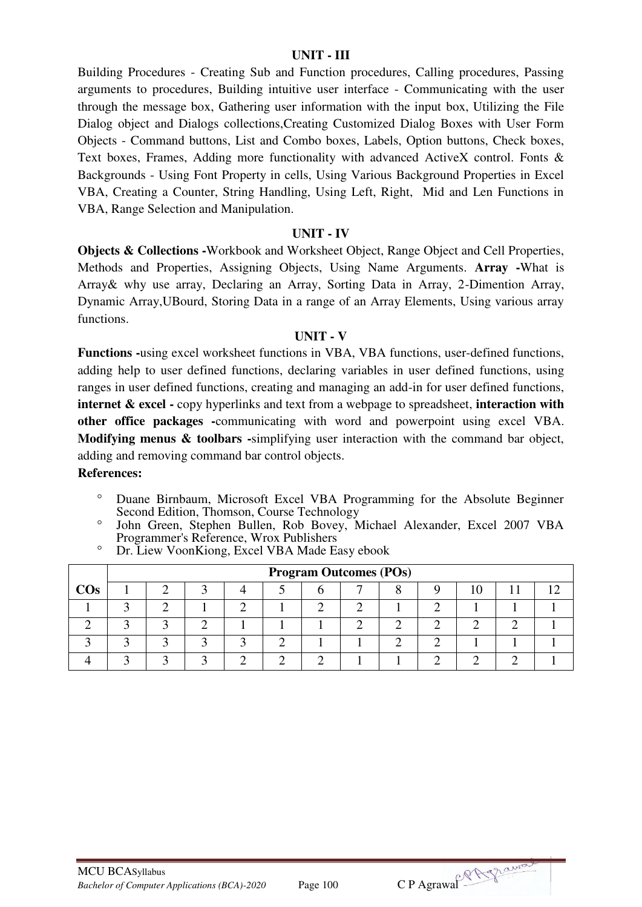#### **UNIT - III**

Building Procedures - Creating Sub and Function procedures, Calling procedures, Passing arguments to procedures, Building intuitive user interface - Communicating with the user through the message box, Gathering user information with the input box, Utilizing the File Dialog object and Dialogs collections,Creating Customized Dialog Boxes with User Form Objects - Command buttons, List and Combo boxes, Labels, Option buttons, Check boxes, Text boxes, Frames, Adding more functionality with advanced ActiveX control. Fonts & Backgrounds - Using Font Property in cells, Using Various Background Properties in Excel VBA, Creating a Counter, String Handling, Using Left, Right, Mid and Len Functions in VBA, Range Selection and Manipulation.

#### **UNIT - IV**

**Objects & Collections -**Workbook and Worksheet Object, Range Object and Cell Properties, Methods and Properties, Assigning Objects, Using Name Arguments. **Array -**What is Array& why use array, Declaring an Array, Sorting Data in Array, 2-Dimention Array, Dynamic Array,UBourd, Storing Data in a range of an Array Elements, Using various array functions.

#### **UNIT - V**

**Functions -**using excel worksheet functions in VBA, VBA functions, user-defined functions, adding help to user defined functions, declaring variables in user defined functions, using ranges in user defined functions, creating and managing an add-in for user defined functions, **internet & excel** - copy hyperlinks and text from a webpage to spreadsheet, **interaction with other office packages -**communicating with word and powerpoint using excel VBA. **Modifying menus & toolbars -**simplifying user interaction with the command bar object, adding and removing command bar control objects.

#### **References:**

- Duane Birnbaum, Microsoft Excel VBA Programming for the Absolute Beginner Second Edition, Thomson, Course Technology
- John Green, Stephen Bullen, Rob Bovey, Michael Alexander, Excel 2007 VBA Programmer's Reference, Wrox Publishers

3 3 3 3 3 3 3 2 1 1 2 2 2 1 1 1 1 4 3 3 3 2 2 2 2 1 1 2 2 2 1

|        | Dr. LIUW VOOIIKIOIIE, LAULE VDA IVIAUU LASY UOOOK |                               |  |  |  |  |  |  |  |  |  |  |  |  |  |
|--------|---------------------------------------------------|-------------------------------|--|--|--|--|--|--|--|--|--|--|--|--|--|
|        |                                                   | <b>Program Outcomes (POs)</b> |  |  |  |  |  |  |  |  |  |  |  |  |  |
| $\cos$ |                                                   |                               |  |  |  |  |  |  |  |  |  |  |  |  |  |
|        |                                                   |                               |  |  |  |  |  |  |  |  |  |  |  |  |  |
|        |                                                   |                               |  |  |  |  |  |  |  |  |  |  |  |  |  |

<sup>o</sup> Dr. Liew VoonKiong, Excel VBA Made Easy ebook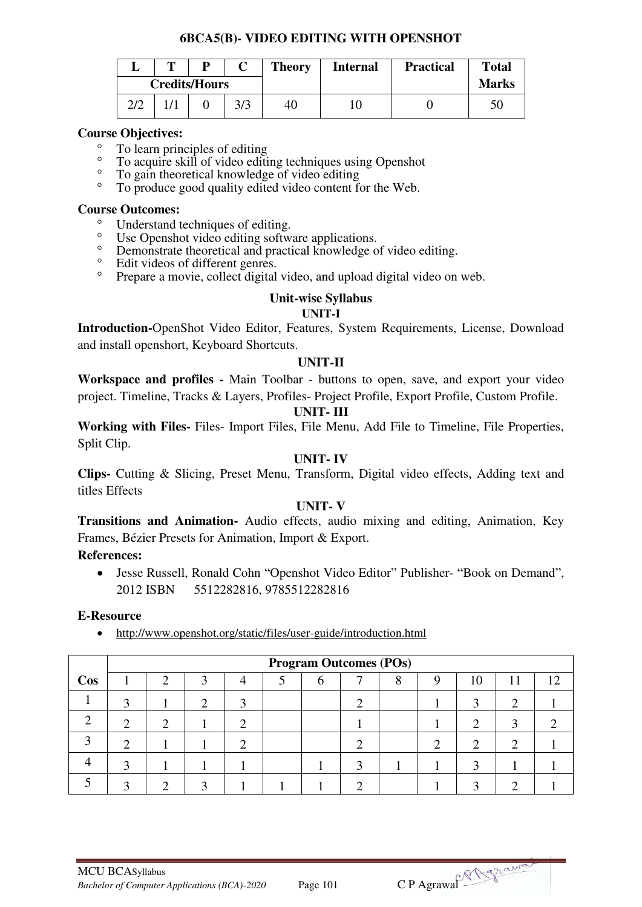### **6BCA5(B)- VIDEO EDITING WITH OPENSHOT**

|     | m |                      |     | <b>Theory</b> | <b>Internal</b> | <b>Practical</b> | <b>Total</b> |
|-----|---|----------------------|-----|---------------|-----------------|------------------|--------------|
|     |   | <b>Credits/Hours</b> |     |               |                 |                  | <b>Marks</b> |
| 2/2 |   |                      | 3/3 | 40            | ΙU              |                  | 50           |

#### **Course Objectives:**

- $^{\circ}$  To learn principles of editing<br> $^{\circ}$  To acquire skill of video editing
- <sup>o</sup> To acquire skill of video editing techniques using Openshot
- <sup>o</sup> To gain theoretical knowledge of video editing<br>
<sup>o</sup> To produce good quality odited video content for
- To produce good quality edited video content for the Web.

#### **Course Outcomes:**

- <sup>o</sup> Understand techniques of editing.
- <sup>o</sup> Use Openshot video editing software applications.<br>
<sup>o</sup> Demonstrate theoretical and practical knowledge o
- Demonstrate theoretical and practical knowledge of video editing.<br>• Edit videos of different genres
- Edit videos of different genres.<br>• Prenare a movie, collect digital
- Prepare a movie, collect digital video, and upload digital video on web.

#### **Unit-wise Syllabus**

#### **UNIT-I**

**Introduction-**OpenShot Video Editor, Features, System Requirements, License, Download and install openshort, Keyboard Shortcuts.

#### **UNIT-II**

**Workspace and profiles -** Main Toolbar - buttons to open, save, and export your video project. Timeline, Tracks & Layers, Profiles- Project Profile, Export Profile, Custom Profile.

#### **UNIT- III**

**Working with Files-** Files- Import Files, File Menu, Add File to Timeline, File Properties, Split Clip.

### **UNIT- IV**

**Clips-** Cutting & Slicing, Preset Menu, Transform, Digital video effects, Adding text and titles Effects

## **UNIT- V**

**Transitions and Animation-** Audio effects, audio mixing and editing, Animation, Key Frames, Bézier Presets for Animation, Import & Export.

## **References:**

 Jesse Russell, Ronald Cohn "Openshot Video Editor" Publisher- "Book on Demand", 2012 ISBN 5512282816, 9785512282816

#### **E-Resource**

<http://www.openshot.org/static/files/user-guide/introduction.html>

|        | <b>Program Outcomes (POs)</b> |  |  |  |  |   |  |   |   |    |     |    |
|--------|-------------------------------|--|--|--|--|---|--|---|---|----|-----|----|
| $\cos$ |                               |  |  |  |  | n |  | Ω | Q | 10 | 1 T | 12 |
|        |                               |  |  |  |  |   |  |   |   |    |     |    |
|        | ⌒                             |  |  |  |  |   |  |   |   |    |     |    |
|        |                               |  |  |  |  |   |  |   |   |    |     |    |
|        |                               |  |  |  |  |   |  |   |   |    |     |    |
|        |                               |  |  |  |  |   |  |   |   |    |     |    |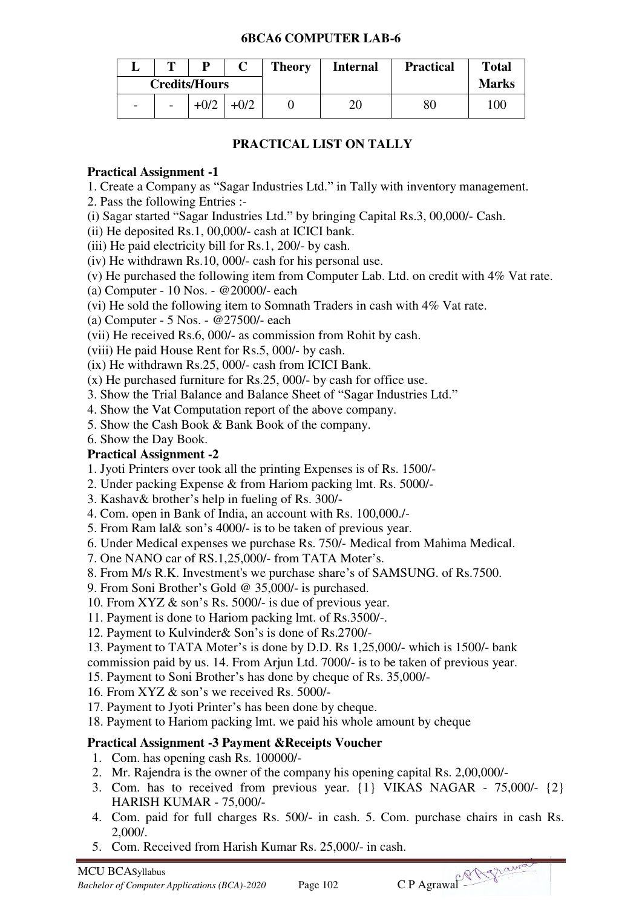### **6BCA6 COMPUTER LAB-6**

|                      | m                        | p      |        | <b>Theory</b> | <b>Internal</b> | <b>Practical</b> | <b>Total</b> |
|----------------------|--------------------------|--------|--------|---------------|-----------------|------------------|--------------|
| <b>Credits/Hours</b> |                          |        |        |               |                 |                  | <b>Marks</b> |
| -                    | $\overline{\phantom{a}}$ | $+0/2$ | $+0/2$ |               | ∠∪              | 80               | 100          |

## **PRACTICAL LIST ON TALLY**

## **Practical Assignment -1**

1. Create a Company as "Sagar Industries Ltd." in Tally with inventory management.

- 2. Pass the following Entries :-
- (i) Sagar started "Sagar Industries Ltd." by bringing Capital Rs.3, 00,000/- Cash.
- (ii) He deposited Rs.1, 00,000/- cash at ICICI bank.
- (iii) He paid electricity bill for Rs.1, 200/- by cash.
- (iv) He withdrawn Rs.10, 000/- cash for his personal use.
- (v) He purchased the following item from Computer Lab. Ltd. on credit with 4% Vat rate.
- (a) Computer 10 Nos. @20000/- each
- (vi) He sold the following item to Somnath Traders in cash with 4% Vat rate.

(a) Computer - 5 Nos. - @27500/- each

(vii) He received Rs.6, 000/- as commission from Rohit by cash.

(viii) He paid House Rent for Rs.5, 000/- by cash.

(ix) He withdrawn Rs.25, 000/- cash from ICICI Bank.

- (x) He purchased furniture for Rs.25, 000/- by cash for office use.
- 3. Show the Trial Balance and Balance Sheet of "Sagar Industries Ltd."
- 4. Show the Vat Computation report of the above company.
- 5. Show the Cash Book & Bank Book of the company.

6. Show the Day Book.

## **Practical Assignment -2**

- 1. Jyoti Printers over took all the printing Expenses is of Rs. 1500/-
- 2. Under packing Expense & from Hariom packing lmt. Rs. 5000/-
- 3. Kashav& brother's help in fueling of Rs. 300/-
- 4. Com. open in Bank of India, an account with Rs. 100,000./-
- 5. From Ram lal& son's 4000/- is to be taken of previous year.
- 6. Under Medical expenses we purchase Rs. 750/- Medical from Mahima Medical.
- 7. One NANO car of RS.1,25,000/- from TATA Moter's.
- 8. From M/s R.K. Investment's we purchase share's of SAMSUNG. of Rs.7500.
- 9. From Soni Brother's Gold @ 35,000/- is purchased.
- 10. From XYZ & son's Rs. 5000/- is due of previous year.
- 11. Payment is done to Hariom packing lmt. of Rs.3500/-.

12. Payment to Kulvinder& Son's is done of Rs.2700/-

13. Payment to TATA Moter's is done by D.D. Rs 1,25,000/- which is 1500/- bank commission paid by us. 14. From Arjun Ltd. 7000/- is to be taken of previous year.

15. Payment to Soni Brother's has done by cheque of Rs. 35,000/-

16. From XYZ & son's we received Rs. 5000/-

17. Payment to Jyoti Printer's has been done by cheque.

18. Payment to Hariom packing lmt. we paid his whole amount by cheque

## **Practical Assignment -3 Payment &Receipts Voucher**

- 1. Com. has opening cash Rs. 100000/-
- 2. Mr. Rajendra is the owner of the company his opening capital Rs. 2,00,000/-
- 3. Com. has to received from previous year. {1} VIKAS NAGAR 75,000/- {2} HARISH KUMAR - 75,000/-
- 4. Com. paid for full charges Rs. 500/- in cash. 5. Com. purchase chairs in cash Rs. 2,000/.
- 5. Com. Received from Harish Kumar Rs. 25,000/- in cash.

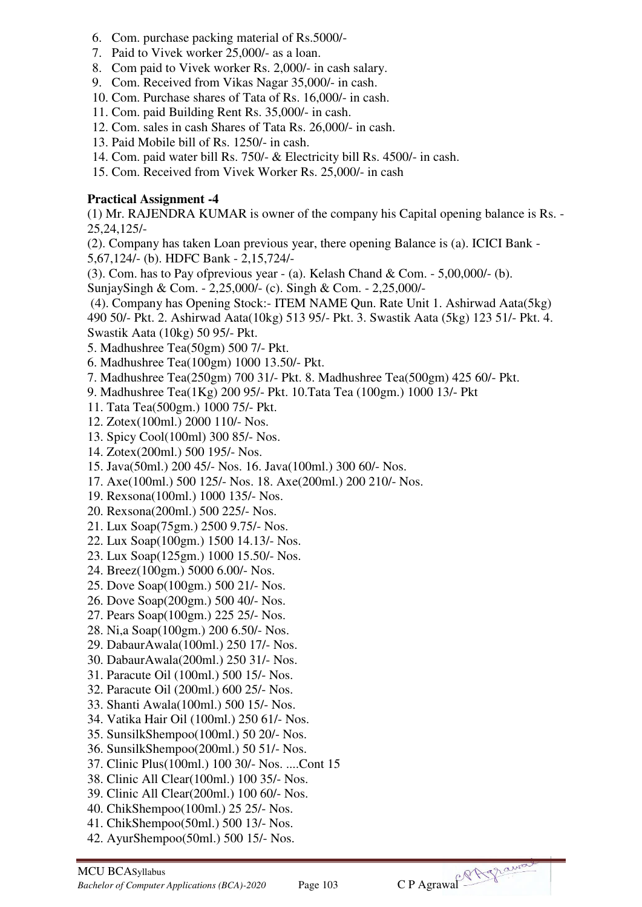- 6. Com. purchase packing material of Rs.5000/-
- 7. Paid to Vivek worker 25,000/- as a loan.
- 8. Com paid to Vivek worker Rs. 2,000/- in cash salary.
- 9. Com. Received from Vikas Nagar 35,000/- in cash.
- 10. Com. Purchase shares of Tata of Rs. 16,000/- in cash.
- 11. Com. paid Building Rent Rs. 35,000/- in cash.
- 12. Com. sales in cash Shares of Tata Rs. 26,000/- in cash.
- 13. Paid Mobile bill of Rs. 1250/- in cash.
- 14. Com. paid water bill Rs. 750/- & Electricity bill Rs. 4500/- in cash.
- 15. Com. Received from Vivek Worker Rs. 25,000/- in cash

## **Practical Assignment -4**

(1) Mr. RAJENDRA KUMAR is owner of the company his Capital opening balance is Rs. - 25,24,125/-

(2). Company has taken Loan previous year, there opening Balance is (a). ICICI Bank - 5,67,124/- (b). HDFC Bank - 2,15,724/-

(3). Com. has to Pay of previous year - (a). Kelash Chand & Com. -  $5,00,000/$ - (b).

SunjaySingh & Com. - 2,25,000/- (c). Singh & Com. - 2,25,000/-

(4). Company has Opening Stock:- ITEM NAME Qun. Rate Unit 1. Ashirwad Aata(5kg)

490 50/- Pkt. 2. Ashirwad Aata(10kg) 513 95/- Pkt. 3. Swastik Aata (5kg) 123 51/- Pkt. 4. Swastik Aata (10kg) 50 95/- Pkt.

- 5. Madhushree Tea(50gm) 500 7/- Pkt.
- 6. Madhushree Tea(100gm) 1000 13.50/- Pkt.
- 7. Madhushree Tea(250gm) 700 31/- Pkt. 8. Madhushree Tea(500gm) 425 60/- Pkt.
- 9. Madhushree Tea(1Kg) 200 95/- Pkt. 10.Tata Tea (100gm.) 1000 13/- Pkt
- 11. Tata Tea(500gm.) 1000 75/- Pkt.
- 12. Zotex(100ml.) 2000 110/- Nos.
- 13. Spicy Cool(100ml) 300 85/- Nos.
- 14. Zotex(200ml.) 500 195/- Nos.
- 15. Java(50ml.) 200 45/- Nos. 16. Java(100ml.) 300 60/- Nos.
- 17. Axe(100ml.) 500 125/- Nos. 18. Axe(200ml.) 200 210/- Nos.
- 19. Rexsona(100ml.) 1000 135/- Nos.
- 20. Rexsona(200ml.) 500 225/- Nos.
- 21. Lux Soap(75gm.) 2500 9.75/- Nos.
- 22. Lux Soap(100gm.) 1500 14.13/- Nos.
- 23. Lux Soap(125gm.) 1000 15.50/- Nos.
- 24. Breez(100gm.) 5000 6.00/- Nos.
- 25. Dove Soap(100gm.) 500 21/- Nos.
- 26. Dove Soap(200gm.) 500 40/- Nos.
- 27. Pears Soap(100gm.) 225 25/- Nos.
- 28. Ni,a Soap(100gm.) 200 6.50/- Nos.
- 29. DabaurAwala(100ml.) 250 17/- Nos.
- 30. DabaurAwala(200ml.) 250 31/- Nos.
- 31. Paracute Oil (100ml.) 500 15/- Nos.
- 32. Paracute Oil (200ml.) 600 25/- Nos.
- 33. Shanti Awala(100ml.) 500 15/- Nos.
- 34. Vatika Hair Oil (100ml.) 250 61/- Nos.
- 35. SunsilkShempoo(100ml.) 50 20/- Nos.
- 36. SunsilkShempoo(200ml.) 50 51/- Nos.
- 37. Clinic Plus(100ml.) 100 30/- Nos. ....Cont 15
- 38. Clinic All Clear(100ml.) 100 35/- Nos.
- 39. Clinic All Clear(200ml.) 100 60/- Nos.
- 40. ChikShempoo(100ml.) 25 25/- Nos.
- 41. ChikShempoo(50ml.) 500 13/- Nos.
- 42. AyurShempoo(50ml.) 500 15/- Nos.

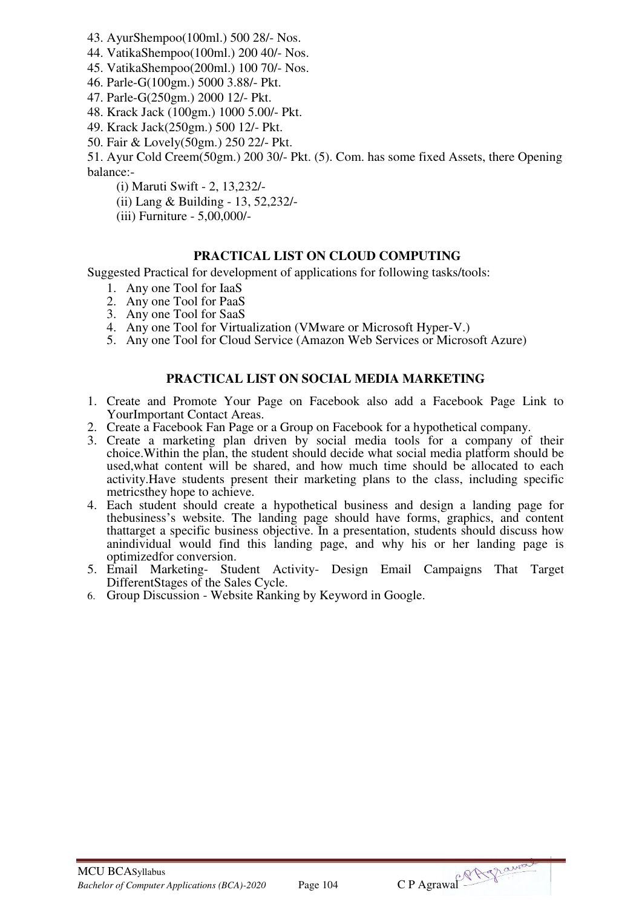- 43. AyurShempoo(100ml.) 500 28/- Nos.
- 44. VatikaShempoo(100ml.) 200 40/- Nos.
- 45. VatikaShempoo(200ml.) 100 70/- Nos.
- 46. Parle-G(100gm.) 5000 3.88/- Pkt.
- 47. Parle-G(250gm.) 2000 12/- Pkt.
- 48. Krack Jack (100gm.) 1000 5.00/- Pkt.
- 49. Krack Jack(250gm.) 500 12/- Pkt.
- 50. Fair & Lovely(50gm.) 250 22/- Pkt.

51. Ayur Cold Creem(50gm.) 200 30/- Pkt. (5). Com. has some fixed Assets, there Opening balance:-

- (i) Maruti Swift 2, 13,232/-
- (ii) Lang & Building 13, 52,232/-
- (iii) Furniture 5,00,000/-

#### **PRACTICAL LIST ON CLOUD COMPUTING**

Suggested Practical for development of applications for following tasks/tools:

- 1. Any one Tool for IaaS
- 2. Any one Tool for PaaS
- 3. Any one Tool for SaaS
- 4. Any one Tool for Virtualization (VMware or Microsoft Hyper-V.)
- 5. Any one Tool for Cloud Service (Amazon Web Services or Microsoft Azure)

## **PRACTICAL LIST ON SOCIAL MEDIA MARKETING**

- 1. Create and Promote Your Page on Facebook also add a Facebook Page Link to YourImportant Contact Areas.
- 2. Create a Facebook Fan Page or a Group on Facebook for a hypothetical company.
- 3. Create a marketing plan driven by social media tools for a company of their choice.Within the plan, the student should decide what social media platform should be used,what content will be shared, and how much time should be allocated to each activity.Have students present their marketing plans to the class, including specific metricsthey hope to achieve.
- 4. Each student should create a hypothetical business and design a landing page for thebusiness's website. The landing page should have forms, graphics, and content thattarget a specific business objective. In a presentation, students should discuss how anindividual would find this landing page, and why his or her landing page is optimizedfor conversion.
- 5. Email Marketing- Student Activity- Design Email Campaigns That Target DifferentStages of the Sales Cycle.
- 6. Group Discussion Website Ranking by Keyword in Google.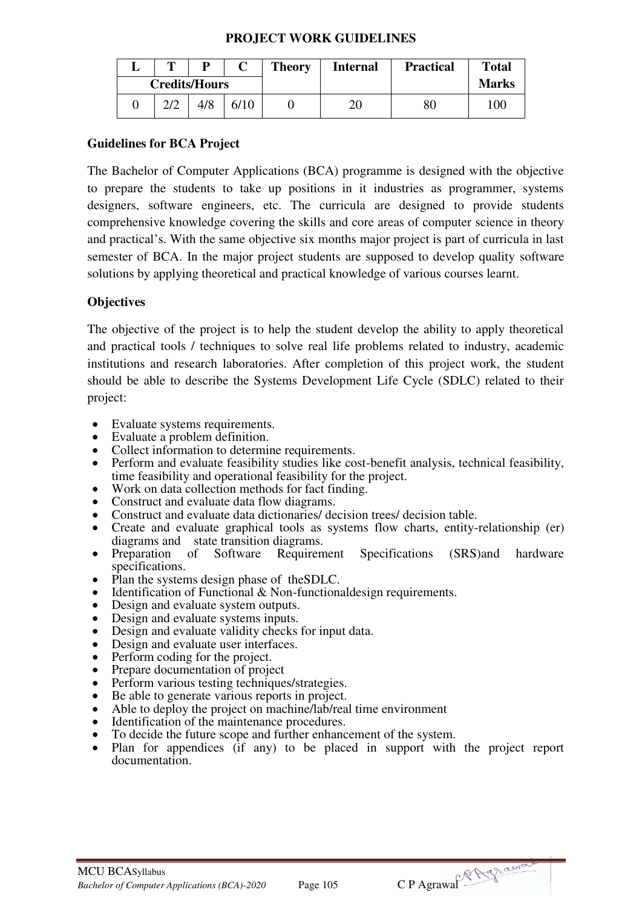#### **PROJECT WORK GUIDELINES**

| m             |                      | <b>Theory</b> | <b>Internal</b> | <b>Practical</b> | <b>Total</b> |
|---------------|----------------------|---------------|-----------------|------------------|--------------|
|               | <b>Credits/Hours</b> |               |                 |                  | <b>Marks</b> |
| $\cap$ $\cap$ |                      |               | 20              | 80               | 100          |

## **Guidelines for BCA Project**

The Bachelor of Computer Applications (BCA) programme is designed with the objective to prepare the students to take up positions in it industries as programmer, systems designers, software engineers, etc. The curricula are designed to provide students comprehensive knowledge covering the skills and core areas of computer science in theory and practical's. With the same objective six months major project is part of curricula in last semester of BCA. In the major project students are supposed to develop quality software solutions by applying theoretical and practical knowledge of various courses learnt.

## **Objectives**

The objective of the project is to help the student develop the ability to apply theoretical and practical tools / techniques to solve real life problems related to industry, academic institutions and research laboratories. After completion of this project work, the student should be able to describe the Systems Development Life Cycle (SDLC) related to their project:

- Evaluate systems requirements.
- Evaluate a problem definition.
- Collect information to determine requirements.
- Perform and evaluate feasibility studies like cost-benefit analysis, technical feasibility, time feasibility and operational feasibility for the project.
- Work on data collection methods for fact finding.
- Construct and evaluate data flow diagrams.
- Construct and evaluate data dictionaries/ decision trees/ decision table.
- Create and evaluate graphical tools as systems flow charts, entity-relationship (er) diagrams and state transition diagrams.<br>Preparation of Software Requirement
- Preparation of Software Requirement Specifications (SRS)and hardware specifications.
- Plan the systems design phase of theSDLC.
- Identification of Functional & Non-functionaldesign requirements.
- Design and evaluate system outputs.
- Design and evaluate systems inputs.
- Design and evaluate validity checks for input data.
- Design and evaluate user interfaces.
- Perform coding for the project.
- Prepare documentation of project
- Perform various testing techniques/strategies.
- Be able to generate various reports in project.
- Able to deploy the project on machine/lab/real time environment
- Identification of the maintenance procedures.
- To decide the future scope and further enhancement of the system.
- Plan for appendices (if any) to be placed in support with the project report documentation.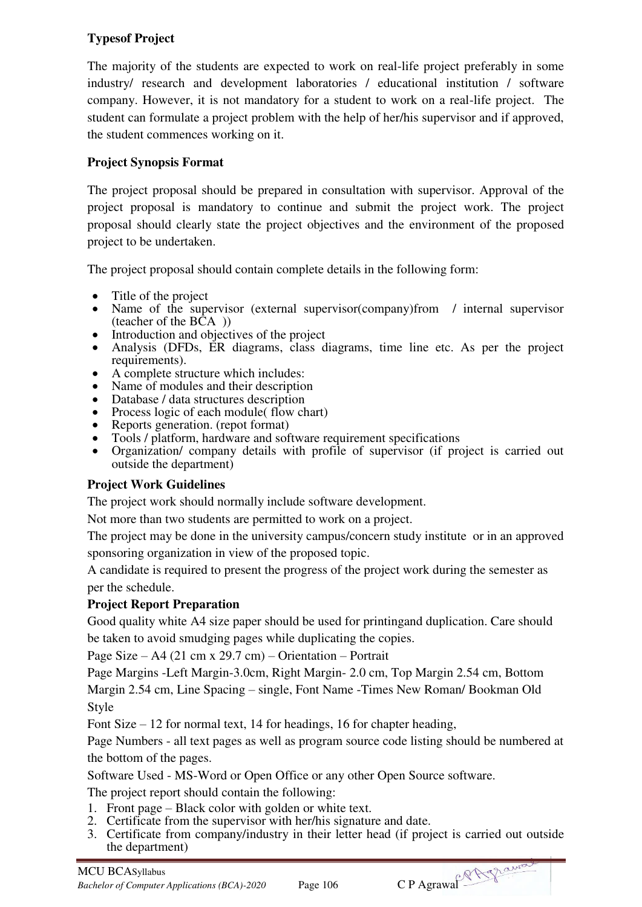## **Typesof Project**

The majority of the students are expected to work on real-life project preferably in some industry/ research and development laboratories / educational institution / software company. However, it is not mandatory for a student to work on a real-life project. The student can formulate a project problem with the help of her/his supervisor and if approved, the student commences working on it.

## **Project Synopsis Format**

The project proposal should be prepared in consultation with supervisor. Approval of the project proposal is mandatory to continue and submit the project work. The project proposal should clearly state the project objectives and the environment of the proposed project to be undertaken.

The project proposal should contain complete details in the following form:

- Title of the project
- Name of the supervisor (external supervisor(company)from / internal supervisor (teacher of the  $\angle BCA$ ))
- Introduction and objectives of the project
- Analysis (DFDs, ER diagrams, class diagrams, time line etc. As per the project requirements).
- A complete structure which includes:
- Name of modules and their description
- Database / data structures description
- Process logic of each module( flow chart)
- Reports generation. (repot format)
- Tools / platform, hardware and software requirement specifications
- Organization/ company details with profile of supervisor (if project is carried out outside the department)

## **Project Work Guidelines**

The project work should normally include software development.

Not more than two students are permitted to work on a project.

The project may be done in the university campus/concern study institute or in an approved sponsoring organization in view of the proposed topic.

A candidate is required to present the progress of the project work during the semester as per the schedule.

## **Project Report Preparation**

Good quality white A4 size paper should be used for printingand duplication. Care should be taken to avoid smudging pages while duplicating the copies.

Page Size – A4 (21 cm x 29.7 cm) – Orientation – Portrait

Page Margins -Left Margin-3.0cm, Right Margin- 2.0 cm, Top Margin 2.54 cm, Bottom Margin 2.54 cm, Line Spacing – single, Font Name -Times New Roman/ Bookman Old Style

Font Size – 12 for normal text, 14 for headings, 16 for chapter heading,

Page Numbers - all text pages as well as program source code listing should be numbered at the bottom of the pages.

Software Used - MS-Word or Open Office or any other Open Source software.

The project report should contain the following:

- 1. Front page Black color with golden or white text.
- 2. Certificate from the supervisor with her/his signature and date.
- 3. Certificate from company/industry in their letter head (if project is carried out outside the department)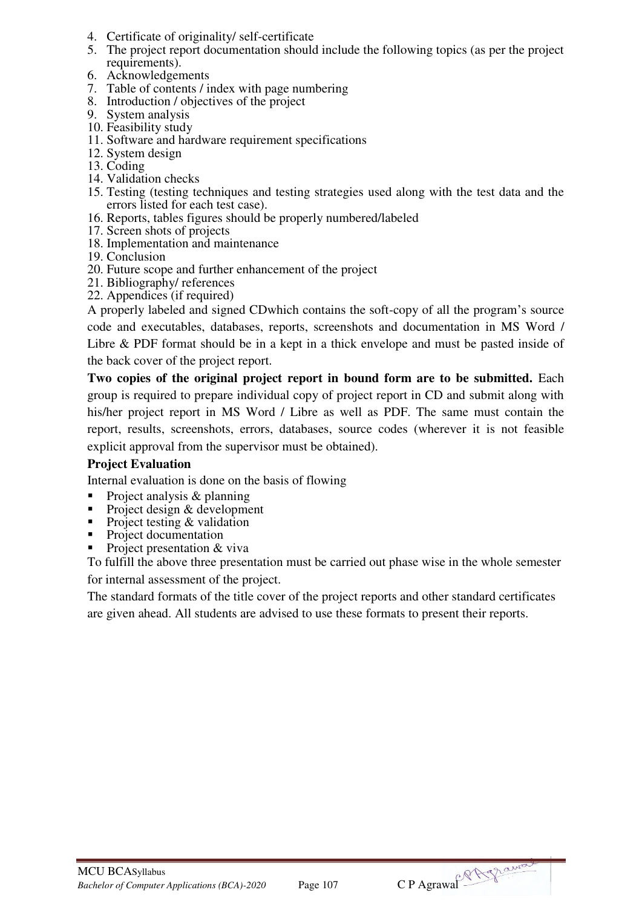- 4. Certificate of originality/ self-certificate
- 5. The project report documentation should include the following topics (as per the project requirements).
- 6. Acknowledgements
- 7. Table of contents / index with page numbering
- 8. Introduction / objectives of the project
- 9. System analysis
- 10. Feasibility study
- 11. Software and hardware requirement specifications
- 12. System design
- 13. Coding
- 14. Validation checks
- 15. Testing (testing techniques and testing strategies used along with the test data and the errors listed for each test case).
- 16. Reports, tables figures should be properly numbered/labeled
- 17. Screen shots of projects
- 18. Implementation and maintenance
- 19. Conclusion
- 20. Future scope and further enhancement of the project
- 21. Bibliography/ references
- 22. Appendices (if required)

A properly labeled and signed CDwhich contains the soft-copy of all the program's source code and executables, databases, reports, screenshots and documentation in MS Word / Libre & PDF format should be in a kept in a thick envelope and must be pasted inside of the back cover of the project report.

**Two copies of the original project report in bound form are to be submitted.** Each group is required to prepare individual copy of project report in CD and submit along with his/her project report in MS Word / Libre as well as PDF. The same must contain the report, results, screenshots, errors, databases, source codes (wherever it is not feasible explicit approval from the supervisor must be obtained).

## **Project Evaluation**

Internal evaluation is done on the basis of flowing

- Project analysis & planning
- Project design & development
- Project testing  $&$  validation
- Project documentation
- Project presentation & viva

To fulfill the above three presentation must be carried out phase wise in the whole semester

for internal assessment of the project.

The standard formats of the title cover of the project reports and other standard certificates are given ahead. All students are advised to use these formats to present their reports.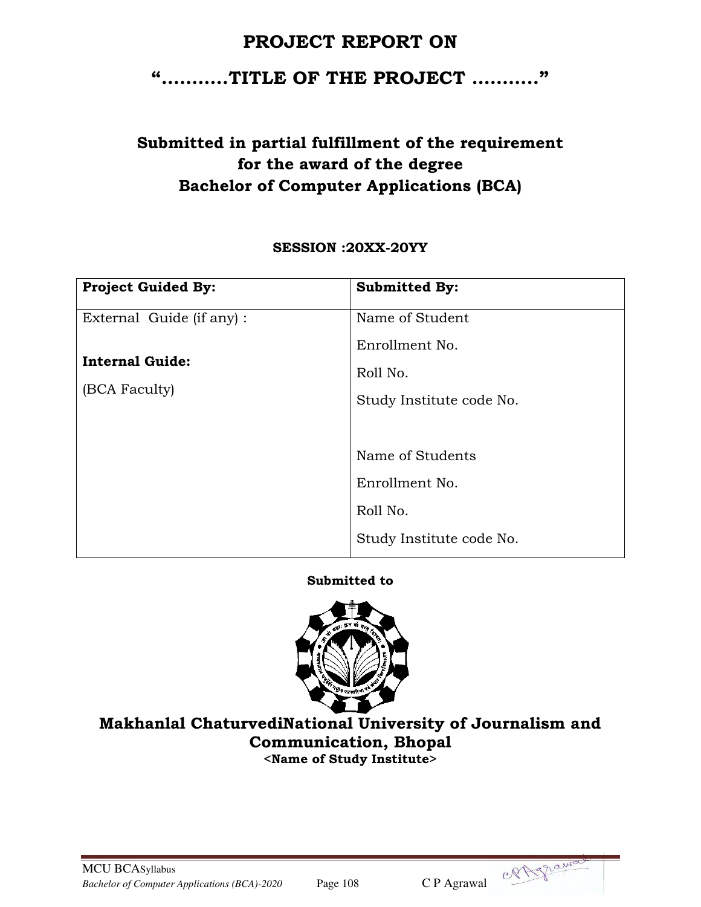# **PROJECT REPORT ON**

# **"………..TITLE OF THE PROJECT ……….."**

# **Submitted in partial fulfillment of the requirement for the award of the degree Bachelor of Computer Applications (BCA)**

## **SESSION :20XX-20YY**

| <b>Project Guided By:</b> | <b>Submitted By:</b>     |
|---------------------------|--------------------------|
| External Guide (if any) : | Name of Student          |
|                           | Enrollment No.           |
| <b>Internal Guide:</b>    | Roll No.                 |
| (BCA Faculty)             | Study Institute code No. |
|                           |                          |
|                           | Name of Students         |
|                           | Enrollment No.           |
|                           | Roll No.                 |
|                           | Study Institute code No. |

## **Submitted to**



## **Makhanlal ChaturvediNational University of Journalism and Communication, Bhopal <Name of Study Institute>**

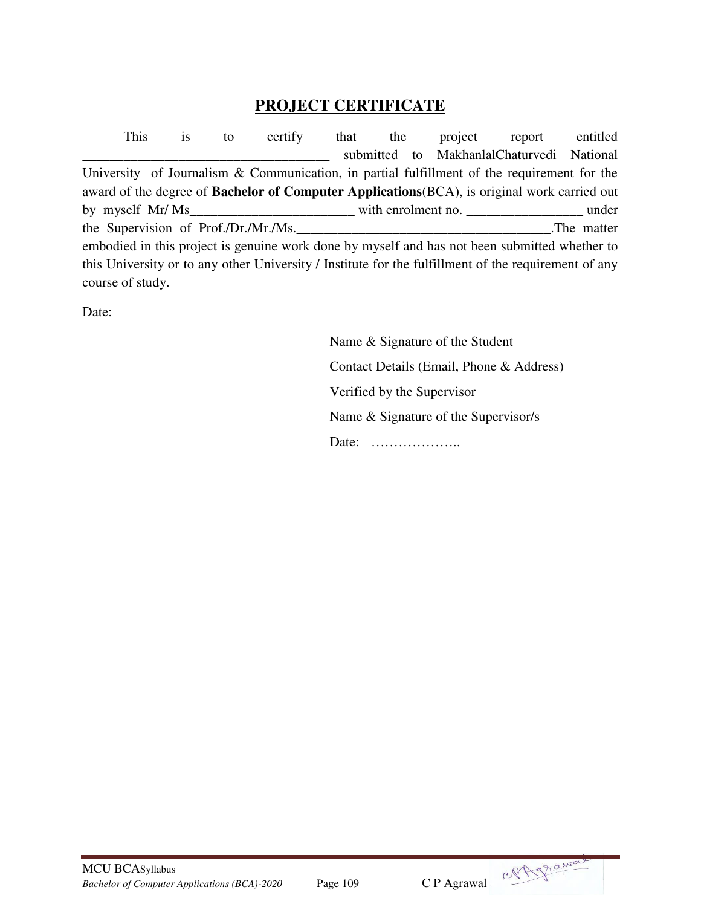## **PROJECT CERTIFICATE**

This is to certify that the project report entitled submitted to MakhanlalChaturvedi National University of Journalism & Communication, in partial fulfillment of the requirement for the award of the degree of **Bachelor of Computer Applications**(BCA), is original work carried out by myself Mr/ Ms under with enrolment no. the Supervision of Prof./Dr./Mr./Ms.\_\_\_\_\_\_\_\_\_\_\_\_\_\_\_\_\_\_\_\_\_\_\_\_\_\_\_\_\_\_\_\_\_\_\_\_\_.The matter embodied in this project is genuine work done by myself and has not been submitted whether to this University or to any other University / Institute for the fulfillment of the requirement of any course of study.

Date:

 Name & Signature of the Student Contact Details (Email, Phone & Address) Verified by the Supervisor Name & Signature of the Supervisor/s Date: ………………..

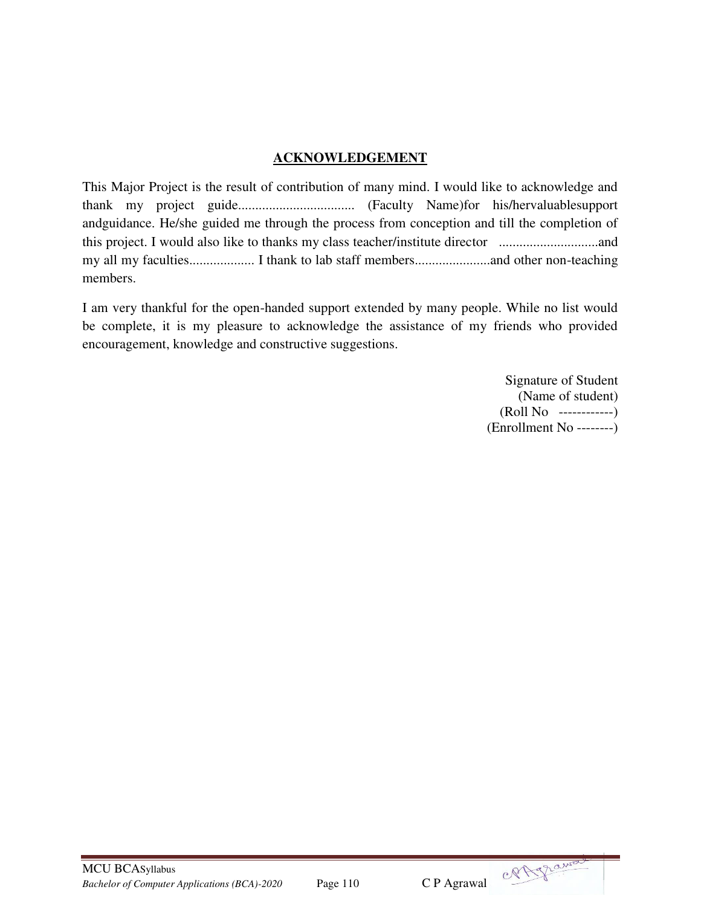## **ACKNOWLEDGEMENT**

This Major Project is the result of contribution of many mind. I would like to acknowledge and thank my project guide.................................. (Faculty Name)for his/hervaluablesupport andguidance. He/she guided me through the process from conception and till the completion of this project. I would also like to thanks my class teacher/institute director .............................and my all my faculties................... I thank to lab staff members......................and other non-teaching members.

I am very thankful for the open-handed support extended by many people. While no list would be complete, it is my pleasure to acknowledge the assistance of my friends who provided encouragement, knowledge and constructive suggestions.

> Signature of Student (Name of student) (Roll No ------------) (Enrollment No --------)



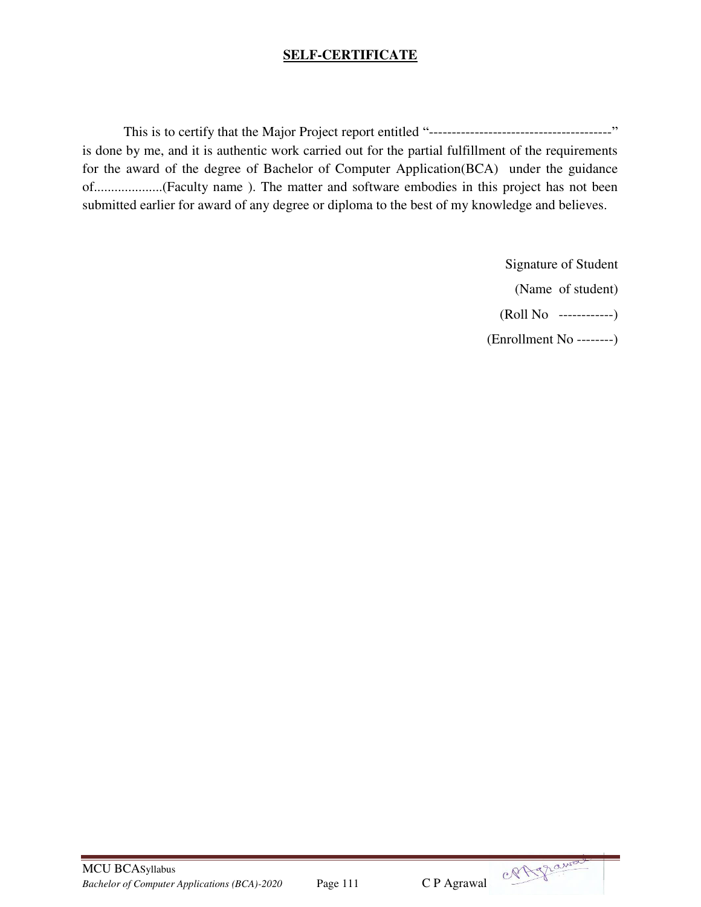## **SELF-CERTIFICATE**

This is to certify that the Major Project report entitled "----------------------------------------" is done by me, and it is authentic work carried out for the partial fulfillment of the requirements for the award of the degree of Bachelor of Computer Application(BCA) under the guidance of....................(Faculty name ). The matter and software embodies in this project has not been submitted earlier for award of any degree or diploma to the best of my knowledge and believes.

> Signature of Student (Name of student) (Roll No ------------) (Enrollment No --------)